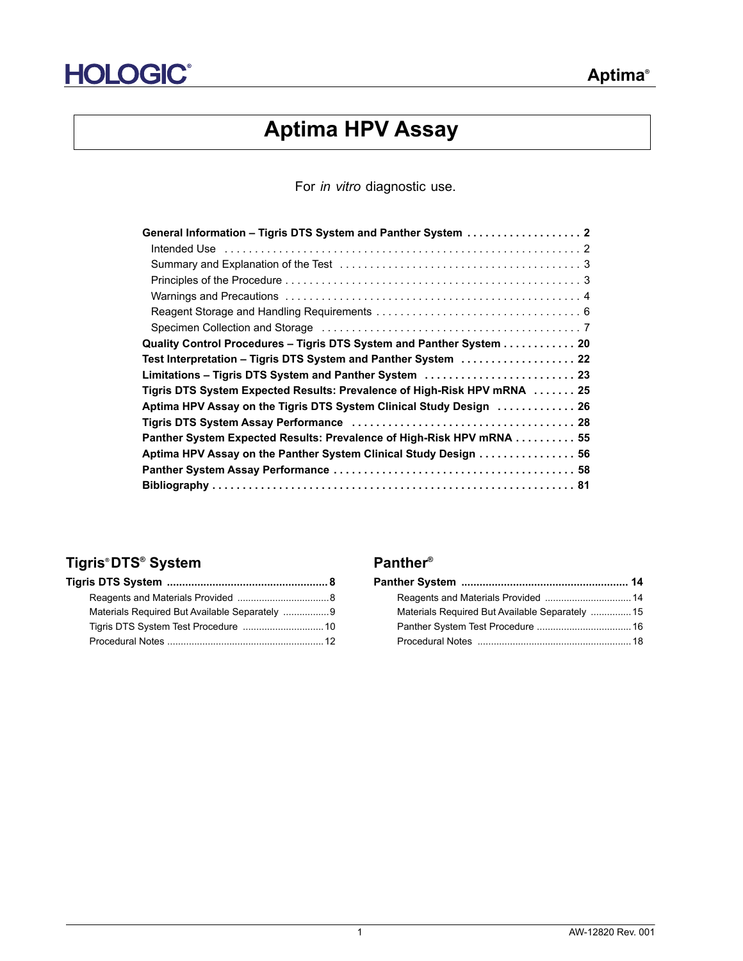

# **Aptima HPV Assay**

For *in vitro* diagnostic use.

| Specimen Collection and Storage (and according contract of the Specimen Collection and Storage (and according contract of the Specimen Specimen Specimen Specimens Specimens Specimens Specimens Specimens Specimens Specimens |
|--------------------------------------------------------------------------------------------------------------------------------------------------------------------------------------------------------------------------------|
| Quality Control Procedures - Tigris DTS System and Panther System 20                                                                                                                                                           |
| Test Interpretation – Tigris DTS System and Panther System  22                                                                                                                                                                 |
| Limitations - Tigris DTS System and Panther System  23                                                                                                                                                                         |
| Tigris DTS System Expected Results: Prevalence of High-Risk HPV mRNA  25                                                                                                                                                       |
| Aptima HPV Assay on the Tigris DTS System Clinical Study Design  26                                                                                                                                                            |
|                                                                                                                                                                                                                                |
| Panther System Expected Results: Prevalence of High-Risk HPV mRNA 55                                                                                                                                                           |
| Aptima HPV Assay on the Panther System Clinical Study Design 56                                                                                                                                                                |
|                                                                                                                                                                                                                                |
|                                                                                                                                                                                                                                |

## **Tigris® DTS® System Panther®**

| Materials Required But Available Separately 9 |  |
|-----------------------------------------------|--|
|                                               |  |
|                                               |  |

| Materials Required But Available Separately  15 |  |
|-------------------------------------------------|--|
|                                                 |  |
|                                                 |  |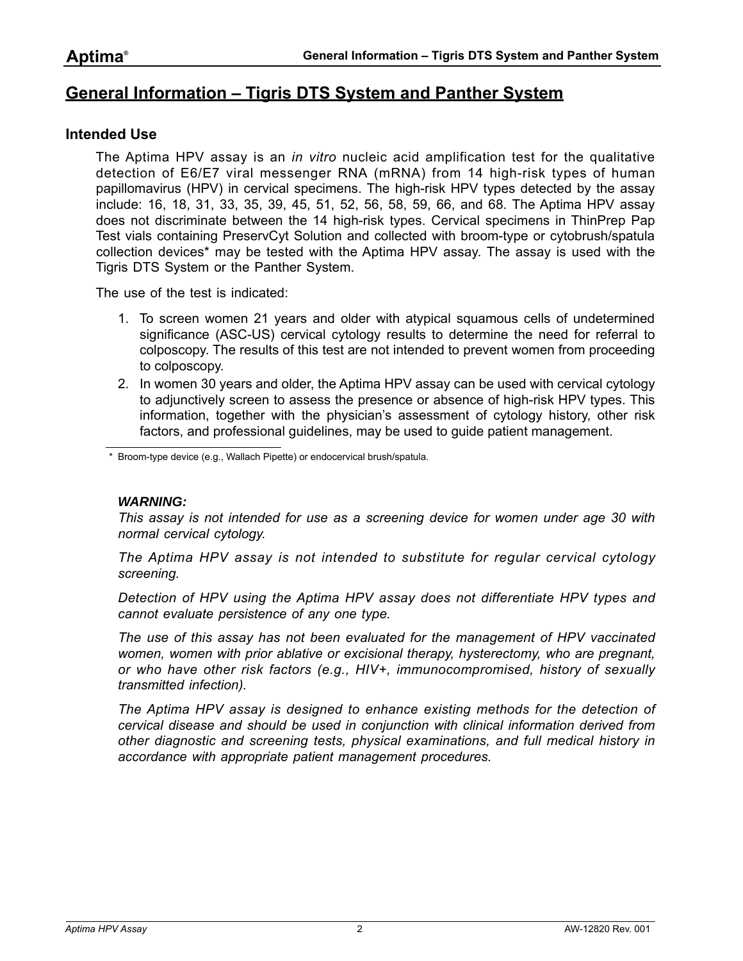## <span id="page-1-0"></span>**General Information – Tigris DTS System and Panther System**

## <span id="page-1-1"></span>**Intended Use**

The Aptima HPV assay is an *in vitro* nucleic acid amplification test for the qualitative detection of E6/E7 viral messenger RNA (mRNA) from 14 high-risk types of human papillomavirus (HPV) in cervical specimens. The high-risk HPV types detected by the assay include: 16, 18, 31, 33, 35, 39, 45, 51, 52, 56, 58, 59, 66, and 68. The Aptima HPV assay does not discriminate between the 14 high-risk types. Cervical specimens in ThinPrep Pap Test vials containing PreservCyt Solution and collected with broom-type or cytobrush/spatula collection devices\* may be tested with the Aptima HPV assay. The assay is used with the Tigris DTS System or the Panther System.

The use of the test is indicated:

- 1. To screen women 21 years and older with atypical squamous cells of undetermined significance (ASC-US) cervical cytology results to determine the need for referral to colposcopy. The results of this test are not intended to prevent women from proceeding to colposcopy.
- 2. In women 30 years and older, the Aptima HPV assay can be used with cervical cytology to adjunctively screen to assess the presence or absence of high-risk HPV types. This information, together with the physician's assessment of cytology history, other risk factors, and professional guidelines, may be used to guide patient management.

Broom-type device (e.g., Wallach Pipette) or endocervical brush/spatula.

#### *WARNING:*

*This assay is not intended for use as a screening device for women under age 30 with normal cervical cytology.*

*The Aptima HPV assay is not intended to substitute for regular cervical cytology screening.*

*Detection of HPV using the Aptima HPV assay does not differentiate HPV types and cannot evaluate persistence of any one type.*

*The use of this assay has not been evaluated for the management of HPV vaccinated women, women with prior ablative or excisional therapy, hysterectomy, who are pregnant, or who have other risk factors (e.g., HIV+, immunocompromised, history of sexually transmitted infection).*

The Aptima HPV assay is designed to enhance existing methods for the detection of *cervical disease and should be used in conjunction with clinical information derived from other diagnostic and screening tests, physical examinations, and full medical history in accordance with appropriate patient management procedures.*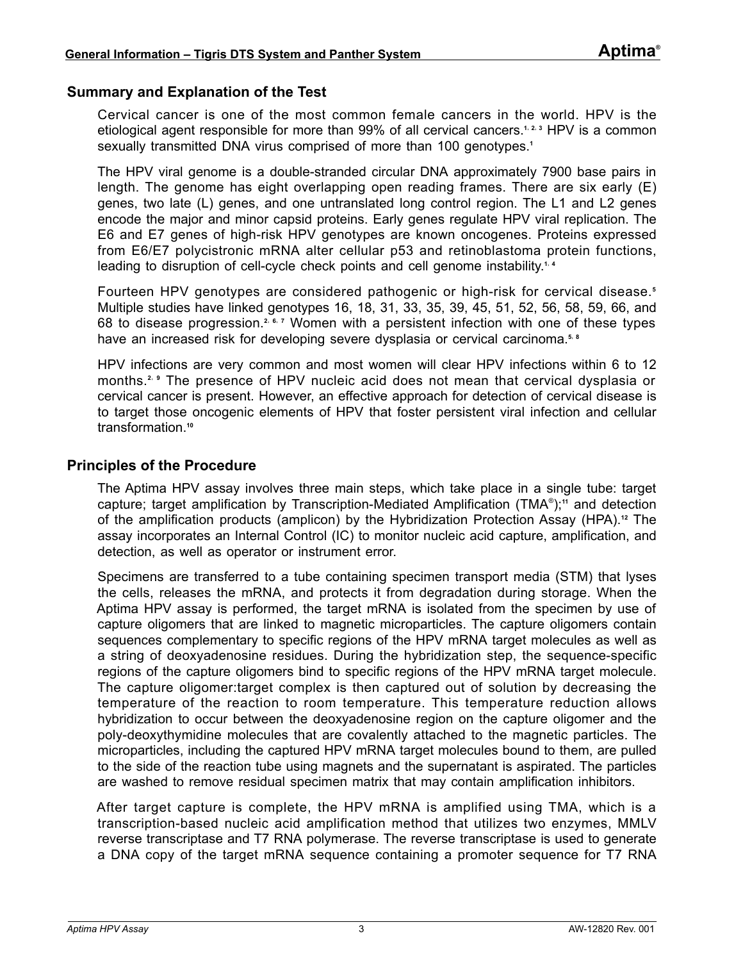## <span id="page-2-0"></span>**Summary and Explanation of the Test**

Cervical cancer is one of the most common female cancers in the world. HPV is the etiological agent responsible for more than 99% of all cervical cancers.**[1](#page-80-1)**, **[2](#page-80-2)**, **[3](#page-80-3)** HPV is a common sexually transmitted DNA virus comprised of more than 100 genotypes.**[1](#page-80-1)**

The HPV viral genome is a double-stranded circular DNA approximately 7900 base pairs in length. The genome has eight overlapping open reading frames. There are six early (E) genes, two late (L) genes, and one untranslated long control region. The L1 and L2 genes encode the major and minor capsid proteins. Early genes regulate HPV viral replication. The E6 and E7 genes of high-risk HPV genotypes are known oncogenes. Proteins expressed from E6/E7 polycistronic mRNA alter cellular p53 and retinoblastoma protein functions, leading to disruption of cell-cycle check points and cell genome instability.**[1](#page-80-1)**, **[4](#page-80-5)**

Fourteen HPV genotypes are considered pathogenic or high-risk for cervical disease.**[5](#page-80-4)** Multiple studies have linked genotypes 16, 18, 31, 33, 35, 39, 45, 51, 52, 56, 58, 59, 66, and 68 to disease progression.**[2](#page-80-2)**, **[6](#page-80-6)**, **[7](#page-80-7)** Women with a persistent infection with one of these types have an increased risk for developing severe dysplasia or cervical carcinoma.**[5](#page-80-4)**, **[8](#page-80-8)**

HPV infections are very common and most women will clear HPV infections within 6 to 12 months.<sup>[2](#page-80-2), [9](#page-80-9)</sup> The presence of HPV nucleic acid does not mean that cervical dysplasia or cervical cancer is present. However, an effective approach for detection of cervical disease is to target those oncogenic elements of HPV that foster persistent viral infection and cellular transformation.**[10](#page-80-10)**

## <span id="page-2-1"></span>**Principles of the Procedure**

The Aptima HPV assay involves three main steps, which take place in a single tube: target capture; target amplification by Transcription-Mediated Amplification (TMA® );**[11](#page-80-11)** and detection of the amplification products (amplicon) by the Hybridization Protection Assay (HPA).**[12](#page-80-12)** The assay incorporates an Internal Control (IC) to monitor nucleic acid capture, amplification, and detection, as well as operator or instrument error.

Specimens are transferred to a tube containing specimen transport media (STM) that lyses the cells, releases the mRNA, and protects it from degradation during storage. When the Aptima HPV assay is performed, the target mRNA is isolated from the specimen by use of capture oligomers that are linked to magnetic microparticles. The capture oligomers contain sequences complementary to specific regions of the HPV mRNA target molecules as well as a string of deoxyadenosine residues. During the hybridization step, the sequence-specific regions of the capture oligomers bind to specific regions of the HPV mRNA target molecule. The capture oligomer:target complex is then captured out of solution by decreasing the temperature of the reaction to room temperature. This temperature reduction allows hybridization to occur between the deoxyadenosine region on the capture oligomer and the poly-deoxythymidine molecules that are covalently attached to the magnetic particles. The microparticles, including the captured HPV mRNA target molecules bound to them, are pulled to the side of the reaction tube using magnets and the supernatant is aspirated. The particles are washed to remove residual specimen matrix that may contain amplification inhibitors.

After target capture is complete, the HPV mRNA is amplified using TMA, which is a transcription-based nucleic acid amplification method that utilizes two enzymes, MMLV reverse transcriptase and T7 RNA polymerase. The reverse transcriptase is used to generate a DNA copy of the target mRNA sequence containing a promoter sequence for T7 RNA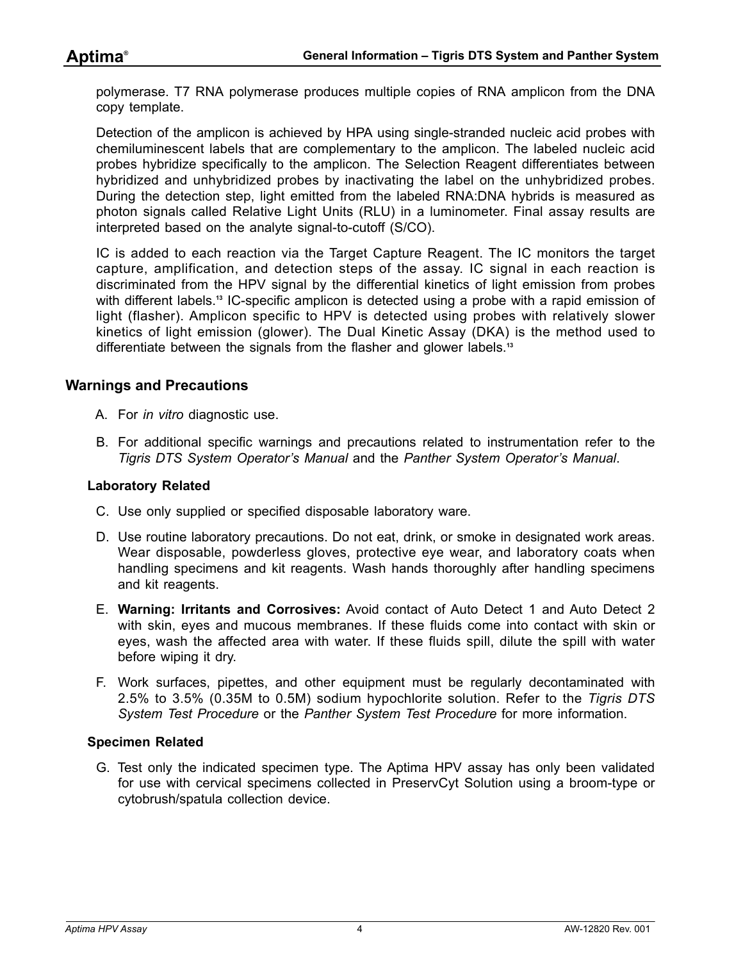polymerase. T7 RNA polymerase produces multiple copies of RNA amplicon from the DNA copy template.

Detection of the amplicon is achieved by HPA using single-stranded nucleic acid probes with chemiluminescent labels that are complementary to the amplicon. The labeled nucleic acid probes hybridize specifically to the amplicon. The Selection Reagent differentiates between hybridized and unhybridized probes by inactivating the label on the unhybridized probes. During the detection step, light emitted from the labeled RNA:DNA hybrids is measured as photon signals called Relative Light Units (RLU) in a luminometer. Final assay results are interpreted based on the analyte signal-to-cutoff (S/CO).

IC is added to each reaction via the Target Capture Reagent. The IC monitors the target capture, amplification, and detection steps of the assay. IC signal in each reaction is discriminated from the HPV signal by the differential kinetics of light emission from probes with different labels.**[13](#page-80-13)** IC-specific amplicon is detected using a probe with a rapid emission of light (flasher). Amplicon specific to HPV is detected using probes with relatively slower kinetics of light emission (glower). The Dual Kinetic Assay (DKA) is the method used to differentiate between the signals from the flasher and glower labels.**[13](#page-80-13)**

## <span id="page-3-0"></span>**Warnings and Precautions**

- A. For *in vitro* diagnostic use.
- B. For additional specific warnings and precautions related to instrumentation refer to the *Tigris DTS System Operator's Manual* and the *Panther System Operator's Manual*.

#### **Laboratory Related**

- C. Use only supplied or specified disposable laboratory ware.
- D. Use routine laboratory precautions. Do not eat, drink, or smoke in designated work areas. Wear disposable, powderless gloves, protective eye wear, and laboratory coats when handling specimens and kit reagents. Wash hands thoroughly after handling specimens and kit reagents.
- E. **Warning: Irritants and Corrosives:** Avoid contact of Auto Detect 1 and Auto Detect 2 with skin, eyes and mucous membranes. If these fluids come into contact with skin or eyes, wash the affected area with water. If these fluids spill, dilute the spill with water before wiping it dry.
- F. Work surfaces, pipettes, and other equipment must be regularly decontaminated with 2.5% to 3.5% (0.35M to 0.5M) sodium hypochlorite solution. Refer to the *[Tigris DTS](#page-9-0)  [System Test Procedure](#page-9-0)* or the *[Panther System Test Procedure](#page-15-0)* for more information.

#### **Specimen Related**

G. Test only the indicated specimen type. The Aptima HPV assay has only been validated for use with cervical specimens collected in PreservCyt Solution using a broom-type or cytobrush/spatula collection device.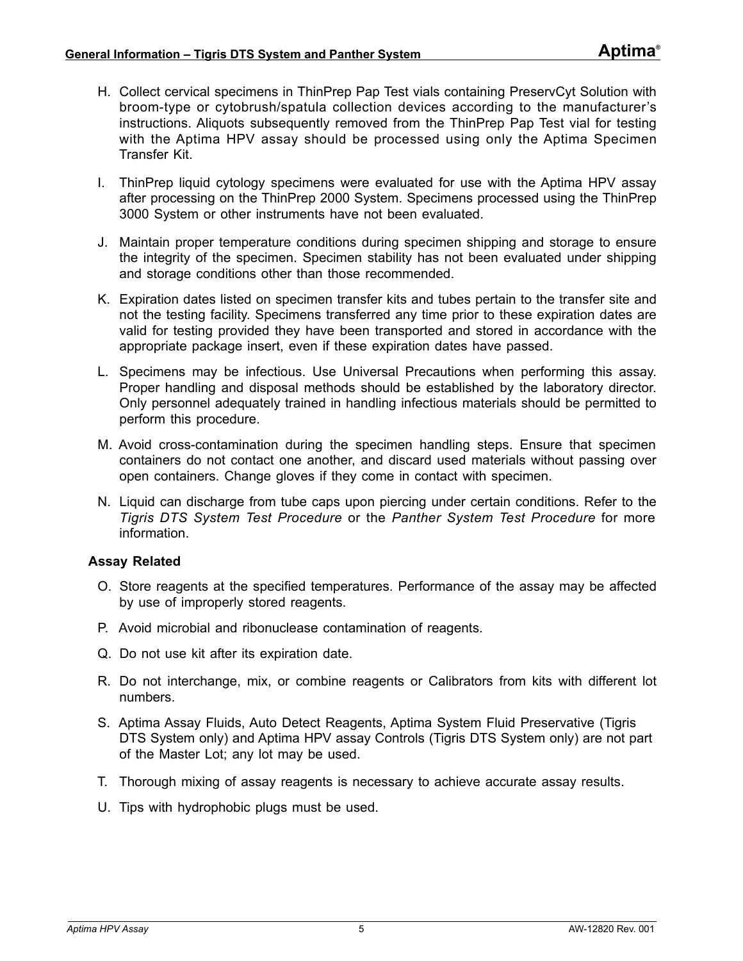- H. Collect cervical specimens in ThinPrep Pap Test vials containing PreservCyt Solution with broom-type or cytobrush/spatula collection devices according to the manufacturer's instructions. Aliquots subsequently removed from the ThinPrep Pap Test vial for testing with the Aptima HPV assay should be processed using only the Aptima Specimen Transfer Kit.
- I. ThinPrep liquid cytology specimens were evaluated for use with the Aptima HPV assay after processing on the ThinPrep 2000 System. Specimens processed using the ThinPrep 3000 System or other instruments have not been evaluated.
- J. Maintain proper temperature conditions during specimen shipping and storage to ensure the integrity of the specimen. Specimen stability has not been evaluated under shipping and storage conditions other than those recommended.
- K. Expiration dates listed on specimen transfer kits and tubes pertain to the transfer site and not the testing facility. Specimens transferred any time prior to these expiration dates are valid for testing provided they have been transported and stored in accordance with the appropriate package insert, even if these expiration dates have passed.
- L. Specimens may be infectious. Use Universal Precautions when performing this assay. Proper handling and disposal methods should be established by the laboratory director. Only personnel adequately trained in handling infectious materials should be permitted to perform this procedure.
- M. Avoid cross-contamination during the specimen handling steps. Ensure that specimen containers do not contact one another, and discard used materials without passing over open containers. Change gloves if they come in contact with specimen.
- N. Liquid can discharge from tube caps upon piercing under certain conditions. Refer to the *[Tigris DTS System Test Procedure](#page-9-0)* or the *[Panther System Test Procedure](#page-15-0)* for more information.

## **Assay Related**

- O. Store reagents at the specified temperatures. Performance of the assay may be affected by use of improperly stored reagents.
- P. Avoid microbial and ribonuclease contamination of reagents.
- Q. Do not use kit after its expiration date.
- R. Do not interchange, mix, or combine reagents or Calibrators from kits with different lot numbers.
- S. Aptima Assay Fluids, Auto Detect Reagents, Aptima System Fluid Preservative (Tigris DTS System only) and Aptima HPV assay Controls (Tigris DTS System only) are not part of the Master Lot; any lot may be used.
- T. Thorough mixing of assay reagents is necessary to achieve accurate assay results.
- U. Tips with hydrophobic plugs must be used.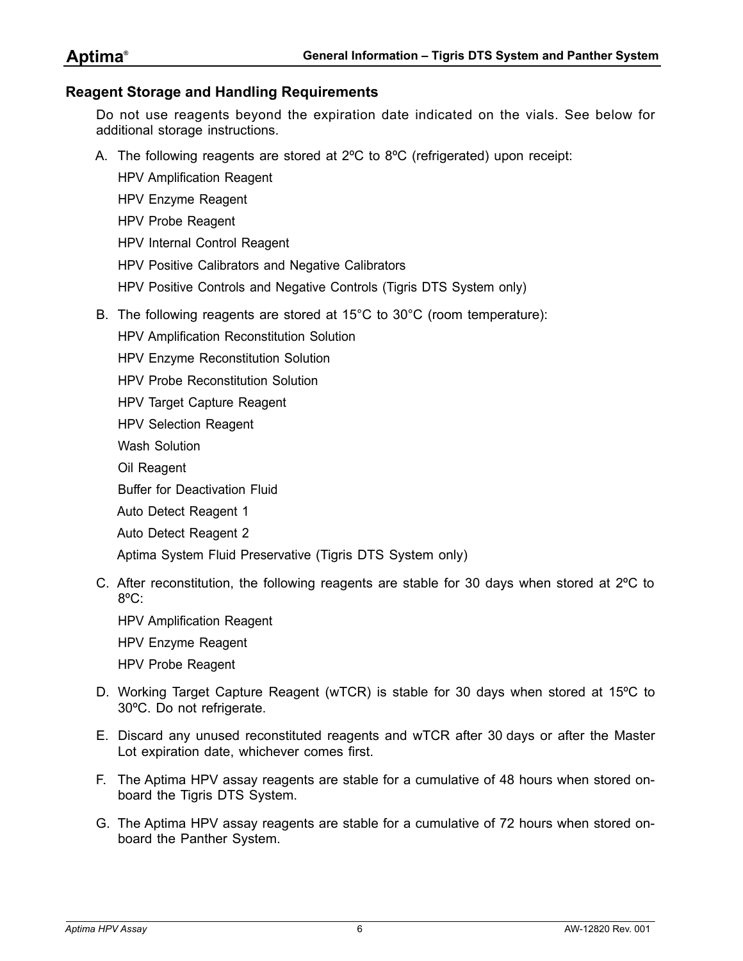## <span id="page-5-0"></span>**Reagent Storage and Handling Requirements**

Do not use reagents beyond the expiration date indicated on the vials. See below for additional storage instructions.

- A. The following reagents are stored at 2ºC to 8ºC (refrigerated) upon receipt:
	- HPV Amplification Reagent
	- HPV Enzyme Reagent
	- HPV Probe Reagent
	- HPV Internal Control Reagent
	- HPV Positive Calibrators and Negative Calibrators
	- HPV Positive Controls and Negative Controls (Tigris DTS System only)
- B. The following reagents are stored at 15°C to 30°C (room temperature):
	- HPV Amplification Reconstitution Solution
	- HPV Enzyme Reconstitution Solution
	- HPV Probe Reconstitution Solution
	- HPV Target Capture Reagent
	- HPV Selection Reagent
	- Wash Solution
	- Oil Reagent
	- Buffer for Deactivation Fluid
	- Auto Detect Reagent 1
	- Auto Detect Reagent 2

Aptima System Fluid Preservative (Tigris DTS System only)

- C. After reconstitution, the following reagents are stable for 30 days when stored at 2ºC to 8ºC:
	- HPV Amplification Reagent
	- HPV Enzyme Reagent
	- HPV Probe Reagent
- D. Working Target Capture Reagent (wTCR) is stable for 30 days when stored at 15ºC to 30ºC. Do not refrigerate.
- E. Discard any unused reconstituted reagents and wTCR after 30 days or after the Master Lot expiration date, whichever comes first.
- F. The Aptima HPV assay reagents are stable for a cumulative of 48 hours when stored onboard the Tigris DTS System.
- G. The Aptima HPV assay reagents are stable for a cumulative of 72 hours when stored onboard the Panther System.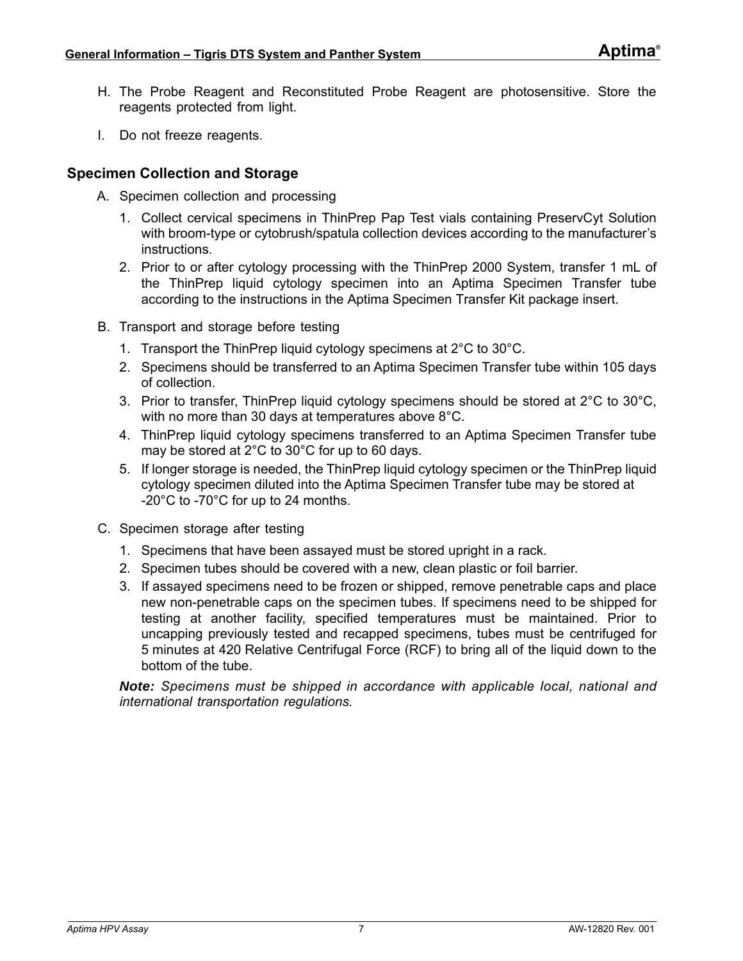- H. The Probe Reagent and Reconstituted Probe Reagent are photosensitive. Store the reagents protected from light.
- I. Do not freeze reagents.

## <span id="page-6-0"></span>**Specimen Collection and Storage**

- A. Specimen collection and processing
	- 1. Collect cervical specimens in ThinPrep Pap Test vials containing PreservCyt Solution with broom-type or cytobrush/spatula collection devices according to the manufacturer's instructions.
	- 2. Prior to or after cytology processing with the ThinPrep 2000 System, transfer 1 mL of the ThinPrep liquid cytology specimen into an Aptima Specimen Transfer tube according to the instructions in the Aptima Specimen Transfer Kit package insert.
- B. Transport and storage before testing
	- 1. Transport the ThinPrep liquid cytology specimens at 2°C to 30°C.
	- 2. Specimens should be transferred to an Aptima Specimen Transfer tube within 105 days of collection.
	- 3. Prior to transfer, ThinPrep liquid cytology specimens should be stored at  $2^{\circ}$ C to  $30^{\circ}$ C, with no more than 30 days at temperatures above 8°C.
	- 4. ThinPrep liquid cytology specimens transferred to an Aptima Specimen Transfer tube may be stored at 2°C to 30°C for up to 60 days.
	- 5. If longer storage is needed, the ThinPrep liquid cytology specimen or the ThinPrep liquid cytology specimen diluted into the Aptima Specimen Transfer tube may be stored at -20°C to -70°C for up to 24 months.
- C. Specimen storage after testing
	- 1. Specimens that have been assayed must be stored upright in a rack.
	- 2. Specimen tubes should be covered with a new, clean plastic or foil barrier.
	- 3. If assayed specimens need to be frozen or shipped, remove penetrable caps and place new non-penetrable caps on the specimen tubes. If specimens need to be shipped for testing at another facility, specified temperatures must be maintained. Prior to uncapping previously tested and recapped specimens, tubes must be centrifuged for 5 minutes at 420 Relative Centrifugal Force (RCF) to bring all of the liquid down to the bottom of the tube.

*Note: Specimens must be shipped in accordance with applicable local, national and international transportation regulations.*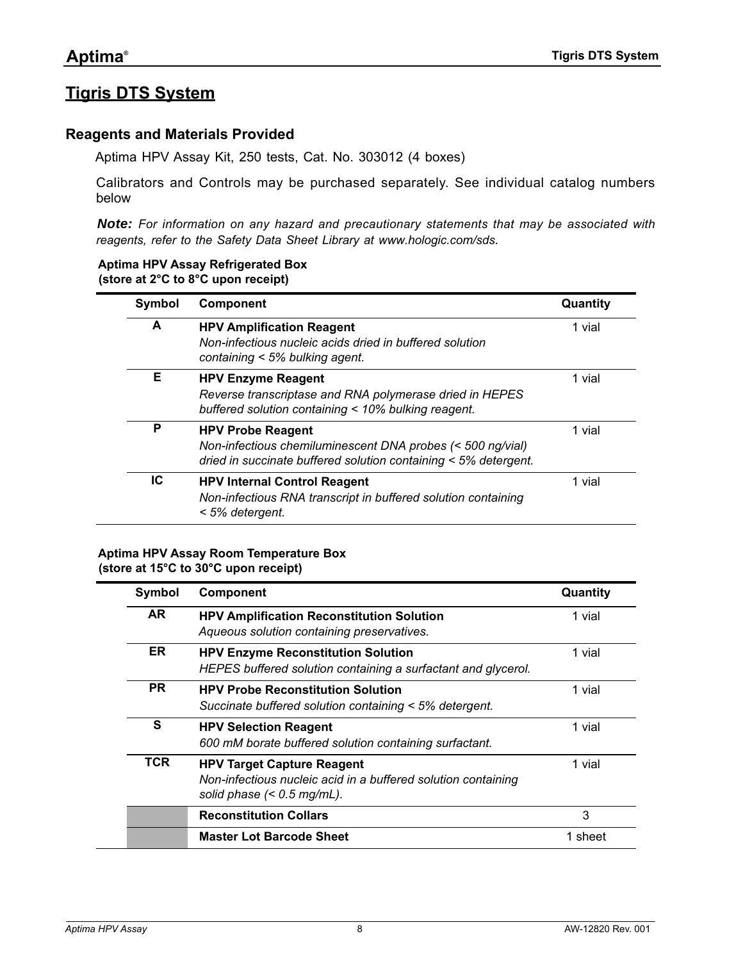## <span id="page-7-0"></span>**Tigris DTS System**

### <span id="page-7-1"></span>**Reagents and Materials Provided**

Aptima HPV Assay Kit, 250 tests, Cat. No. 303012 (4 boxes)

Calibrators and Controls may be purchased separately. See individual catalog numbers below

*Note: For information on any hazard and precautionary statements that may be associated with reagents, refer to the Safety Data Sheet Library at [www.hologic.com/sds](http://www.hologic.com/SDS).*

#### **Aptima HPV Assay Refrigerated Box (store at 2°C to 8°C upon receipt)**

| Symbol | Component                                                                                                                                                 | Quantity |
|--------|-----------------------------------------------------------------------------------------------------------------------------------------------------------|----------|
| A      | <b>HPV Amplification Reagent</b><br>Non-infectious nucleic acids dried in buffered solution<br>containing < 5% bulking agent.                             | 1 vial   |
| Е      | <b>HPV Enzyme Reagent</b><br>Reverse transcriptase and RNA polymerase dried in HEPES<br>buffered solution containing < 10% bulking reagent.               | 1 vial   |
| P      | <b>HPV Probe Reagent</b><br>Non-infectious chemiluminescent DNA probes (< 500 ng/vial)<br>dried in succinate buffered solution containing < 5% detergent. | 1 vial   |
| IC     | <b>HPV Internal Control Reagent</b><br>Non-infectious RNA transcript in buffered solution containing<br>< 5% detergent.                                   | 1 vial   |

#### **Aptima HPV Assay Room Temperature Box (store at 15°C to 30°C upon receipt)**

| Symbol    | <b>Component</b>                                                                                                                   | Quantity |
|-----------|------------------------------------------------------------------------------------------------------------------------------------|----------|
| AR.       | <b>HPV Amplification Reconstitution Solution</b><br>Aqueous solution containing preservatives.                                     | 1 vial   |
| ER.       | <b>HPV Enzyme Reconstitution Solution</b><br>HEPES buffered solution containing a surfactant and glycerol.                         | 1 vial   |
| <b>PR</b> | <b>HPV Probe Reconstitution Solution</b><br>Succinate buffered solution containing < 5% detergent.                                 | 1 vial   |
| S         | <b>HPV Selection Reagent</b><br>600 mM borate buffered solution containing surfactant.                                             | 1 vial   |
| TCR       | <b>HPV Target Capture Reagent</b><br>Non-infectious nucleic acid in a buffered solution containing<br>solid phase $(< 0.5$ mg/mL). | 1 vial   |
|           | <b>Reconstitution Collars</b>                                                                                                      | 3        |
|           | <b>Master Lot Barcode Sheet</b>                                                                                                    | 1 sheet  |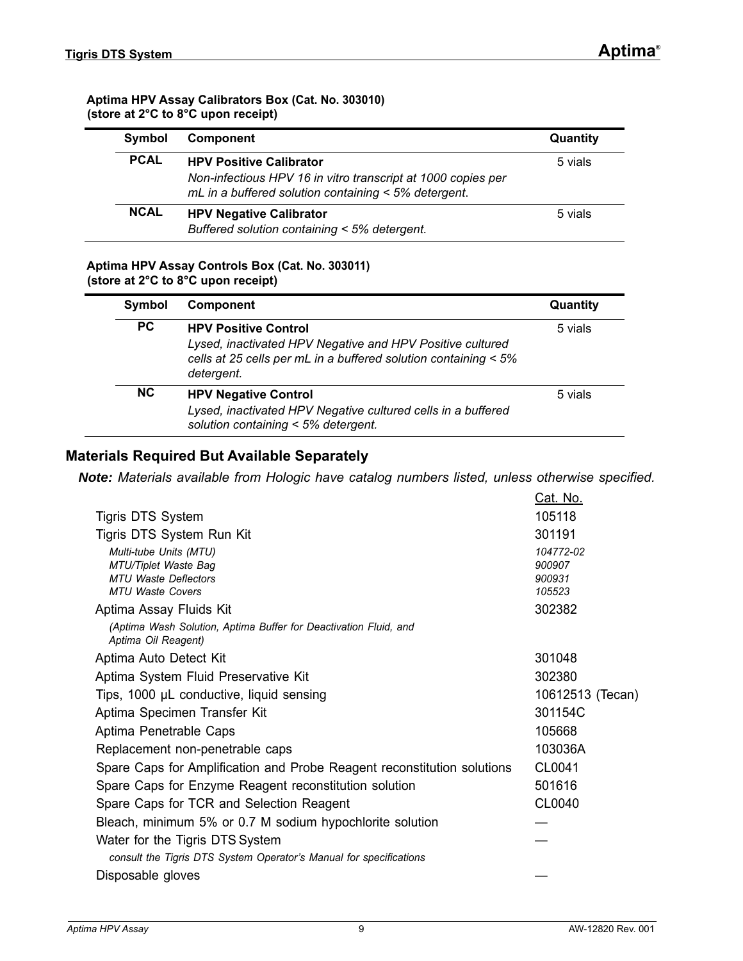#### **Aptima HPV Assay Calibrators Box (Cat. No. 303010) (store at 2°C to 8°C upon receipt)**

| Symbol      | Component                                                                                                                                              | Quantity |
|-------------|--------------------------------------------------------------------------------------------------------------------------------------------------------|----------|
| <b>PCAL</b> | <b>HPV Positive Calibrator</b><br>Non-infectious HPV 16 in vitro transcript at 1000 copies per<br>mL in a buffered solution containing < 5% detergent. | 5 vials  |
| <b>NCAL</b> | <b>HPV Negative Calibrator</b><br>Buffered solution containing < 5% detergent.                                                                         | 5 vials  |

#### **Aptima HPV Assay Controls Box (Cat. No. 303011) (store at 2°C to 8°C upon receipt)**

| Symbol    | <b>Component</b>                                                                                                                                                          | Quantity |
|-----------|---------------------------------------------------------------------------------------------------------------------------------------------------------------------------|----------|
| PC.       | <b>HPV Positive Control</b><br>Lysed, inactivated HPV Negative and HPV Positive cultured<br>cells at 25 cells per mL in a buffered solution containing < 5%<br>detergent. | 5 vials  |
| <b>NC</b> | <b>HPV Negative Control</b><br>Lysed, inactivated HPV Negative cultured cells in a buffered<br>solution containing < 5% detergent.                                        | 5 vials  |

## <span id="page-8-0"></span>**Materials Required But Available Separately**

*Note: Materials available from Hologic have catalog numbers listed, unless otherwise specified.*

|                                                                                         | Cat. No.         |
|-----------------------------------------------------------------------------------------|------------------|
| <b>Tigris DTS System</b>                                                                | 105118           |
| Tigris DTS System Run Kit                                                               | 301191           |
| Multi-tube Units (MTU)                                                                  | 104772-02        |
| MTU/Tiplet Waste Bag<br><b>MTU Waste Deflectors</b>                                     | 900907           |
| <b>MTU Waste Covers</b>                                                                 | 900931<br>105523 |
| Aptima Assay Fluids Kit                                                                 | 302382           |
| (Aptima Wash Solution, Aptima Buffer for Deactivation Fluid, and<br>Aptima Oil Reagent) |                  |
| Aptima Auto Detect Kit                                                                  | 301048           |
| Aptima System Fluid Preservative Kit                                                    | 302380           |
| Tips, 1000 µL conductive, liquid sensing                                                | 10612513 (Tecan) |
| Aptima Specimen Transfer Kit                                                            | 301154C          |
| Aptima Penetrable Caps                                                                  | 105668           |
| Replacement non-penetrable caps                                                         | 103036A          |
| Spare Caps for Amplification and Probe Reagent reconstitution solutions                 | CL0041           |
| Spare Caps for Enzyme Reagent reconstitution solution                                   | 501616           |
| Spare Caps for TCR and Selection Reagent                                                | CL0040           |
| Bleach, minimum 5% or 0.7 M sodium hypochlorite solution                                |                  |
| Water for the Tigris DTS System                                                         |                  |
| consult the Tigris DTS System Operator's Manual for specifications                      |                  |
| Disposable gloves                                                                       |                  |
|                                                                                         |                  |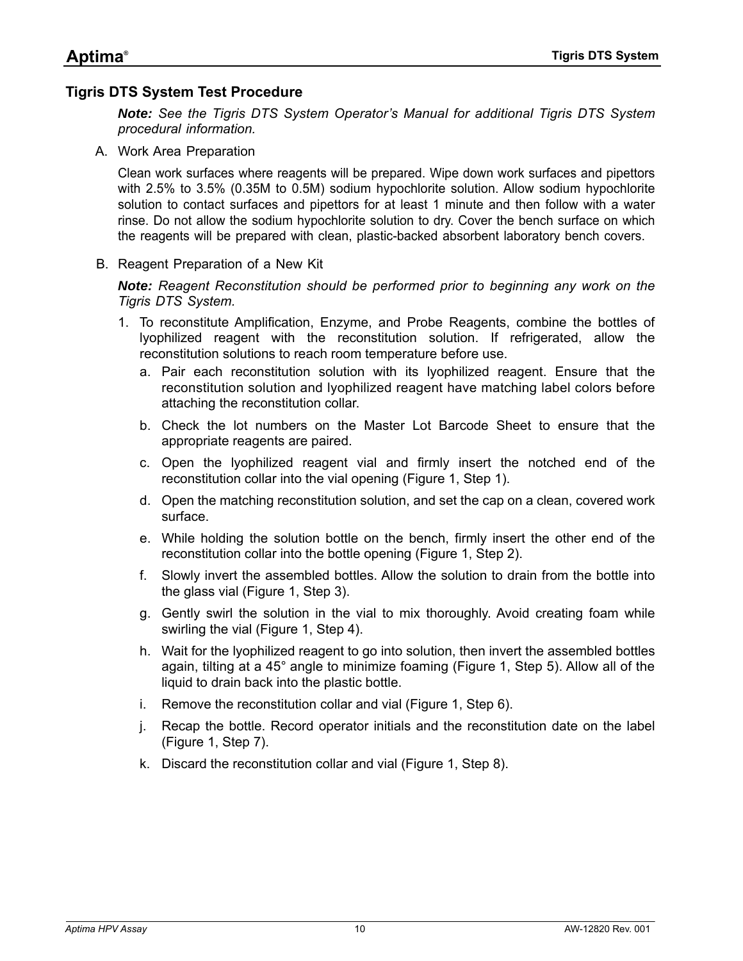## <span id="page-9-0"></span>**Tigris DTS System Test Procedure**

*Note: See the Tigris DTS System Operator's Manual for additional Tigris DTS System procedural information.*

A. Work Area Preparation

Clean work surfaces where reagents will be prepared. Wipe down work surfaces and pipettors with 2.5% to 3.5% (0.35M to 0.5M) sodium hypochlorite solution. Allow sodium hypochlorite solution to contact surfaces and pipettors for at least 1 minute and then follow with a water rinse. Do not allow the sodium hypochlorite solution to dry. Cover the bench surface on which the reagents will be prepared with clean, plastic-backed absorbent laboratory bench covers.

B. Reagent Preparation of a New Kit

*Note: Reagent Reconstitution should be performed prior to beginning any work on the Tigris DTS System.*

- 1. To reconstitute Amplification, Enzyme, and Probe Reagents, combine the bottles of lyophilized reagent with the reconstitution solution. If refrigerated, allow the reconstitution solutions to reach room temperature before use.
	- a. Pair each reconstitution solution with its lyophilized reagent. Ensure that the reconstitution solution and lyophilized reagent have matching label colors before attaching the reconstitution collar.
	- b. Check the lot numbers on the Master Lot Barcode Sheet to ensure that the appropriate reagents are paired.
	- c. Open the lyophilized reagent vial and firmly insert the notched end of the reconstitution collar into the vial opening ([Figure](#page-10-0) [1,](#page-10-0) Step 1).
	- d. Open the matching reconstitution solution, and set the cap on a clean, covered work surface.
	- e. While holding the solution bottle on the bench, firmly insert the other end of the reconstitution collar into the bottle opening ([Figure](#page-10-0) [1](#page-10-0), Step 2).
	- f. Slowly invert the assembled bottles. Allow the solution to drain from the bottle into the glass vial ([Figure](#page-10-0) [1,](#page-10-0) Step 3).
	- g. Gently swirl the solution in the vial to mix thoroughly. Avoid creating foam while swirling the vial [\(Figure](#page-10-0) [1,](#page-10-0) Step 4).
	- h. Wait for the lyophilized reagent to go into solution, then invert the assembled bottles again, tilting at a 45° angle to minimize foaming ([Figure 1,](#page-10-0) Step 5). Allow all of the liquid to drain back into the plastic bottle.
	- i. Remove the reconstitution collar and vial ([Figure](#page-10-0) [1](#page-10-0), Step 6).
	- j. Recap the bottle. Record operator initials and the reconstitution date on the label ([Figure](#page-10-0) [1](#page-10-0), Step 7).
	- k. Discard the reconstitution collar and vial [\(Figure](#page-10-0) [1,](#page-10-0) Step 8).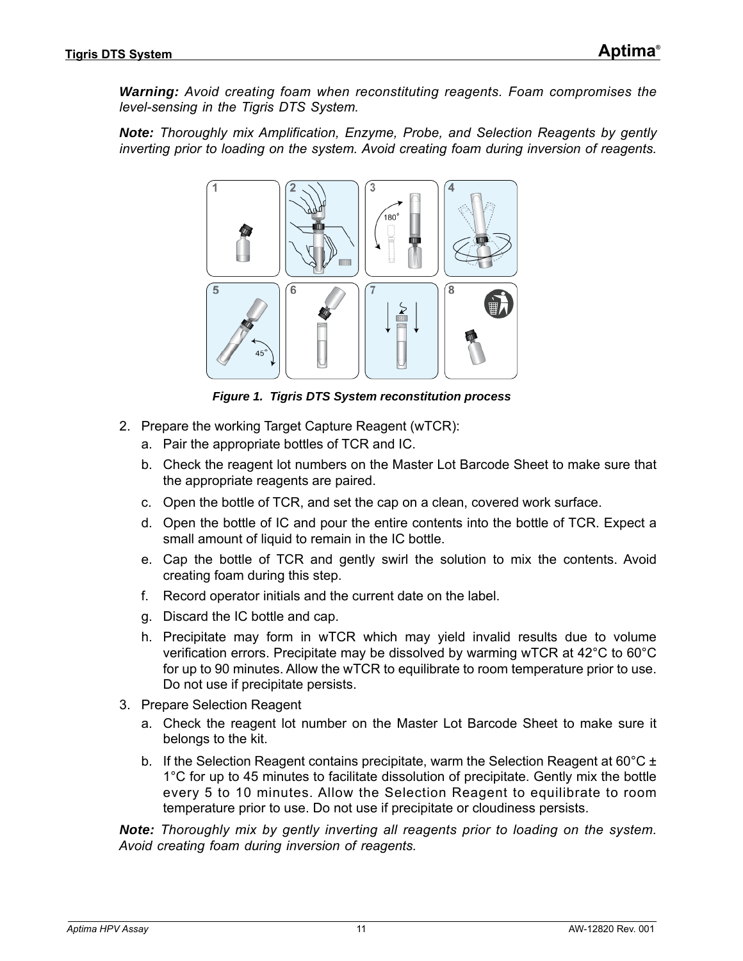*Warning: Avoid creating foam when reconstituting reagents. Foam compromises the level-sensing in the Tigris DTS System.*

*Note: Thoroughly mix Amplification, Enzyme, Probe, and Selection Reagents by gently inverting prior to loading on the system. Avoid creating foam during inversion of reagents.*



*Figure 1. Tigris DTS System reconstitution process*

- <span id="page-10-0"></span>2. Prepare the working Target Capture Reagent (wTCR):
	- a. Pair the appropriate bottles of TCR and IC.
	- b. Check the reagent lot numbers on the Master Lot Barcode Sheet to make sure that the appropriate reagents are paired.
	- c. Open the bottle of TCR, and set the cap on a clean, covered work surface.
	- d. Open the bottle of IC and pour the entire contents into the bottle of TCR. Expect a small amount of liquid to remain in the IC bottle.
	- e. Cap the bottle of TCR and gently swirl the solution to mix the contents. Avoid creating foam during this step.
	- f. Record operator initials and the current date on the label.
	- g. Discard the IC bottle and cap.
	- h. Precipitate may form in wTCR which may yield invalid results due to volume verification errors. Precipitate may be dissolved by warming wTCR at 42°C to 60°C for up to 90 minutes. Allow the wTCR to equilibrate to room temperature prior to use. Do not use if precipitate persists.
- 3. Prepare Selection Reagent
	- a. Check the reagent lot number on the Master Lot Barcode Sheet to make sure it belongs to the kit.
	- b. If the Selection Reagent contains precipitate, warm the Selection Reagent at 60 $^{\circ}$ C ± 1°C for up to 45 minutes to facilitate dissolution of precipitate. Gently mix the bottle every 5 to 10 minutes. Allow the Selection Reagent to equilibrate to room temperature prior to use. Do not use if precipitate or cloudiness persists.

*Note: Thoroughly mix by gently inverting all reagents prior to loading on the system. Avoid creating foam during inversion of reagents.*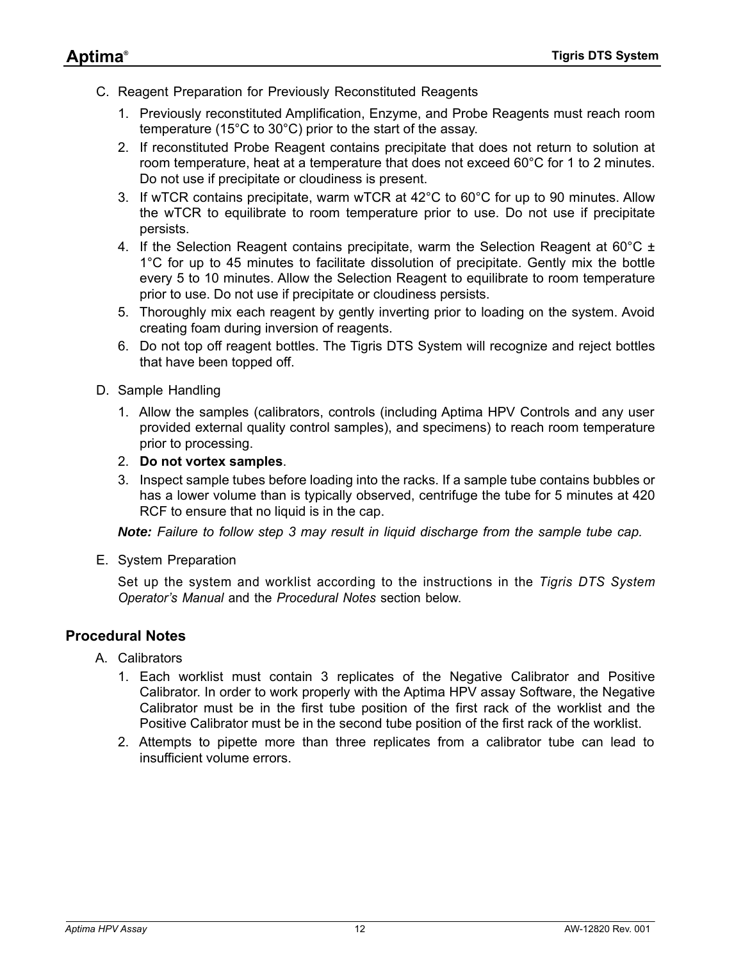- C. Reagent Preparation for Previously Reconstituted Reagents
	- 1. Previously reconstituted Amplification, Enzyme, and Probe Reagents must reach room temperature (15°C to 30°C) prior to the start of the assay.
	- 2. If reconstituted Probe Reagent contains precipitate that does not return to solution at room temperature, heat at a temperature that does not exceed 60°C for 1 to 2 minutes. Do not use if precipitate or cloudiness is present.
	- 3. If wTCR contains precipitate, warm wTCR at 42°C to 60°C for up to 90 minutes. Allow the wTCR to equilibrate to room temperature prior to use. Do not use if precipitate persists.
	- 4. If the Selection Reagent contains precipitate, warm the Selection Reagent at 60 $^{\circ}$ C ± 1°C for up to 45 minutes to facilitate dissolution of precipitate. Gently mix the bottle every 5 to 10 minutes. Allow the Selection Reagent to equilibrate to room temperature prior to use. Do not use if precipitate or cloudiness persists.
	- 5. Thoroughly mix each reagent by gently inverting prior to loading on the system. Avoid creating foam during inversion of reagents.
	- 6. Do not top off reagent bottles. The Tigris DTS System will recognize and reject bottles that have been topped off.
- D. Sample Handling
	- 1. Allow the samples (calibrators, controls (including Aptima HPV Controls and any user provided external quality control samples), and specimens) to reach room temperature prior to processing.
	- 2. **Do not vortex samples**.
	- 3. Inspect sample tubes before loading into the racks. If a sample tube contains bubbles or has a lower volume than is typically observed, centrifuge the tube for 5 minutes at 420 RCF to ensure that no liquid is in the cap.

*Note: Failure to follow step 3 may result in liquid discharge from the sample tube cap.*

E. System Preparation

Set up the system and worklist according to the instructions in the *Tigris DTS System Operator's Manual* and the *[Procedural Notes](#page-11-0)* section below.

## <span id="page-11-0"></span>**Procedural Notes**

- A. Calibrators
	- 1. Each worklist must contain 3 replicates of the Negative Calibrator and Positive Calibrator. In order to work properly with the Aptima HPV assay Software, the Negative Calibrator must be in the first tube position of the first rack of the worklist and the Positive Calibrator must be in the second tube position of the first rack of the worklist.
	- 2. Attempts to pipette more than three replicates from a calibrator tube can lead to insufficient volume errors.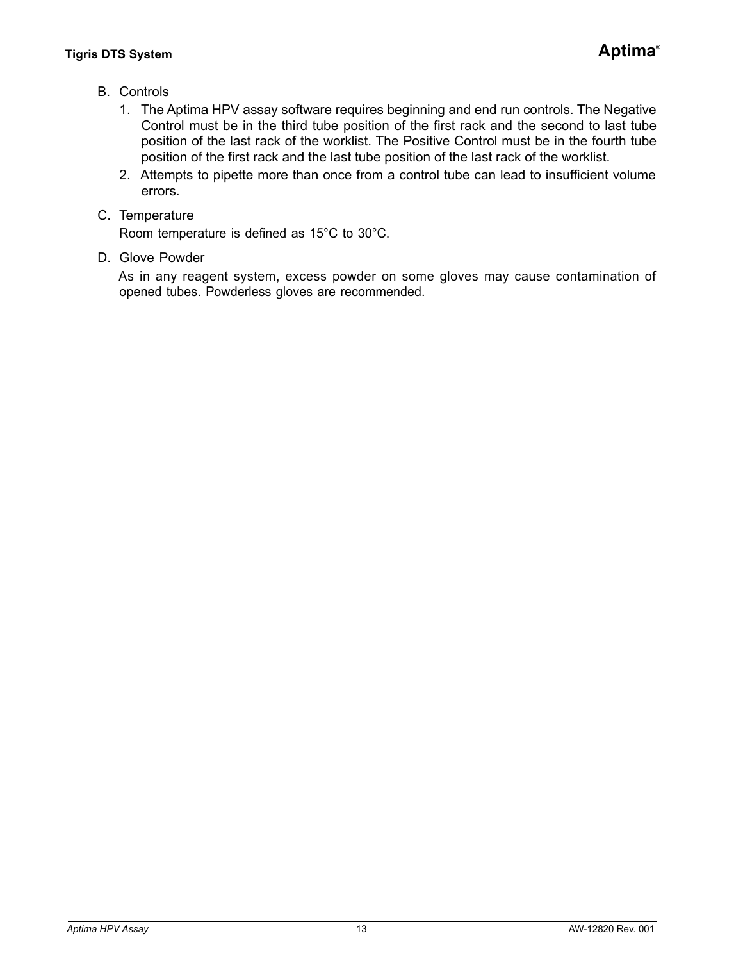- B. Controls
	- 1. The Aptima HPV assay software requires beginning and end run controls. The Negative Control must be in the third tube position of the first rack and the second to last tube position of the last rack of the worklist. The Positive Control must be in the fourth tube position of the first rack and the last tube position of the last rack of the worklist.
	- 2. Attempts to pipette more than once from a control tube can lead to insufficient volume errors.
- C. Temperature

Room temperature is defined as 15°C to 30°C.

D. Glove Powder

As in any reagent system, excess powder on some gloves may cause contamination of opened tubes. Powderless gloves are recommended.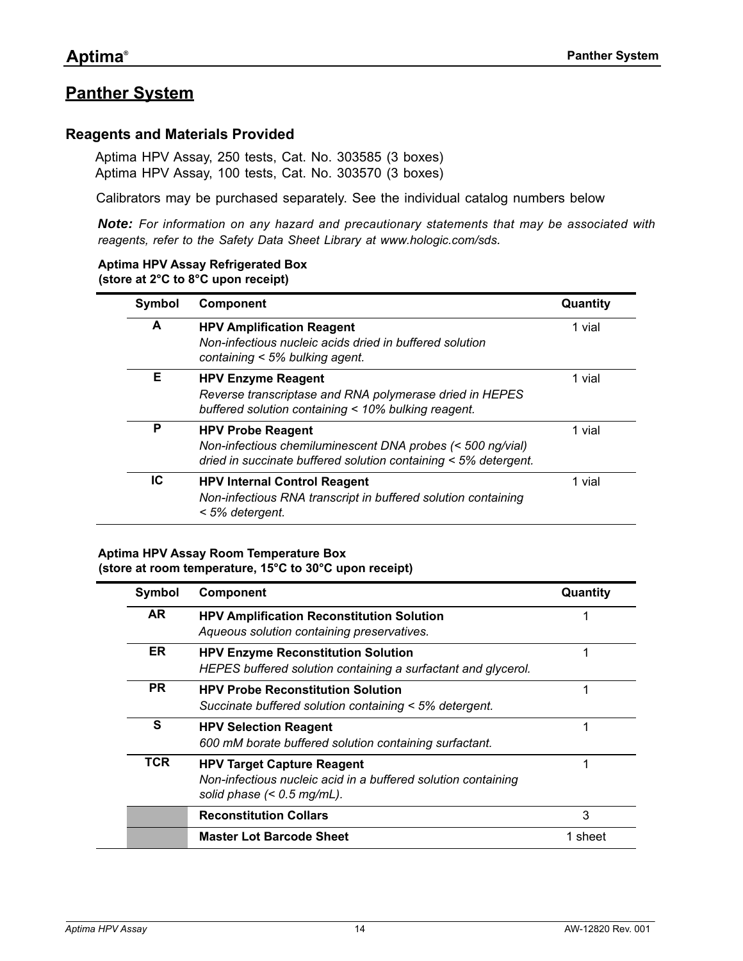## <span id="page-13-0"></span>**Panther System**

#### <span id="page-13-1"></span>**Reagents and Materials Provided**

Aptima HPV Assay, 250 tests, Cat. No. 303585 (3 boxes) Aptima HPV Assay, 100 tests, Cat. No. 303570 (3 boxes)

Calibrators may be purchased separately. See the individual catalog numbers below

*Note: For information on any hazard and precautionary statements that may be associated with reagents, refer to the Safety Data Sheet Library at [www.hologic.com/sds.](http://www.hologic.com/SDS)*

## **Aptima HPV Assay Refrigerated Box**

**(store at 2°C to 8°C upon receipt)**

| Symbol | <b>Component</b>                                                                                                                                            | Quantity |
|--------|-------------------------------------------------------------------------------------------------------------------------------------------------------------|----------|
| A      | <b>HPV Amplification Reagent</b><br>Non-infectious nucleic acids dried in buffered solution<br>containing $<$ 5% bulking agent.                             | 1 vial   |
| Е      | <b>HPV Enzyme Reagent</b><br>Reverse transcriptase and RNA polymerase dried in HEPES<br>buffered solution containing < 10% bulking reagent.                 | 1 vial   |
| P      | <b>HPV Probe Reagent</b><br>Non-infectious chemiluminescent DNA probes (< 500 ng/vial)<br>dried in succinate buffered solution containing $<$ 5% detergent. | 1 vial   |
| IC     | <b>HPV Internal Control Reagent</b><br>Non-infectious RNA transcript in buffered solution containing<br>< 5% detergent.                                     | 1 vial   |

#### **Aptima HPV Assay Room Temperature Box (store at room temperature, 15°C to 30°C upon receipt)**

| Symbol    | <b>Component</b>                                                                                                                   | Quantity |
|-----------|------------------------------------------------------------------------------------------------------------------------------------|----------|
| AR.       | <b>HPV Amplification Reconstitution Solution</b><br>Aqueous solution containing preservatives.                                     | 1        |
| ER.       | <b>HPV Enzyme Reconstitution Solution</b><br>HEPES buffered solution containing a surfactant and glycerol.                         | 1        |
| <b>PR</b> | <b>HPV Probe Reconstitution Solution</b><br>Succinate buffered solution containing < 5% detergent.                                 | 1        |
| S         | <b>HPV Selection Reagent</b><br>600 mM borate buffered solution containing surfactant.                                             | 1        |
| TCR       | <b>HPV Target Capture Reagent</b><br>Non-infectious nucleic acid in a buffered solution containing<br>solid phase $(< 0.5$ mg/mL). | 1        |
|           | <b>Reconstitution Collars</b>                                                                                                      | 3        |
|           | <b>Master Lot Barcode Sheet</b>                                                                                                    | 1 sheet  |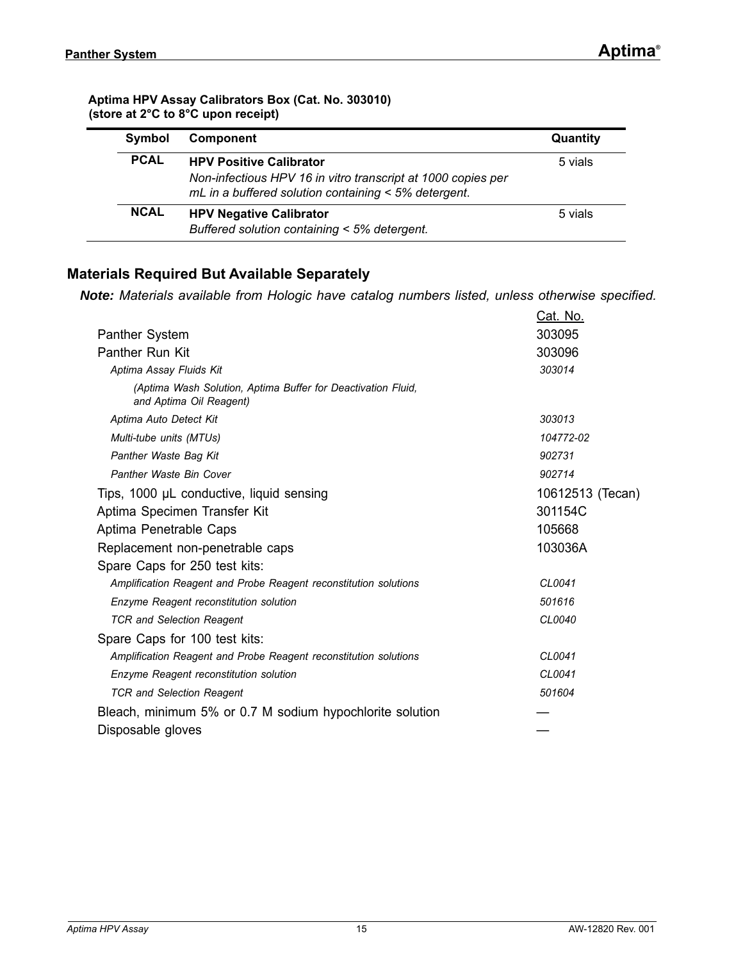#### **Aptima HPV Assay Calibrators Box (Cat. No. 303010) (store at 2°C to 8°C upon receipt)**

| Symbol      | Component                                                                                                                                              | Quantity |
|-------------|--------------------------------------------------------------------------------------------------------------------------------------------------------|----------|
| <b>PCAL</b> | <b>HPV Positive Calibrator</b><br>Non-infectious HPV 16 in vitro transcript at 1000 copies per<br>mL in a buffered solution containing < 5% detergent. | 5 vials  |
| <b>NCAL</b> | <b>HPV Negative Calibrator</b><br>Buffered solution containing < 5% detergent.                                                                         | 5 vials  |

## <span id="page-14-0"></span>**Materials Required But Available Separately**

*Note: Materials available from Hologic have catalog numbers listed, unless otherwise specified.*

|                                                                                         | Cat. No.         |
|-----------------------------------------------------------------------------------------|------------------|
| Panther System                                                                          | 303095           |
| Panther Run Kit                                                                         | 303096           |
| Aptima Assay Fluids Kit                                                                 | 303014           |
| (Aptima Wash Solution, Aptima Buffer for Deactivation Fluid,<br>and Aptima Oil Reagent) |                  |
| Aptima Auto Detect Kit                                                                  | 303013           |
| Multi-tube units (MTUs)                                                                 | 104772-02        |
| Panther Waste Bag Kit                                                                   | 902731           |
| Panther Waste Bin Cover                                                                 | 902714           |
| Tips, 1000 µL conductive, liquid sensing                                                | 10612513 (Tecan) |
| Aptima Specimen Transfer Kit                                                            | 301154C          |
| Aptima Penetrable Caps                                                                  | 105668           |
| Replacement non-penetrable caps                                                         | 103036A          |
| Spare Caps for 250 test kits:                                                           |                  |
| Amplification Reagent and Probe Reagent reconstitution solutions                        | CL0041           |
| Enzyme Reagent reconstitution solution                                                  | 501616           |
| <b>TCR and Selection Reagent</b>                                                        | CL0040           |
| Spare Caps for 100 test kits:                                                           |                  |
| Amplification Reagent and Probe Reagent reconstitution solutions                        | CL0041           |
| Enzyme Reagent reconstitution solution                                                  | CL0041           |
| <b>TCR and Selection Reagent</b>                                                        | 501604           |
| Bleach, minimum 5% or 0.7 M sodium hypochlorite solution                                |                  |
| Disposable gloves                                                                       |                  |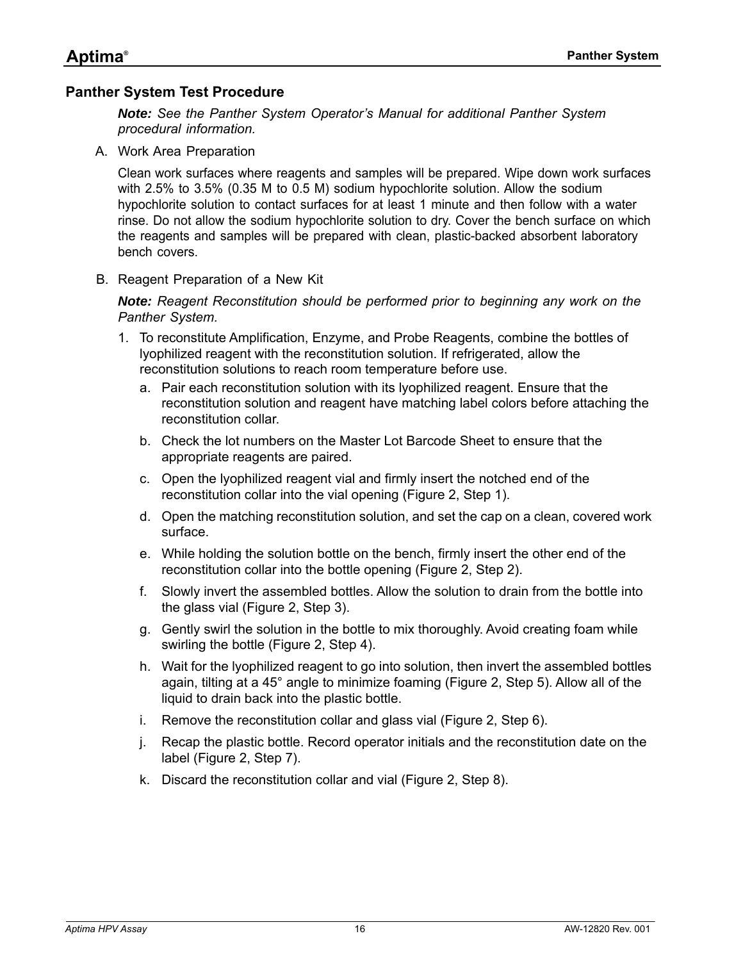## <span id="page-15-0"></span>**Panther System Test Procedure**

*Note: See the Panther System Operator's Manual for additional Panther System procedural information.*

A. Work Area Preparation

Clean work surfaces where reagents and samples will be prepared. Wipe down work surfaces with 2.5% to 3.5% (0.35 M to 0.5 M) sodium hypochlorite solution. Allow the sodium hypochlorite solution to contact surfaces for at least 1 minute and then follow with a water rinse. Do not allow the sodium hypochlorite solution to dry. Cover the bench surface on which the reagents and samples will be prepared with clean, plastic-backed absorbent laboratory bench covers.

B. Reagent Preparation of a New Kit

*Note: Reagent Reconstitution should be performed prior to beginning any work on the Panther System.*

- 1. To reconstitute Amplification, Enzyme, and Probe Reagents, combine the bottles of lyophilized reagent with the reconstitution solution. If refrigerated, allow the reconstitution solutions to reach room temperature before use.
	- a. Pair each reconstitution solution with its lyophilized reagent. Ensure that the reconstitution solution and reagent have matching label colors before attaching the reconstitution collar.
	- b. Check the lot numbers on the Master Lot Barcode Sheet to ensure that the appropriate reagents are paired.
	- c. Open the lyophilized reagent vial and firmly insert the notched end of the reconstitution collar into the vial opening ([Figure](#page-16-0) [2,](#page-16-0) Step 1).
	- d. Open the matching reconstitution solution, and set the cap on a clean, covered work surface.
	- e. While holding the solution bottle on the bench, firmly insert the other end of the reconstitution collar into the bottle opening ([Figure](#page-16-0) [2](#page-16-0), Step 2).
	- f. Slowly invert the assembled bottles. Allow the solution to drain from the bottle into the glass vial ([Figure](#page-16-0) [2,](#page-16-0) Step 3).
	- g. Gently swirl the solution in the bottle to mix thoroughly. Avoid creating foam while swirling the bottle ([Figure](#page-16-0) [2](#page-16-0), Step 4).
	- h. Wait for the lyophilized reagent to go into solution, then invert the assembled bottles again, tilting at a 45° angle to minimize foaming ([Figure](#page-16-0) [2,](#page-16-0) Step 5). Allow all of the liquid to drain back into the plastic bottle.
	- i. Remove the reconstitution collar and glass vial ([Figure](#page-16-0) [2](#page-16-0), Step 6).
	- j. Recap the plastic bottle. Record operator initials and the reconstitution date on the label [\(Figure](#page-16-0) [2,](#page-16-0) Step 7).
	- k. Discard the reconstitution collar and vial [\(Figure](#page-16-0) [2,](#page-16-0) Step 8).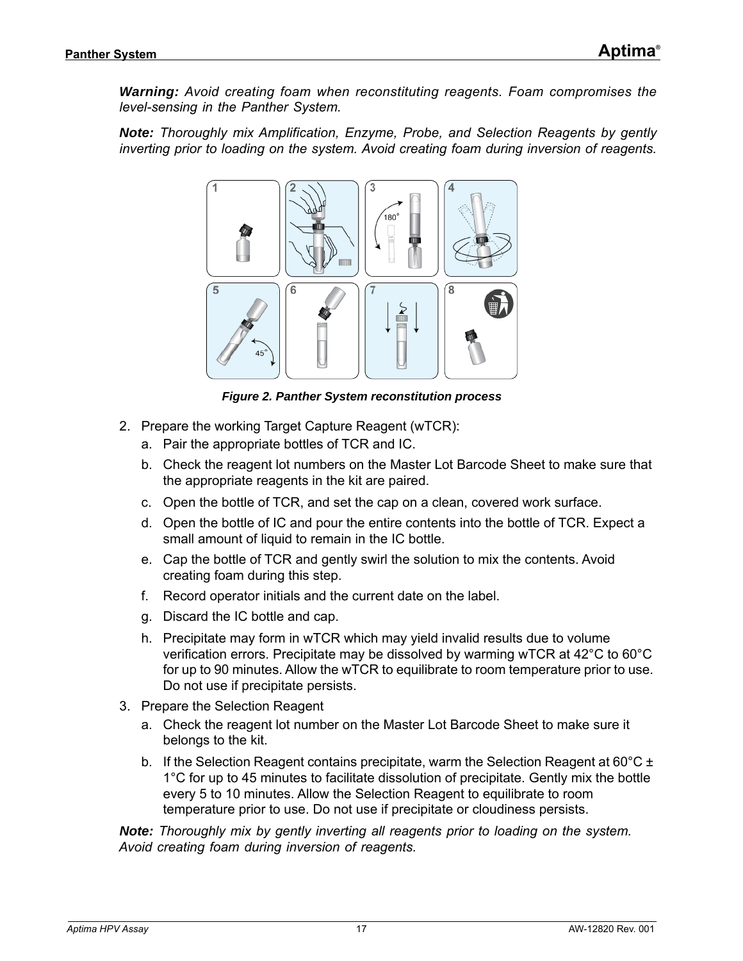*Warning: Avoid creating foam when reconstituting reagents. Foam compromises the level-sensing in the Panther System.*

*Note: Thoroughly mix Amplification, Enzyme, Probe, and Selection Reagents by gently inverting prior to loading on the system. Avoid creating foam during inversion of reagents.*



*Figure 2. Panther System reconstitution process*

- <span id="page-16-0"></span>2. Prepare the working Target Capture Reagent (wTCR):
	- a. Pair the appropriate bottles of TCR and IC.
	- b. Check the reagent lot numbers on the Master Lot Barcode Sheet to make sure that the appropriate reagents in the kit are paired.
	- c. Open the bottle of TCR, and set the cap on a clean, covered work surface.
	- d. Open the bottle of IC and pour the entire contents into the bottle of TCR. Expect a small amount of liquid to remain in the IC bottle.
	- e. Cap the bottle of TCR and gently swirl the solution to mix the contents. Avoid creating foam during this step.
	- f. Record operator initials and the current date on the label.
	- g. Discard the IC bottle and cap.
	- h. Precipitate may form in wTCR which may yield invalid results due to volume verification errors. Precipitate may be dissolved by warming wTCR at 42°C to 60°C for up to 90 minutes. Allow the wTCR to equilibrate to room temperature prior to use. Do not use if precipitate persists.
- 3. Prepare the Selection Reagent
	- a. Check the reagent lot number on the Master Lot Barcode Sheet to make sure it belongs to the kit.
	- b. If the Selection Reagent contains precipitate, warm the Selection Reagent at 60 $^{\circ}$ C ± 1°C for up to 45 minutes to facilitate dissolution of precipitate. Gently mix the bottle every 5 to 10 minutes. Allow the Selection Reagent to equilibrate to room temperature prior to use. Do not use if precipitate or cloudiness persists.

*Note: Thoroughly mix by gently inverting all reagents prior to loading on the system. Avoid creating foam during inversion of reagents.*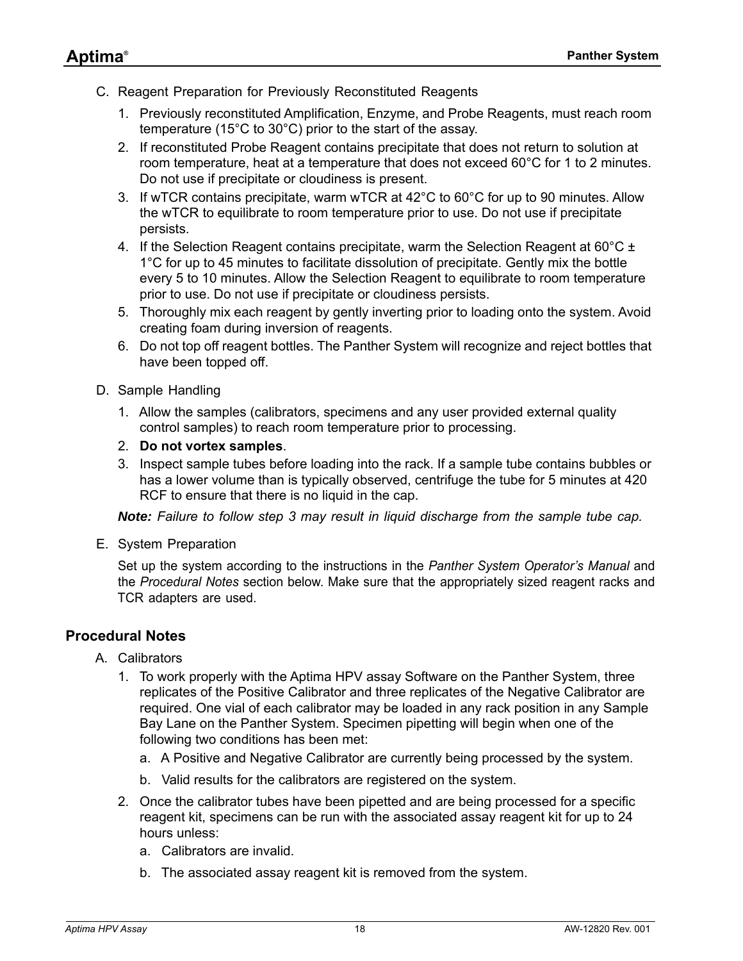- C. Reagent Preparation for Previously Reconstituted Reagents
	- 1. Previously reconstituted Amplification, Enzyme, and Probe Reagents, must reach room temperature (15°C to 30°C) prior to the start of the assay.
	- 2. If reconstituted Probe Reagent contains precipitate that does not return to solution at room temperature, heat at a temperature that does not exceed 60°C for 1 to 2 minutes. Do not use if precipitate or cloudiness is present.
	- 3. If wTCR contains precipitate, warm wTCR at 42°C to 60°C for up to 90 minutes. Allow the wTCR to equilibrate to room temperature prior to use. Do not use if precipitate persists.
	- 4. If the Selection Reagent contains precipitate, warm the Selection Reagent at 60 $^{\circ}$ C ± 1°C for up to 45 minutes to facilitate dissolution of precipitate. Gently mix the bottle every 5 to 10 minutes. Allow the Selection Reagent to equilibrate to room temperature prior to use. Do not use if precipitate or cloudiness persists.
	- 5. Thoroughly mix each reagent by gently inverting prior to loading onto the system. Avoid creating foam during inversion of reagents.
	- 6. Do not top off reagent bottles. The Panther System will recognize and reject bottles that have been topped off.
- D. Sample Handling
	- 1. Allow the samples (calibrators, specimens and any user provided external quality control samples) to reach room temperature prior to processing.
	- 2. **Do not vortex samples**.
	- 3. Inspect sample tubes before loading into the rack. If a sample tube contains bubbles or has a lower volume than is typically observed, centrifuge the tube for 5 minutes at 420 RCF to ensure that there is no liquid in the cap.

*Note: Failure to follow step 3 may result in liquid discharge from the sample tube cap.*

E. System Preparation

Set up the system according to the instructions in the *Panther System Operator's Manual* and the *Procedural Notes* section below. Make sure that the appropriately sized reagent racks and TCR adapters are used.

## <span id="page-17-0"></span>**Procedural Notes**

- A. Calibrators
	- 1. To work properly with the Aptima HPV assay Software on the Panther System, three replicates of the Positive Calibrator and three replicates of the Negative Calibrator are required. One vial of each calibrator may be loaded in any rack position in any Sample Bay Lane on the Panther System. Specimen pipetting will begin when one of the following two conditions has been met:
		- a. A Positive and Negative Calibrator are currently being processed by the system.
		- b. Valid results for the calibrators are registered on the system.
	- 2. Once the calibrator tubes have been pipetted and are being processed for a specific reagent kit, specimens can be run with the associated assay reagent kit for up to 24 hours unless:
		- a. Calibrators are invalid.
		- b. The associated assay reagent kit is removed from the system.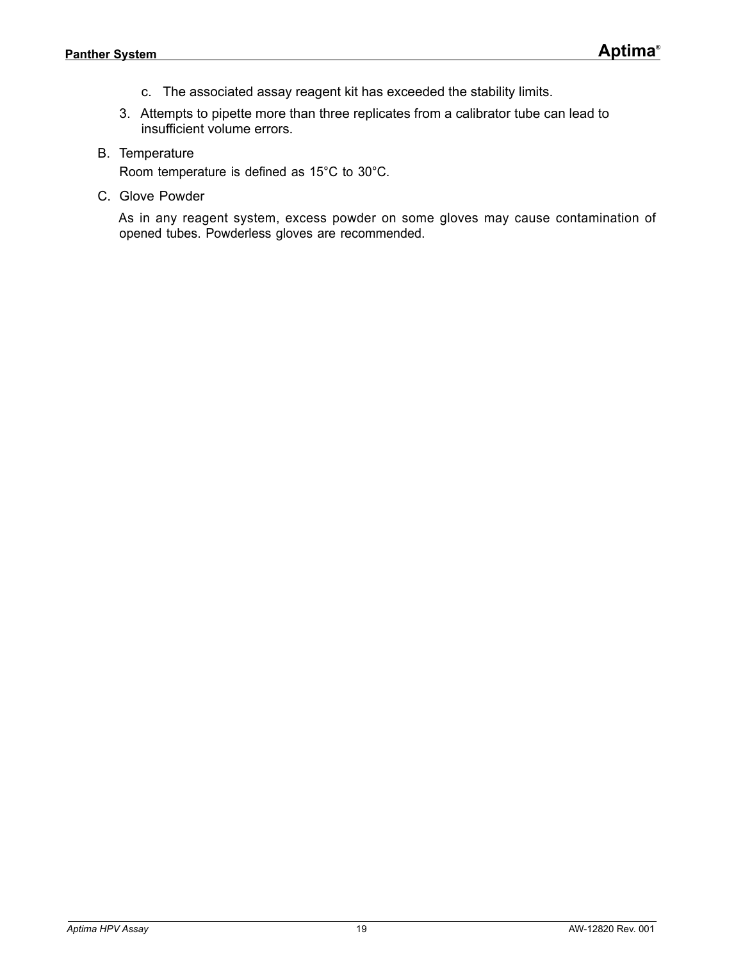- c. The associated assay reagent kit has exceeded the stability limits.
- 3. Attempts to pipette more than three replicates from a calibrator tube can lead to insufficient volume errors.
- B. Temperature

Room temperature is defined as 15°C to 30°C.

C. Glove Powder

As in any reagent system, excess powder on some gloves may cause contamination of opened tubes. Powderless gloves are recommended.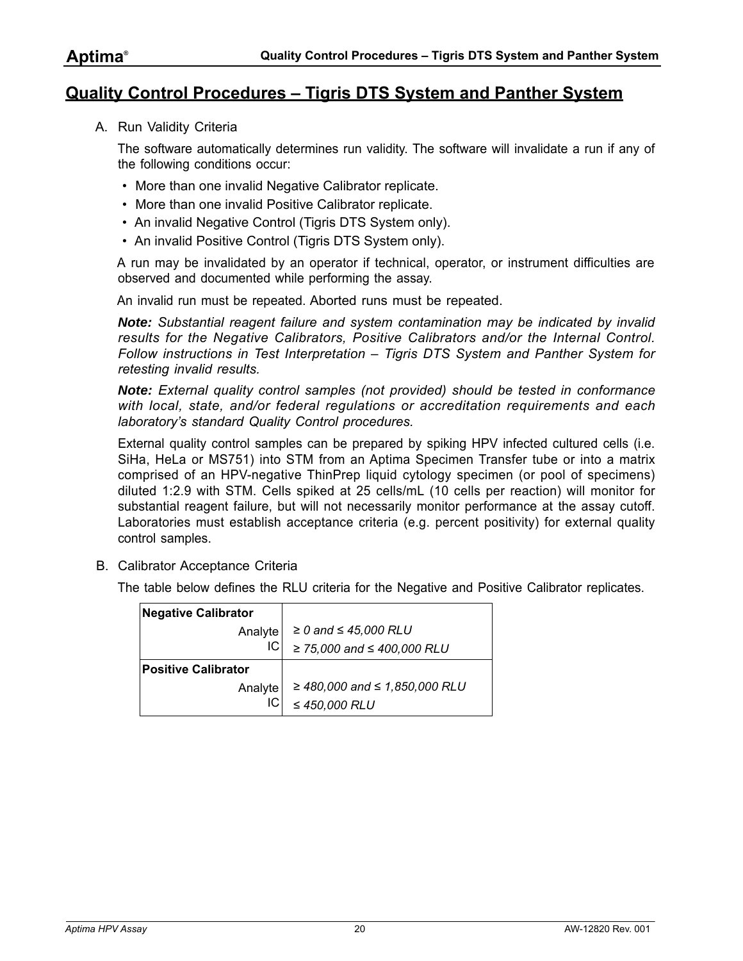## <span id="page-19-0"></span>**Quality Control Procedures – Tigris DTS System and Panther System**

A. Run Validity Criteria

The software automatically determines run validity. The software will invalidate a run if any of the following conditions occur:

- More than one invalid Negative Calibrator replicate.
- More than one invalid Positive Calibrator replicate.
- An invalid Negative Control (Tigris DTS System only).
- An invalid Positive Control (Tigris DTS System only).

A run may be invalidated by an operator if technical, operator, or instrument difficulties are observed and documented while performing the assay.

An invalid run must be repeated. Aborted runs must be repeated.

*Note: Substantial reagent failure and system contamination may be indicated by invalid results for the Negative Calibrators, Positive Calibrators and/or the Internal Control. Follow instructions in [Test Interpretation – Tigris DTS System and Panther System](#page-21-0) for retesting invalid results.*

*Note: External quality control samples (not provided) should be tested in conformance with local, state, and/or federal regulations or accreditation requirements and each laboratory's standard Quality Control procedures.*

External quality control samples can be prepared by spiking HPV infected cultured cells (i.e. SiHa, HeLa or MS751) into STM from an Aptima Specimen Transfer tube or into a matrix comprised of an HPV-negative ThinPrep liquid cytology specimen (or pool of specimens) diluted 1:2.9 with STM. Cells spiked at 25 cells/mL (10 cells per reaction) will monitor for substantial reagent failure, but will not necessarily monitor performance at the assay cutoff. Laboratories must establish acceptance criteria (e.g. percent positivity) for external quality control samples.

B. Calibrator Acceptance Criteria

The table below defines the RLU criteria for the Negative and Positive Calibrator replicates.

| <b>Negative Calibrator</b> |                                |
|----------------------------|--------------------------------|
| Analyte                    | $\geq$ 0 and $\leq$ 45,000 RLU |
| IС                         | ≥ 75,000 and $≤$ 400,000 RLU   |
| <b>Positive Calibrator</b> |                                |
| Analyte                    | ≥ 480,000 and ≤ 1,850,000 RLU  |
| IС                         | $\leq$ 450,000 RLU             |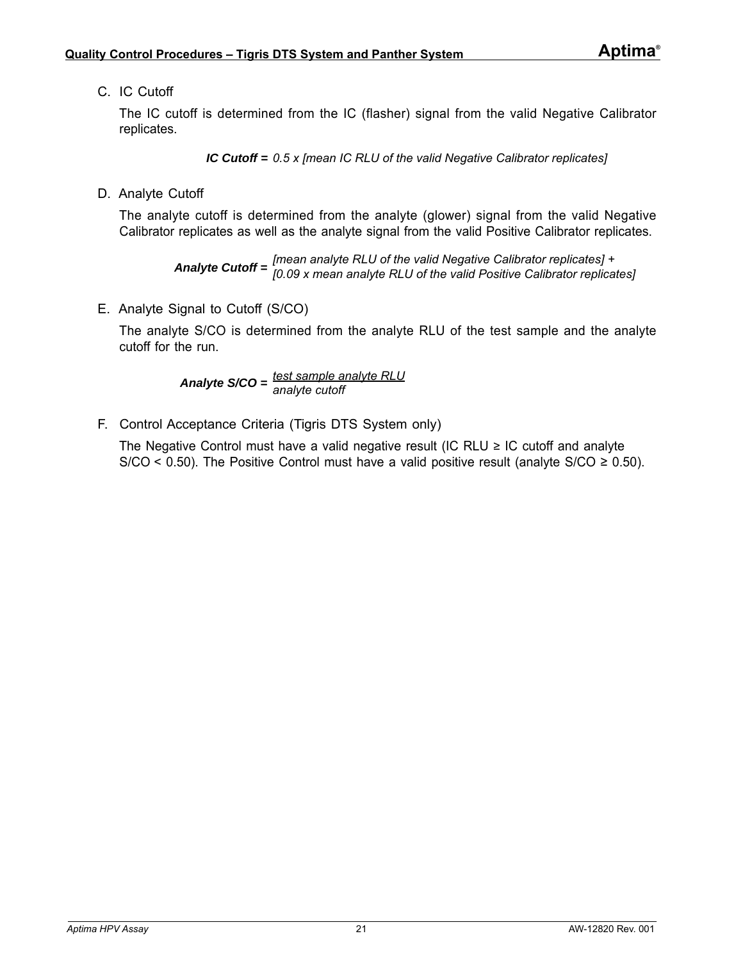C. IC Cutoff

The IC cutoff is determined from the IC (flasher) signal from the valid Negative Calibrator replicates.

*IC Cutoff = 0.5 x [mean IC RLU of the valid Negative Calibrator replicates]*

D. Analyte Cutoff

The analyte cutoff is determined from the analyte (glower) signal from the valid Negative Calibrator replicates as well as the analyte signal from the valid Positive Calibrator replicates.

*Analyte Cutoff = [mean analyte RLU of the valid Negative Calibrator replicates] + [0.09 x mean analyte RLU of the valid Positive Calibrator replicates]*

E. Analyte Signal to Cutoff (S/CO)

The analyte S/CO is determined from the analyte RLU of the test sample and the analyte cutoff for the run.

*Analyte S/CO = test sample analyte RLU analyte cutoff*

F. Control Acceptance Criteria (Tigris DTS System only)

The Negative Control must have a valid negative result (IC RLU  $\geq$  IC cutoff and analyte S/CO < 0.50). The Positive Control must have a valid positive result (analyte S/CO  $\geq$  0.50).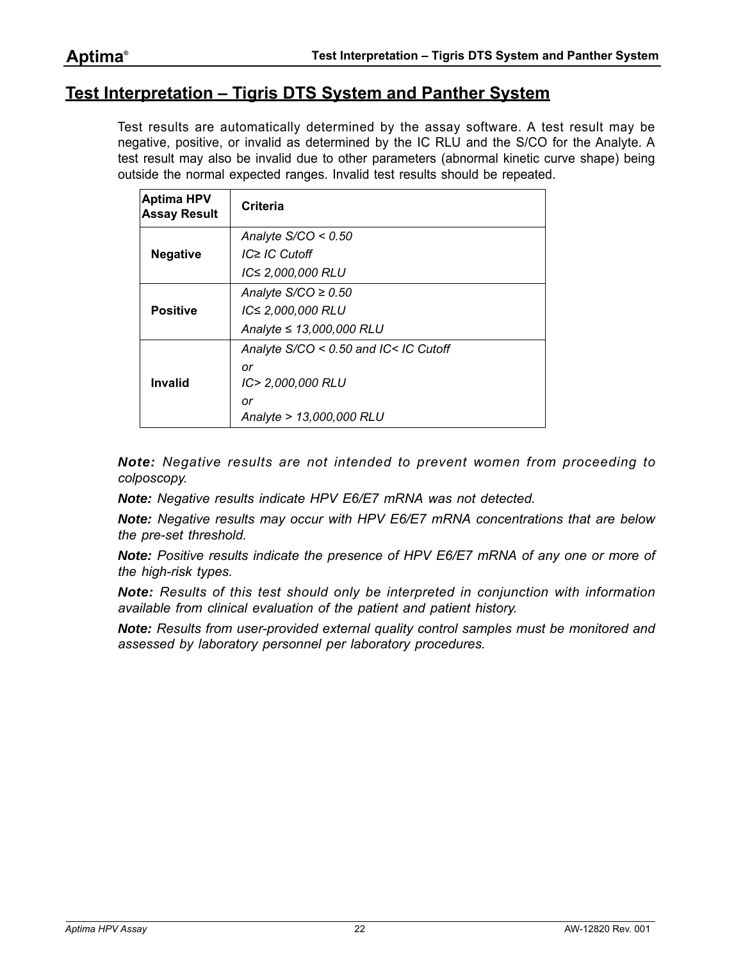## <span id="page-21-0"></span>**Test Interpretation – Tigris DTS System and Panther System**

Test results are automatically determined by the assay software. A test result may be negative, positive, or invalid as determined by the IC RLU and the S/CO for the Analyte. A test result may also be invalid due to other parameters (abnormal kinetic curve shape) being outside the normal expected ranges. Invalid test results should be repeated.

| <b>Aptima HPV</b><br><b>Assay Result</b> | Criteria                              |
|------------------------------------------|---------------------------------------|
|                                          | Analyte $S/CO < 0.50$                 |
| <b>Negative</b>                          | $IC \geq IC$ Cutoff                   |
|                                          | IC≤ 2,000,000 RLU                     |
|                                          | Analyte $S/CO \geq 0.50$              |
| <b>Positive</b>                          | IC≤ 2,000,000 RLU                     |
|                                          | Analyte $\leq 13,000,000$ RLU         |
|                                          | Analyte S/CO < 0.50 and IC< IC Cutoff |
|                                          | or                                    |
| Invalid                                  | IC> 2,000,000 RLU                     |
|                                          | or                                    |
|                                          | Analyte > 13,000,000 RLU              |

*Note: Negative results are not intended to prevent women from proceeding to colposcopy.*

*Note: Negative results indicate HPV E6/E7 mRNA was not detected.*

*Note: Negative results may occur with HPV E6/E7 mRNA concentrations that are below the pre-set threshold.*

*Note: Positive results indicate the presence of HPV E6/E7 mRNA of any one or more of the high-risk types.*

*Note: Results of this test should only be interpreted in conjunction with information available from clinical evaluation of the patient and patient history.*

*Note: Results from user-provided external quality control samples must be monitored and assessed by laboratory personnel per laboratory procedures.*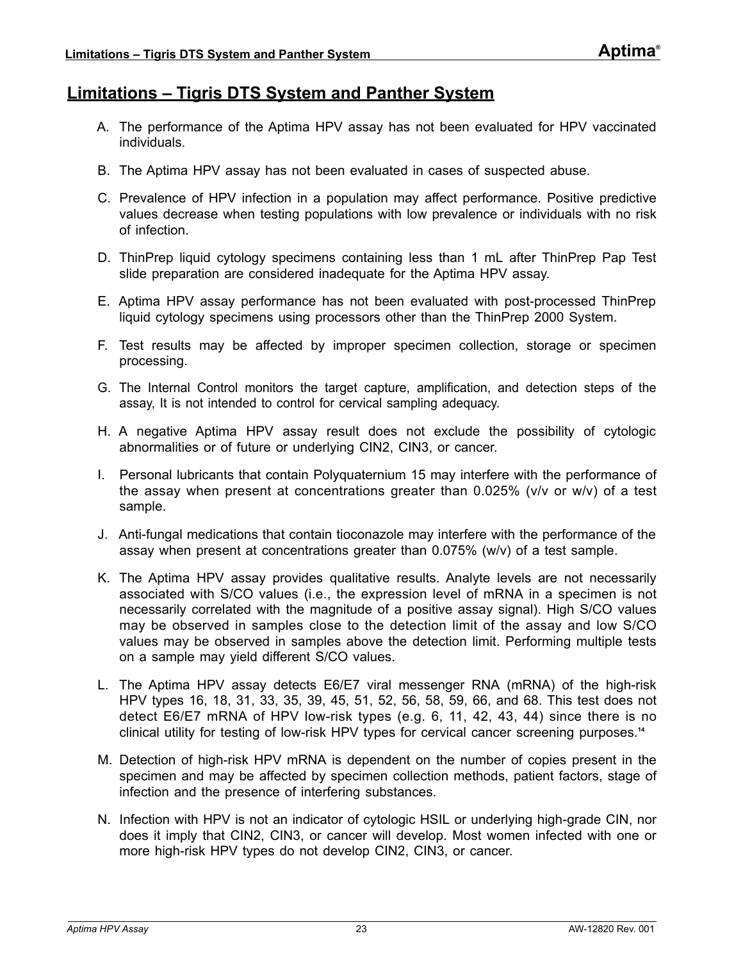## <span id="page-22-0"></span>**Limitations – Tigris DTS System and Panther System**

- A. The performance of the Aptima HPV assay has not been evaluated for HPV vaccinated individuals.
- B. The Aptima HPV assay has not been evaluated in cases of suspected abuse.
- C. Prevalence of HPV infection in a population may affect performance. Positive predictive values decrease when testing populations with low prevalence or individuals with no risk of infection.
- D. ThinPrep liquid cytology specimens containing less than 1 mL after ThinPrep Pap Test slide preparation are considered inadequate for the Aptima HPV assay.
- E. Aptima HPV assay performance has not been evaluated with post-processed ThinPrep liquid cytology specimens using processors other than the ThinPrep 2000 System.
- F. Test results may be affected by improper specimen collection, storage or specimen processing.
- G. The Internal Control monitors the target capture, amplification, and detection steps of the assay, It is not intended to control for cervical sampling adequacy.
- H. A negative Aptima HPV assay result does not exclude the possibility of cytologic abnormalities or of future or underlying CIN2, CIN3, or cancer.
- I. Personal lubricants that contain Polyquaternium 15 may interfere with the performance of the assay when present at concentrations greater than 0.025% (v/v or w/v) of a test sample.
- J. Anti-fungal medications that contain tioconazole may interfere with the performance of the assay when present at concentrations greater than 0.075% (w/v) of a test sample.
- K. The Aptima HPV assay provides qualitative results. Analyte levels are not necessarily associated with S/CO values (i.e., the expression level of mRNA in a specimen is not necessarily correlated with the magnitude of a positive assay signal). High S/CO values may be observed in samples close to the detection limit of the assay and low S/CO values may be observed in samples above the detection limit. Performing multiple tests on a sample may yield different S/CO values.
- L. The Aptima HPV assay detects E6/E7 viral messenger RNA (mRNA) of the high-risk HPV types 16, 18, 31, 33, 35, 39, 45, 51, 52, 56, 58, 59, 66, and 68. This test does not detect E6/E7 mRNA of HPV low-risk types (e.g. 6, 11, 42, 43, 44) since there is no clinical utility for testing of low-risk HPV types for cervical cancer screening purposes.**[14](#page-80-14)**
- M. Detection of high-risk HPV mRNA is dependent on the number of copies present in the specimen and may be affected by specimen collection methods, patient factors, stage of infection and the presence of interfering substances.
- N. Infection with HPV is not an indicator of cytologic HSIL or underlying high-grade CIN, nor does it imply that CIN2, CIN3, or cancer will develop. Most women infected with one or more high-risk HPV types do not develop CIN2, CIN3, or cancer.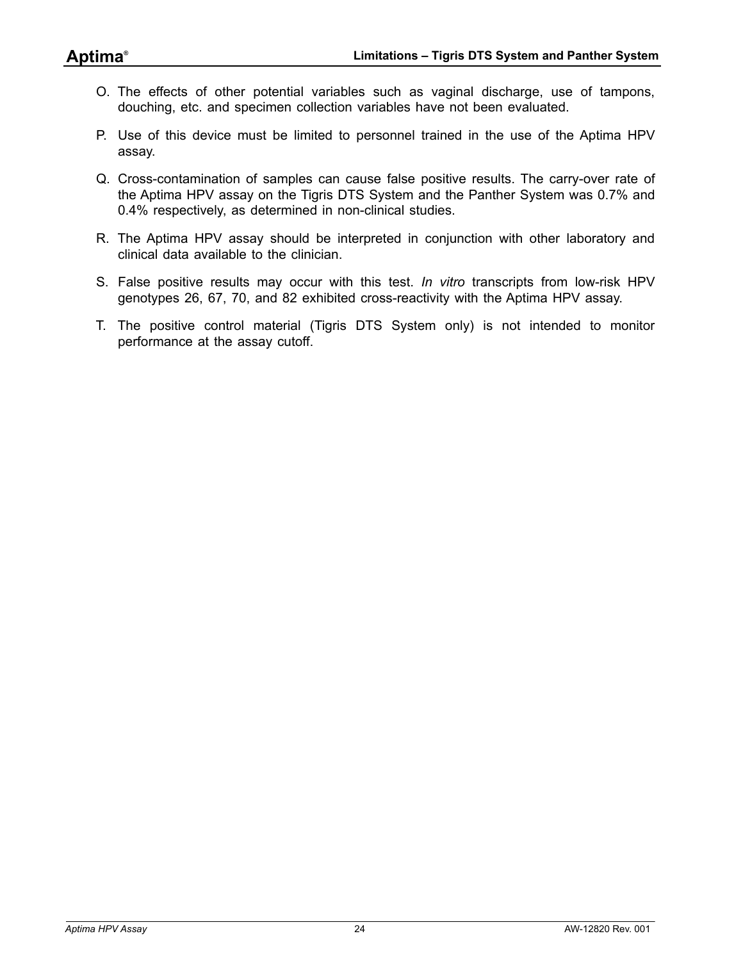- O. The effects of other potential variables such as vaginal discharge, use of tampons, douching, etc. and specimen collection variables have not been evaluated.
- P. Use of this device must be limited to personnel trained in the use of the Aptima HPV assay.
- Q. Cross-contamination of samples can cause false positive results. The carry-over rate of the Aptima HPV assay on the Tigris DTS System and the Panther System was 0.7% and 0.4% respectively, as determined in non-clinical studies.
- R. The Aptima HPV assay should be interpreted in conjunction with other laboratory and clinical data available to the clinician.
- S. False positive results may occur with this test. *In vitro* transcripts from low-risk HPV genotypes 26, 67, 70, and 82 exhibited cross-reactivity with the Aptima HPV assay.
- T. The positive control material (Tigris DTS System only) is not intended to monitor performance at the assay cutoff.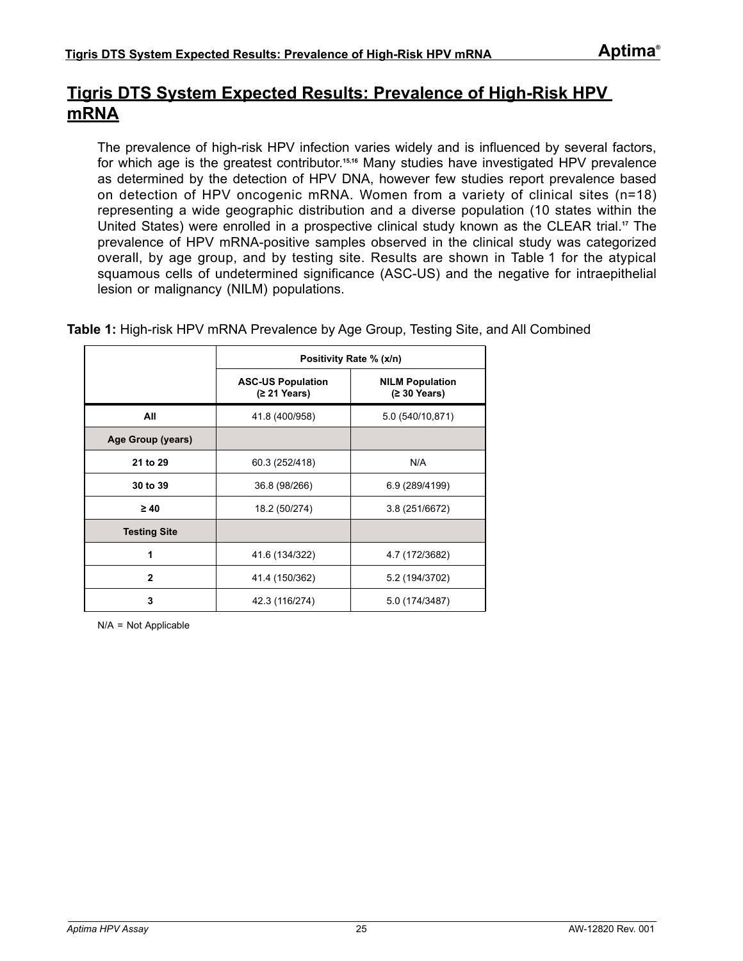## <span id="page-24-0"></span>**Tigris DTS System Expected Results: Prevalence of High-Risk HPV mRNA**

The prevalence of high-risk HPV infection varies widely and is influenced by several factors, for which age is the greatest contributor.**[15](#page-80-15),[16](#page-80-16)** Many studies have investigated HPV prevalence as determined by the detection of HPV DNA, however few studies report prevalence based on detection of HPV oncogenic mRNA. Women from a variety of clinical sites (n=18) representing a wide geographic distribution and a diverse population (10 states within the United States) were enrolled in a prospective clinical study known as the CLEAR trial.**[17](#page-80-17)** The prevalence of HPV mRNA-positive samples observed in the clinical study was categorized overall, by age group, and by testing site. Results are shown in [Table 1](#page-24-1) for the atypical squamous cells of undetermined significance (ASC-US) and the negative for intraepithelial lesion or malignancy (NILM) populations.

|                     |                                          | Positivity Rate % (x/n)                |
|---------------------|------------------------------------------|----------------------------------------|
|                     | <b>ASC-US Population</b><br>(≥ 21 Years) | <b>NILM Population</b><br>(≥ 30 Years) |
| All                 | 41.8 (400/958)                           | 5.0 (540/10,871)                       |
| Age Group (years)   |                                          |                                        |
| 21 to 29            | 60.3 (252/418)                           | N/A                                    |
| 30 to 39            | 36.8 (98/266)                            | 6.9 (289/4199)                         |
| $\geq 40$           | 18.2 (50/274)                            | 3.8 (251/6672)                         |
| <b>Testing Site</b> |                                          |                                        |
| 1                   | 41.6 (134/322)                           | 4.7 (172/3682)                         |
| $\mathbf{2}$        | 41.4 (150/362)                           | 5.2 (194/3702)                         |
| 3                   | 42.3 (116/274)                           | 5.0 (174/3487)                         |

<span id="page-24-1"></span>**Table 1:** High-risk HPV mRNA Prevalence by Age Group, Testing Site, and All Combined

N/A = Not Applicable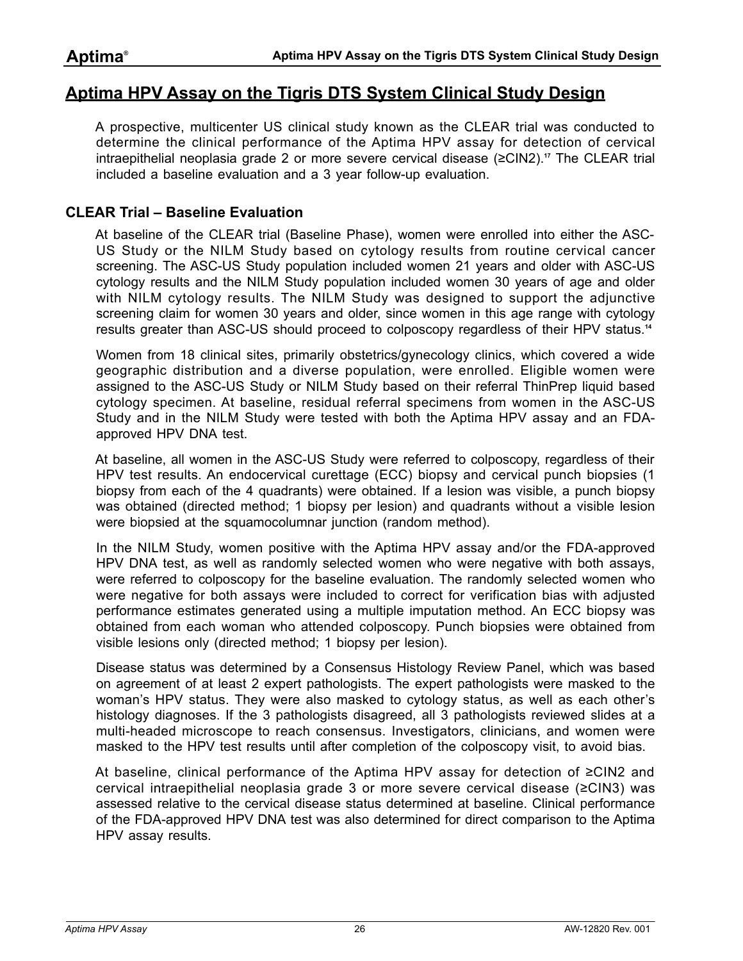## <span id="page-25-0"></span>**Aptima HPV Assay on the Tigris DTS System Clinical Study Design**

A prospective, multicenter US clinical study known as the CLEAR trial was conducted to determine the clinical performance of the Aptima HPV assay for detection of cervical intraepithelial neoplasia grade 2 or more severe cervical disease (≥CIN2).**[17](#page-80-17)** The CLEAR trial included a baseline evaluation and a 3 year follow-up evaluation.

## **CLEAR Trial – Baseline Evaluation**

At baseline of the CLEAR trial (Baseline Phase), women were enrolled into either the ASC-US Study or the NILM Study based on cytology results from routine cervical cancer screening. The ASC-US Study population included women 21 years and older with ASC-US cytology results and the NILM Study population included women 30 years of age and older with NILM cytology results. The NILM Study was designed to support the adjunctive screening claim for women 30 years and older, since women in this age range with cytology results greater than ASC-US should proceed to colposcopy regardless of their HPV status.**[14](#page-80-14)**

Women from 18 clinical sites, primarily obstetrics/gynecology clinics, which covered a wide geographic distribution and a diverse population, were enrolled. Eligible women were assigned to the ASC-US Study or NILM Study based on their referral ThinPrep liquid based cytology specimen. At baseline, residual referral specimens from women in the ASC-US Study and in the NILM Study were tested with both the Aptima HPV assay and an FDAapproved HPV DNA test.

At baseline, all women in the ASC-US Study were referred to colposcopy, regardless of their HPV test results. An endocervical curettage (ECC) biopsy and cervical punch biopsies (1 biopsy from each of the 4 quadrants) were obtained. If a lesion was visible, a punch biopsy was obtained (directed method; 1 biopsy per lesion) and quadrants without a visible lesion were biopsied at the squamocolumnar junction (random method).

In the NILM Study, women positive with the Aptima HPV assay and/or the FDA-approved HPV DNA test, as well as randomly selected women who were negative with both assays, were referred to colposcopy for the baseline evaluation. The randomly selected women who were negative for both assays were included to correct for verification bias with adjusted performance estimates generated using a multiple imputation method. An ECC biopsy was obtained from each woman who attended colposcopy. Punch biopsies were obtained from visible lesions only (directed method; 1 biopsy per lesion).

Disease status was determined by a Consensus Histology Review Panel, which was based on agreement of at least 2 expert pathologists. The expert pathologists were masked to the woman's HPV status. They were also masked to cytology status, as well as each other's histology diagnoses. If the 3 pathologists disagreed, all 3 pathologists reviewed slides at a multi-headed microscope to reach consensus. Investigators, clinicians, and women were masked to the HPV test results until after completion of the colposcopy visit, to avoid bias.

At baseline, clinical performance of the Aptima HPV assay for detection of ≥CIN2 and cervical intraepithelial neoplasia grade 3 or more severe cervical disease (≥CIN3) was assessed relative to the cervical disease status determined at baseline. Clinical performance of the FDA-approved HPV DNA test was also determined for direct comparison to the Aptima HPV assay results.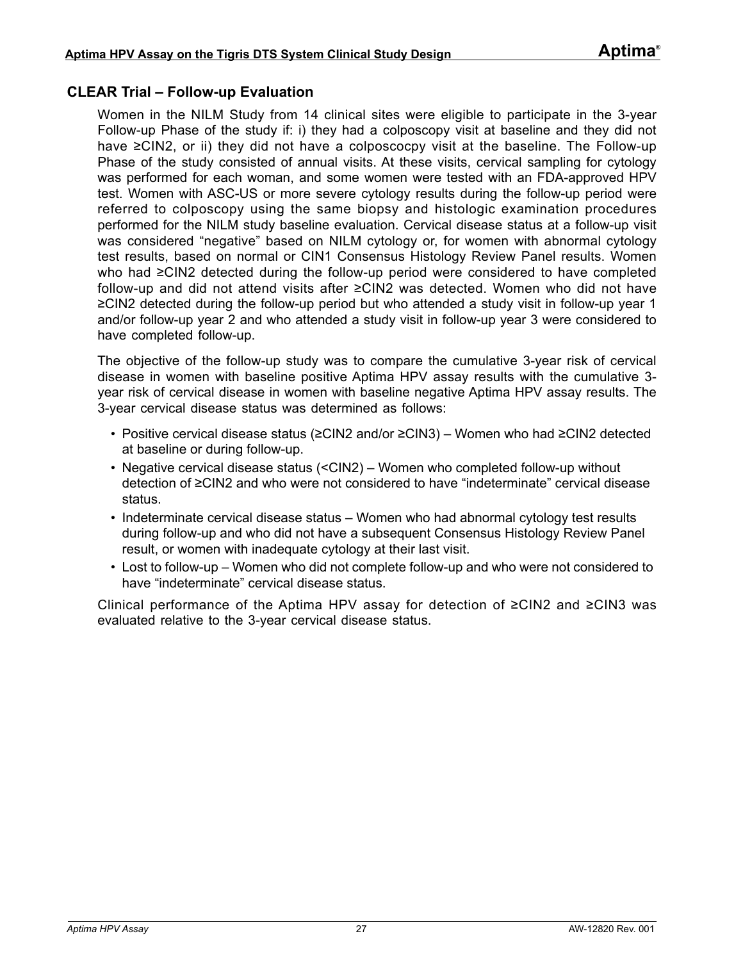## **CLEAR Trial – Follow-up Evaluation**

Women in the NILM Study from 14 clinical sites were eligible to participate in the 3-year Follow-up Phase of the study if: i) they had a colposcopy visit at baseline and they did not have ≥CIN2, or ii) they did not have a colposcocpy visit at the baseline. The Follow-up Phase of the study consisted of annual visits. At these visits, cervical sampling for cytology was performed for each woman, and some women were tested with an FDA-approved HPV test. Women with ASC-US or more severe cytology results during the follow-up period were referred to colposcopy using the same biopsy and histologic examination procedures performed for the NILM study baseline evaluation. Cervical disease status at a follow-up visit was considered "negative" based on NILM cytology or, for women with abnormal cytology test results, based on normal or CIN1 Consensus Histology Review Panel results. Women who had ≥CIN2 detected during the follow-up period were considered to have completed follow-up and did not attend visits after ≥CIN2 was detected. Women who did not have ≥CIN2 detected during the follow-up period but who attended a study visit in follow-up year 1 and/or follow-up year 2 and who attended a study visit in follow-up year 3 were considered to have completed follow-up.

The objective of the follow-up study was to compare the cumulative 3-year risk of cervical disease in women with baseline positive Aptima HPV assay results with the cumulative 3 year risk of cervical disease in women with baseline negative Aptima HPV assay results. The 3-year cervical disease status was determined as follows:

- Positive cervical disease status (≥CIN2 and/or ≥CIN3) Women who had ≥CIN2 detected at baseline or during follow-up.
- Negative cervical disease status (<CIN2) Women who completed follow-up without detection of ≥CIN2 and who were not considered to have "indeterminate" cervical disease status.
- Indeterminate cervical disease status Women who had abnormal cytology test results during follow-up and who did not have a subsequent Consensus Histology Review Panel result, or women with inadequate cytology at their last visit.
- Lost to follow-up Women who did not complete follow-up and who were not considered to have "indeterminate" cervical disease status.

Clinical performance of the Aptima HPV assay for detection of ≥CIN2 and ≥CIN3 was evaluated relative to the 3-year cervical disease status.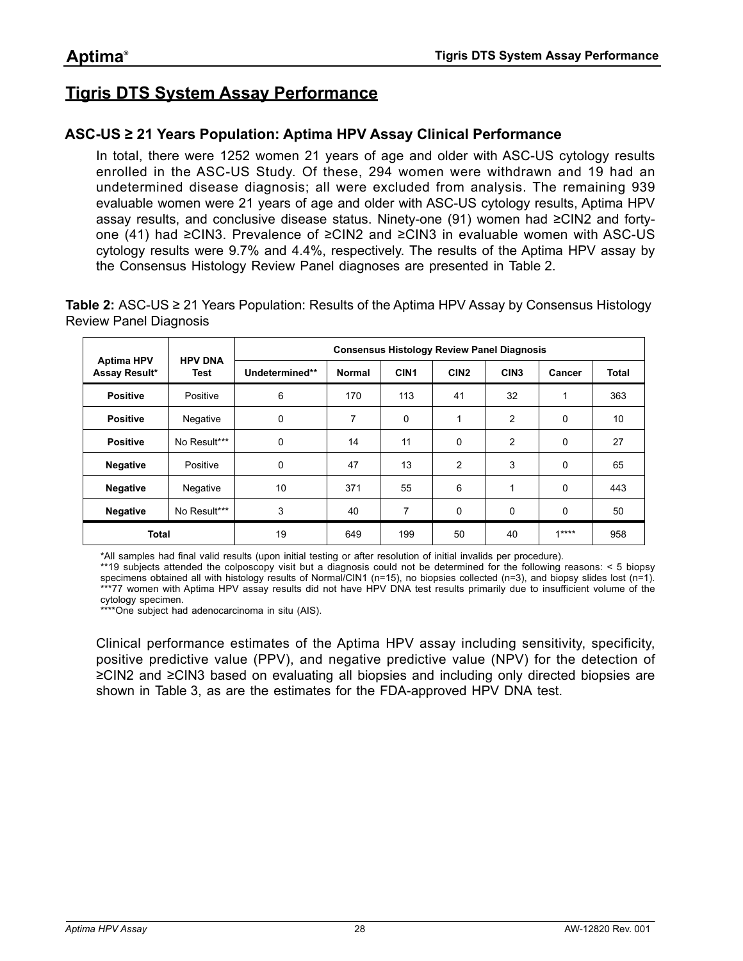## <span id="page-27-0"></span>**Tigris DTS System Assay Performance**

## **ASC-US ≥ 21 Years Population: Aptima HPV Assay Clinical Performance**

In total, there were 1252 women 21 years of age and older with ASC-US cytology results enrolled in the ASC-US Study. Of these, 294 women were withdrawn and 19 had an undetermined disease diagnosis; all were excluded from analysis. The remaining 939 evaluable women were 21 years of age and older with ASC-US cytology results, Aptima HPV assay results, and conclusive disease status. Ninety-one (91) women had ≥CIN2 and fortyone (41) had ≥CIN3. Prevalence of ≥CIN2 and ≥CIN3 in evaluable women with ASC-US cytology results were 9.7% and 4.4%, respectively. The results of the Aptima HPV assay by the Consensus Histology Review Panel diagnoses are presented in [Table 2](#page-27-1).

<span id="page-27-1"></span>**Table 2:** ASC-US ≥ 21 Years Population: Results of the Aptima HPV Assay by Consensus Histology Review Panel Diagnosis

|                                    |                        | <b>Consensus Histology Review Panel Diagnosis</b> |               |                  |                  |                  |        |       |
|------------------------------------|------------------------|---------------------------------------------------|---------------|------------------|------------------|------------------|--------|-------|
| <b>Aptima HPV</b><br>Assay Result* | <b>HPV DNA</b><br>Test | Undetermined**                                    | <b>Normal</b> | CIN <sub>1</sub> | CIN <sub>2</sub> | CIN <sub>3</sub> | Cancer | Total |
| <b>Positive</b>                    | Positive               | 6                                                 | 170           | 113              | 41               | 32               |        | 363   |
| <b>Positive</b>                    | Negative               | 0                                                 | 7             | $\Omega$         | 1                | $\overline{2}$   | 0      | 10    |
| <b>Positive</b>                    | No Result***           | 0                                                 | 14            | 11               | 0                | $\overline{2}$   | 0      | 27    |
| <b>Negative</b>                    | Positive               | 0                                                 | 47            | 13               | $\overline{c}$   | 3                | 0      | 65    |
| <b>Negative</b>                    | Negative               | 10                                                | 371           | 55               | 6                | 1                | 0      | 443   |
| <b>Negative</b>                    | No Result***           | 3                                                 | 40            | 7                | 0                | 0                | 0      | 50    |
| <b>Total</b>                       |                        | 19<br>649<br>199<br>$1***$<br>40<br>50            |               |                  | 958              |                  |        |       |

\*All samples had final valid results (upon initial testing or after resolution of initial invalids per procedure).

\*\*19 subjects attended the colposcopy visit but a diagnosis could not be determined for the following reasons: < 5 biopsy specimens obtained all with histology results of Normal/CIN1 (n=15), no biopsies collected (n=3), and biopsy slides lost (n=1). \*\*\*77 women with Aptima HPV assay results did not have HPV DNA test results primarily due to insufficient volume of the cytology specimen.

\*\*\*\*One subject had adenocarcinoma in situ (AIS).

Clinical performance estimates of the Aptima HPV assay including sensitivity, specificity, positive predictive value (PPV), and negative predictive value (NPV) for the detection of ≥CIN2 and ≥CIN3 based on evaluating all biopsies and including only directed biopsies are shown in [Table 3](#page-28-0), as are the estimates for the FDA-approved HPV DNA test.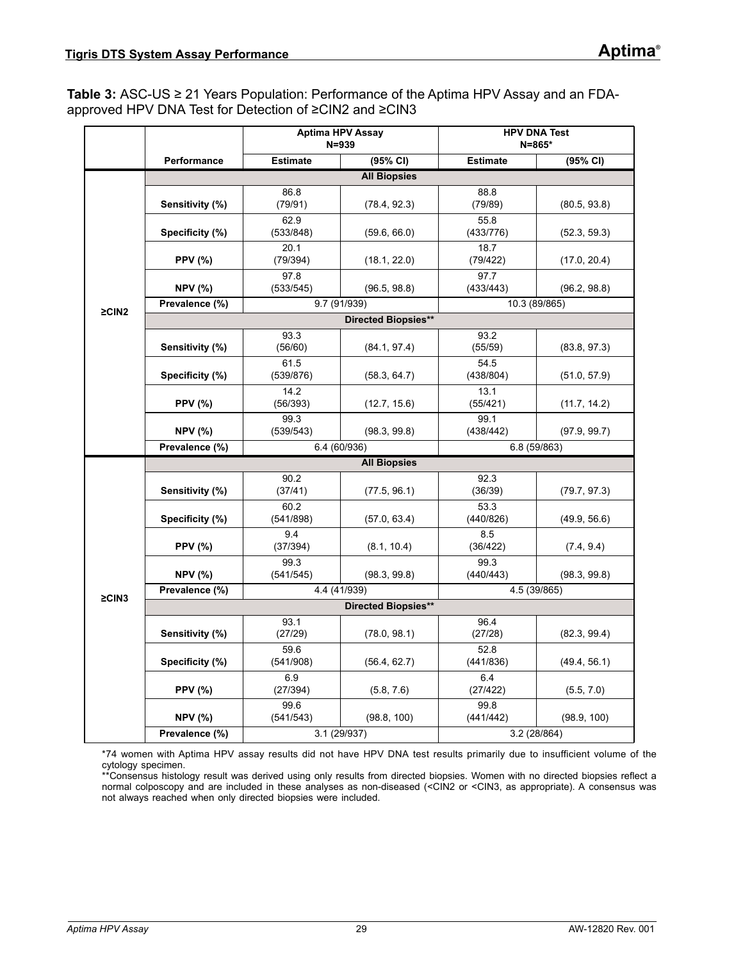<span id="page-28-0"></span>**Table 3:** ASC-US ≥ 21 Years Population: Performance of the Aptima HPV Assay and an FDAapproved HPV DNA Test for Detection of ≥CIN2 and ≥CIN3

|             |                     | <b>Aptima HPV Assay</b> | $N = 939$                  |                   | <b>HPV DNA Test</b><br>N=865* |  |  |
|-------------|---------------------|-------------------------|----------------------------|-------------------|-------------------------------|--|--|
|             | Performance         | <b>Estimate</b>         | (95% CI)                   | <b>Estimate</b>   | (95% CI)                      |  |  |
|             |                     |                         | <b>All Biopsies</b>        |                   |                               |  |  |
|             | Sensitivity (%)     | 86.8<br>(79/91)         | (78.4, 92.3)               | 88.8<br>(79/89)   | (80.5, 93.8)                  |  |  |
|             | Specificity (%)     | 62.9<br>(533/848)       | (59.6, 66.0)               | 55.8<br>(433/776) | (52.3, 59.3)                  |  |  |
|             | <b>PPV (%)</b>      | 20.1<br>(79/394)        | (18.1, 22.0)               | 18.7<br>(79/422)  | (17.0, 20.4)                  |  |  |
|             | <b>NPV (%)</b>      | 97.8<br>(533/545)       | (96.5, 98.8)               | 97.7<br>(433/443) | (96.2, 98.8)                  |  |  |
| $\geq$ CIN2 | Prevalence (%)      | 9.7 (91/939)            |                            |                   | 10.3 (89/865)                 |  |  |
|             |                     |                         | <b>Directed Biopsies**</b> |                   |                               |  |  |
|             | Sensitivity (%)     | 93.3<br>(56/60)         | (84.1, 97.4)               | 93.2<br>(55/59)   | (83.8, 97.3)                  |  |  |
|             | Specificity (%)     | 61.5<br>(539/876)       | (58.3, 64.7)               | 54.5<br>(438/804) | (51.0, 57.9)                  |  |  |
|             | <b>PPV (%)</b>      | 14.2<br>(56/393)        | (12.7, 15.6)               | 13.1<br>(55/421)  | (11.7, 14.2)                  |  |  |
|             | <b>NPV (%)</b>      | 99.3<br>(539/543)       | (98.3, 99.8)               | 99.1<br>(438/442) | (97.9, 99.7)                  |  |  |
|             | Prevalence (%)      | 6.4 (60/936)            |                            | 6.8 (59/863)      |                               |  |  |
|             | <b>All Biopsies</b> |                         |                            |                   |                               |  |  |
|             | Sensitivity (%)     | 90.2<br>(37/41)         | (77.5, 96.1)               | 92.3<br>(36/39)   | (79.7, 97.3)                  |  |  |
|             | Specificity (%)     | 60.2<br>(541/898)       | (57.0, 63.4)               | 53.3<br>(440/826) | (49.9, 56.6)                  |  |  |
|             | <b>PPV (%)</b>      | 9.4<br>(37/394)         | (8.1, 10.4)                | 8.5<br>(36/422)   | (7.4, 9.4)                    |  |  |
|             | <b>NPV (%)</b>      | 99.3<br>(541/545)       | (98.3, 99.8)               | 99.3<br>(440/443) | (98.3, 99.8)                  |  |  |
| $\geq$ CIN3 | Prevalence (%)      | 4.4 (41/939)            |                            | 4.5 (39/865)      |                               |  |  |
|             |                     |                         | <b>Directed Biopsies**</b> |                   |                               |  |  |
|             | Sensitivity (%)     | 93.1<br>(27/29)         | (78.0, 98.1)               | 96.4<br>(27/28)   | (82.3, 99.4)                  |  |  |
|             | Specificity (%)     | 59.6<br>(541/908)       | (56.4, 62.7)               | 52.8<br>(441/836) | (49.4, 56.1)                  |  |  |
|             | <b>PPV (%)</b>      | 6.9<br>(27/394)         | (5.8, 7.6)                 | 6.4<br>(27/422)   | (5.5, 7.0)                    |  |  |
|             | <b>NPV (%)</b>      | 99.6<br>(541/543)       | (98.8, 100)                | 99.8<br>(441/442) | (98.9, 100)                   |  |  |
|             | Prevalence (%)      | 3.1 (29/937)            |                            | 3.2 (28/864)      |                               |  |  |

\*74 women with Aptima HPV assay results did not have HPV DNA test results primarily due to insufficient volume of the cytology specimen.

\*\*Consensus histology result was derived using only results from directed biopsies. Women with no directed biopsies reflect a normal colposcopy and are included in these analyses as non-diseased (<CIN2 or <CIN3, as appropriate). A consensus was not always reached when only directed biopsies were included.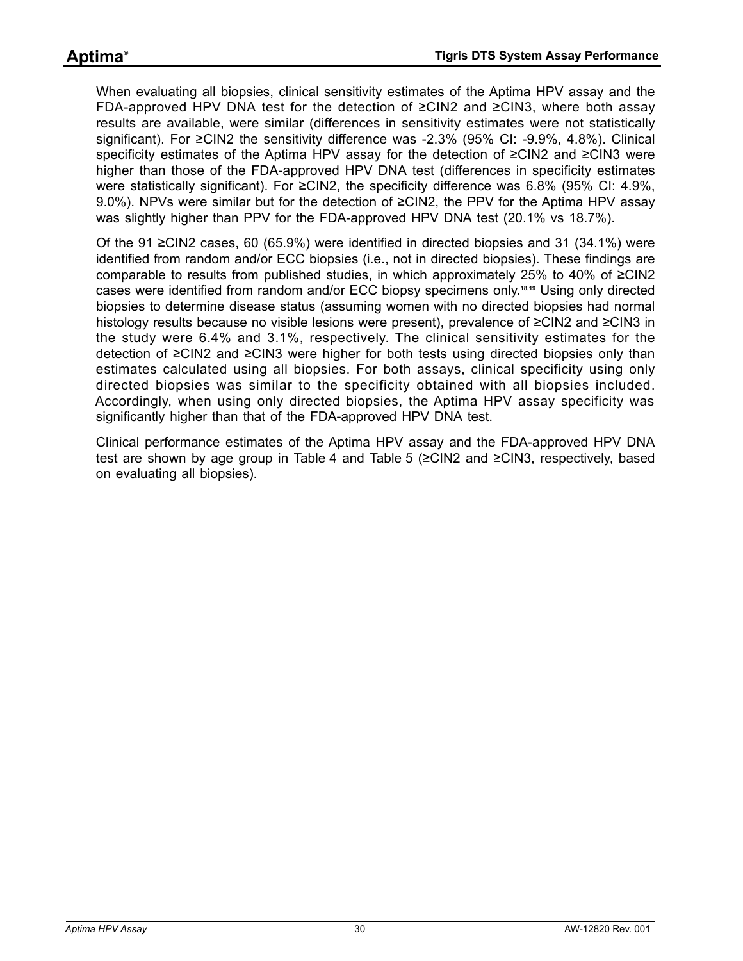When evaluating all biopsies, clinical sensitivity estimates of the Aptima HPV assay and the FDA-approved HPV DNA test for the detection of ≥CIN2 and ≥CIN3, where both assay results are available, were similar (differences in sensitivity estimates were not statistically significant). For ≥CIN2 the sensitivity difference was -2.3% (95% CI: -9.9%, 4.8%). Clinical specificity estimates of the Aptima HPV assay for the detection of ≥CIN2 and ≥CIN3 were higher than those of the FDA-approved HPV DNA test (differences in specificity estimates were statistically significant). For ≥CIN2, the specificity difference was 6.8% (95% CI: 4.9%, 9.0%). NPVs were similar but for the detection of ≥CIN2, the PPV for the Aptima HPV assay was slightly higher than PPV for the FDA-approved HPV DNA test (20.1% vs 18.7%).

Of the 91 ≥CIN2 cases, 60 (65.9%) were identified in directed biopsies and 31 (34.1%) were identified from random and/or ECC biopsies (i.e., not in directed biopsies). These findings are comparable to results from published studies, in which approximately 25% to 40% of ≥CIN2 cases were identified from random and/or ECC biopsy specimens only.**[18](#page-80-18)**,**[19](#page-80-19)** Using only directed biopsies to determine disease status (assuming women with no directed biopsies had normal histology results because no visible lesions were present), prevalence of ≥CIN2 and ≥CIN3 in the study were 6.4% and 3.1%, respectively. The clinical sensitivity estimates for the detection of ≥CIN2 and ≥CIN3 were higher for both tests using directed biopsies only than estimates calculated using all biopsies. For both assays, clinical specificity using only directed biopsies was similar to the specificity obtained with all biopsies included. Accordingly, when using only directed biopsies, the Aptima HPV assay specificity was significantly higher than that of the FDA-approved HPV DNA test.

Clinical performance estimates of the Aptima HPV assay and the FDA-approved HPV DNA test are shown by age group in [Table 4](#page-30-0) and [Table 5](#page-31-0) (≥CIN2 and ≥CIN3, respectively, based on evaluating all biopsies).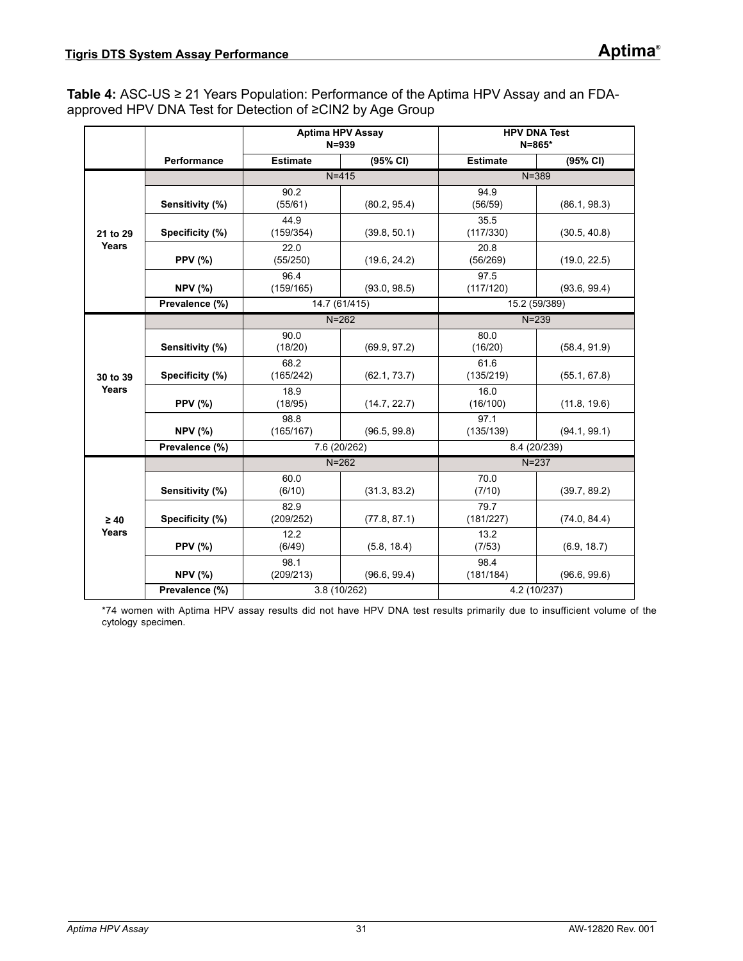<span id="page-30-0"></span>**Table 4:** ASC-US ≥ 21 Years Population: Performance of the Aptima HPV Assay and an FDAapproved HPV DNA Test for Detection of ≥CIN2 by Age Group

|           |                 | <b>Aptima HPV Assay</b><br>$N = 939$ |               | <b>HPV DNA Test</b><br>$N = 865*$ |               |  |
|-----------|-----------------|--------------------------------------|---------------|-----------------------------------|---------------|--|
|           | Performance     | <b>Estimate</b>                      | (95% CI)      | <b>Estimate</b>                   | (95% CI)      |  |
|           |                 |                                      | $N = 415$     | $N = 389$                         |               |  |
| 21 to 29  | Sensitivity (%) | 90.2<br>(55/61)                      | (80.2, 95.4)  | 94.9<br>(56/59)                   | (86.1, 98.3)  |  |
|           | Specificity (%) | 44.9<br>(159/354)                    | (39.8, 50.1)  | 35.5<br>(117/330)                 | (30.5, 40.8)  |  |
| Years     | <b>PPV (%)</b>  | 22.0<br>(55/250)                     | (19.6, 24.2)  | 20.8<br>(56/269)                  | (19.0, 22.5)  |  |
|           | <b>NPV (%)</b>  | 96.4<br>(159/165)                    | (93.0, 98.5)  | 97.5<br>(117/120)                 | (93.6, 99.4)  |  |
|           | Prevalence (%)  |                                      | 14.7 (61/415) |                                   | 15.2 (59/389) |  |
|           |                 |                                      | $N = 262$     | $N = 239$                         |               |  |
|           | Sensitivity (%) | 90.0<br>(18/20)                      | (69.9, 97.2)  | 80.0<br>(16/20)                   | (58.4, 91.9)  |  |
| 30 to 39  | Specificity (%) | 68.2<br>(165/242)                    | (62.1, 73.7)  | 61.6<br>(135/219)                 | (55.1, 67.8)  |  |
| Years     | <b>PPV (%)</b>  | 18.9<br>(18/95)                      | (14.7, 22.7)  | 16.0<br>(16/100)                  | (11.8, 19.6)  |  |
|           | <b>NPV (%)</b>  | 98.8<br>(165/167)                    | (96.5, 99.8)  | 97.1<br>(135/139)                 | (94.1, 99.1)  |  |
|           | Prevalence (%)  |                                      | 7.6 (20/262)  | 8.4 (20/239)                      |               |  |
|           |                 |                                      | $N = 262$     |                                   | $N = 237$     |  |
|           | Sensitivity (%) | 60.0<br>(6/10)                       | (31.3, 83.2)  | 70.0<br>(7/10)                    | (39.7, 89.2)  |  |
| $\geq 40$ | Specificity (%) | 82.9<br>(209/252)                    | (77.8, 87.1)  | 79.7<br>(181/227)                 | (74.0, 84.4)  |  |
| Years     | <b>PPV (%)</b>  | 12.2<br>(6/49)                       | (5.8, 18.4)   | 13.2<br>(7/53)                    | (6.9, 18.7)   |  |
|           | <b>NPV (%)</b>  | 98.1<br>(209/213)                    | (96.6, 99.4)  | 98.4<br>(181/184)                 | (96.6, 99.6)  |  |
|           | Prevalence (%)  |                                      | 3.8 (10/262)  |                                   | 4.2 (10/237)  |  |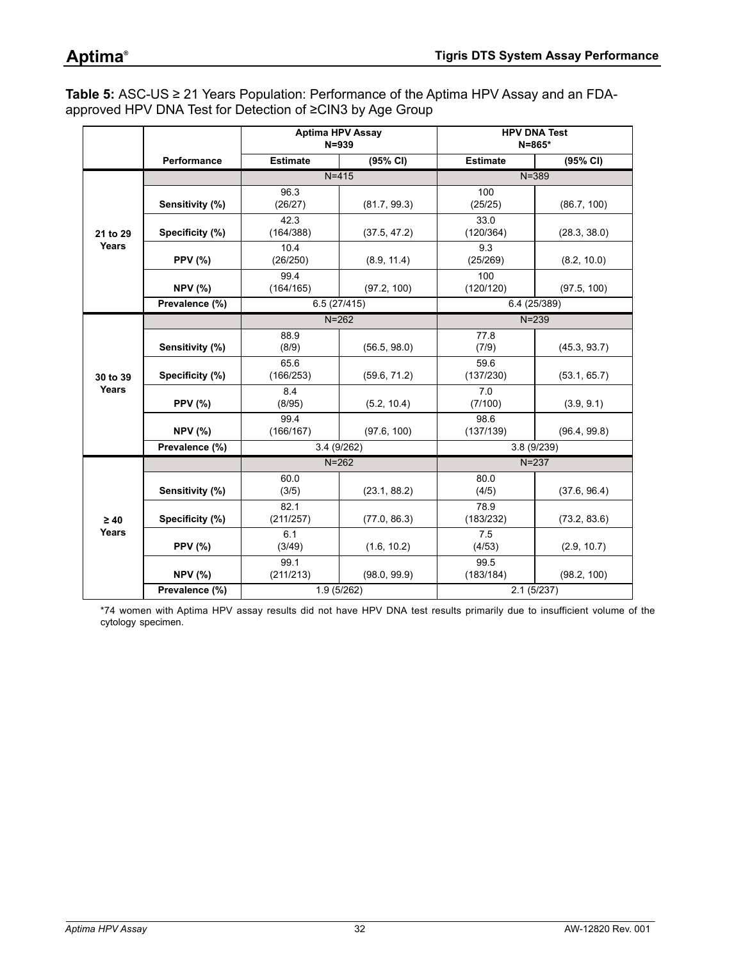## **Aptima®**

<span id="page-31-0"></span>**Table 5:** ASC-US ≥ 21 Years Population: Performance of the Aptima HPV Assay and an FDAapproved HPV DNA Test for Detection of ≥CIN3 by Age Group

|           |                 |                   | <b>Aptima HPV Assay</b><br>$N = 939$ |                   | <b>HPV DNA Test</b><br>$N = 865*$ |  |
|-----------|-----------------|-------------------|--------------------------------------|-------------------|-----------------------------------|--|
|           | Performance     | <b>Estimate</b>   | (95% CI)                             | <b>Estimate</b>   | (95% CI)                          |  |
|           |                 |                   | $N = 415$                            | $N = 389$         |                                   |  |
| 21 to 29  | Sensitivity (%) | 96.3<br>(26/27)   | (81.7, 99.3)                         | 100<br>(25/25)    | (86.7, 100)                       |  |
|           | Specificity (%) | 42.3<br>(164/388) | (37.5, 47.2)                         | 33.0<br>(120/364) | (28.3, 38.0)                      |  |
| Years     | <b>PPV (%)</b>  | 10.4<br>(26/250)  | (8.9, 11.4)                          | 9.3<br>(25/269)   | (8.2, 10.0)                       |  |
|           | <b>NPV (%)</b>  | 99.4<br>(164/165) | (97.2, 100)                          | 100<br>(120/120)  | (97.5, 100)                       |  |
|           | Prevalence (%)  |                   | 6.5(27/415)                          |                   | 6.4 (25/389)                      |  |
|           |                 |                   | $N = 262$                            |                   | $N = 239$                         |  |
|           | Sensitivity (%) | 88.9<br>(8/9)     | (56.5, 98.0)                         | 77.8<br>(7/9)     | (45.3, 93.7)                      |  |
| 30 to 39  | Specificity (%) | 65.6<br>(166/253) | (59.6, 71.2)                         | 59.6<br>(137/230) | (53.1, 65.7)                      |  |
| Years     | <b>PPV (%)</b>  | 8.4<br>(8/95)     | (5.2, 10.4)                          | 7.0<br>(7/100)    | (3.9, 9.1)                        |  |
|           | <b>NPV (%)</b>  | 99.4<br>(166/167) | (97.6, 100)                          | 98.6<br>(137/139) | (96.4, 99.8)                      |  |
|           | Prevalence (%)  | 3.4(9/262)        |                                      | 3.8(9/239)        |                                   |  |
|           |                 |                   | $N = 262$                            |                   | $N = 237$                         |  |
|           | Sensitivity (%) | 60.0<br>(3/5)     | (23.1, 88.2)                         | 80.0<br>(4/5)     | (37.6, 96.4)                      |  |
| $\geq 40$ | Specificity (%) | 82.1<br>(211/257) | (77.0, 86.3)                         | 78.9<br>(183/232) | (73.2, 83.6)                      |  |
| Years     | <b>PPV (%)</b>  | 6.1<br>(3/49)     | (1.6, 10.2)                          | 7.5<br>(4/53)     | (2.9, 10.7)                       |  |
|           | <b>NPV (%)</b>  | 99.1<br>(211/213) | (98.0, 99.9)                         | 99.5<br>(183/184) | (98.2, 100)                       |  |
|           | Prevalence (%)  |                   | 1.9 (5/262)                          |                   | 2.1(5/237)                        |  |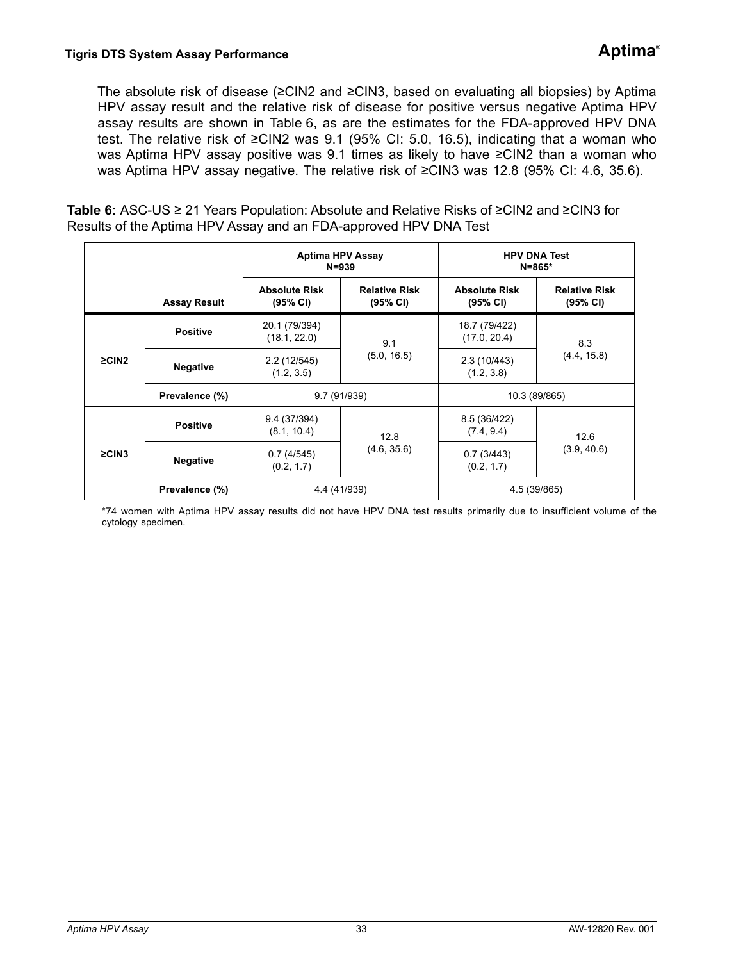The absolute risk of disease (≥CIN2 and ≥CIN3, based on evaluating all biopsies) by Aptima HPV assay result and the relative risk of disease for positive versus negative Aptima HPV assay results are shown in [Table 6](#page-32-0), as are the estimates for the FDA-approved HPV DNA test. The relative risk of ≥CIN2 was 9.1 (95% CI: 5.0, 16.5), indicating that a woman who was Aptima HPV assay positive was 9.1 times as likely to have ≥CIN2 than a woman who was Aptima HPV assay negative. The relative risk of ≥CIN3 was 12.8 (95% CI: 4.6, 35.6).

<span id="page-32-0"></span>**Table 6:** ASC-US ≥ 21 Years Population: Absolute and Relative Risks of ≥CIN2 and ≥CIN3 for Results of the Aptima HPV Assay and an FDA-approved HPV DNA Test

|             |                     | <b>Aptima HPV Assay</b><br>$N = 939$ |                                  | $N = 865*$                       | <b>HPV DNA Test</b>              |  |
|-------------|---------------------|--------------------------------------|----------------------------------|----------------------------------|----------------------------------|--|
|             | <b>Assay Result</b> | <b>Absolute Risk</b><br>(95% CI)     | <b>Relative Risk</b><br>(95% CI) | <b>Absolute Risk</b><br>(95% CI) | <b>Relative Risk</b><br>(95% CI) |  |
|             | <b>Positive</b>     | 20.1 (79/394)<br>(18.1, 22.0)        | 9.1                              | 18.7 (79/422)<br>(17.0, 20.4)    | 8.3                              |  |
| $\geq$ CIN2 | <b>Negative</b>     | 2.2 (12/545)<br>(1.2, 3.5)           | (5.0, 16.5)                      | 2.3(10/443)<br>(1.2, 3.8)        | (4.4, 15.8)                      |  |
|             | Prevalence (%)      |                                      | 9.7 (91/939)                     | 10.3 (89/865)                    |                                  |  |
|             | <b>Positive</b>     | 9.4 (37/394)<br>(8.1, 10.4)          | 12.8                             | 8.5 (36/422)<br>(7.4, 9.4)       | 12.6                             |  |
| $\geq$ CIN3 | <b>Negative</b>     | 0.7(4/545)<br>(0.2, 1.7)             | (4.6, 35.6)                      | 0.7(3/443)<br>(0.2, 1.7)         | (3.9, 40.6)                      |  |
|             | Prevalence (%)      | 4.4 (41/939)                         |                                  | 4.5 (39/865)                     |                                  |  |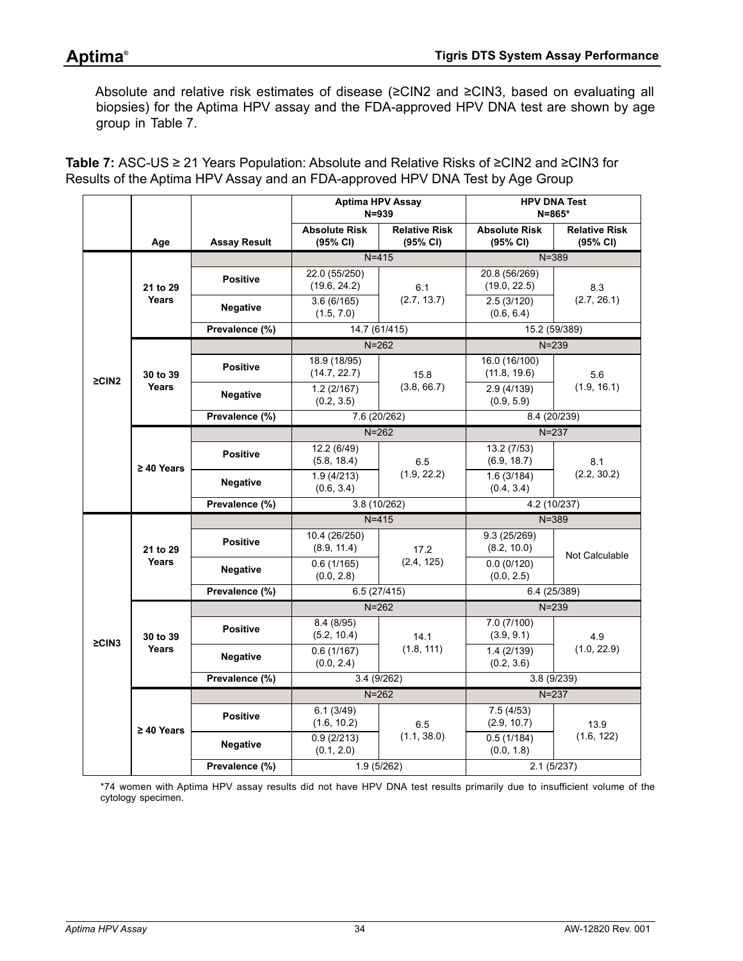Absolute and relative risk estimates of disease (≥CIN2 and ≥CIN3, based on evaluating all biopsies) for the Aptima HPV assay and the FDA-approved HPV DNA test are shown by age group in [Table 7.](#page-33-0)

<span id="page-33-0"></span>**Table 7:** ASC-US ≥ 21 Years Population: Absolute and Relative Risks of ≥CIN2 and ≥CIN3 for Results of the Aptima HPV Assay and an FDA-approved HPV DNA Test by Age Group

|             |                          |                     | <b>Aptima HPV Assay</b><br>$N = 939$ |                                  | <b>HPV DNA Test</b><br>$N = 865*$ |                                  |
|-------------|--------------------------|---------------------|--------------------------------------|----------------------------------|-----------------------------------|----------------------------------|
|             | Age                      | <b>Assay Result</b> | <b>Absolute Risk</b><br>(95% CI)     | <b>Relative Risk</b><br>(95% CI) | <b>Absolute Risk</b><br>(95% CI)  | <b>Relative Risk</b><br>(95% CI) |
|             |                          |                     | $N = 415$                            |                                  | $N = 389$                         |                                  |
|             | 21 to 29                 | <b>Positive</b>     | 22.0 (55/250)<br>(19.6, 24.2)        | 6.1                              | 20.8 (56/269)<br>(19.0, 22.5)     | 8.3                              |
|             | <b>Years</b>             | <b>Negative</b>     | 3.6(6/165)<br>(1.5, 7.0)             | (2.7, 13.7)                      | 2.5(3/120)<br>(0.6, 6.4)          | (2.7, 26.1)                      |
|             |                          | Prevalence (%)      | 14.7 (61/415)                        |                                  | 15.2 (59/389)                     |                                  |
|             |                          |                     |                                      | $N = 262$                        | $N = 239$                         |                                  |
| $\geq$ CIN2 | 30 to 39                 | <b>Positive</b>     | 18.9 (18/95)<br>(14.7, 22.7)         | 15.8                             | 16.0 (16/100)<br>(11.8, 19.6)     | 5.6                              |
|             | Years                    | <b>Negative</b>     | 1.2(2/167)<br>(0.2, 3.5)             | (3.8, 66.7)                      | 2.9 (4/139)<br>(0.9, 5.9)         | (1.9, 16.1)                      |
|             |                          | Prevalence (%)      | 7.6 (20/262)                         |                                  | 8.4 (20/239)                      |                                  |
|             |                          |                     |                                      | $N = 262$                        |                                   | $N = 237$                        |
|             | $\geq 40$ Years          | <b>Positive</b>     | 12.2 (6/49)<br>(5.8, 18.4)           | 6.5                              | 13.2 (7/53)<br>(6.9, 18.7)        | 8.1                              |
|             |                          | <b>Negative</b>     | 1.9(4/213)<br>(0.6, 3.4)             | (1.9, 22.2)                      | 1.6(3/184)<br>(0.4, 3.4)          | (2.2, 30.2)                      |
|             |                          | Prevalence (%)      | 3.8 (10/262)                         |                                  | 4.2 (10/237)                      |                                  |
|             |                          |                     | $N = 415$                            |                                  | $N = 389$                         |                                  |
|             | 21 to 29<br><b>Years</b> | <b>Positive</b>     | 10.4 (26/250)<br>(8.9, 11.4)         | 17.2                             | 9.3 (25/269)<br>(8.2, 10.0)       | Not Calculable                   |
|             |                          | <b>Negative</b>     | 0.6(1/165)<br>(0.0, 2.8)             | (2.4, 125)                       | 0.0(0/120)<br>(0.0, 2.5)          |                                  |
|             |                          | Prevalence (%)      | 6.5(27/415)                          |                                  | 6.4 (25/389)                      |                                  |
|             |                          |                     | $N = 262$                            |                                  | $N = 239$                         |                                  |
| $\geq$ CIN3 | 30 to 39                 | <b>Positive</b>     | 8.4 (8/95)<br>(5.2, 10.4)            | 14.1                             | 7.0(7/100)<br>(3.9, 9.1)          | 4.9                              |
|             | Years                    | <b>Negative</b>     | 0.6(1/167)<br>(0.0, 2.4)             | (1.8, 111)                       | 1.4(2/139)<br>(0.2, 3.6)          | (1.0, 22.9)                      |
|             |                          | Prevalence (%)      | 3.4(9/262)                           |                                  | 3.8 (9/239)                       |                                  |
|             |                          |                     |                                      | $N = 262$                        | $N=237$                           |                                  |
|             | $\geq 40$ Years          | <b>Positive</b>     | 6.1(3/49)<br>(1.6, 10.2)             | 6.5                              | 7.5(4/53)<br>(2.9, 10.7)          | 13.9                             |
|             |                          | <b>Negative</b>     | 0.9(2/213)<br>(0.1, 2.0)             | (1.1, 38.0)                      | 0.5(1/184)<br>(0.0, 1.8)          | (1.6, 122)                       |
|             |                          | Prevalence (%)      | 1.9(5/262)                           |                                  | 2.1(5/237)                        |                                  |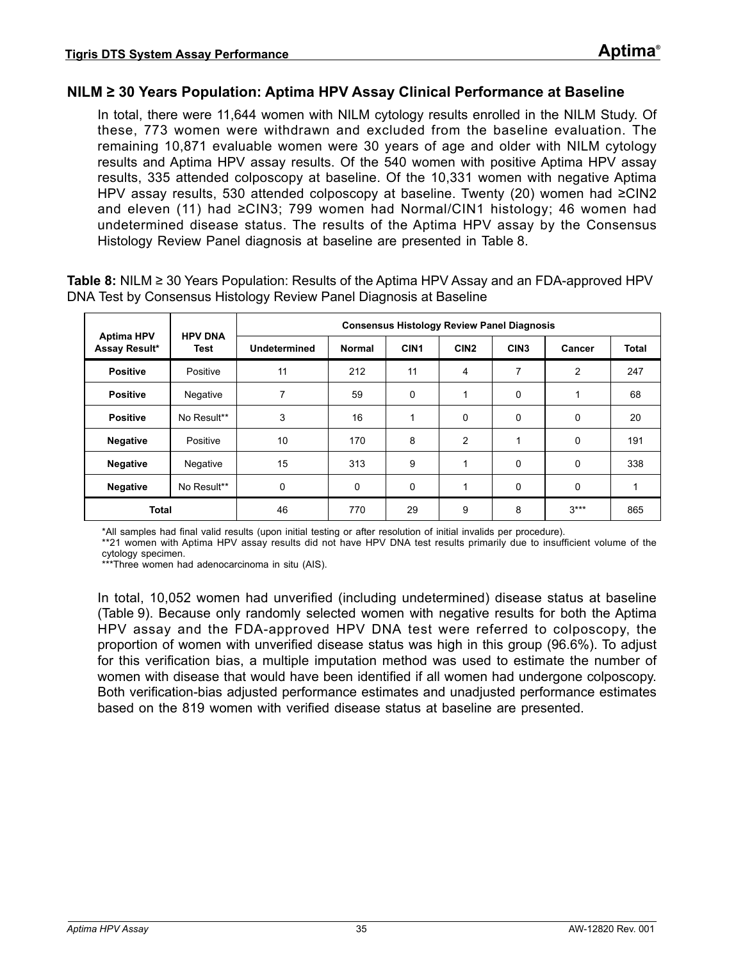## **NILM ≥ 30 Years Population: Aptima HPV Assay Clinical Performance at Baseline**

In total, there were 11,644 women with NILM cytology results enrolled in the NILM Study. Of these, 773 women were withdrawn and excluded from the baseline evaluation. The remaining 10,871 evaluable women were 30 years of age and older with NILM cytology results and Aptima HPV assay results. Of the 540 women with positive Aptima HPV assay results, 335 attended colposcopy at baseline. Of the 10,331 women with negative Aptima HPV assay results, 530 attended colposcopy at baseline. Twenty (20) women had ≥CIN2 and eleven (11) had ≥CIN3; 799 women had Normal/CIN1 histology; 46 women had undetermined disease status. The results of the Aptima HPV assay by the Consensus Histology Review Panel diagnosis at baseline are presented in [Table 8](#page-34-0).

|                                    | <b>HPV DNA</b> | <b>Consensus Histology Review Panel Diagnosis</b> |               |                  |                  |                  |                |              |
|------------------------------------|----------------|---------------------------------------------------|---------------|------------------|------------------|------------------|----------------|--------------|
| <b>Aptima HPV</b><br>Assay Result* | Test           | Undetermined                                      | <b>Normal</b> | CIN <sub>1</sub> | CIN <sub>2</sub> | CIN <sub>3</sub> | Cancer         | <b>Total</b> |
| <b>Positive</b>                    | Positive       | 11                                                | 212           | 11               | 4                | 7                | $\overline{2}$ | 247          |
| <b>Positive</b>                    | Negative       | 7                                                 | 59            | $\Omega$         | $\overline{ }$   | 0                | 1              | 68           |
| <b>Positive</b>                    | No Result**    | 3                                                 | 16            |                  | 0                | $\Omega$         | 0              | 20           |
| <b>Negative</b>                    | Positive       | 10                                                | 170           | 8                | $\overline{2}$   |                  | 0              | 191          |
| <b>Negative</b>                    | Negative       | 15                                                | 313           | 9                | 1                | 0                | 0              | 338          |
| <b>Negative</b>                    | No Result**    | 0                                                 | 0             | $\Omega$         | 1                | 0                | 0              |              |
| <b>Total</b>                       |                | 46                                                | 770           | 29               | 9                | 8                | $3***$         | 865          |

<span id="page-34-0"></span>**Table 8:** NILM ≥ 30 Years Population: Results of the Aptima HPV Assay and an FDA-approved HPV DNA Test by Consensus Histology Review Panel Diagnosis at Baseline

\*All samples had final valid results (upon initial testing or after resolution of initial invalids per procedure).

\*\*21 women with Aptima HPV assay results did not have HPV DNA test results primarily due to insufficient volume of the cytology specimen.

\*\*\*Three women had adenocarcinoma in situ (AIS).

In total, 10,052 women had unverified (including undetermined) disease status at baseline [\(Table 9\)](#page-35-0). Because only randomly selected women with negative results for both the Aptima HPV assay and the FDA-approved HPV DNA test were referred to colposcopy, the proportion of women with unverified disease status was high in this group (96.6%). To adjust for this verification bias, a multiple imputation method was used to estimate the number of women with disease that would have been identified if all women had undergone colposcopy. Both verification-bias adjusted performance estimates and unadjusted performance estimates based on the 819 women with verified disease status at baseline are presented.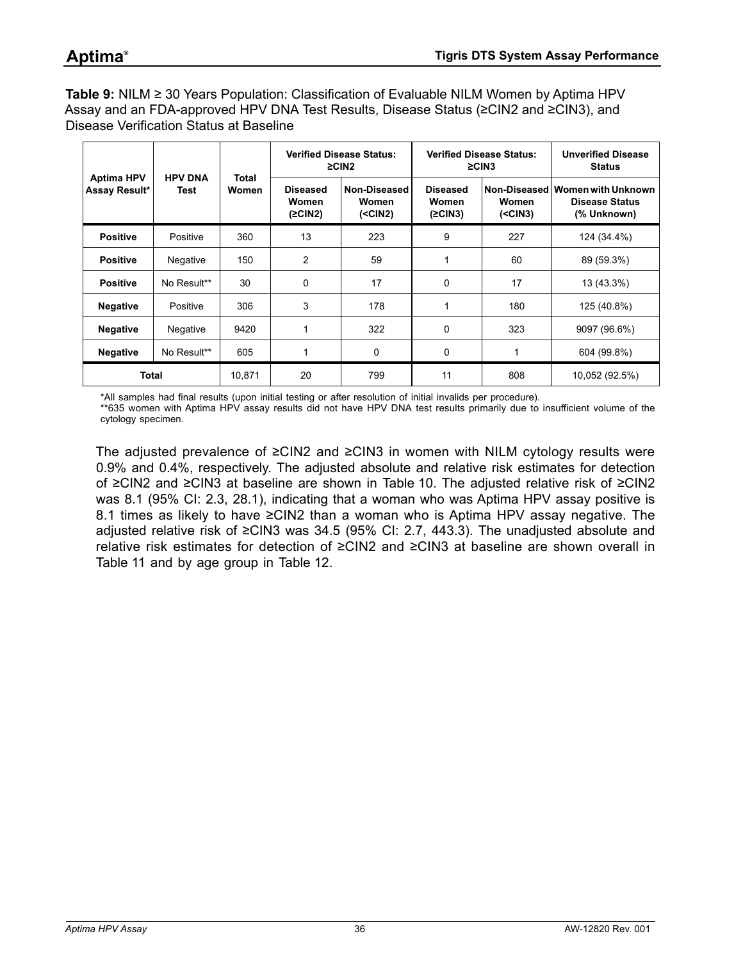<span id="page-35-0"></span>**Table 9:** NILM ≥ 30 Years Population: Classification of Evaluable NILM Women by Aptima HPV Assay and an FDA-approved HPV DNA Test Results, Disease Status (≥CIN2 and ≥CIN3), and Disease Verification Status at Baseline

|                                    | <b>HPV DNA</b><br>Test |                | <b>Verified Disease Status:</b><br>$\geq$ CIN2 |                                     |                                     | <b>Verified Disease Status:</b><br>$\geq$ CIN3 | <b>Unverified Disease</b><br><b>Status</b>                              |
|------------------------------------|------------------------|----------------|------------------------------------------------|-------------------------------------|-------------------------------------|------------------------------------------------|-------------------------------------------------------------------------|
| <b>Aptima HPV</b><br>Assay Result* |                        | Total<br>Women | <b>Diseased</b><br>Women<br>(2CIN2)            | Non-Diseased<br>Women<br>$(<$ CIN2) | <b>Diseased</b><br>Women<br>(2CIN3) | Women<br>$(<$ CIN3)                            | Non-Diseased Women with Unknown<br><b>Disease Status</b><br>(% Unknown) |
| <b>Positive</b>                    | Positive               | 360            | 13                                             | 223                                 | 9                                   | 227                                            | 124 (34.4%)                                                             |
| <b>Positive</b>                    | Negative               | 150            | $\overline{2}$                                 | 59                                  | 1                                   | 60                                             | 89 (59.3%)                                                              |
| <b>Positive</b>                    | No Result**            | 30             | 0                                              | 17                                  | $\Omega$                            | 17                                             | 13 (43.3%)                                                              |
| <b>Negative</b>                    | Positive               | 306            | 3                                              | 178                                 | 1                                   | 180                                            | 125 (40.8%)                                                             |
| <b>Negative</b>                    | Negative               | 9420           | 1                                              | 322                                 | $\Omega$                            | 323                                            | 9097 (96.6%)                                                            |
| <b>Negative</b>                    | No Result**            | 605            | 1                                              | 0                                   | 0                                   | 1                                              | 604 (99.8%)                                                             |
| <b>Total</b>                       |                        | 10,871         | 20                                             | 799                                 | 11                                  | 808                                            | 10,052 (92.5%)                                                          |

\*All samples had final results (upon initial testing or after resolution of initial invalids per procedure).

\*\*635 women with Aptima HPV assay results did not have HPV DNA test results primarily due to insufficient volume of the cytology specimen.

The adjusted prevalence of ≥CIN2 and ≥CIN3 in women with NILM cytology results were 0.9% and 0.4%, respectively. The adjusted absolute and relative risk estimates for detection of ≥CIN2 and ≥CIN3 at baseline are shown in [Table 10](#page-36-0). The adjusted relative risk of ≥CIN2 was 8.1 (95% CI: 2.3, 28.1), indicating that a woman who was Aptima HPV assay positive is 8.1 times as likely to have ≥CIN2 than a woman who is Aptima HPV assay negative. The adjusted relative risk of ≥CIN3 was 34.5 (95% CI: 2.7, 443.3). The unadjusted absolute and relative risk estimates for detection of ≥CIN2 and ≥CIN3 at baseline are shown overall in [Table 11](#page-36-1) and by age group in [Table 12](#page-37-0).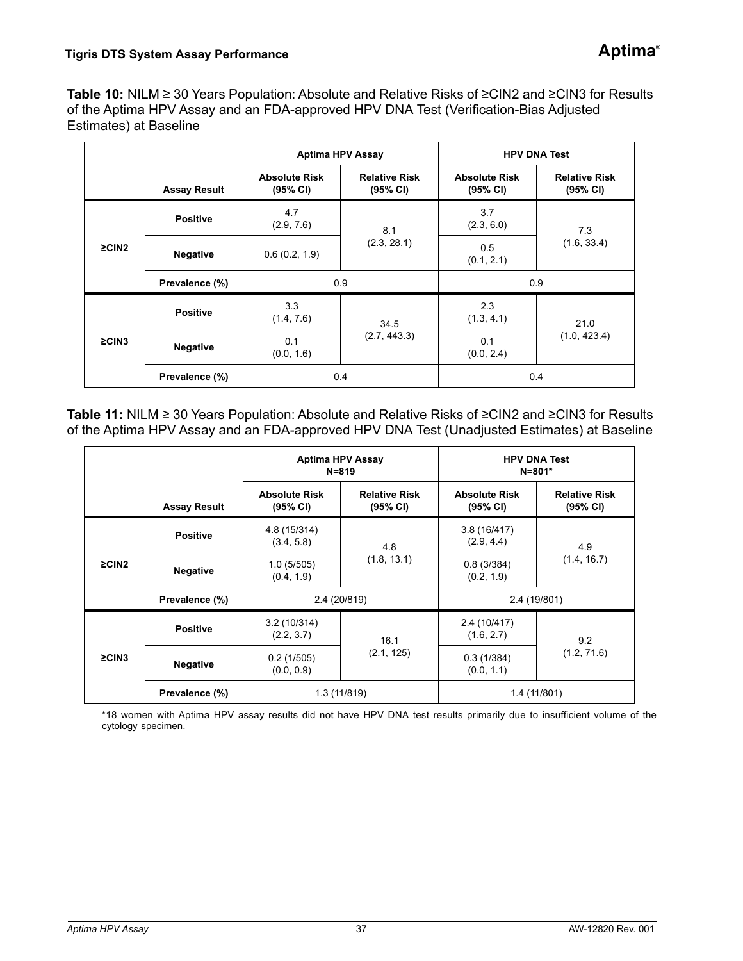**Table 10:** NILM ≥ 30 Years Population: Absolute and Relative Risks of ≥CIN2 and ≥CIN3 for Results of the Aptima HPV Assay and an FDA-approved HPV DNA Test (Verification-Bias Adjusted Estimates) at Baseline

|             |                     | <b>Aptima HPV Assay</b>          |                                  | <b>HPV DNA Test</b>              |                                  |  |  |
|-------------|---------------------|----------------------------------|----------------------------------|----------------------------------|----------------------------------|--|--|
|             | <b>Assay Result</b> | <b>Absolute Risk</b><br>(95% CI) | <b>Relative Risk</b><br>(95% CI) | <b>Absolute Risk</b><br>(95% CI) | <b>Relative Risk</b><br>(95% CI) |  |  |
|             | <b>Positive</b>     | 4.7<br>(2.9, 7.6)                | 8.1                              | 3.7<br>(2.3, 6.0)                | 7.3                              |  |  |
| $\geq$ CIN2 | <b>Negative</b>     | 0.6(0.2, 1.9)                    | (2.3, 28.1)                      | 0.5<br>(0.1, 2.1)                | (1.6, 33.4)                      |  |  |
|             | Prevalence (%)      |                                  | 0.9                              |                                  | 0.9                              |  |  |
|             | <b>Positive</b>     | 3.3<br>(1.4, 7.6)                | 34.5                             | 2.3<br>(1.3, 4.1)                | 21.0                             |  |  |
| $\geq$ CIN3 | <b>Negative</b>     | 0.1<br>(0.0, 1.6)                | (2.7, 443.3)                     | 0.1<br>(0.0, 2.4)                | (1.0, 423.4)                     |  |  |
|             | Prevalence (%)      |                                  | 0.4                              | 0.4                              |                                  |  |  |

**Table 11:** NILM ≥ 30 Years Population: Absolute and Relative Risks of ≥CIN2 and ≥CIN3 for Results of the Aptima HPV Assay and an FDA-approved HPV DNA Test (Unadjusted Estimates) at Baseline

|                |                     | <b>Aptima HPV Assay</b><br>$N = 819$ |                                  | <b>HPV DNA Test</b><br>$N = 801*$ |                                  |  |
|----------------|---------------------|--------------------------------------|----------------------------------|-----------------------------------|----------------------------------|--|
|                | <b>Assay Result</b> | <b>Absolute Risk</b><br>(95% CI)     | <b>Relative Risk</b><br>(95% CI) | <b>Absolute Risk</b><br>(95% CI)  | <b>Relative Risk</b><br>(95% CI) |  |
|                | <b>Positive</b>     | 4.8 (15/314)<br>(3.4, 5.8)           | 4.8                              | 3.8(16/417)<br>(2.9, 4.4)         | 4.9                              |  |
| $\geq$ CIN2    | <b>Negative</b>     | 1.0(5/505)<br>(0.4, 1.9)             | (1.8, 13.1)                      | 0.8(3/384)<br>(0.2, 1.9)          | (1.4, 16.7)                      |  |
|                | Prevalence (%)      | 2.4 (20/819)                         |                                  | 2.4 (19/801)                      |                                  |  |
|                | <b>Positive</b>     | 3.2(10/314)<br>(2.2, 3.7)            | 16.1                             | 2.4 (10/417)<br>(1.6, 2.7)        | 9.2                              |  |
| $\geq$ CIN3    | <b>Negative</b>     | 0.2(1/505)<br>(0.0, 0.9)             | (2.1, 125)                       | 0.3(1/384)<br>(0.0, 1.1)          | (1.2, 71.6)                      |  |
| Prevalence (%) |                     | 1.3 (11/819)                         |                                  | 1.4 (11/801)                      |                                  |  |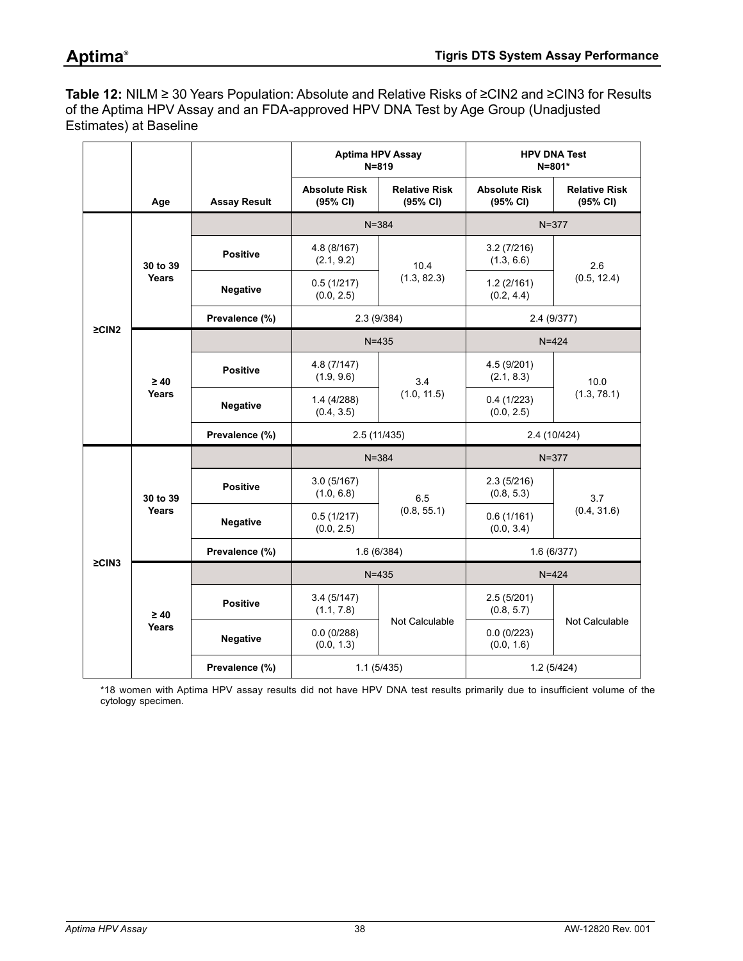**Table 12:** NILM ≥ 30 Years Population: Absolute and Relative Risks of ≥CIN2 and ≥CIN3 for Results of the Aptima HPV Assay and an FDA-approved HPV DNA Test by Age Group (Unadjusted Estimates) at Baseline

|             |                |                     | <b>Aptima HPV Assay</b><br><b>HPV DNA Test</b><br>$N = 819$<br>$N = 801*$ |                                  |                                  |                                  |
|-------------|----------------|---------------------|---------------------------------------------------------------------------|----------------------------------|----------------------------------|----------------------------------|
|             | Age            | <b>Assay Result</b> | <b>Absolute Risk</b><br>(95% CI)                                          | <b>Relative Risk</b><br>(95% CI) | <b>Absolute Risk</b><br>(95% CI) | <b>Relative Risk</b><br>(95% CI) |
|             |                |                     |                                                                           | $N = 384$                        |                                  | $N = 377$                        |
|             | 30 to 39       | <b>Positive</b>     | 4.8 (8/167)<br>(2.1, 9.2)                                                 | 10.4                             | 3.2(7/216)<br>(1.3, 6.6)         | 2.6                              |
|             | <b>Years</b>   | Negative            | 0.5(1/217)<br>(0.0, 2.5)                                                  | (1.3, 82.3)                      | 1.2(2/161)<br>(0.2, 4.4)         | (0.5, 12.4)                      |
|             |                | Prevalence (%)      |                                                                           | 2.3(9/384)                       |                                  | 2.4(9/377)                       |
|             | $\geq$ CIN2    |                     |                                                                           | $N = 435$                        |                                  | $N = 424$                        |
|             | $\geq 40$      | <b>Positive</b>     | 4.8(7/147)<br>(1.9, 9.6)                                                  | 3.4                              | 4.5 (9/201)<br>(2.1, 8.3)        | 10.0                             |
|             | <b>Years</b>   | <b>Negative</b>     | 1.4 (4/288)<br>(0.4, 3.5)                                                 | (1.0, 11.5)                      | 0.4(1/223)<br>(0.0, 2.5)         | (1.3, 78.1)                      |
|             |                | Prevalence (%)      | 2.5(11/435)                                                               |                                  | 2.4 (10/424)                     |                                  |
|             |                |                     | $N = 384$                                                                 |                                  |                                  | $N = 377$                        |
|             | 30 to 39       | <b>Positive</b>     | 3.0(5/167)<br>(1.0, 6.8)                                                  | 6.5                              | 2.3(5/216)<br>(0.8, 5.3)         | 3.7                              |
|             | <b>Years</b>   | <b>Negative</b>     | 0.5(1/217)<br>(0.0, 2.5)                                                  | (0.8, 55.1)                      | 0.6(1/161)<br>(0.0, 3.4)         | (0.4, 31.6)                      |
|             |                | Prevalence (%)      |                                                                           | 1.6(6/384)                       |                                  | 1.6(6/377)                       |
| $\geq$ CIN3 |                |                     |                                                                           | $N = 435$                        |                                  | $N = 424$                        |
|             | $\geq 40$      | <b>Positive</b>     | 3.4(5/147)<br>(1.1, 7.8)                                                  |                                  | 2.5(5/201)<br>(0.8, 5.7)         |                                  |
|             | Years          | Negative            | 0.0(0/288)<br>(0.0, 1.3)                                                  | Not Calculable                   | 0.0(0/223)<br>(0.0, 1.6)         | Not Calculable                   |
|             | Prevalence (%) |                     | 1.1(5/435)                                                                | 1.2(5/424)                       |                                  |                                  |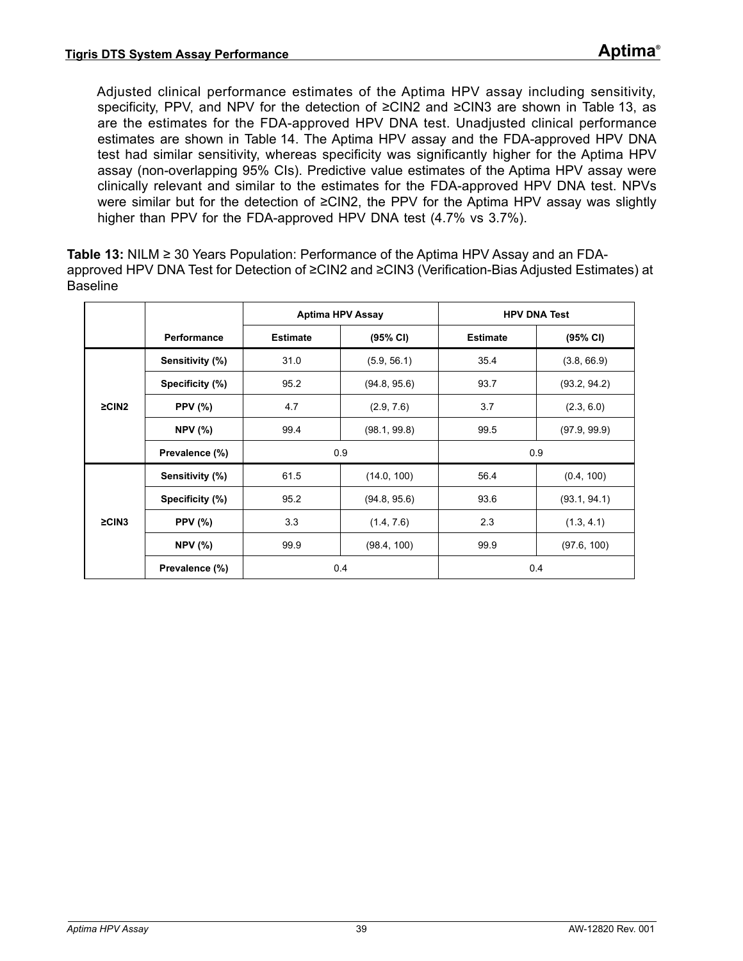Adjusted clinical performance estimates of the Aptima HPV assay including sensitivity, specificity, PPV, and NPV for the detection of ≥CIN2 and ≥CIN3 are shown in [Table 13,](#page-38-0) as are the estimates for the FDA-approved HPV DNA test. Unadjusted clinical performance estimates are shown in [Table 14](#page-39-0). The Aptima HPV assay and the FDA-approved HPV DNA test had similar sensitivity, whereas specificity was significantly higher for the Aptima HPV assay (non-overlapping 95% CIs). Predictive value estimates of the Aptima HPV assay were clinically relevant and similar to the estimates for the FDA-approved HPV DNA test. NPVs were similar but for the detection of ≥CIN2, the PPV for the Aptima HPV assay was slightly higher than PPV for the FDA-approved HPV DNA test (4.7% vs 3.7%).

<span id="page-38-0"></span>**Table 13:** NILM ≥ 30 Years Population: Performance of the Aptima HPV Assay and an FDAapproved HPV DNA Test for Detection of ≥CIN2 and ≥CIN3 (Verification-Bias Adjusted Estimates) at Baseline

|             |                 | <b>Aptima HPV Assay</b> |              | <b>HPV DNA Test</b> |              |  |
|-------------|-----------------|-------------------------|--------------|---------------------|--------------|--|
|             | Performance     | <b>Estimate</b>         | (95% CI)     | <b>Estimate</b>     | (95% CI)     |  |
|             | Sensitivity (%) | 31.0                    | (5.9, 56.1)  | 35.4                | (3.8, 66.9)  |  |
|             | Specificity (%) | 95.2                    | (94.8, 95.6) | 93.7                | (93.2, 94.2) |  |
| $\geq$ CIN2 | <b>PPV</b> (%)  | 4.7                     | (2.9, 7.6)   | 3.7                 | (2.3, 6.0)   |  |
|             | <b>NPV (%)</b>  | 99.4                    | (98.1, 99.8) | 99.5                | (97.9, 99.9) |  |
|             | Prevalence (%)  | 0.9                     |              | 0.9                 |              |  |
|             | Sensitivity (%) | 61.5                    | (14.0, 100)  | 56.4                | (0.4, 100)   |  |
|             | Specificity (%) | 95.2                    | (94.8, 95.6) | 93.6                | (93.1, 94.1) |  |
| $\geq$ CIN3 | <b>PPV (%)</b>  | 3.3                     | (1.4, 7.6)   | 2.3                 | (1.3, 4.1)   |  |
|             | <b>NPV</b> (%)  | 99.9                    | (98.4, 100)  | 99.9                | (97.6, 100)  |  |
|             | Prevalence (%)  | 0.4                     |              | 0.4                 |              |  |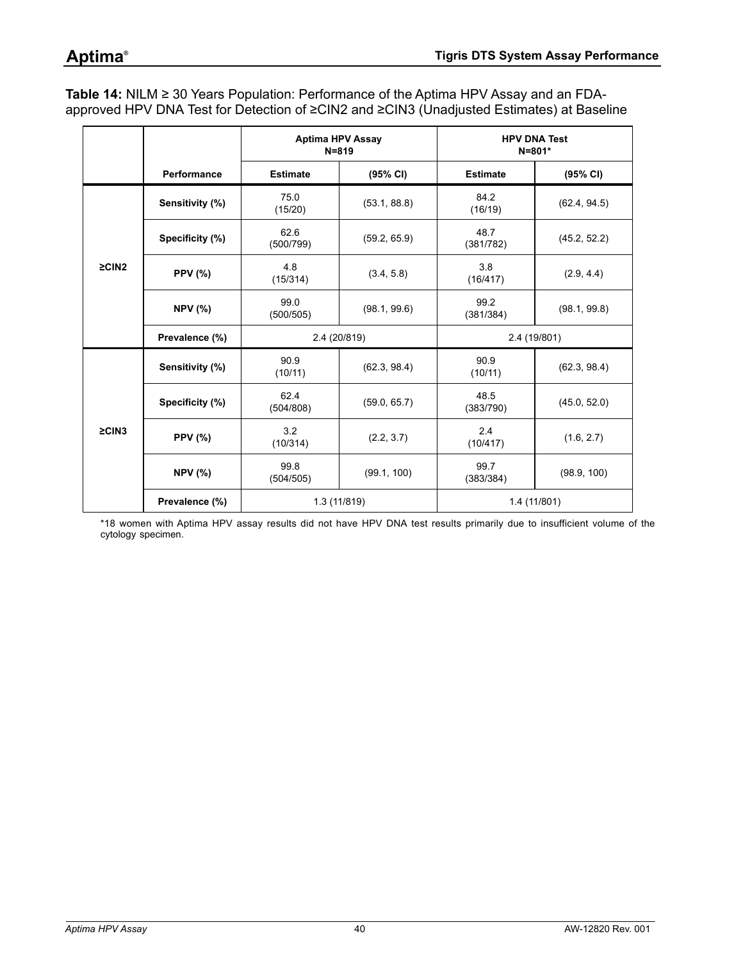<span id="page-39-0"></span>**Table 14:** NILM ≥ 30 Years Population: Performance of the Aptima HPV Assay and an FDAapproved HPV DNA Test for Detection of ≥CIN2 and ≥CIN3 (Unadjusted Estimates) at Baseline

|             |                 |                   | <b>Aptima HPV Assay</b><br>$N = 819$ |                   | <b>HPV DNA Test</b><br>$N = 801*$ |  |
|-------------|-----------------|-------------------|--------------------------------------|-------------------|-----------------------------------|--|
|             | Performance     | <b>Estimate</b>   | (95% CI)                             | <b>Estimate</b>   | (95% CI)                          |  |
|             | Sensitivity (%) | 75.0<br>(15/20)   | (53.1, 88.8)                         | 84.2<br>(16/19)   | (62.4, 94.5)                      |  |
|             | Specificity (%) | 62.6<br>(500/799) | (59.2, 65.9)                         | 48.7<br>(381/782) | (45.2, 52.2)                      |  |
| $\geq$ CIN2 | <b>PPV (%)</b>  | 4.8<br>(15/314)   | (3.4, 5.8)                           | 3.8<br>(16/417)   | (2.9, 4.4)                        |  |
|             | <b>NPV (%)</b>  | 99.0<br>(500/505) | (98.1, 99.6)                         | 99.2<br>(381/384) | (98.1, 99.8)                      |  |
|             | Prevalence (%)  |                   | 2.4 (20/819)                         |                   | 2.4 (19/801)                      |  |
|             | Sensitivity (%) | 90.9<br>(10/11)   | (62.3, 98.4)                         | 90.9<br>(10/11)   | (62.3, 98.4)                      |  |
|             | Specificity (%) | 62.4<br>(504/808) | (59.0, 65.7)                         | 48.5<br>(383/790) | (45.0, 52.0)                      |  |
| $\geq$ CIN3 | <b>PPV (%)</b>  | 3.2<br>(10/314)   | (2.2, 3.7)                           | 2.4<br>(10/417)   | (1.6, 2.7)                        |  |
|             | <b>NPV (%)</b>  | 99.8<br>(504/505) | (99.1, 100)                          | 99.7<br>(383/384) | (98.9, 100)                       |  |
|             | Prevalence (%)  | 1.3(11/819)       |                                      | 1.4 (11/801)      |                                   |  |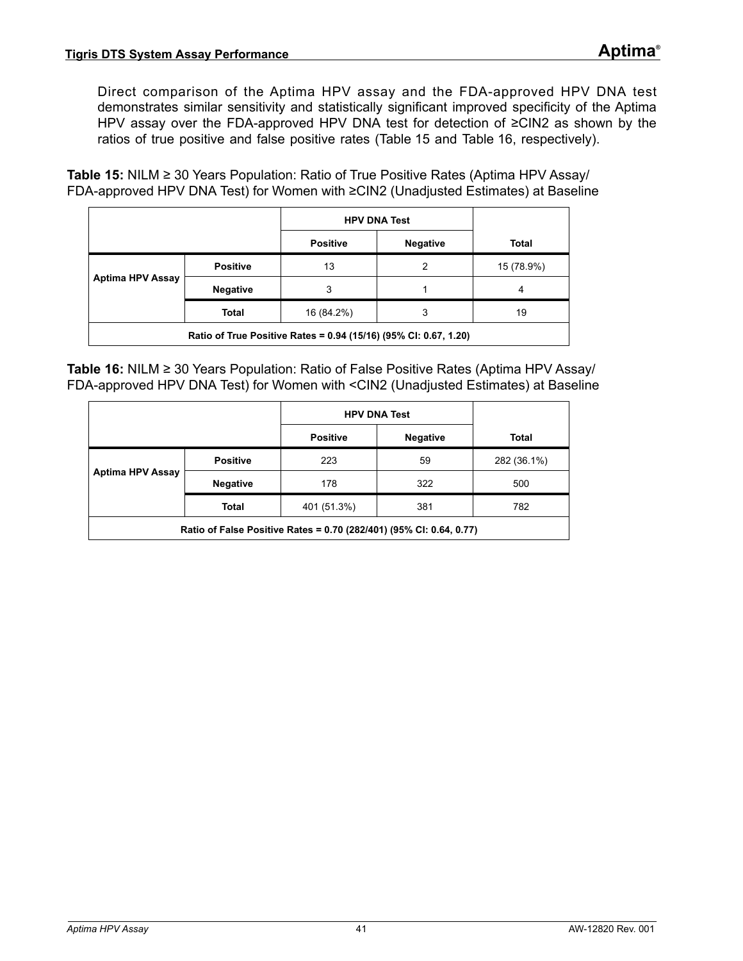Direct comparison of the Aptima HPV assay and the FDA-approved HPV DNA test demonstrates similar sensitivity and statistically significant improved specificity of the Aptima HPV assay over the FDA-approved HPV DNA test for detection of ≥CIN2 as shown by the ratios of true positive and false positive rates ([Table 15](#page-40-0) and [Table 16,](#page-40-1) respectively).

<span id="page-40-0"></span>**Table 15:** NILM ≥ 30 Years Population: Ratio of True Positive Rates (Aptima HPV Assay/ FDA-approved HPV DNA Test) for Women with ≥CIN2 (Unadjusted Estimates) at Baseline

|                                                                  |                 | <b>HPV DNA Test</b> |                 |            |
|------------------------------------------------------------------|-----------------|---------------------|-----------------|------------|
|                                                                  |                 | <b>Positive</b>     | <b>Negative</b> | Total      |
| <b>Aptima HPV Assay</b>                                          | <b>Positive</b> | 13                  | $\mathcal{P}$   | 15 (78.9%) |
|                                                                  | <b>Negative</b> | 3                   |                 | 4          |
|                                                                  | Total           | 16 (84.2%)          | 3               | 19         |
| Ratio of True Positive Rates = 0.94 (15/16) (95% CI: 0.67, 1.20) |                 |                     |                 |            |

<span id="page-40-1"></span>**Table 16:** NILM ≥ 30 Years Population: Ratio of False Positive Rates (Aptima HPV Assay/ FDA-approved HPV DNA Test) for Women with <CIN2 (Unadjusted Estimates) at Baseline

|                                                                     |                 | <b>HPV DNA Test</b> |                 |             |  |
|---------------------------------------------------------------------|-----------------|---------------------|-----------------|-------------|--|
|                                                                     |                 | <b>Positive</b>     | <b>Negative</b> | Total       |  |
| <b>Aptima HPV Assay</b>                                             | <b>Positive</b> | 223                 | 59              | 282 (36.1%) |  |
|                                                                     | <b>Negative</b> | 178                 | 322             | 500         |  |
|                                                                     | <b>Total</b>    | 401 (51.3%)         | 381             | 782         |  |
| Ratio of False Positive Rates = 0.70 (282/401) (95% CI: 0.64, 0.77) |                 |                     |                 |             |  |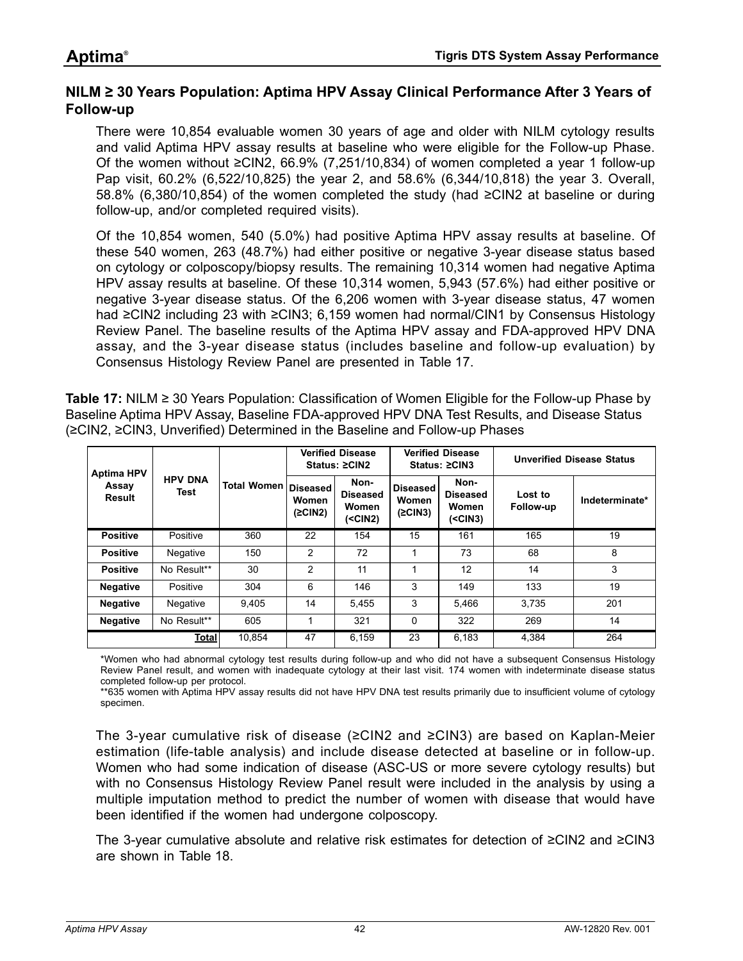### **NILM ≥ 30 Years Population: Aptima HPV Assay Clinical Performance After 3 Years of Follow-up**

There were 10,854 evaluable women 30 years of age and older with NILM cytology results and valid Aptima HPV assay results at baseline who were eligible for the Follow-up Phase. Of the women without ≥CIN2, 66.9% (7,251/10,834) of women completed a year 1 follow-up Pap visit, 60.2% (6,522/10,825) the year 2, and 58.6% (6,344/10,818) the year 3. Overall, 58.8% (6,380/10,854) of the women completed the study (had ≥CIN2 at baseline or during follow-up, and/or completed required visits).

Of the 10,854 women, 540 (5.0%) had positive Aptima HPV assay results at baseline. Of these 540 women, 263 (48.7%) had either positive or negative 3-year disease status based on cytology or colposcopy/biopsy results. The remaining 10,314 women had negative Aptima HPV assay results at baseline. Of these 10,314 women, 5,943 (57.6%) had either positive or negative 3-year disease status. Of the 6,206 women with 3-year disease status, 47 women had ≥CIN2 including 23 with ≥CIN3; 6,159 women had normal/CIN1 by Consensus Histology Review Panel. The baseline results of the Aptima HPV assay and FDA-approved HPV DNA assay, and the 3-year disease status (includes baseline and follow-up evaluation) by Consensus Histology Review Panel are presented in [Table 17](#page-41-0).

<span id="page-41-0"></span>**Table 17:** NILM ≥ 30 Years Population: Classification of Women Eligible for the Follow-up Phase by Baseline Aptima HPV Assay, Baseline FDA-approved HPV DNA Test Results, and Disease Status (≥CIN2, ≥CIN3, Unverified) Determined in the Baseline and Follow-up Phases

| <b>Aptima HPV</b>      |                               |                          | <b>Verified Disease</b><br>Status: ≥CIN2 |                                                | <b>Verified Disease</b><br>Status: ≥CIN3 |                                                | <b>Unverified Disease Status</b> |                |
|------------------------|-------------------------------|--------------------------|------------------------------------------|------------------------------------------------|------------------------------------------|------------------------------------------------|----------------------------------|----------------|
| Assay<br><b>Result</b> | <b>HPV DNA</b><br><b>Test</b> | Total Women   Diseased ! | Women<br>(2CIN2)                         | Non-<br><b>Diseased</b><br>Women<br>$(<$ CIN2) | <b>Diseased</b><br>Women<br>(2CIN3)      | Non-<br><b>Diseased</b><br>Women<br>$(<$ CIN3) | Lost to<br>Follow-up             | Indeterminate* |
| <b>Positive</b>        | Positive                      | 360                      | 22                                       | 154                                            | 15                                       | 161                                            | 165                              | 19             |
| <b>Positive</b>        | Negative                      | 150                      | 2                                        | 72                                             | 1                                        | 73                                             | 68                               | 8              |
| <b>Positive</b>        | No Result**                   | 30                       | $\overline{2}$                           | 11                                             | 1                                        | 12                                             | 14                               | 3              |
| <b>Negative</b>        | Positive                      | 304                      | 6                                        | 146                                            | 3                                        | 149                                            | 133                              | 19             |
| <b>Negative</b>        | Negative                      | 9.405                    | 14                                       | 5.455                                          | 3                                        | 5.466                                          | 3.735                            | 201            |
| <b>Negative</b>        | No Result**                   | 605                      |                                          | 321                                            | $\Omega$                                 | 322                                            | 269                              | 14             |
|                        | <b>Total</b>                  | 10.854                   | 47                                       | 6.159                                          | 23                                       | 6.183                                          | 4,384                            | 264            |

\*Women who had abnormal cytology test results during follow-up and who did not have a subsequent Consensus Histology Review Panel result, and women with inadequate cytology at their last visit. 174 women with indeterminate disease status completed follow-up per protocol.

\*\*635 women with Aptima HPV assay results did not have HPV DNA test results primarily due to insufficient volume of cytology specimen.

The 3-year cumulative risk of disease (≥CIN2 and ≥CIN3) are based on Kaplan-Meier estimation (life-table analysis) and include disease detected at baseline or in follow-up. Women who had some indication of disease (ASC-US or more severe cytology results) but with no Consensus Histology Review Panel result were included in the analysis by using a multiple imputation method to predict the number of women with disease that would have been identified if the women had undergone colposcopy.

The 3-year cumulative absolute and relative risk estimates for detection of ≥CIN2 and ≥CIN3 are shown in [Table 18](#page-42-0).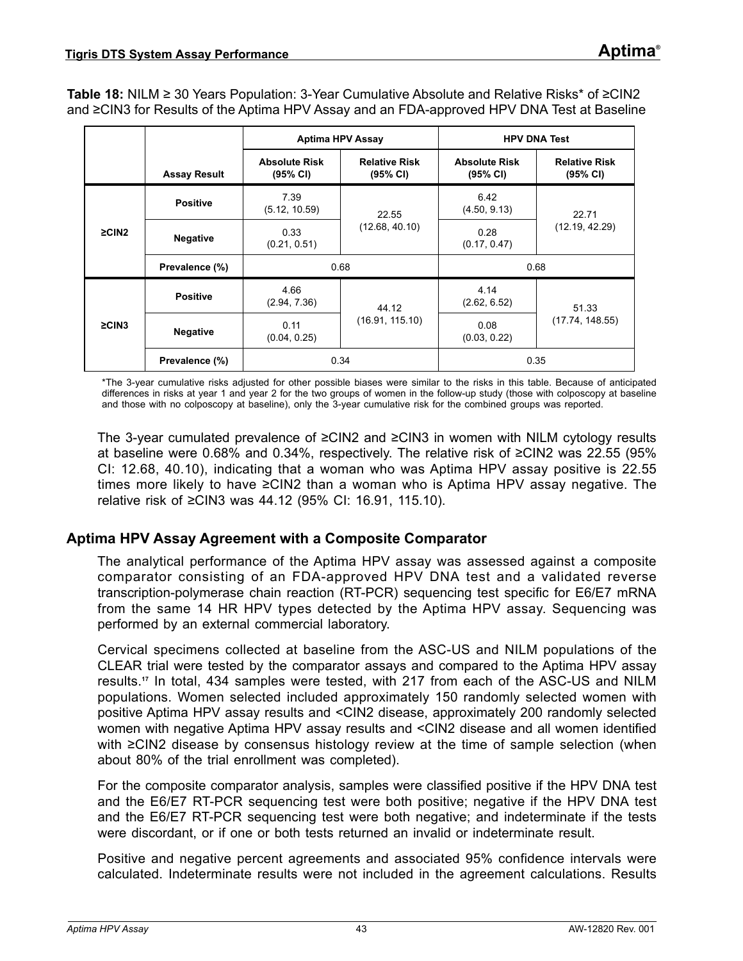<span id="page-42-0"></span>**Table 18:** NILM ≥ 30 Years Population: 3-Year Cumulative Absolute and Relative Risks\* of ≥CIN2 and ≥CIN3 for Results of the Aptima HPV Assay and an FDA-approved HPV DNA Test at Baseline

|                |                     | <b>Aptima HPV Assay</b>          |                                  | <b>HPV DNA Test</b>              |                                  |  |
|----------------|---------------------|----------------------------------|----------------------------------|----------------------------------|----------------------------------|--|
|                | <b>Assay Result</b> | <b>Absolute Risk</b><br>(95% CI) | <b>Relative Risk</b><br>(95% CI) | <b>Absolute Risk</b><br>(95% CI) | <b>Relative Risk</b><br>(95% CI) |  |
|                | <b>Positive</b>     | 7.39<br>(5.12, 10.59)            | 22.55                            | 6.42<br>(4.50, 9.13)             | 22.71                            |  |
| $\geq$ CIN2    | <b>Negative</b>     | 0.33<br>(0.21, 0.51)             | (12.68, 40.10)                   | 0.28<br>(0.17, 0.47)             | (12.19, 42.29)                   |  |
|                | Prevalence (%)      | 0.68                             |                                  | 0.68                             |                                  |  |
|                | <b>Positive</b>     | 4.66<br>(2.94, 7.36)             | 44.12                            | 4.14<br>(2.62, 6.52)             | 51.33                            |  |
| $\geq$ CIN3    | <b>Negative</b>     | 0.11<br>(0.04, 0.25)             | (16.91, 115.10)                  | 0.08<br>(0.03, 0.22)             | (17.74, 148.55)                  |  |
| Prevalence (%) |                     | 0.34                             |                                  | 0.35                             |                                  |  |

\*The 3-year cumulative risks adjusted for other possible biases were similar to the risks in this table. Because of anticipated differences in risks at year 1 and year 2 for the two groups of women in the follow-up study (those with colposcopy at baseline and those with no colposcopy at baseline), only the 3-year cumulative risk for the combined groups was reported.

The 3-year cumulated prevalence of ≥CIN2 and ≥CIN3 in women with NILM cytology results at baseline were 0.68% and 0.34%, respectively. The relative risk of ≥CIN2 was 22.55 (95% CI: 12.68, 40.10), indicating that a woman who was Aptima HPV assay positive is 22.55 times more likely to have ≥CIN2 than a woman who is Aptima HPV assay negative. The relative risk of ≥CIN3 was 44.12 (95% CI: 16.91, 115.10).

### **Aptima HPV Assay Agreement with a Composite Comparator**

The analytical performance of the Aptima HPV assay was assessed against a composite comparator consisting of an FDA-approved HPV DNA test and a validated reverse transcription-polymerase chain reaction (RT-PCR) sequencing test specific for E6/E7 mRNA from the same 14 HR HPV types detected by the Aptima HPV assay. Sequencing was performed by an external commercial laboratory.

Cervical specimens collected at baseline from the ASC-US and NILM populations of the CLEAR trial were tested by the comparator assays and compared to the Aptima HPV assay results.**[17](#page-80-0)** In total, 434 samples were tested, with 217 from each of the ASC-US and NILM populations. Women selected included approximately 150 randomly selected women with positive Aptima HPV assay results and <CIN2 disease, approximately 200 randomly selected women with negative Aptima HPV assay results and <CIN2 disease and all women identified with ≥CIN2 disease by consensus histology review at the time of sample selection (when about 80% of the trial enrollment was completed).

For the composite comparator analysis, samples were classified positive if the HPV DNA test and the E6/E7 RT-PCR sequencing test were both positive; negative if the HPV DNA test and the E6/E7 RT-PCR sequencing test were both negative; and indeterminate if the tests were discordant, or if one or both tests returned an invalid or indeterminate result.

Positive and negative percent agreements and associated 95% confidence intervals were calculated. Indeterminate results were not included in the agreement calculations. Results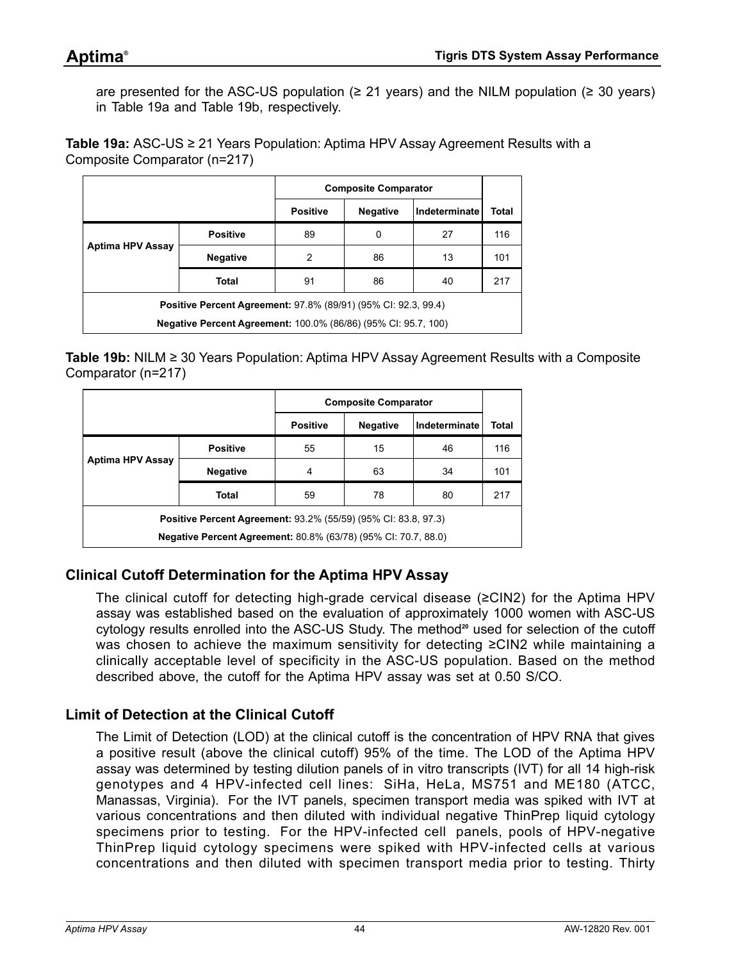are presented for the ASC-US population ( $\geq$  21 years) and the NILM population ( $\geq$  30 years) in [Table 19](#page-43-0)a and [Table 19b](#page-43-1), respectively.

<span id="page-43-0"></span>**Table 19a:** ASC-US ≥ 21 Years Population: Aptima HPV Assay Agreement Results with a Composite Comparator (n=217)

|                                                                       |                 | <b>Composite Comparator</b> |                 |               |       |
|-----------------------------------------------------------------------|-----------------|-----------------------------|-----------------|---------------|-------|
|                                                                       |                 | <b>Positive</b>             | <b>Negative</b> | Indeterminate | Total |
| Aptima HPV Assay                                                      | <b>Positive</b> | 89                          | 0               | 27            | 116   |
|                                                                       | <b>Negative</b> | 2                           | 86              | 13            | 101   |
|                                                                       | Total           | 91                          | 86              | 40            | 217   |
| <b>Positive Percent Agreement: 97.8% (89/91) (95% CI: 92.3, 99.4)</b> |                 |                             |                 |               |       |
| <b>Negative Percent Agreement: 100.0% (86/86) (95% CI: 95.7, 100)</b> |                 |                             |                 |               |       |

<span id="page-43-1"></span>**Table 19b:** NILM ≥ 30 Years Population: Aptima HPV Assay Agreement Results with a Composite Comparator (n=217)

|                                                                       |                 | <b>Composite Comparator</b> |                 |               |       |
|-----------------------------------------------------------------------|-----------------|-----------------------------|-----------------|---------------|-------|
|                                                                       |                 | <b>Positive</b>             | <b>Negative</b> | Indeterminate | Total |
| <b>Aptima HPV Assay</b>                                               | <b>Positive</b> | 55                          | 15              | 46            | 116   |
|                                                                       | <b>Negative</b> | 4                           | 63              | 34            | 101   |
|                                                                       | Total           | 59                          | 78              | 80            | 217   |
| <b>Positive Percent Agreement: 93.2% (55/59) (95% CI: 83.8, 97.3)</b> |                 |                             |                 |               |       |
| <b>Negative Percent Agreement: 80.8% (63/78) (95% CI: 70.7, 88.0)</b> |                 |                             |                 |               |       |

## **Clinical Cutoff Determination for the Aptima HPV Assay**

The clinical cutoff for detecting high-grade cervical disease ( $\geq$ CIN2) for the Aptima HPV assay was established based on the evaluation of approximately 1000 women with ASC-US cytology results enrolled into the ASC-US Study. The method<sup>[20](#page-80-1)</sup> used for selection of the cutoff was chosen to achieve the maximum sensitivity for detecting ≥CIN2 while maintaining a clinically acceptable level of specificity in the ASC-US population. Based on the method described above, the cutoff for the Aptima HPV assay was set at 0.50 S/CO.

## **Limit of Detection at the Clinical Cutoff**

The Limit of Detection (LOD) at the clinical cutoff is the concentration of HPV RNA that gives a positive result (above the clinical cutoff) 95% of the time. The LOD of the Aptima HPV assay was determined by testing dilution panels of in vitro transcripts (IVT) for all 14 high-risk genotypes and 4 HPV-infected cell lines: SiHa, HeLa, MS751 and ME180 (ATCC, Manassas, Virginia). For the IVT panels, specimen transport media was spiked with IVT at various concentrations and then diluted with individual negative ThinPrep liquid cytology specimens prior to testing. For the HPV-infected cell panels, pools of HPV-negative ThinPrep liquid cytology specimens were spiked with HPV-infected cells at various concentrations and then diluted with specimen transport media prior to testing. Thirty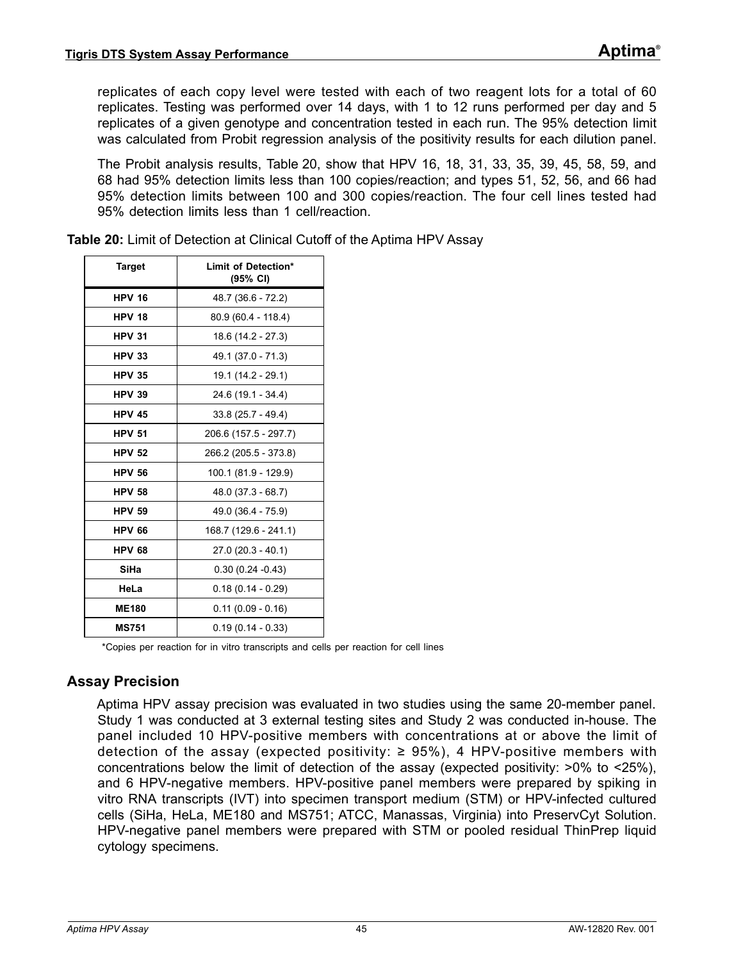replicates of each copy level were tested with each of two reagent lots for a total of 60 replicates. Testing was performed over 14 days, with 1 to 12 runs performed per day and 5 replicates of a given genotype and concentration tested in each run. The 95% detection limit was calculated from Probit regression analysis of the positivity results for each dilution panel.

The Probit analysis results, [Table 20](#page-44-0), show that HPV 16, 18, 31, 33, 35, 39, 45, 58, 59, and 68 had 95% detection limits less than 100 copies/reaction; and types 51, 52, 56, and 66 had 95% detection limits between 100 and 300 copies/reaction. The four cell lines tested had 95% detection limits less than 1 cell/reaction.

| <b>Target</b> | Limit of Detection*<br>(95% CI) |
|---------------|---------------------------------|
| <b>HPV 16</b> | 48.7 (36.6 - 72.2)              |
| <b>HPV 18</b> | 80.9 (60.4 - 118.4)             |
| <b>HPV 31</b> | 18.6 (14.2 - 27.3)              |
| <b>HPV 33</b> | 49.1 (37.0 - 71.3)              |
| <b>HPV 35</b> | 19.1 (14.2 - 29.1)              |
| <b>HPV 39</b> | 24.6 (19.1 - 34.4)              |
| <b>HPV 45</b> | $33.8(25.7 - 49.4)$             |
| <b>HPV 51</b> | 206.6 (157.5 - 297.7)           |
| <b>HPV 52</b> | 266.2 (205.5 - 373.8)           |
| <b>HPV 56</b> | 100.1 (81.9 - 129.9)            |
| <b>HPV 58</b> | $48.0(37.3 - 68.7)$             |
| <b>HPV 59</b> | 49.0 (36.4 - 75.9)              |
| <b>HPV 66</b> | 168.7 (129.6 - 241.1)           |
| <b>HPV 68</b> | $27.0(20.3 - 40.1)$             |
| SiHa          | $0.30(0.24 - 0.43)$             |
| HeLa          | $0.18(0.14 - 0.29)$             |
| <b>ME180</b>  | $0.11(0.09 - 0.16)$             |
| <b>MS751</b>  | $0.19(0.14 - 0.33)$             |

<span id="page-44-0"></span>**Table 20:** Limit of Detection at Clinical Cutoff of the Aptima HPV Assay

\*Copies per reaction for in vitro transcripts and cells per reaction for cell lines

### **Assay Precision**

Aptima HPV assay precision was evaluated in two studies using the same 20-member panel. Study 1 was conducted at 3 external testing sites and Study 2 was conducted in-house. The panel included 10 HPV-positive members with concentrations at or above the limit of detection of the assay (expected positivity:  $\geq$  95%), 4 HPV-positive members with concentrations below the limit of detection of the assay (expected positivity: >0% to <25%), and 6 HPV-negative members. HPV-positive panel members were prepared by spiking in vitro RNA transcripts (IVT) into specimen transport medium (STM) or HPV-infected cultured cells (SiHa, HeLa, ME180 and MS751; ATCC, Manassas, Virginia) into PreservCyt Solution. HPV-negative panel members were prepared with STM or pooled residual ThinPrep liquid cytology specimens.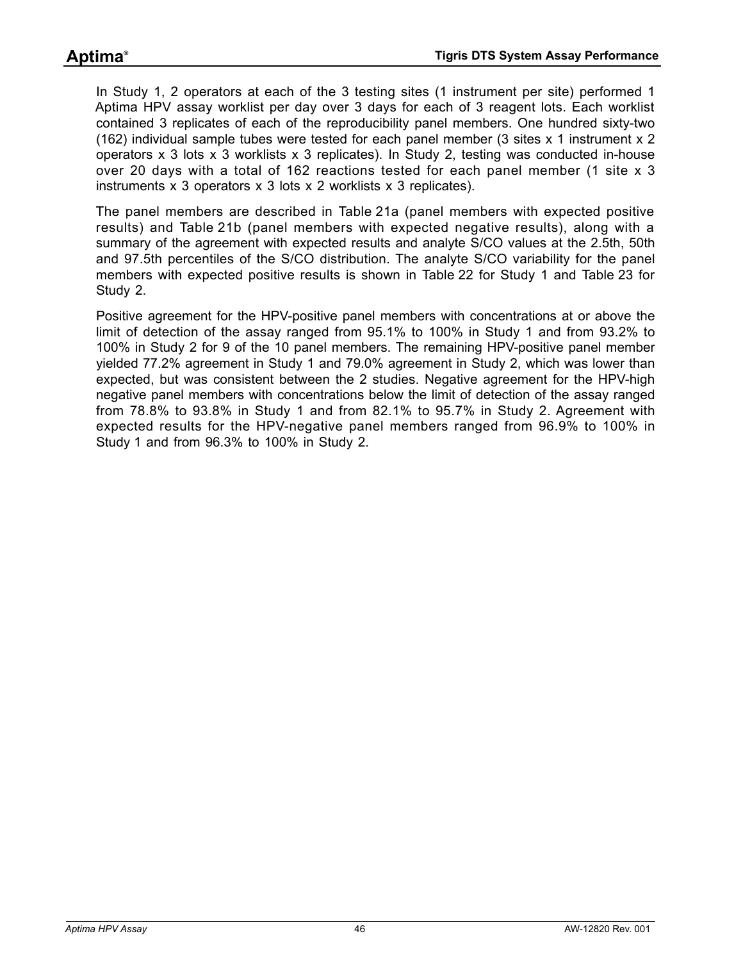In Study 1, 2 operators at each of the 3 testing sites (1 instrument per site) performed 1 Aptima HPV assay worklist per day over 3 days for each of 3 reagent lots. Each worklist contained 3 replicates of each of the reproducibility panel members. One hundred sixty-two (162) individual sample tubes were tested for each panel member (3 sites x 1 instrument x 2 operators x 3 lots x 3 worklists x 3 replicates). In Study 2, testing was conducted in-house over 20 days with a total of 162 reactions tested for each panel member (1 site x 3 instruments x 3 operators x 3 lots x 2 worklists x 3 replicates).

The panel members are described in [Table 21a](#page-46-0) (panel members with expected positive results) and [Table 21b](#page-47-0) (panel members with expected negative results), along with a summary of the agreement with expected results and analyte S/CO values at the 2.5th, 50th and 97.5th percentiles of the S/CO distribution. The analyte S/CO variability for the panel members with expected positive results is shown in [Table 22](#page-48-0) for Study 1 and [Table 23](#page-49-0) for Study 2.

Positive agreement for the HPV-positive panel members with concentrations at or above the limit of detection of the assay ranged from 95.1% to 100% in Study 1 and from 93.2% to 100% in Study 2 for 9 of the 10 panel members. The remaining HPV-positive panel member yielded 77.2% agreement in Study 1 and 79.0% agreement in Study 2, which was lower than expected, but was consistent between the 2 studies. Negative agreement for the HPV-high negative panel members with concentrations below the limit of detection of the assay ranged from 78.8% to 93.8% in Study 1 and from 82.1% to 95.7% in Study 2. Agreement with expected results for the HPV-negative panel members ranged from 96.9% to 100% in Study 1 and from 96.3% to 100% in Study 2.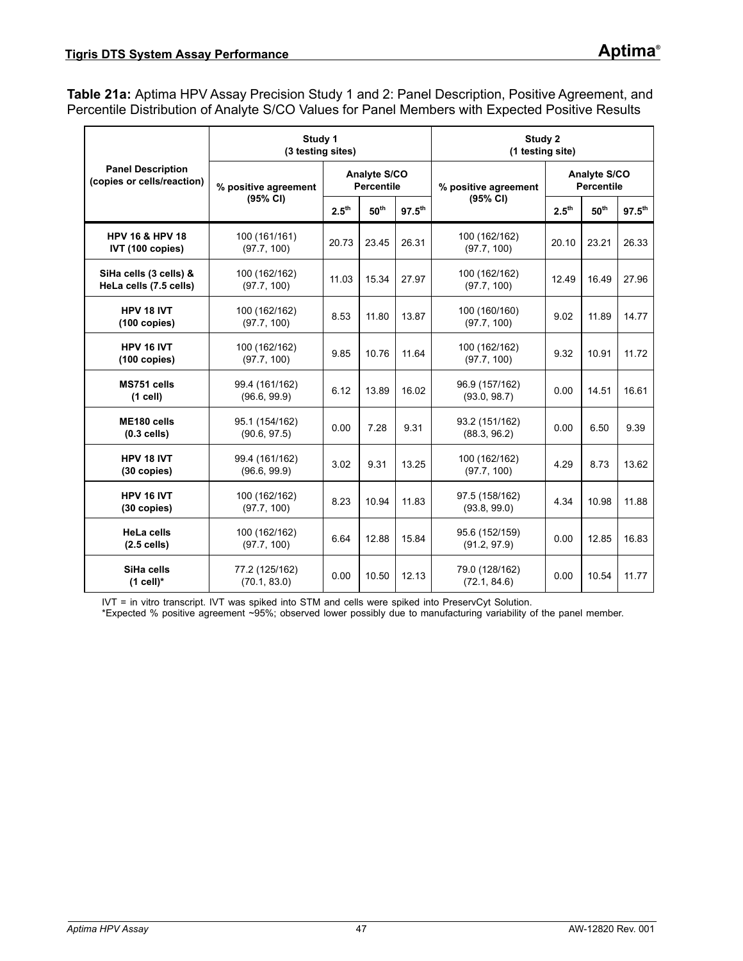<span id="page-46-0"></span>**Table 21a:** Aptima HPV Assay Precision Study 1 and 2: Panel Description, Positive Agreement, and Percentile Distribution of Analyte S/CO Values for Panel Members with Expected Positive Results

|                                                        | Study 1<br>(3 testing sites)   |                   |                                        |       | Study 2<br>(1 testing site)    |                                   |                     |             |  |  |
|--------------------------------------------------------|--------------------------------|-------------------|----------------------------------------|-------|--------------------------------|-----------------------------------|---------------------|-------------|--|--|
| <b>Panel Description</b><br>(copies or cells/reaction) | % positive agreement           |                   | Analyte S/CO<br><b>Percentile</b>      |       | % positive agreement           | Analyte S/CO<br><b>Percentile</b> |                     |             |  |  |
|                                                        | (95% CI)                       | 2.5 <sup>th</sup> | 50 <sup>th</sup><br>$97.5^{\text{th}}$ |       | (95% CI)                       | $2.5^{\text{th}}$                 | ${\bf 50}^{\rm th}$ | $97.5^{th}$ |  |  |
| <b>HPV 16 &amp; HPV 18</b><br>IVT (100 copies)         | 100 (161/161)<br>(97.7, 100)   | 20.73             | 23.45                                  | 26.31 | 100 (162/162)<br>(97.7, 100)   | 20.10                             | 23.21               | 26.33       |  |  |
| SiHa cells (3 cells) &<br>HeLa cells (7.5 cells)       | 100 (162/162)<br>(97.7, 100)   | 11.03             | 15.34                                  | 27.97 | 100 (162/162)<br>(97.7, 100)   | 12.49                             | 16.49               | 27.96       |  |  |
| HPV 18 IVT<br>$(100$ copies)                           | 100 (162/162)<br>(97.7, 100)   | 8.53              | 11.80                                  | 13.87 | 100 (160/160)<br>(97.7, 100)   | 9.02                              | 11.89               | 14.77       |  |  |
| HPV 16 IVT<br>$(100 \text{ copies})$                   | 100 (162/162)<br>(97.7, 100)   | 9.85              | 10.76                                  | 11.64 | 100 (162/162)<br>(97.7, 100)   | 9.32                              | 10.91               | 11.72       |  |  |
| MS751 cells<br>$(1$ cell)                              | 99.4 (161/162)<br>(96.6, 99.9) | 6.12              | 13.89                                  | 16.02 | 96.9 (157/162)<br>(93.0, 98.7) | 0.00                              | 14.51               | 16.61       |  |  |
| ME180 cells<br>$(0.3$ cells)                           | 95.1 (154/162)<br>(90.6, 97.5) | 0.00              | 7.28                                   | 9.31  | 93.2 (151/162)<br>(88.3, 96.2) | 0.00                              | 6.50                | 9.39        |  |  |
| HPV 18 IVT<br>(30 copies)                              | 99.4 (161/162)<br>(96.6, 99.9) | 3.02              | 9.31                                   | 13.25 | 100 (162/162)<br>(97.7, 100)   | 4.29                              | 8.73                | 13.62       |  |  |
| HPV 16 IVT<br>(30 copies)                              | 100 (162/162)<br>(97.7, 100)   | 8.23              | 10.94                                  | 11.83 | 97.5 (158/162)<br>(93.8, 99.0) | 4.34                              | 10.98               | 11.88       |  |  |
| <b>HeLa cells</b><br>$(2.5$ cells)                     | 100 (162/162)<br>(97.7, 100)   | 6.64              | 12.88                                  | 15.84 | 95.6 (152/159)<br>(91.2, 97.9) | 0.00                              | 12.85               | 16.83       |  |  |
| SiHa cells<br>$(1$ cell)*                              | 77.2 (125/162)<br>(70.1, 83.0) | 0.00              | 10.50                                  | 12.13 | 79.0 (128/162)<br>(72.1, 84.6) | 0.00                              | 10.54               | 11.77       |  |  |

IVT = in vitro transcript. IVT was spiked into STM and cells were spiked into PreservCyt Solution.

\*Expected % positive agreement ~95%; observed lower possibly due to manufacturing variability of the panel member.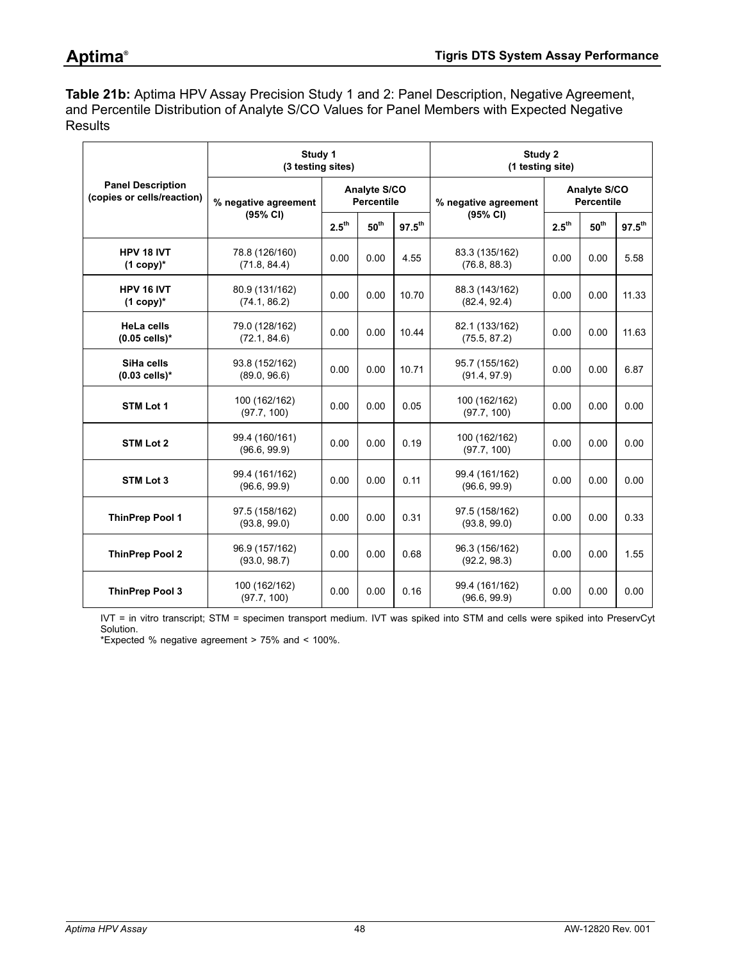<span id="page-47-0"></span>**Table 21b:** Aptima HPV Assay Precision Study 1 and 2: Panel Description, Negative Agreement, and Percentile Distribution of Analyte S/CO Values for Panel Members with Expected Negative **Results** 

|                                                        | Study 1<br>(3 testing sites)   |                                                      |                                   | Study 2<br>(1 testing site) |                                |                                          |                  |             |
|--------------------------------------------------------|--------------------------------|------------------------------------------------------|-----------------------------------|-----------------------------|--------------------------------|------------------------------------------|------------------|-------------|
| <b>Panel Description</b><br>(copies or cells/reaction) | % negative agreement           |                                                      | Analyte S/CO<br><b>Percentile</b> |                             | % negative agreement           | <b>Analyte S/CO</b><br><b>Percentile</b> |                  |             |
|                                                        | (95% CI)                       | 2.5 <sup>th</sup><br>50 <sup>th</sup><br>$97.5^{th}$ |                                   |                             | (95% CI)                       | 2.5 <sup>th</sup>                        | 50 <sup>th</sup> | $97.5^{th}$ |
| HPV 18 IVT<br>$(1$ copy)*                              | 78.8 (126/160)<br>(71.8, 84.4) | 0.00                                                 | 0.00                              | 4.55                        | 83.3 (135/162)<br>(76.8, 88.3) | 0.00                                     | 0.00             | 5.58        |
| HPV 16 IVT<br>$(1$ copy)*                              | 80.9 (131/162)<br>(74.1, 86.2) | 0.00                                                 | 0.00                              | 10.70                       | 88.3 (143/162)<br>(82.4, 92.4) | 0.00                                     | 0.00             | 11.33       |
| <b>HeLa cells</b><br>$(0.05$ cells)*                   | 79.0 (128/162)<br>(72.1, 84.6) | 0.00                                                 | 0.00                              | 10.44                       | 82.1 (133/162)<br>(75.5, 87.2) | 0.00                                     | 0.00             | 11.63       |
| SiHa cells<br>$(0.03$ cells)*                          | 93.8 (152/162)<br>(89.0, 96.6) | 0.00                                                 | 0.00                              | 10.71                       | 95.7 (155/162)<br>(91.4, 97.9) | 0.00                                     | 0.00             | 6.87        |
| STM Lot 1                                              | 100 (162/162)<br>(97.7, 100)   | 0.00                                                 | 0.00                              | 0.05                        | 100 (162/162)<br>(97.7, 100)   | 0.00                                     | 0.00             | 0.00        |
| STM Lot 2                                              | 99.4 (160/161)<br>(96.6, 99.9) | 0.00                                                 | 0.00                              | 0.19                        | 100 (162/162)<br>(97.7, 100)   | 0.00                                     | 0.00             | 0.00        |
| <b>STM Lot 3</b>                                       | 99.4 (161/162)<br>(96.6, 99.9) | 0.00                                                 | 0.00                              | 0.11                        | 99.4 (161/162)<br>(96.6, 99.9) | 0.00                                     | 0.00             | 0.00        |
| <b>ThinPrep Pool 1</b>                                 | 97.5 (158/162)<br>(93.8, 99.0) | 0.00                                                 | 0.00                              | 0.31                        | 97.5 (158/162)<br>(93.8, 99.0) | 0.00                                     | 0.00             | 0.33        |
| <b>ThinPrep Pool 2</b>                                 | 96.9 (157/162)<br>(93.0, 98.7) | 0.00                                                 | 0.00                              | 0.68                        | 96.3 (156/162)<br>(92.2, 98.3) | 0.00                                     | 0.00             | 1.55        |
| <b>ThinPrep Pool 3</b>                                 | 100 (162/162)<br>(97.7, 100)   | 0.00                                                 | 0.00                              | 0.16                        | 99.4 (161/162)<br>(96.6, 99.9) | 0.00                                     | 0.00             | 0.00        |

IVT = in vitro transcript; STM = specimen transport medium. IVT was spiked into STM and cells were spiked into PreservCyt Solution.

\*Expected % negative agreement > 75% and < 100%.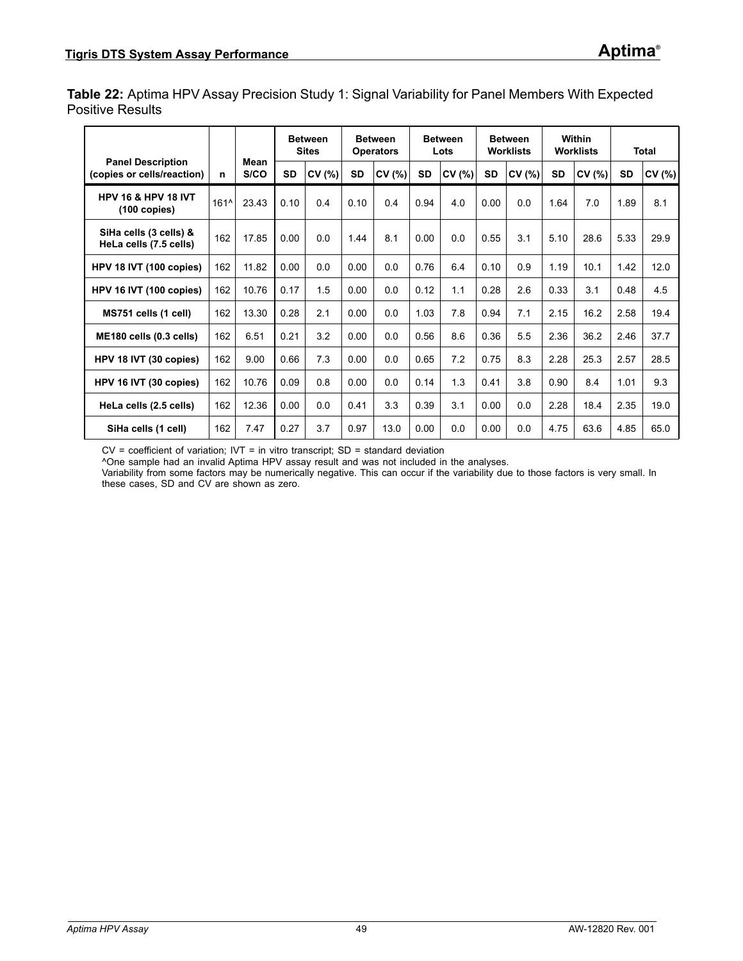<span id="page-48-0"></span>**Table 22:** Aptima HPV Assay Precision Study 1: Signal Variability for Panel Members With Expected Positive Results

|                                                          |      |              |           | <b>Between</b><br><b>Sites</b> |           | <b>Between</b><br><b>Operators</b> |           | <b>Between</b><br>Lots |           | <b>Between</b><br><b>Worklists</b> |           | Within<br><b>Worklists</b> |           | <b>Total</b> |
|----------------------------------------------------------|------|--------------|-----------|--------------------------------|-----------|------------------------------------|-----------|------------------------|-----------|------------------------------------|-----------|----------------------------|-----------|--------------|
| <b>Panel Description</b><br>(copies or cells/reaction)   | n    | Mean<br>S/CO | <b>SD</b> | CV(%)                          | <b>SD</b> | CV(%)                              | <b>SD</b> | CV (%)                 | <b>SD</b> | CV(%)                              | <b>SD</b> | CV(%)                      | <b>SD</b> | CV (%)       |
| <b>HPV 16 &amp; HPV 18 IVT</b><br>$(100 \text{ copies})$ | 161^ | 23.43        | 0.10      | 0.4                            | 0.10      | 0.4                                | 0.94      | 4.0                    | 0.00      | 0.0                                | 1.64      | 7.0                        | 1.89      | 8.1          |
| SiHa cells (3 cells) &<br>HeLa cells (7.5 cells)         | 162  | 17.85        | 0.00      | 0.0                            | 1.44      | 8.1                                | 0.00      | 0.0                    | 0.55      | 3.1                                | 5.10      | 28.6                       | 5.33      | 29.9         |
| HPV 18 IVT (100 copies)                                  | 162  | 11.82        | 0.00      | 0.0                            | 0.00      | 0.0                                | 0.76      | 6.4                    | 0.10      | 0.9                                | 1.19      | 10.1                       | 1.42      | 12.0         |
| HPV 16 IVT (100 copies)                                  | 162  | 10.76        | 0.17      | 1.5                            | 0.00      | 0.0                                | 0.12      | 1.1                    | 0.28      | 2.6                                | 0.33      | 3.1                        | 0.48      | 4.5          |
| MS751 cells (1 cell)                                     | 162  | 13.30        | 0.28      | 2.1                            | 0.00      | 0.0                                | 1.03      | 7.8                    | 0.94      | 7.1                                | 2.15      | 16.2                       | 2.58      | 19.4         |
| ME180 cells (0.3 cells)                                  | 162  | 6.51         | 0.21      | 3.2                            | 0.00      | 0.0                                | 0.56      | 8.6                    | 0.36      | 5.5                                | 2.36      | 36.2                       | 2.46      | 37.7         |
| HPV 18 IVT (30 copies)                                   | 162  | 9.00         | 0.66      | 7.3                            | 0.00      | 0.0                                | 0.65      | 7.2                    | 0.75      | 8.3                                | 2.28      | 25.3                       | 2.57      | 28.5         |
| HPV 16 IVT (30 copies)                                   | 162  | 10.76        | 0.09      | 0.8                            | 0.00      | 0.0                                | 0.14      | 1.3                    | 0.41      | 3.8                                | 0.90      | 8.4                        | 1.01      | 9.3          |
| HeLa cells (2.5 cells)                                   | 162  | 12.36        | 0.00      | 0.0                            | 0.41      | 3.3                                | 0.39      | 3.1                    | 0.00      | 0.0                                | 2.28      | 18.4                       | 2.35      | 19.0         |
| SiHa cells (1 cell)                                      | 162  | 7.47         | 0.27      | 3.7                            | 0.97      | 13.0                               | 0.00      | 0.0                    | 0.00      | 0.0                                | 4.75      | 63.6                       | 4.85      | 65.0         |

 $CV = coefficient of variation$ ;  $IV = in vitro transcript$ ;  $SD = standard deviation$ 

^One sample had an invalid Aptima HPV assay result and was not included in the analyses.

Variability from some factors may be numerically negative. This can occur if the variability due to those factors is very small. In these cases, SD and CV are shown as zero.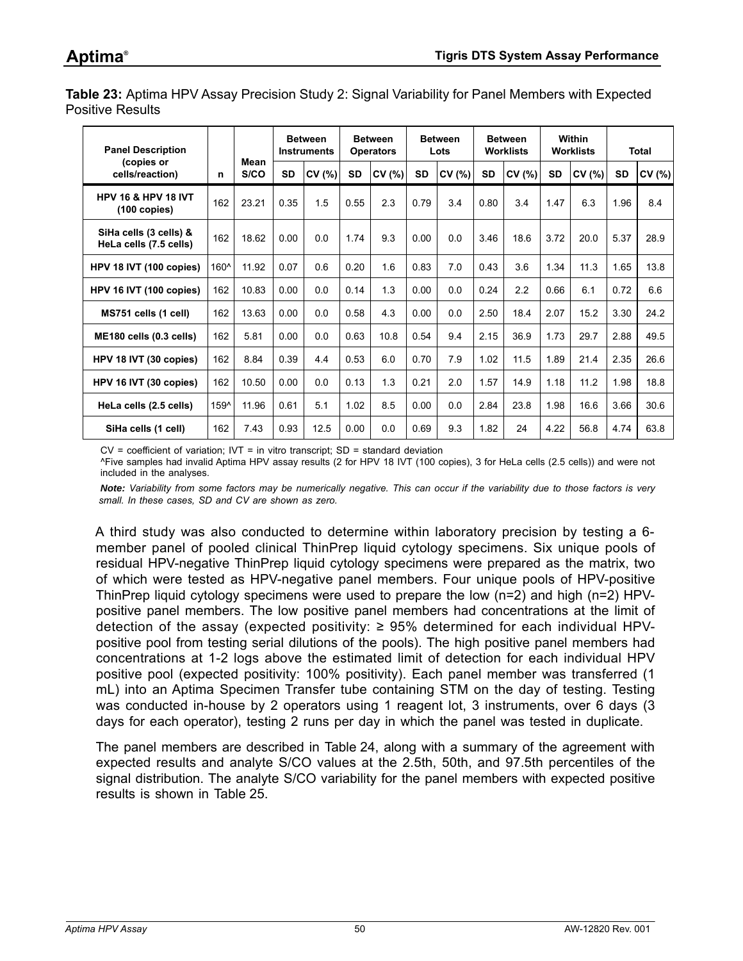<span id="page-49-0"></span>**Table 23:** Aptima HPV Assay Precision Study 2: Signal Variability for Panel Members with Expected Positive Results

| <b>Panel Description</b>                                 |      |              |           | <b>Between</b><br><b>Instruments</b> |           | <b>Between</b><br><b>Operators</b> |           | <b>Between</b><br>Lots |      | <b>Between</b><br><b>Worklists</b> |           | Within<br><b>Worklists</b> |           | <b>Total</b> |
|----------------------------------------------------------|------|--------------|-----------|--------------------------------------|-----------|------------------------------------|-----------|------------------------|------|------------------------------------|-----------|----------------------------|-----------|--------------|
| (copies or<br>cells/reaction)                            | n    | Mean<br>S/CO | <b>SD</b> | CV (%)                               | <b>SD</b> | CV(%)                              | <b>SD</b> | CV (%)                 | SD   | CV (%)                             | <b>SD</b> | CV(%)                      | <b>SD</b> | CV (%)       |
| <b>HPV 16 &amp; HPV 18 IVT</b><br>$(100 \text{ copies})$ | 162  | 23.21        | 0.35      | 1.5                                  | 0.55      | 2.3                                | 0.79      | 3.4                    | 0.80 | 3.4                                | 1.47      | 6.3                        | 1.96      | 8.4          |
| SiHa cells (3 cells) &<br>HeLa cells (7.5 cells)         | 162  | 18.62        | 0.00      | 0.0                                  | 1.74      | 9.3                                | 0.00      | 0.0                    | 3.46 | 18.6                               | 3.72      | 20.0                       | 5.37      | 28.9         |
| HPV 18 IVT (100 copies)                                  | 160^ | 11.92        | 0.07      | 0.6                                  | 0.20      | 1.6                                | 0.83      | 7.0                    | 0.43 | 3.6                                | 1.34      | 11.3                       | 1.65      | 13.8         |
| HPV 16 IVT (100 copies)                                  | 162  | 10.83        | 0.00      | 0.0                                  | 0.14      | 1.3                                | 0.00      | 0.0                    | 0.24 | 2.2                                | 0.66      | 6.1                        | 0.72      | 6.6          |
| MS751 cells (1 cell)                                     | 162  | 13.63        | 0.00      | 0.0                                  | 0.58      | 4.3                                | 0.00      | 0.0                    | 2.50 | 18.4                               | 2.07      | 15.2                       | 3.30      | 24.2         |
| ME180 cells (0.3 cells)                                  | 162  | 5.81         | 0.00      | 0.0                                  | 0.63      | 10.8                               | 0.54      | 9.4                    | 2.15 | 36.9                               | 1.73      | 29.7                       | 2.88      | 49.5         |
| HPV 18 IVT (30 copies)                                   | 162  | 8.84         | 0.39      | 4.4                                  | 0.53      | 6.0                                | 0.70      | 7.9                    | 1.02 | 11.5                               | 1.89      | 21.4                       | 2.35      | 26.6         |
| HPV 16 IVT (30 copies)                                   | 162  | 10.50        | 0.00      | 0.0                                  | 0.13      | 1.3                                | 0.21      | 2.0                    | 1.57 | 14.9                               | 1.18      | 11.2                       | 1.98      | 18.8         |
| HeLa cells (2.5 cells)                                   | 159^ | 11.96        | 0.61      | 5.1                                  | 1.02      | 8.5                                | 0.00      | 0.0                    | 2.84 | 23.8                               | 1.98      | 16.6                       | 3.66      | 30.6         |
| SiHa cells (1 cell)                                      | 162  | 7.43         | 0.93      | 12.5                                 | 0.00      | 0.0                                | 0.69      | 9.3                    | 1.82 | 24                                 | 4.22      | 56.8                       | 4.74      | 63.8         |

 $CV = coefficient of variation$ ;  $IV = in vitro transcript$ ;  $SD = standard deviation$ 

^Five samples had invalid Aptima HPV assay results (2 for HPV 18 IVT (100 copies), 3 for HeLa cells (2.5 cells)) and were not included in the analyses.

*Note: Variability from some factors may be numerically negative. This can occur if the variability due to those factors is very small. In these cases, SD and CV are shown as zero.*

A third study was also conducted to determine within laboratory precision by testing a 6 member panel of pooled clinical ThinPrep liquid cytology specimens. Six unique pools of residual HPV-negative ThinPrep liquid cytology specimens were prepared as the matrix, two of which were tested as HPV-negative panel members. Four unique pools of HPV-positive ThinPrep liquid cytology specimens were used to prepare the low (n=2) and high (n=2) HPVpositive panel members. The low positive panel members had concentrations at the limit of detection of the assay (expected positivity:  $\geq$  95% determined for each individual HPVpositive pool from testing serial dilutions of the pools). The high positive panel members had concentrations at 1-2 logs above the estimated limit of detection for each individual HPV positive pool (expected positivity: 100% positivity). Each panel member was transferred (1 mL) into an Aptima Specimen Transfer tube containing STM on the day of testing. Testing was conducted in-house by 2 operators using 1 reagent lot, 3 instruments, over 6 days (3 days for each operator), testing 2 runs per day in which the panel was tested in duplicate.

The panel members are described in [Table 24](#page-50-0), along with a summary of the agreement with expected results and analyte S/CO values at the 2.5th, 50th, and 97.5th percentiles of the signal distribution. The analyte S/CO variability for the panel members with expected positive results is shown in [Table 25.](#page-50-1)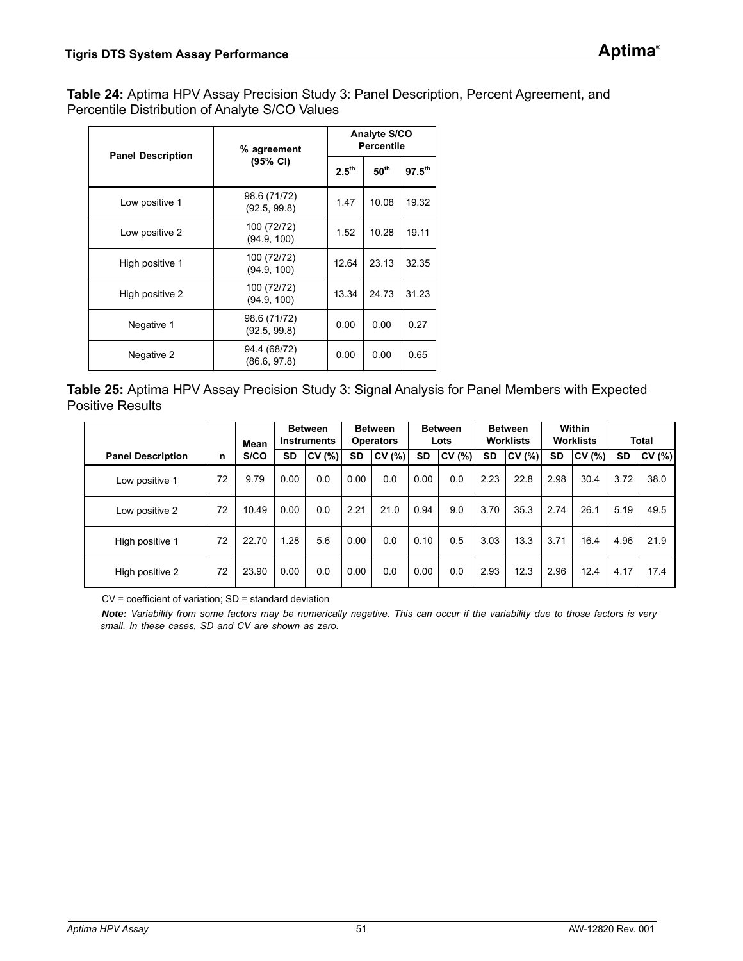<span id="page-50-0"></span>**Table 24:** Aptima HPV Assay Precision Study 3: Panel Description, Percent Agreement, and Percentile Distribution of Analyte S/CO Values

| <b>Panel Description</b> | % agreement                  | Analyte S/CO<br><b>Percentile</b> |                  |                    |  |  |
|--------------------------|------------------------------|-----------------------------------|------------------|--------------------|--|--|
|                          | (95% CI)                     | 2.5 <sup>th</sup>                 | $50^{\text{th}}$ | 97.5 <sup>th</sup> |  |  |
| Low positive 1           | 98.6 (71/72)<br>(92.5, 99.8) | 1.47                              | 10.08            | 19.32              |  |  |
| Low positive 2           | 100 (72/72)<br>(94.9, 100)   | 1.52                              | 10.28            | 19.11              |  |  |
| High positive 1          | 100 (72/72)<br>(94.9, 100)   | 12.64                             | 23.13            | 32.35              |  |  |
| High positive 2          | 100 (72/72)<br>(94.9, 100)   | 13.34                             | 24.73            | 31.23              |  |  |
| Negative 1               | 98.6 (71/72)<br>(92.5, 99.8) | 0.00                              | 0.00             | 0.27               |  |  |
| Negative 2               | 94.4 (68/72)<br>(86.6, 97.8) | 0.00                              | 0.00             | 0.65               |  |  |

<span id="page-50-1"></span>

| Table 25: Aptima HPV Assay Precision Study 3: Signal Analysis for Panel Members with Expected |  |  |  |
|-----------------------------------------------------------------------------------------------|--|--|--|
| <b>Positive Results</b>                                                                       |  |  |  |

|                          |    | Mean  |           | <b>Between</b><br><b>Instruments</b> |           | <b>Between</b><br><b>Operators</b> |           | <b>Between</b><br>Lots |           | <b>Between</b><br><b>Worklists</b> |           | Within<br><b>Worklists</b> |           | <b>Total</b> |
|--------------------------|----|-------|-----------|--------------------------------------|-----------|------------------------------------|-----------|------------------------|-----------|------------------------------------|-----------|----------------------------|-----------|--------------|
| <b>Panel Description</b> | n  | S/CO  | <b>SD</b> | CV(%)                                | <b>SD</b> | CV(%)                              | <b>SD</b> | CV (%)                 | <b>SD</b> | CV(%)                              | <b>SD</b> | CV(%)                      | <b>SD</b> | CV(%)        |
| Low positive 1           | 72 | 9.79  | 0.00      | 0.0                                  | 0.00      | 0.0                                | 0.00      | 0.0                    | 2.23      | 22.8                               | 2.98      | 30.4                       | 3.72      | 38.0         |
| Low positive 2           | 72 | 10.49 | 0.00      | 0.0                                  | 2.21      | 21.0                               | 0.94      | 9.0                    | 3.70      | 35.3                               | 2.74      | 26.1                       | 5.19      | 49.5         |
| High positive 1          | 72 | 22.70 | .28       | 5.6                                  | 0.00      | 0.0                                | 0.10      | 0.5                    | 3.03      | 13.3                               | 3.71      | 16.4                       | 4.96      | 21.9         |
| High positive 2          | 72 | 23.90 | 0.00      | 0.0                                  | 0.00      | 0.0                                | 0.00      | 0.0                    | 2.93      | 12.3                               | 2.96      | 12.4                       | 4.17      | 17.4         |

CV = coefficient of variation; SD = standard deviation

*Note: Variability from some factors may be numerically negative. This can occur if the variability due to those factors is very small. In these cases, SD and CV are shown as zero.*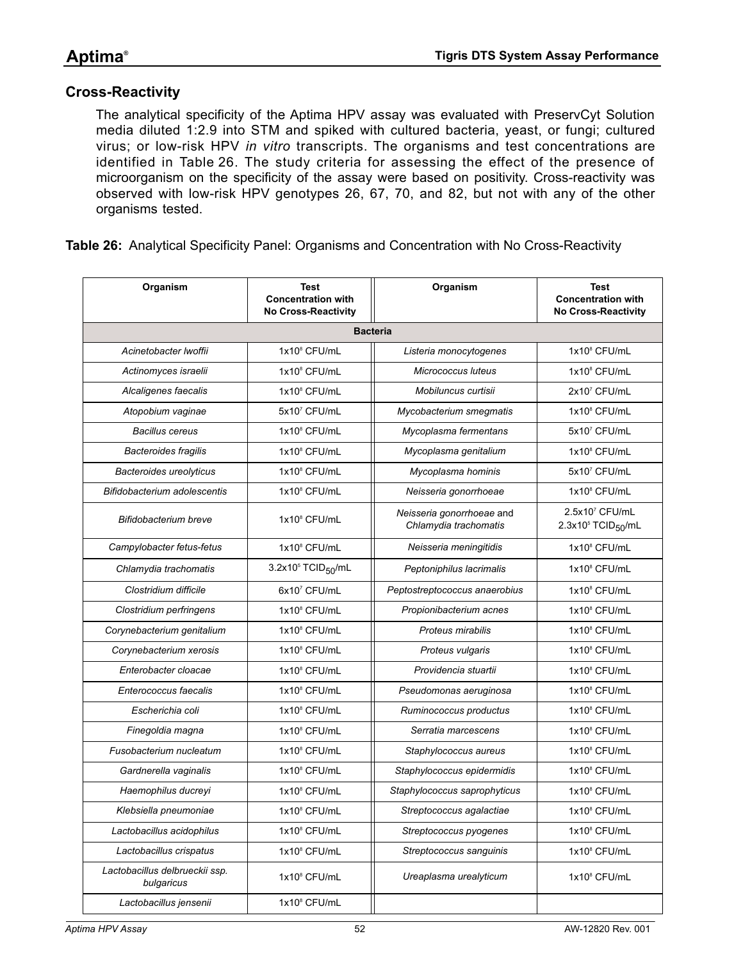### **Cross-Reactivity**

The analytical specificity of the Aptima HPV assay was evaluated with PreservCyt Solution media diluted 1:2.9 into STM and spiked with cultured bacteria, yeast, or fungi; cultured virus; or low-risk HPV *in vitro* transcripts. The organisms and test concentrations are identified in [Table 26](#page-51-0). The study criteria for assessing the effect of the presence of microorganism on the specificity of the assay were based on positivity. Cross-reactivity was observed with low-risk HPV genotypes 26, 67, 70, and 82, but not with any of the other organisms tested.

<span id="page-51-0"></span>**Table 26:** Analytical Specificity Panel: Organisms and Concentration with No Cross-Reactivity

| Organism                                     | <b>Test</b><br><b>Concentration with</b><br><b>No Cross-Reactivity</b> | Organism                                           | Test<br><b>Concentration with</b><br>No Cross-Reactivity     |
|----------------------------------------------|------------------------------------------------------------------------|----------------------------------------------------|--------------------------------------------------------------|
|                                              |                                                                        | <b>Bacteria</b>                                    |                                                              |
| Acinetobacter Iwoffii                        | 1x10 <sup>8</sup> CFU/mL                                               | Listeria monocytogenes                             | 1x10 <sup>8</sup> CFU/mL                                     |
| Actinomyces israelii                         | $1x10^8$ CFU/mL                                                        | Micrococcus luteus                                 | 1x10 <sup>8</sup> CFU/mL                                     |
| Alcaligenes faecalis                         | 1x10 <sup>8</sup> CFU/mL                                               | Mobiluncus curtisii                                | 2x107 CFU/mL                                                 |
| Atopobium vaginae                            | 5x107 CFU/mL                                                           | Mycobacterium smegmatis                            | 1x10 <sup>8</sup> CFU/mL                                     |
| <b>Bacillus cereus</b>                       | 1x10 <sup>8</sup> CFU/mL                                               | Mycoplasma fermentans                              | 5x107 CFU/mL                                                 |
| <b>Bacteroides fragilis</b>                  | $1x10^8$ CFU/mL                                                        | Mycoplasma genitalium                              | 1x10 <sup>8</sup> CFU/mL                                     |
| <b>Bacteroides ureolyticus</b>               | 1x10 <sup>8</sup> CFU/mL                                               | Mycoplasma hominis                                 | 5x107 CFU/mL                                                 |
| Bifidobacterium adolescentis                 | 1x10 <sup>8</sup> CFU/mL                                               | Neisseria gonorrhoeae                              | 1x10 <sup>8</sup> CFU/mL                                     |
| Bifidobacterium breve                        | 1x10 <sup>8</sup> CFU/mL                                               | Neisseria gonorrhoeae and<br>Chlamydia trachomatis | 2.5x107 CFU/mL<br>2.3x10 <sup>5</sup> TCID <sub>50</sub> /mL |
| Campylobacter fetus-fetus                    | 1x10 <sup>8</sup> CFU/mL                                               | Neisseria meningitidis                             | 1x10 <sup>8</sup> CFU/mL                                     |
| Chlamydia trachomatis                        | 3.2x10 <sup>5</sup> TCID <sub>50</sub> /mL                             | Peptoniphilus lacrimalis                           | 1x10 <sup>8</sup> CFU/mL                                     |
| Clostridium difficile                        | 6x107 CFU/mL                                                           | Peptostreptococcus anaerobius                      | 1x10 <sup>8</sup> CFU/mL                                     |
| Clostridium perfringens                      | 1x10 <sup>8</sup> CFU/mL                                               | Propionibacterium acnes                            | 1x10 <sup>8</sup> CFU/mL                                     |
| Corynebacterium genitalium                   | 1x10 <sup>8</sup> CFU/mL                                               | Proteus mirabilis                                  | 1x10 <sup>8</sup> CFU/mL                                     |
| Corynebacterium xerosis                      | 1x10 <sup>8</sup> CFU/mL                                               | Proteus vulgaris                                   | 1x10 <sup>8</sup> CFU/mL                                     |
| Enterobacter cloacae                         | 1x10 <sup>8</sup> CFU/mL                                               | Providencia stuartii                               | 1x10 <sup>8</sup> CFU/mL                                     |
| Enterococcus faecalis                        | $1x10^8$ CFU/mL                                                        | Pseudomonas aeruginosa                             | 1x10 <sup>8</sup> CFU/mL                                     |
| Escherichia coli                             | 1x10 <sup>8</sup> CFU/mL                                               | Ruminococcus productus                             | 1x10 <sup>8</sup> CFU/mL                                     |
| Finegoldia magna                             | 1x10 <sup>8</sup> CFU/mL                                               | Serratia marcescens                                | 1x10 <sup>8</sup> CFU/mL                                     |
| Fusobacterium nucleatum                      | 1x10 <sup>8</sup> CFU/mL                                               | Staphylococcus aureus                              | 1x10 <sup>8</sup> CFU/mL                                     |
| Gardnerella vaginalis                        | 1x10 <sup>8</sup> CFU/mL                                               | Staphylococcus epidermidis                         | 1x10 <sup>8</sup> CFU/mL                                     |
| Haemophilus ducreyi                          | 1x10 <sup>8</sup> CFU/mL                                               | Staphylococcus saprophyticus                       | 1x10 <sup>8</sup> CFU/mL                                     |
| Klebsiella pneumoniae                        | 1x10 <sup>8</sup> CFU/mL                                               | Streptococcus agalactiae                           | 1x10 <sup>8</sup> CFU/mL                                     |
| Lactobacillus acidophilus                    | 1x10 <sup>8</sup> CFU/mL                                               | Streptococcus pyogenes                             | 1x10 <sup>8</sup> CFU/mL                                     |
| Lactobacillus crispatus                      | 1x10 <sup>8</sup> CFU/mL                                               | Streptococcus sanguinis                            | 1x10 <sup>8</sup> CFU/mL                                     |
| Lactobacillus delbrueckii ssp.<br>bulgaricus | 1x10 <sup>8</sup> CFU/mL                                               | Ureaplasma urealyticum                             | 1x10 <sup>8</sup> CFU/mL                                     |
| Lactobacillus jensenii                       | 1x10 <sup>8</sup> CFU/mL                                               |                                                    |                                                              |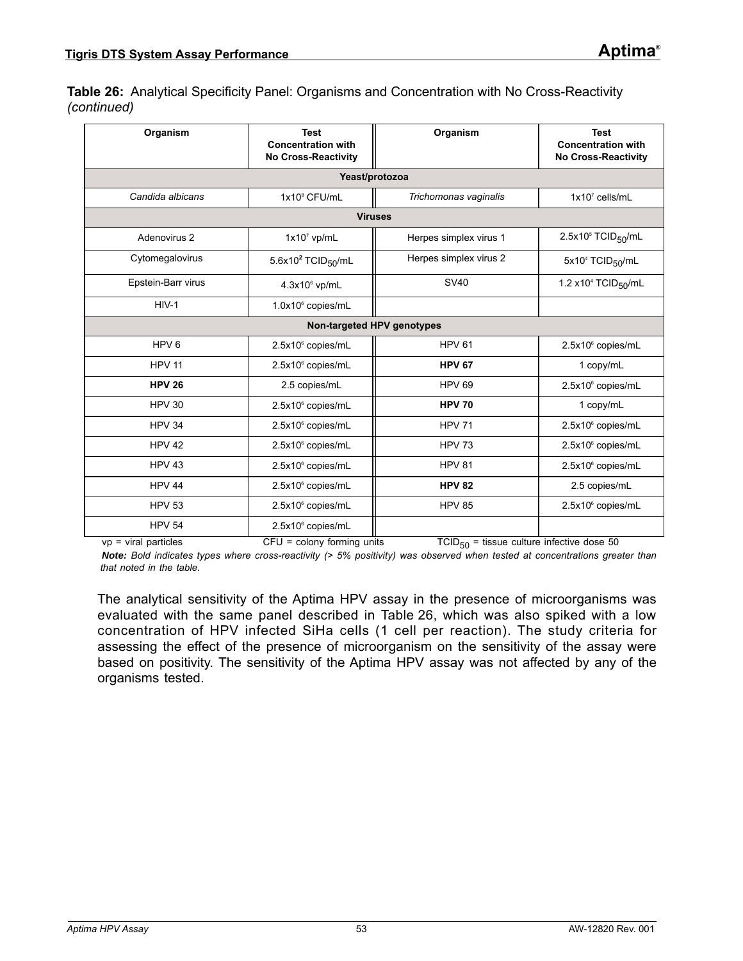**Table 26:** Analytical Specificity Panel: Organisms and Concentration with No Cross-Reactivity *(continued)* 

| Organism           | <b>Test</b><br><b>Concentration with</b><br><b>No Cross-Reactivity</b> | Organism                   | <b>Test</b><br><b>Concentration with</b><br><b>No Cross-Reactivity</b> |
|--------------------|------------------------------------------------------------------------|----------------------------|------------------------------------------------------------------------|
|                    | Yeast/protozoa                                                         |                            |                                                                        |
| Candida albicans   | 1x10 <sup>8</sup> CFU/mL                                               | Trichomonas vaginalis      | $1x10^7$ cells/mL                                                      |
|                    | <b>Viruses</b>                                                         |                            |                                                                        |
| Adenovirus 2       | $1x10^7$ vp/mL                                                         | Herpes simplex virus 1     | $2.5x105$ TCID <sub>50</sub> /mL                                       |
| Cytomegalovirus    | 5.6x10 $2$ TCID <sub>50</sub> /mL                                      | Herpes simplex virus 2     | 5x10 <sup>4</sup> TCID <sub>50</sub> /mL                               |
| Epstein-Barr virus | 4.3x10° vp/mL                                                          | <b>SV40</b>                | 1.2 x10 <sup>4</sup> TCID <sub>50</sub> /mL                            |
| $HIV-1$            | 1.0x10 <sup>6</sup> copies/mL                                          |                            |                                                                        |
|                    |                                                                        | Non-targeted HPV genotypes |                                                                        |
| HPV <sub>6</sub>   | 2.5x10° copies/mL                                                      | <b>HPV 61</b>              | 2.5x10 <sup>6</sup> copies/mL                                          |
| <b>HPV 11</b>      | 2.5x10° copies/mL                                                      | <b>HPV 67</b>              | 1 copy/mL                                                              |
| <b>HPV 26</b>      | 2.5 copies/mL                                                          | <b>HPV 69</b>              | 2.5x10° copies/mL                                                      |
| <b>HPV 30</b>      | 2.5x10° copies/mL                                                      | <b>HPV 70</b>              | 1 copy/mL                                                              |
| <b>HPV 34</b>      | 2.5x10 <sup>6</sup> copies/mL                                          | <b>HPV 71</b>              | 2.5x10° copies/mL                                                      |
| <b>HPV 42</b>      | 2.5x10° copies/mL                                                      | <b>HPV 73</b>              | 2.5x10° copies/mL                                                      |
| HPV <sub>43</sub>  | 2.5x10 <sup>6</sup> copies/mL                                          | <b>HPV 81</b>              | 2.5x10 <sup>6</sup> copies/mL                                          |
| <b>HPV 44</b>      | 2.5x10 <sup>6</sup> copies/mL                                          | <b>HPV 82</b>              | 2.5 copies/mL                                                          |
| <b>HPV 53</b>      | 2.5x10° copies/mL                                                      | <b>HPV 85</b>              | 2.5x10 <sup>6</sup> copies/mL                                          |
| <b>HPV 54</b>      | 2.5x10 <sup>6</sup> copies/mL                                          |                            |                                                                        |

vp = viral particles CFU = colony forming units TCID<sub>50</sub> = tissue culture infective dose 50 *Note: Bold indicates types where cross-reactivity (> 5% positivity) was observed when tested at concentrations greater than that noted in the table.*

The analytical sensitivity of the Aptima HPV assay in the presence of microorganisms was evaluated with the same panel described in [Table 26](#page-51-0), which was also spiked with a low concentration of HPV infected SiHa cells (1 cell per reaction). The study criteria for assessing the effect of the presence of microorganism on the sensitivity of the assay were based on positivity. The sensitivity of the Aptima HPV assay was not affected by any of the organisms tested.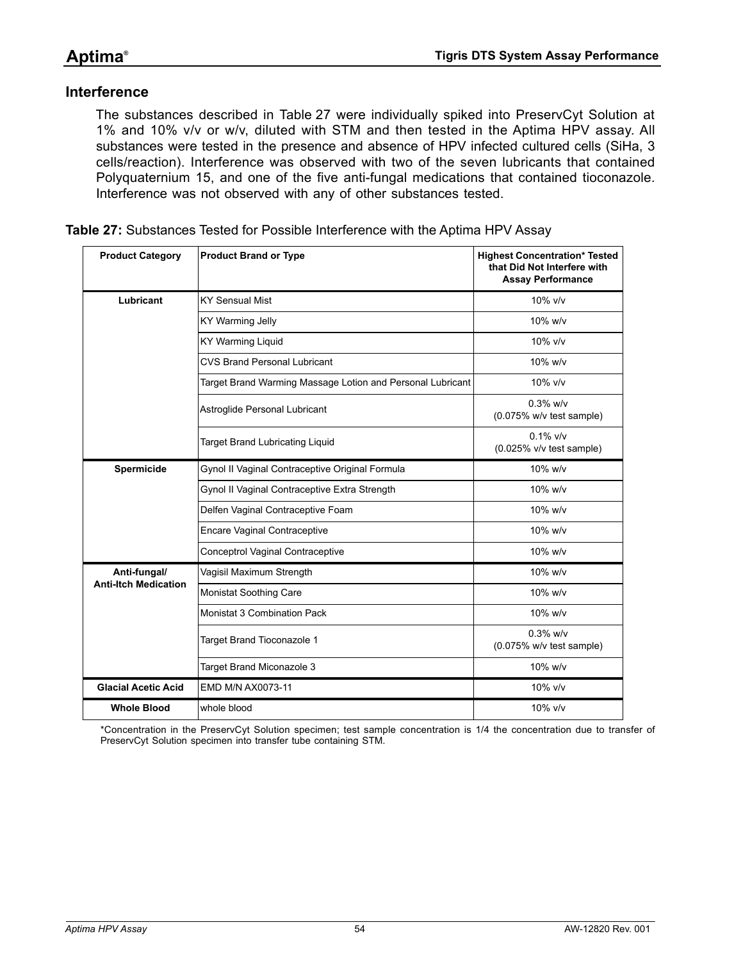### **Interference**

The substances described in [Table 27](#page-53-0) were individually spiked into PreservCyt Solution at 1% and 10% v/v or w/v, diluted with STM and then tested in the Aptima HPV assay. All substances were tested in the presence and absence of HPV infected cultured cells (SiHa, 3 cells/reaction). Interference was observed with two of the seven lubricants that contained Polyquaternium 15, and one of the five anti-fungal medications that contained tioconazole. Interference was not observed with any of other substances tested.

<span id="page-53-0"></span>

|  |  |  | <b>Table 27:</b> Substances Tested for Possible Interference with the Aptima HPV Assay |  |
|--|--|--|----------------------------------------------------------------------------------------|--|
|--|--|--|----------------------------------------------------------------------------------------|--|

| <b>Product Category</b>     | <b>Product Brand or Type</b>                               | <b>Highest Concentration* Tested</b><br>that Did Not Interfere with<br><b>Assay Performance</b> |
|-----------------------------|------------------------------------------------------------|-------------------------------------------------------------------------------------------------|
| Lubricant                   | <b>KY Sensual Mist</b>                                     | 10% v/v                                                                                         |
|                             | KY Warming Jelly                                           | $10\%$ w/v                                                                                      |
|                             | <b>KY Warming Liquid</b>                                   | 10% v/v                                                                                         |
|                             | <b>CVS Brand Personal Lubricant</b>                        | 10% w/v                                                                                         |
|                             | Target Brand Warming Massage Lotion and Personal Lubricant | 10% v/v                                                                                         |
|                             | Astroglide Personal Lubricant                              | $0.3\%$ w/v<br>$(0.075\%$ w/v test sample)                                                      |
|                             | <b>Target Brand Lubricating Liquid</b>                     | $0.1\%$ v/v<br>(0.025% v/v test sample)                                                         |
| Spermicide                  | Gynol II Vaginal Contraceptive Original Formula            | 10% w/v                                                                                         |
|                             | Gynol II Vaginal Contraceptive Extra Strength              | 10% w/v                                                                                         |
|                             | Delfen Vaginal Contraceptive Foam                          | 10% w/v                                                                                         |
|                             | <b>Encare Vaginal Contraceptive</b>                        | 10% w/v                                                                                         |
|                             | Conceptrol Vaginal Contraceptive                           | 10% w/v                                                                                         |
| Anti-fungal/                | Vagisil Maximum Strength                                   | 10% w/v                                                                                         |
| <b>Anti-Itch Medication</b> | Monistat Soothing Care                                     | 10% w/v                                                                                         |
|                             | Monistat 3 Combination Pack                                | 10% w/v                                                                                         |
|                             | Target Brand Tioconazole 1                                 | $0.3\%$ w/v<br>$(0.075\%$ w/v test sample)                                                      |
|                             | Target Brand Miconazole 3                                  | 10% w/v                                                                                         |
| <b>Glacial Acetic Acid</b>  | EMD M/N AX0073-11                                          | 10% v/v                                                                                         |
| <b>Whole Blood</b>          | whole blood                                                | 10% v/v                                                                                         |

\*Concentration in the PreservCyt Solution specimen; test sample concentration is 1/4 the concentration due to transfer of PreservCyt Solution specimen into transfer tube containing STM.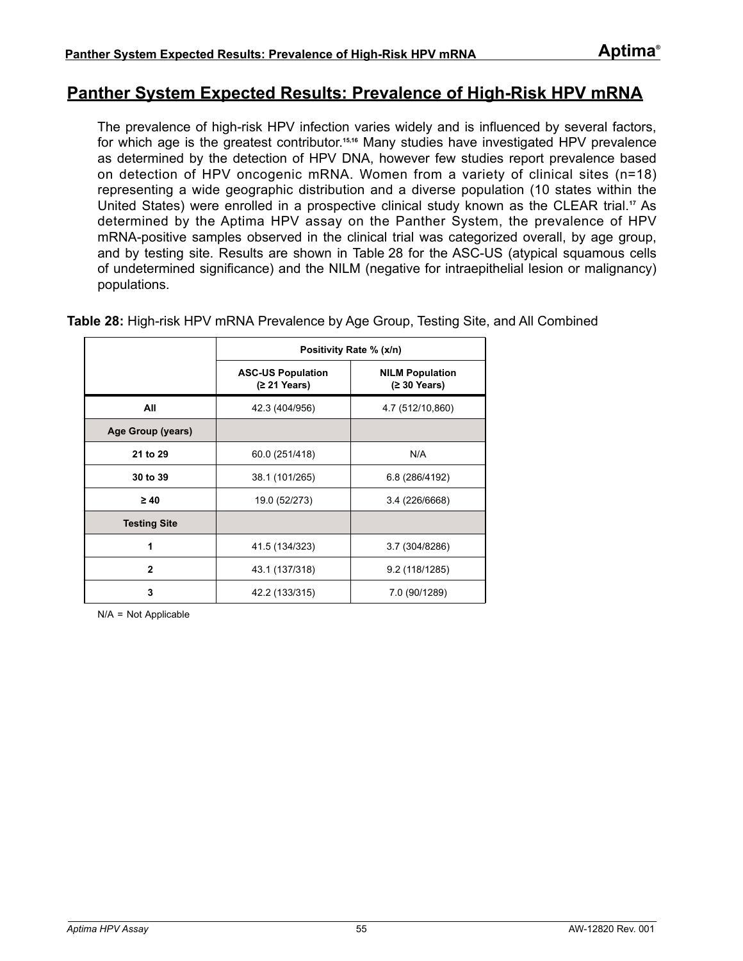# **Panther System Expected Results: Prevalence of High-Risk HPV mRNA**

The prevalence of high-risk HPV infection varies widely and is influenced by several factors, for which age is the greatest contributor.**[15](#page-80-2),[16](#page-80-3)** Many studies have investigated HPV prevalence as determined by the detection of HPV DNA, however few studies report prevalence based on detection of HPV oncogenic mRNA. Women from a variety of clinical sites (n=18) representing a wide geographic distribution and a diverse population (10 states within the United States) were enrolled in a prospective clinical study known as the CLEAR trial.**[17](#page-80-0)** As determined by the Aptima HPV assay on the Panther System, the prevalence of HPV mRNA-positive samples observed in the clinical trial was categorized overall, by age group, and by testing site. Results are shown in [Table 28](#page-54-0) for the ASC-US (atypical squamous cells of undetermined significance) and the NILM (negative for intraepithelial lesion or malignancy) populations.

<span id="page-54-0"></span>**Table 28:** High-risk HPV mRNA Prevalence by Age Group, Testing Site, and All Combined

|                     |                                          | Positivity Rate % (x/n)                         |
|---------------------|------------------------------------------|-------------------------------------------------|
|                     | <b>ASC-US Population</b><br>(≥ 21 Years) | <b>NILM Population</b><br>$(230 \text{ Years})$ |
| All                 | 42.3 (404/956)                           | 4.7 (512/10,860)                                |
| Age Group (years)   |                                          |                                                 |
| 21 to 29            | 60.0 (251/418)                           | N/A                                             |
| 30 to 39            | 38.1 (101/265)                           | 6.8 (286/4192)                                  |
| $\geq 40$           | 19.0 (52/273)                            | 3.4 (226/6668)                                  |
| <b>Testing Site</b> |                                          |                                                 |
| 1                   | 41.5 (134/323)                           | 3.7 (304/8286)                                  |
| $\overline{2}$      | 43.1 (137/318)                           | 9.2 (118/1285)                                  |
| 3                   | 42.2 (133/315)                           | 7.0 (90/1289)                                   |

N/A = Not Applicable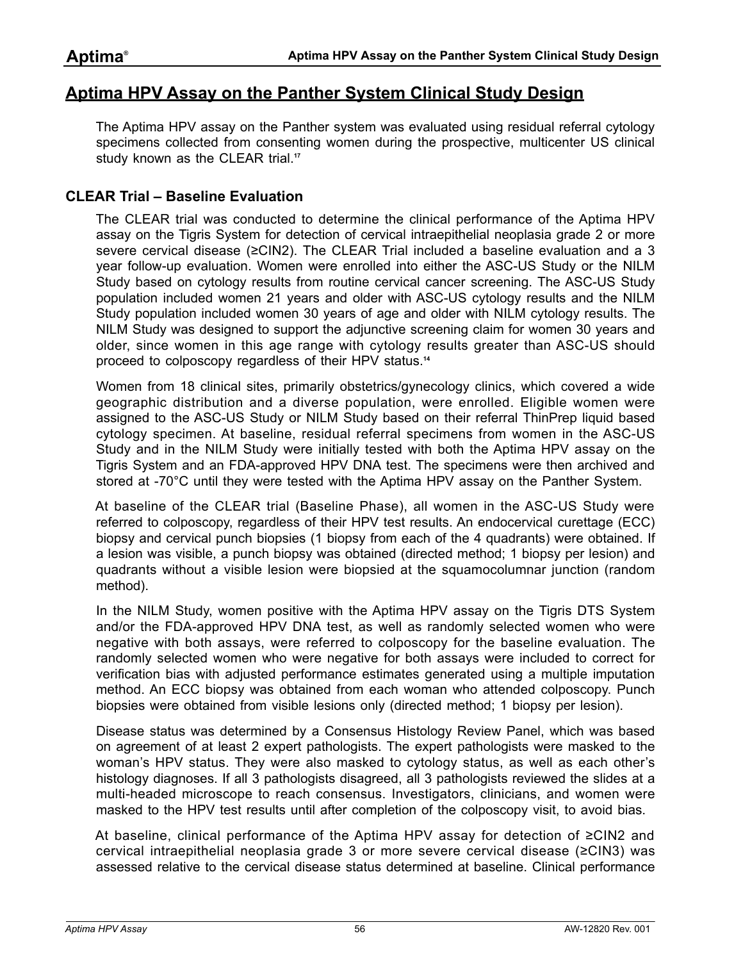# **Aptima HPV Assay on the Panther System Clinical Study Design**

The Aptima HPV assay on the Panther system was evaluated using residual referral cytology specimens collected from consenting women during the prospective, multicenter US clinical study known as the CLEAR trial.<sup>[17](#page-80-0)</sup>

### **CLEAR Trial – Baseline Evaluation**

The CLEAR trial was conducted to determine the clinical performance of the Aptima HPV assay on the Tigris System for detection of cervical intraepithelial neoplasia grade 2 or more severe cervical disease (≥CIN2). The CLEAR Trial included a baseline evaluation and a 3 year follow-up evaluation. Women were enrolled into either the ASC-US Study or the NILM Study based on cytology results from routine cervical cancer screening. The ASC-US Study population included women 21 years and older with ASC-US cytology results and the NILM Study population included women 30 years of age and older with NILM cytology results. The NILM Study was designed to support the adjunctive screening claim for women 30 years and older, since women in this age range with cytology results greater than ASC-US should proceed to colposcopy regardless of their HPV status.**[14](#page-80-4)**

Women from 18 clinical sites, primarily obstetrics/gynecology clinics, which covered a wide geographic distribution and a diverse population, were enrolled. Eligible women were assigned to the ASC-US Study or NILM Study based on their referral ThinPrep liquid based cytology specimen. At baseline, residual referral specimens from women in the ASC-US Study and in the NILM Study were initially tested with both the Aptima HPV assay on the Tigris System and an FDA-approved HPV DNA test. The specimens were then archived and stored at -70°C until they were tested with the Aptima HPV assay on the Panther System.

At baseline of the CLEAR trial (Baseline Phase), all women in the ASC-US Study were referred to colposcopy, regardless of their HPV test results. An endocervical curettage (ECC) biopsy and cervical punch biopsies (1 biopsy from each of the 4 quadrants) were obtained. If a lesion was visible, a punch biopsy was obtained (directed method; 1 biopsy per lesion) and quadrants without a visible lesion were biopsied at the squamocolumnar junction (random method).

In the NILM Study, women positive with the Aptima HPV assay on the Tigris DTS System and/or the FDA-approved HPV DNA test, as well as randomly selected women who were negative with both assays, were referred to colposcopy for the baseline evaluation. The randomly selected women who were negative for both assays were included to correct for verification bias with adjusted performance estimates generated using a multiple imputation method. An ECC biopsy was obtained from each woman who attended colposcopy. Punch biopsies were obtained from visible lesions only (directed method; 1 biopsy per lesion).

Disease status was determined by a Consensus Histology Review Panel, which was based on agreement of at least 2 expert pathologists. The expert pathologists were masked to the woman's HPV status. They were also masked to cytology status, as well as each other's histology diagnoses. If all 3 pathologists disagreed, all 3 pathologists reviewed the slides at a multi-headed microscope to reach consensus. Investigators, clinicians, and women were masked to the HPV test results until after completion of the colposcopy visit, to avoid bias.

At baseline, clinical performance of the Aptima HPV assay for detection of ≥CIN2 and cervical intraepithelial neoplasia grade 3 or more severe cervical disease (≥CIN3) was assessed relative to the cervical disease status determined at baseline. Clinical performance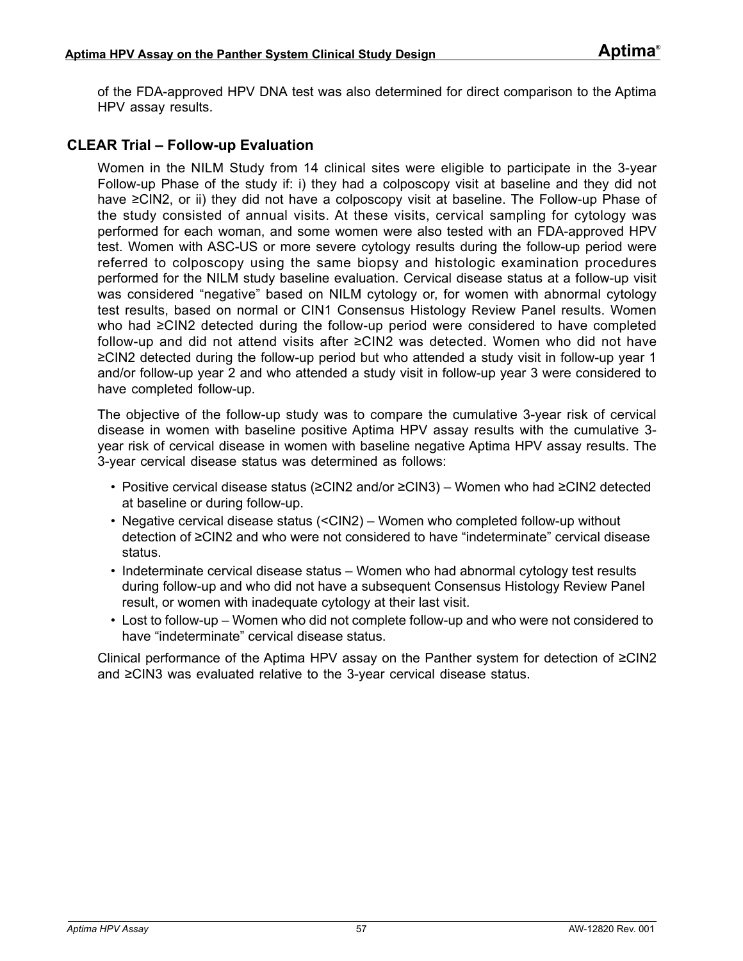of the FDA-approved HPV DNA test was also determined for direct comparison to the Aptima HPV assay results.

### **CLEAR Trial – Follow-up Evaluation**

Women in the NILM Study from 14 clinical sites were eligible to participate in the 3-year Follow-up Phase of the study if: i) they had a colposcopy visit at baseline and they did not have ≥CIN2, or ii) they did not have a colposcopy visit at baseline. The Follow-up Phase of the study consisted of annual visits. At these visits, cervical sampling for cytology was performed for each woman, and some women were also tested with an FDA-approved HPV test. Women with ASC-US or more severe cytology results during the follow-up period were referred to colposcopy using the same biopsy and histologic examination procedures performed for the NILM study baseline evaluation. Cervical disease status at a follow-up visit was considered "negative" based on NILM cytology or, for women with abnormal cytology test results, based on normal or CIN1 Consensus Histology Review Panel results. Women who had ≥CIN2 detected during the follow-up period were considered to have completed follow-up and did not attend visits after ≥CIN2 was detected. Women who did not have ≥CIN2 detected during the follow-up period but who attended a study visit in follow-up year 1 and/or follow-up year 2 and who attended a study visit in follow-up year 3 were considered to have completed follow-up.

The objective of the follow-up study was to compare the cumulative 3-year risk of cervical disease in women with baseline positive Aptima HPV assay results with the cumulative 3 year risk of cervical disease in women with baseline negative Aptima HPV assay results. The 3-year cervical disease status was determined as follows:

- Positive cervical disease status (≥CIN2 and/or ≥CIN3) Women who had ≥CIN2 detected at baseline or during follow-up.
- Negative cervical disease status (<CIN2) Women who completed follow-up without detection of ≥CIN2 and who were not considered to have "indeterminate" cervical disease status.
- Indeterminate cervical disease status Women who had abnormal cytology test results during follow-up and who did not have a subsequent Consensus Histology Review Panel result, or women with inadequate cytology at their last visit.
- Lost to follow-up Women who did not complete follow-up and who were not considered to have "indeterminate" cervical disease status.

Clinical performance of the Aptima HPV assay on the Panther system for detection of ≥CIN2 and ≥CIN3 was evaluated relative to the 3-year cervical disease status.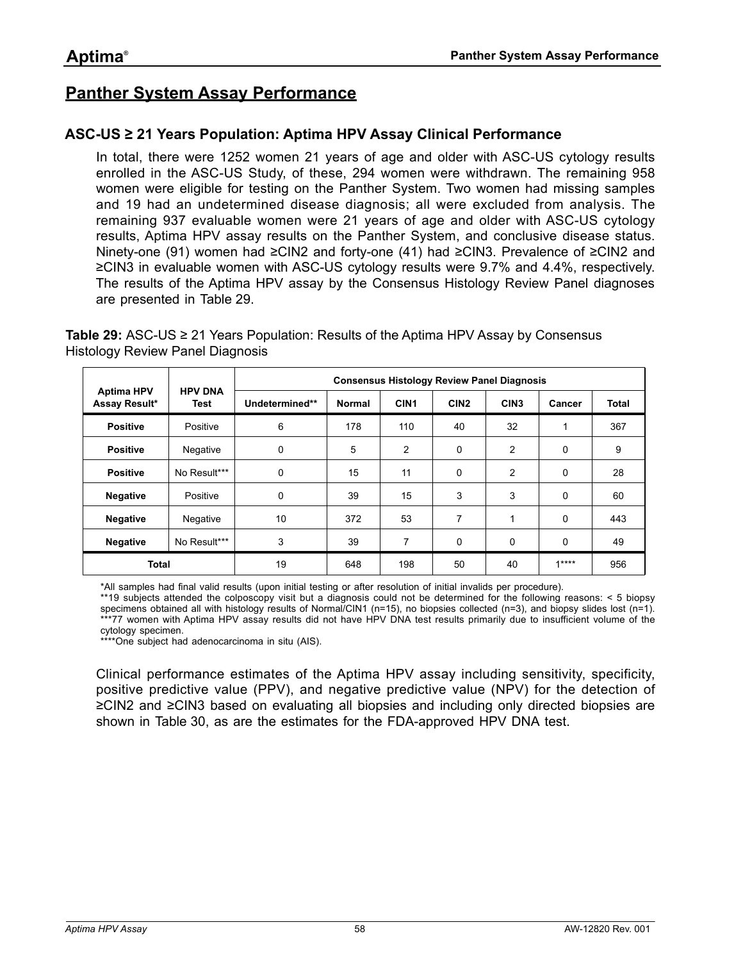# **Panther System Assay Performance**

### **ASC-US ≥ 21 Years Population: Aptima HPV Assay Clinical Performance**

In total, there were 1252 women 21 years of age and older with ASC-US cytology results enrolled in the ASC-US Study, of these, 294 women were withdrawn. The remaining 958 women were eligible for testing on the Panther System. Two women had missing samples and 19 had an undetermined disease diagnosis; all were excluded from analysis. The remaining 937 evaluable women were 21 years of age and older with ASC-US cytology results, Aptima HPV assay results on the Panther System, and conclusive disease status. Ninety-one (91) women had ≥CIN2 and forty-one (41) had ≥CIN3. Prevalence of ≥CIN2 and ≥CIN3 in evaluable women with ASC-US cytology results were 9.7% and 4.4%, respectively. The results of the Aptima HPV assay by the Consensus Histology Review Panel diagnoses are presented in [Table 29.](#page-57-0)

<span id="page-57-0"></span>**Table 29:** ASC-US ≥ 21 Years Population: Results of the Aptima HPV Assay by Consensus Histology Review Panel Diagnosis

|                                    | <b>HPV DNA</b> | <b>Consensus Histology Review Panel Diagnosis</b> |               |                  |                  |                  |          |              |  |  |
|------------------------------------|----------------|---------------------------------------------------|---------------|------------------|------------------|------------------|----------|--------------|--|--|
| <b>Aptima HPV</b><br>Assay Result* | Test           | Undetermined**                                    | <b>Normal</b> | CIN <sub>1</sub> | CIN <sub>2</sub> | CIN <sub>3</sub> | Cancer   | <b>Total</b> |  |  |
| <b>Positive</b>                    | Positive       | 6                                                 | 178           | 110              | 40               | 32               | 1        | 367          |  |  |
| <b>Positive</b>                    | Negative       | 0                                                 | 5             | $\overline{2}$   | 0                | $\overline{2}$   | $\Omega$ | 9            |  |  |
| <b>Positive</b>                    | No Result***   | 0                                                 | 15            | 11               | $\Omega$         | $\overline{2}$   | 0        | 28           |  |  |
| <b>Negative</b>                    | Positive       | 0                                                 | 39            | 15               | 3                | 3                | $\Omega$ | 60           |  |  |
| <b>Negative</b>                    | Negative       | 10                                                | 372           | 53               | 7                | 1                | 0        | 443          |  |  |
| <b>Negative</b>                    | No Result***   | 3                                                 | 39            | 7                | 0                | 0                | 0        | 49           |  |  |
| <b>Total</b>                       |                | 19                                                | 648           | 198              | 50               | 40               | $1***$   | 956          |  |  |

\*All samples had final valid results (upon initial testing or after resolution of initial invalids per procedure).

\*\*19 subjects attended the colposcopy visit but a diagnosis could not be determined for the following reasons: < 5 biopsy specimens obtained all with histology results of Normal/CIN1 (n=15), no biopsies collected (n=3), and biopsy slides lost (n=1). \*\*\*77 women with Aptima HPV assay results did not have HPV DNA test results primarily due to insufficient volume of the cytology specimen.

\*\*\*\*One subject had adenocarcinoma in situ (AIS).

Clinical performance estimates of the Aptima HPV assay including sensitivity, specificity, positive predictive value (PPV), and negative predictive value (NPV) for the detection of ≥CIN2 and ≥CIN3 based on evaluating all biopsies and including only directed biopsies are shown in [Table 30](#page-58-0), as are the estimates for the FDA-approved HPV DNA test.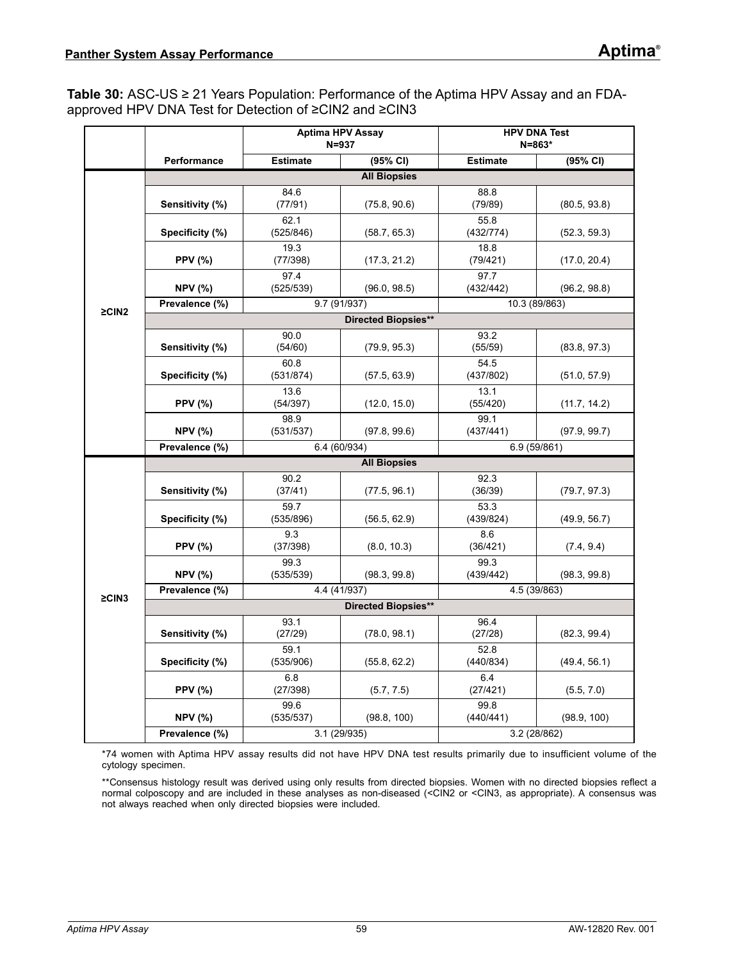<span id="page-58-0"></span>**Table 30:** ASC-US ≥ 21 Years Population: Performance of the Aptima HPV Assay and an FDAapproved HPV DNA Test for Detection of ≥CIN2 and ≥CIN3

|             |                     |                   | <b>Aptima HPV Assay</b><br>$N = 937$ | <b>HPV DNA Test</b><br>$N = 863*$ |              |  |  |  |
|-------------|---------------------|-------------------|--------------------------------------|-----------------------------------|--------------|--|--|--|
|             | Performance         | <b>Estimate</b>   | (95% CI)                             | <b>Estimate</b>                   | (95% CI)     |  |  |  |
|             |                     |                   | <b>All Biopsies</b>                  |                                   |              |  |  |  |
|             | Sensitivity (%)     | 84.6<br>(77/91)   | (75.8, 90.6)                         | 88.8<br>(79/89)                   | (80.5, 93.8) |  |  |  |
|             | Specificity (%)     | 62.1<br>(525/846) | (58.7, 65.3)                         | 55.8<br>(432/774)                 | (52.3, 59.3) |  |  |  |
|             | <b>PPV (%)</b>      | 19.3<br>(77/398)  | (17.3, 21.2)                         | 18.8<br>(79/421)                  | (17.0, 20.4) |  |  |  |
|             | <b>NPV (%)</b>      | 97.4<br>(525/539) | (96.0, 98.5)                         | 97.7<br>(432/442)                 | (96.2, 98.8) |  |  |  |
| $\geq$ CIN2 | Prevalence (%)      | 9.7 (91/937)      |                                      | 10.3 (89/863)                     |              |  |  |  |
|             |                     |                   | <b>Directed Biopsies**</b>           |                                   |              |  |  |  |
|             | Sensitivity (%)     | 90.0<br>(54/60)   | (79.9, 95.3)                         | 93.2<br>(55/59)                   | (83.8, 97.3) |  |  |  |
|             | Specificity (%)     | 60.8<br>(531/874) | (57.5, 63.9)                         | 54.5<br>(437/802)                 | (51.0, 57.9) |  |  |  |
|             | <b>PPV (%)</b>      | 13.6<br>(54/397)  | (12.0, 15.0)                         | 13.1<br>(55/420)                  | (11.7, 14.2) |  |  |  |
|             | <b>NPV (%)</b>      | 98.9<br>(531/537) | (97.8, 99.6)                         | 99.1<br>(437/441)                 | (97.9, 99.7) |  |  |  |
|             | Prevalence (%)      |                   | 6.4 (60/934)                         |                                   | 6.9 (59/861) |  |  |  |
|             | <b>All Biopsies</b> |                   |                                      |                                   |              |  |  |  |
|             | Sensitivity (%)     | 90.2<br>(37/41)   | (77.5, 96.1)                         | 92.3<br>(36/39)                   | (79.7, 97.3) |  |  |  |
|             | Specificity (%)     | 59.7<br>(535/896) | (56.5, 62.9)                         | 53.3<br>(439/824)                 | (49.9, 56.7) |  |  |  |
|             | <b>PPV</b> (%)      | 9.3<br>(37/398)   | (8.0, 10.3)                          | 8.6<br>(36/421)                   | (7.4, 9.4)   |  |  |  |
|             | <b>NPV (%)</b>      | 99.3<br>(535/539) | (98.3, 99.8)                         | 99.3<br>(439/442)                 | (98.3, 99.8) |  |  |  |
| $\geq$ CIN3 | Prevalence (%)      |                   | 4.4 (41/937)                         |                                   | 4.5 (39/863) |  |  |  |
|             |                     |                   | Directed Biopsies**                  |                                   |              |  |  |  |
|             | Sensitivity (%)     | 93.1<br>(27/29)   | (78.0, 98.1)                         | 96.4<br>(27/28)                   | (82.3, 99.4) |  |  |  |
|             | Specificity (%)     | 59.1<br>(535/906) | (55.8, 62.2)                         | 52.8<br>(440/834)                 | (49.4, 56.1) |  |  |  |
|             | <b>PPV (%)</b>      | 6.8<br>(27/398)   | (5.7, 7.5)                           | 6.4<br>(27/421)                   | (5.5, 7.0)   |  |  |  |
|             | <b>NPV (%)</b>      | 99.6<br>(535/537) | (98.8, 100)                          | 99.8<br>(440/441)                 | (98.9, 100)  |  |  |  |
|             | Prevalence (%)      |                   | 3.1 (29/935)                         | 3.2 (28/862)                      |              |  |  |  |

\*74 women with Aptima HPV assay results did not have HPV DNA test results primarily due to insufficient volume of the cytology specimen.

\*\*Consensus histology result was derived using only results from directed biopsies. Women with no directed biopsies reflect a normal colposcopy and are included in these analyses as non-diseased (<CIN2 or <CIN3, as appropriate). A consensus was not always reached when only directed biopsies were included.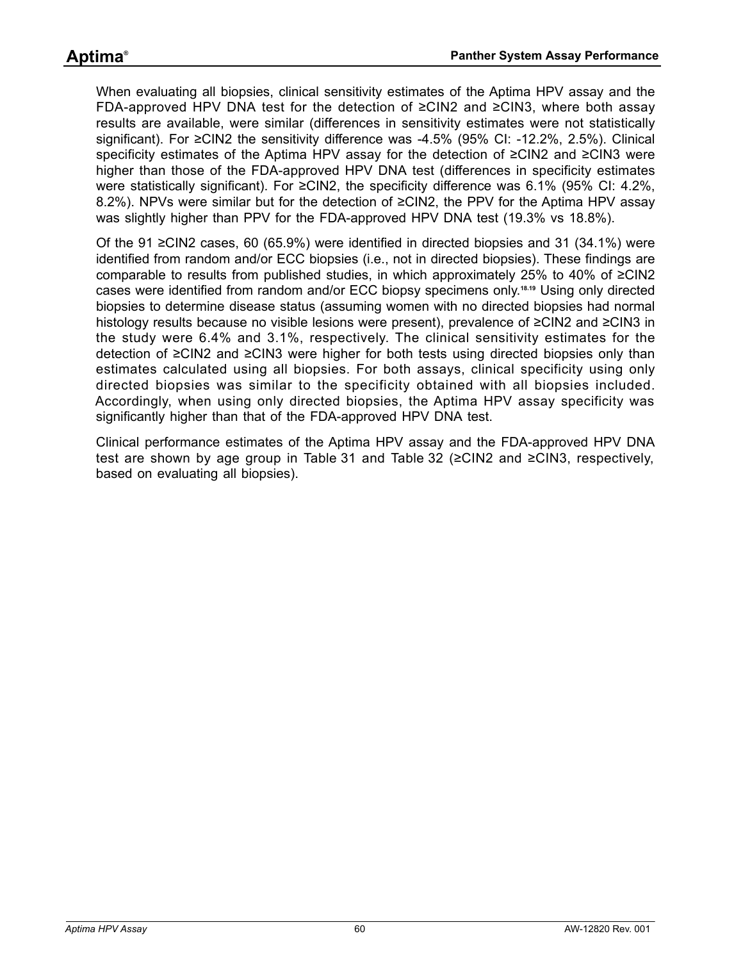When evaluating all biopsies, clinical sensitivity estimates of the Aptima HPV assay and the FDA-approved HPV DNA test for the detection of ≥CIN2 and ≥CIN3, where both assay results are available, were similar (differences in sensitivity estimates were not statistically significant). For ≥CIN2 the sensitivity difference was -4.5% (95% CI: -12.2%, 2.5%). Clinical specificity estimates of the Aptima HPV assay for the detection of ≥CIN2 and ≥CIN3 were higher than those of the FDA-approved HPV DNA test (differences in specificity estimates were statistically significant). For ≥CIN2, the specificity difference was 6.1% (95% CI: 4.2%, 8.2%). NPVs were similar but for the detection of ≥CIN2, the PPV for the Aptima HPV assay was slightly higher than PPV for the FDA-approved HPV DNA test (19.3% vs 18.8%).

Of the 91 ≥CIN2 cases, 60 (65.9%) were identified in directed biopsies and 31 (34.1%) were identified from random and/or ECC biopsies (i.e., not in directed biopsies). These findings are comparable to results from published studies, in which approximately 25% to 40% of ≥CIN2 cases were identified from random and/or ECC biopsy specimens only.**[18](#page-80-5)**,**[19](#page-80-6)** Using only directed biopsies to determine disease status (assuming women with no directed biopsies had normal histology results because no visible lesions were present), prevalence of ≥CIN2 and ≥CIN3 in the study were 6.4% and 3.1%, respectively. The clinical sensitivity estimates for the detection of ≥CIN2 and ≥CIN3 were higher for both tests using directed biopsies only than estimates calculated using all biopsies. For both assays, clinical specificity using only directed biopsies was similar to the specificity obtained with all biopsies included. Accordingly, when using only directed biopsies, the Aptima HPV assay specificity was significantly higher than that of the FDA-approved HPV DNA test.

Clinical performance estimates of the Aptima HPV assay and the FDA-approved HPV DNA test are shown by age group in [Table 31](#page-60-0) and [Table 32](#page-61-0) (≥CIN2 and ≥CIN3, respectively, based on evaluating all biopsies).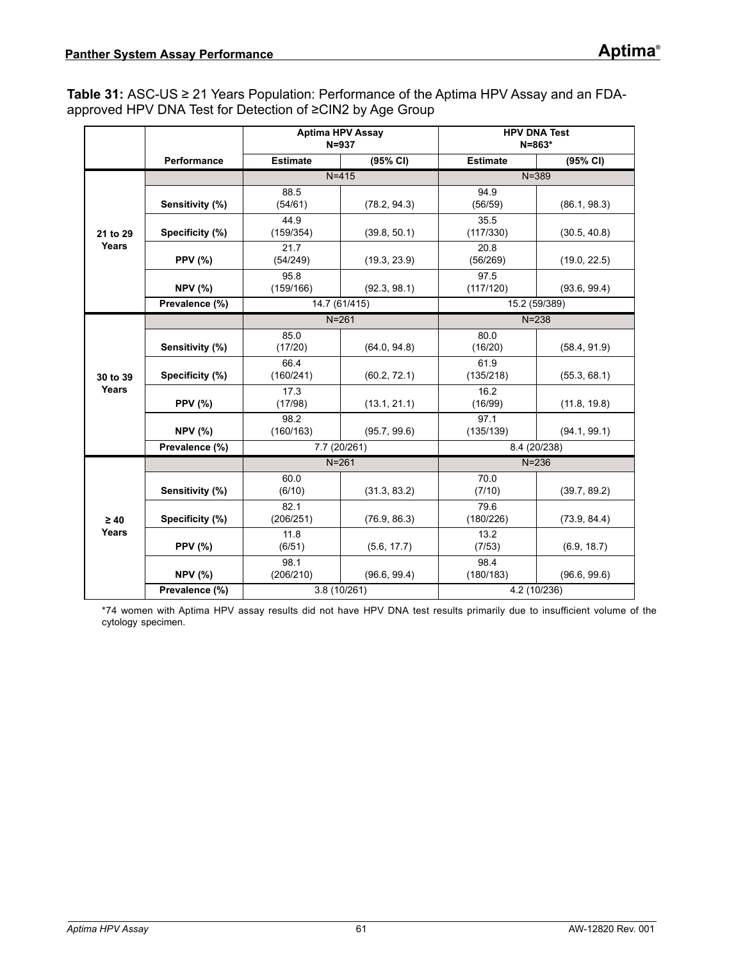<span id="page-60-0"></span>**Table 31:** ASC-US ≥ 21 Years Population: Performance of the Aptima HPV Assay and an FDAapproved HPV DNA Test for Detection of ≥CIN2 by Age Group

|           |                 |                   | <b>Aptima HPV Assay</b><br>$N = 937$ |                   | <b>HPV DNA Test</b><br>$N = 863*$ |  |
|-----------|-----------------|-------------------|--------------------------------------|-------------------|-----------------------------------|--|
|           | Performance     | <b>Estimate</b>   | (95% CI)                             | <b>Estimate</b>   | (95% CI)                          |  |
|           |                 | $N = 415$         |                                      | $N = 389$         |                                   |  |
|           | Sensitivity (%) | 88.5<br>(54/61)   | (78.2, 94.3)                         | 94.9<br>(56/59)   | (86.1, 98.3)                      |  |
| 21 to 29  | Specificity (%) | 44.9<br>(159/354) | (39.8, 50.1)                         | 35.5<br>(117/330) | (30.5, 40.8)                      |  |
| Years     | <b>PPV (%)</b>  | 21.7<br>(54/249)  | (19.3, 23.9)                         | 20.8<br>(56/269)  | (19.0, 22.5)                      |  |
|           | <b>NPV (%)</b>  | 95.8<br>(159/166) | (92.3, 98.1)                         | 97.5<br>(117/120) | (93.6, 99.4)                      |  |
|           | Prevalence (%)  |                   | 14.7 (61/415)                        |                   | 15.2 (59/389)                     |  |
|           |                 | $N=261$           |                                      | $N = 238$         |                                   |  |
|           | Sensitivity (%) | 85.0<br>(17/20)   | (64.0, 94.8)                         | 80.0<br>(16/20)   | (58.4, 91.9)                      |  |
| 30 to 39  | Specificity (%) | 66.4<br>(160/241) | (60.2, 72.1)                         | 61.9<br>(135/218) | (55.3, 68.1)                      |  |
| Years     | <b>PPV (%)</b>  | 17.3<br>(17/98)   | (13.1, 21.1)                         | 16.2<br>(16/99)   | (11.8, 19.8)                      |  |
|           | <b>NPV (%)</b>  | 98.2<br>(160/163) | (95.7, 99.6)                         | 97.1<br>(135/139) | (94.1, 99.1)                      |  |
|           | Prevalence (%)  |                   | 7.7 (20/261)                         | 8.4 (20/238)      |                                   |  |
|           |                 | $N = 261$         |                                      |                   | $N = 236$                         |  |
|           | Sensitivity (%) | 60.0<br>(6/10)    | (31.3, 83.2)                         | 70.0<br>(7/10)    | (39.7, 89.2)                      |  |
| $\geq 40$ | Specificity (%) | 82.1<br>(206/251) | (76.9, 86.3)                         | 79.6<br>(180/226) | (73.9, 84.4)                      |  |
| Years     | <b>PPV (%)</b>  | 11.8<br>(6/51)    | (5.6, 17.7)                          | 13.2<br>(7/53)    | (6.9, 18.7)                       |  |
|           | <b>NPV (%)</b>  | 98.1<br>(206/210) | (96.6, 99.4)                         | 98.4<br>(180/183) | (96.6, 99.6)                      |  |
|           | Prevalence (%)  |                   | 3.8 (10/261)                         | 4.2 (10/236)      |                                   |  |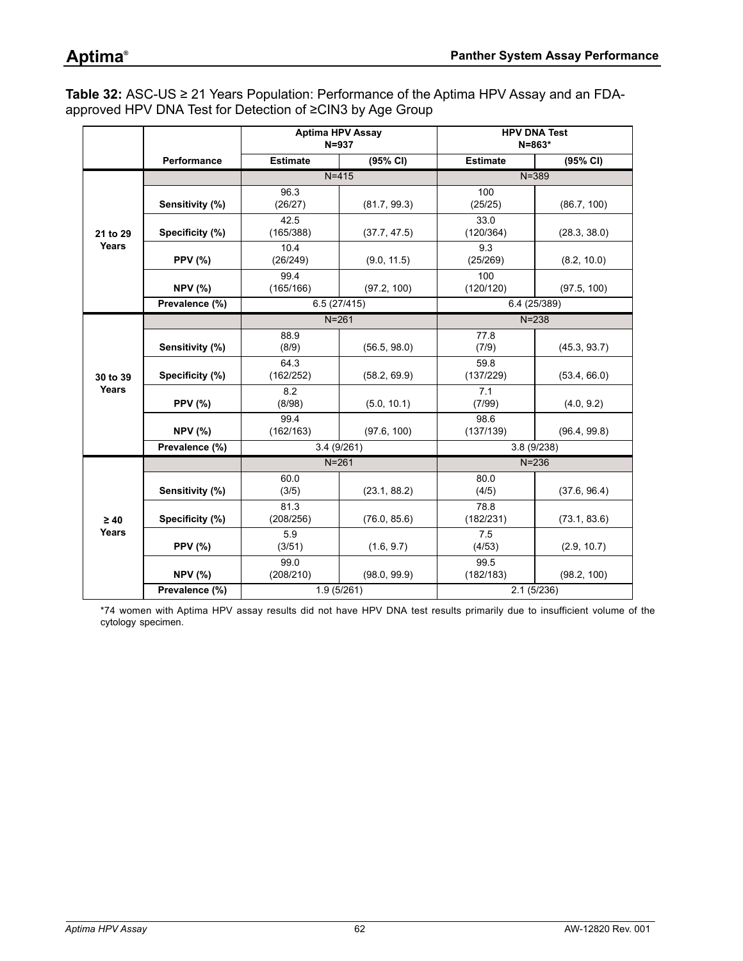# **Aptima®**

<span id="page-61-0"></span>**Table 32:** ASC-US ≥ 21 Years Population: Performance of the Aptima HPV Assay and an FDAapproved HPV DNA Test for Detection of ≥CIN3 by Age Group

|           |                 | <b>Aptima HPV Assay</b> | $N = 937$    | <b>HPV DNA Test</b><br>$N = 863*$ |              |  |  |
|-----------|-----------------|-------------------------|--------------|-----------------------------------|--------------|--|--|
|           | Performance     | <b>Estimate</b>         | (95% CI)     | <b>Estimate</b>                   | (95% CI)     |  |  |
|           |                 |                         | $N = 415$    | $N = 389$                         |              |  |  |
|           | Sensitivity (%) | 96.3<br>(26/27)         | (81.7, 99.3) | 100<br>(25/25)                    | (86.7, 100)  |  |  |
| 21 to 29  | Specificity (%) | 42.5<br>(165/388)       | (37.7, 47.5) | 33.0<br>(120/364)                 | (28.3, 38.0) |  |  |
| Years     | <b>PPV (%)</b>  | 10.4<br>(26/249)        | (9.0, 11.5)  | 9.3<br>(25/269)                   | (8.2, 10.0)  |  |  |
|           | <b>NPV (%)</b>  | 99.4<br>(165/166)       | (97.2, 100)  | 100<br>(120/120)                  | (97.5, 100)  |  |  |
|           | Prevalence (%)  |                         | 6.5(27/415)  |                                   | 6.4 (25/389) |  |  |
|           |                 |                         | $N = 261$    | $N = 238$                         |              |  |  |
|           | Sensitivity (%) | 88.9<br>(8/9)           | (56.5, 98.0) | 77.8<br>(7/9)                     | (45.3, 93.7) |  |  |
| 30 to 39  | Specificity (%) | 64.3<br>(162/252)       | (58.2, 69.9) | 59.8<br>(137/229)                 | (53.4, 66.0) |  |  |
| Years     | <b>PPV (%)</b>  | 8.2<br>(8/98)           | (5.0, 10.1)  | 7.1<br>(7/99)                     | (4.0, 9.2)   |  |  |
|           | <b>NPV (%)</b>  | 99.4<br>(162/163)       | (97.6, 100)  | 98.6<br>(137/139)                 | (96.4, 99.8) |  |  |
|           | Prevalence (%)  | 3.4(9/261)              |              | 3.8(9/238)                        |              |  |  |
|           |                 |                         | $N = 261$    |                                   | $N = 236$    |  |  |
|           | Sensitivity (%) | 60.0<br>(3/5)           | (23.1, 88.2) | 80.0<br>(4/5)                     | (37.6, 96.4) |  |  |
| $\geq 40$ | Specificity (%) | 81.3<br>(208/256)       | (76.0, 85.6) | 78.8<br>(182/231)                 | (73.1, 83.6) |  |  |
| Years     | <b>PPV (%)</b>  | 5.9<br>(3/51)           | (1.6, 9.7)   | 7.5<br>(4/53)                     | (2.9, 10.7)  |  |  |
|           | <b>NPV (%)</b>  | 99.0<br>(208/210)       | (98.0, 99.9) | 99.5<br>(182/183)                 | (98.2, 100)  |  |  |
|           | Prevalence (%)  |                         | 1.9(5/261)   | 2.1(5/236)                        |              |  |  |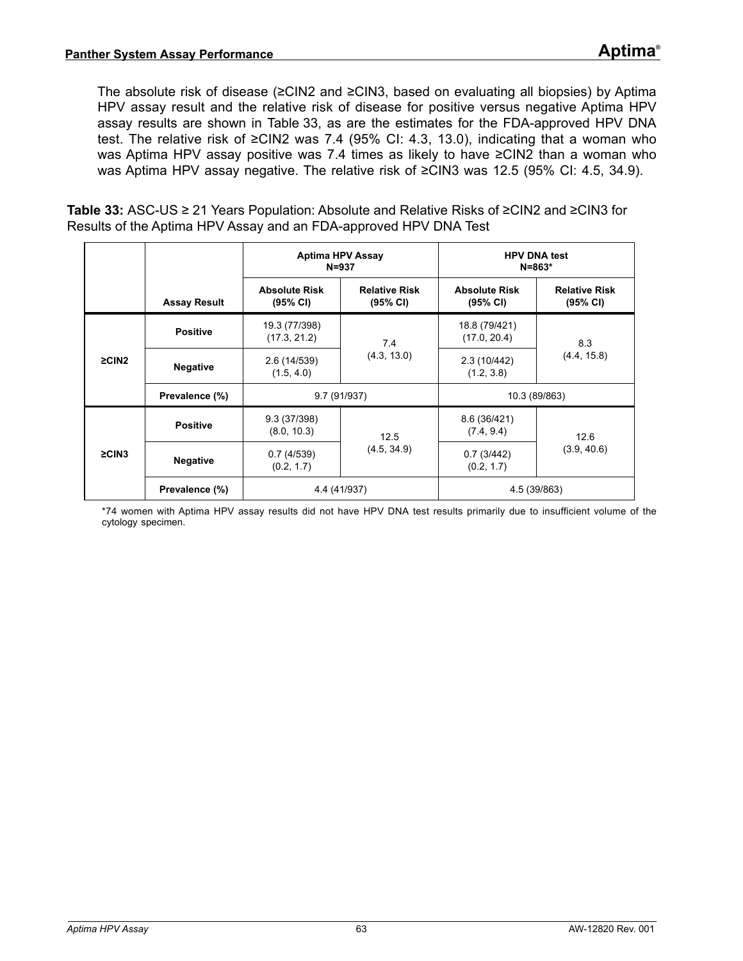The absolute risk of disease (≥CIN2 and ≥CIN3, based on evaluating all biopsies) by Aptima HPV assay result and the relative risk of disease for positive versus negative Aptima HPV assay results are shown in [Table 33](#page-62-0), as are the estimates for the FDA-approved HPV DNA test. The relative risk of ≥CIN2 was 7.4 (95% CI: 4.3, 13.0), indicating that a woman who was Aptima HPV assay positive was 7.4 times as likely to have ≥CIN2 than a woman who was Aptima HPV assay negative. The relative risk of ≥CIN3 was 12.5 (95% CI: 4.5, 34.9).

<span id="page-62-0"></span>**Table 33:** ASC-US ≥ 21 Years Population: Absolute and Relative Risks of ≥CIN2 and ≥CIN3 for Results of the Aptima HPV Assay and an FDA-approved HPV DNA Test

|             |                     | <b>Aptima HPV Assay</b><br>$N = 937$ |                                  | <b>HPV DNA test</b><br>$N = 863*$ |                                  |  |
|-------------|---------------------|--------------------------------------|----------------------------------|-----------------------------------|----------------------------------|--|
|             | <b>Assay Result</b> | <b>Absolute Risk</b><br>(95% CI)     | <b>Relative Risk</b><br>(95% CI) | <b>Absolute Risk</b><br>(95% CI)  | <b>Relative Risk</b><br>(95% CI) |  |
|             | <b>Positive</b>     | 19.3 (77/398)<br>(17.3, 21.2)        | 7.4                              | 18.8 (79/421)<br>(17.0, 20.4)     | 8.3                              |  |
| $\geq$ CIN2 | <b>Negative</b>     | 2.6 (14/539)<br>(1.5, 4.0)           | (4.3, 13.0)                      | 2.3 (10/442)<br>(1.2, 3.8)        | (4.4, 15.8)                      |  |
|             | Prevalence (%)      | 9.7 (91/937)                         |                                  | 10.3 (89/863)                     |                                  |  |
|             | <b>Positive</b>     | 9.3 (37/398)<br>(8.0, 10.3)          | 12.5                             | 8.6 (36/421)<br>(7.4, 9.4)        | 12.6                             |  |
| $\geq$ CIN3 | <b>Negative</b>     | 0.7(4/539)<br>(0.2, 1.7)             | (4.5, 34.9)                      | 0.7(3/442)<br>(0.2, 1.7)          | (3.9, 40.6)                      |  |
|             | Prevalence (%)      | 4.4 (41/937)                         |                                  | 4.5 (39/863)                      |                                  |  |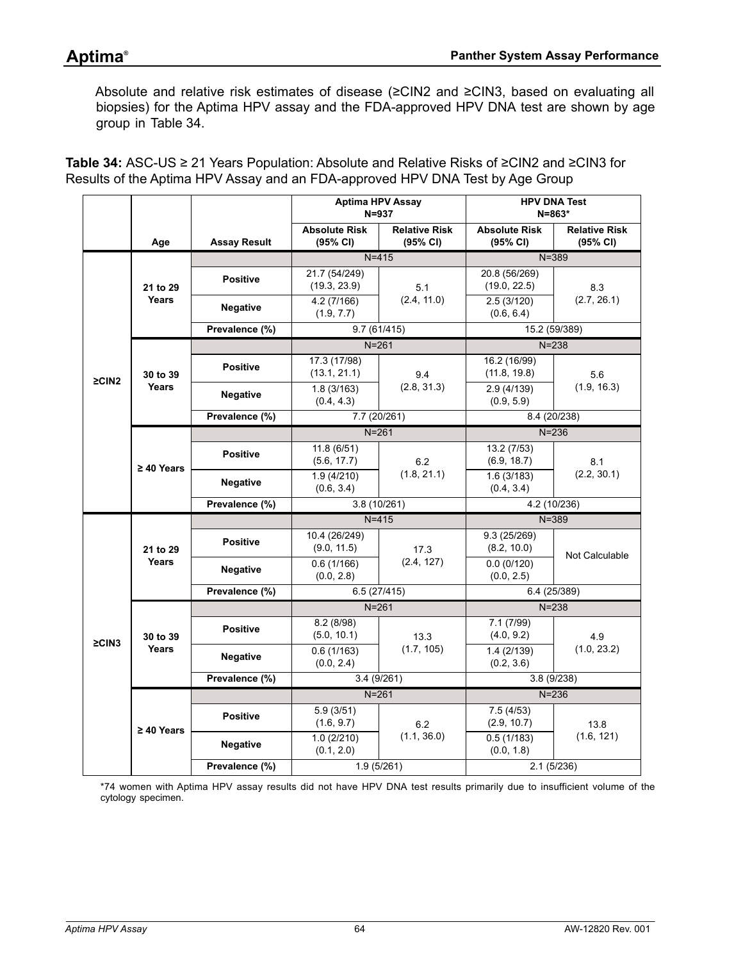Absolute and relative risk estimates of disease (≥CIN2 and ≥CIN3, based on evaluating all biopsies) for the Aptima HPV assay and the FDA-approved HPV DNA test are shown by age group in [Table 34.](#page-63-0)

<span id="page-63-0"></span>**Table 34:** ASC-US ≥ 21 Years Population: Absolute and Relative Risks of ≥CIN2 and ≥CIN3 for Results of the Aptima HPV Assay and an FDA-approved HPV DNA Test by Age Group

|             |                 |                     | <b>Aptima HPV Assay</b><br>$N = 937$ |                                  | <b>HPV DNA Test</b><br>N=863*    |                                  |
|-------------|-----------------|---------------------|--------------------------------------|----------------------------------|----------------------------------|----------------------------------|
|             | Age             | <b>Assay Result</b> | <b>Absolute Risk</b><br>(95% CI)     | <b>Relative Risk</b><br>(95% CI) | <b>Absolute Risk</b><br>(95% CI) | <b>Relative Risk</b><br>(95% CI) |
|             |                 |                     | $N = 415$                            |                                  | $N = 389$                        |                                  |
|             | 21 to 29        | <b>Positive</b>     | 21.7 (54/249)<br>(19.3, 23.9)        | 5.1                              | 20.8 (56/269)<br>(19.0, 22.5)    | 8.3                              |
|             | <b>Years</b>    | <b>Negative</b>     | 4.2(7/166)<br>(1.9, 7.7)             | (2.4, 11.0)                      | 2.5(3/120)<br>(0.6, 6.4)         | (2.7, 26.1)                      |
|             |                 | Prevalence (%)      | 9.7(61/415)                          |                                  | 15.2 (59/389)                    |                                  |
|             |                 |                     | $N = 261$                            |                                  | $N = 238$                        |                                  |
| $\geq$ CIN2 | 30 to 39        | <b>Positive</b>     | 17.3 (17/98)<br>(13.1, 21.1)         | 9.4                              | 16.2 (16/99)<br>(11.8, 19.8)     | 5.6                              |
|             | Years           | <b>Negative</b>     | 1.8(3/163)<br>(0.4, 4.3)             | (2.8, 31.3)                      | 2.9(4/139)<br>(0.9, 5.9)         | (1.9, 16.3)                      |
|             |                 | Prevalence (%)      | 7.7 (20/261)                         |                                  | 8.4 (20/238)                     |                                  |
|             |                 |                     |                                      | $N = 261$                        | $N = 236$                        |                                  |
|             | $\geq 40$ Years | <b>Positive</b>     | 11.8(6/51)<br>(5.6, 17.7)            | 6.2                              | 13.2 (7/53)<br>(6.9, 18.7)       | 8.1                              |
|             |                 |                     | <b>Negative</b>                      | 1.9(4/210)<br>(0.6, 3.4)         | (1.8, 21.1)                      | 1.6(3/183)<br>(0.4, 3.4)         |
|             |                 | Prevalence (%)      | 3.8(10/261)                          |                                  | 4.2 (10/236)                     |                                  |
|             |                 |                     | $N = 415$                            |                                  | $N = 389$                        |                                  |
|             | 21 to 29        | <b>Positive</b>     | 10.4 (26/249)<br>(9.0, 11.5)         | 17.3                             | 9.3 (25/269)<br>(8.2, 10.0)      |                                  |
|             | <b>Years</b>    | <b>Negative</b>     | 0.6(1/166)<br>(0.0, 2.8)             | (2.4, 127)                       | 0.0(0/120)<br>(0.0, 2.5)         | Not Calculable                   |
|             |                 | Prevalence (%)      | 6.5(27/415)                          |                                  | 6.4 (25/389)                     |                                  |
|             |                 |                     | $N = 261$                            |                                  | $N = 238$                        |                                  |
| $\geq$ CIN3 | 30 to 39        | <b>Positive</b>     | 8.2(8/98)<br>(5.0, 10.1)             | 13.3                             | 7.1 (7/99)<br>(4.0, 9.2)         | 4.9                              |
|             | Years           | <b>Negative</b>     | 0.6(1/163)<br>(0.0, 2.4)             | (1.7, 105)                       | 1.4(2/139)<br>(0.2, 3.6)         | (1.0, 23.2)                      |
|             |                 | Prevalence (%)      | 3.4(9/261)                           |                                  | 3.8(9/238)                       |                                  |
|             |                 |                     | $N = 261$                            |                                  | $N = 236$                        |                                  |
|             | $\geq 40$ Years | <b>Positive</b>     | 5.9(3/51)<br>(1.6, 9.7)              | 6.2                              | 7.5(4/53)<br>(2.9, 10.7)         | 13.8                             |
|             |                 | <b>Negative</b>     | 1.0(2/210)<br>(0.1, 2.0)             | (1.1, 36.0)                      | 0.5(1/183)<br>(0.0, 1.8)         | (1.6, 121)                       |
|             |                 | Prevalence (%)      | 1.9(5/261)                           |                                  | 2.1(5/236)                       |                                  |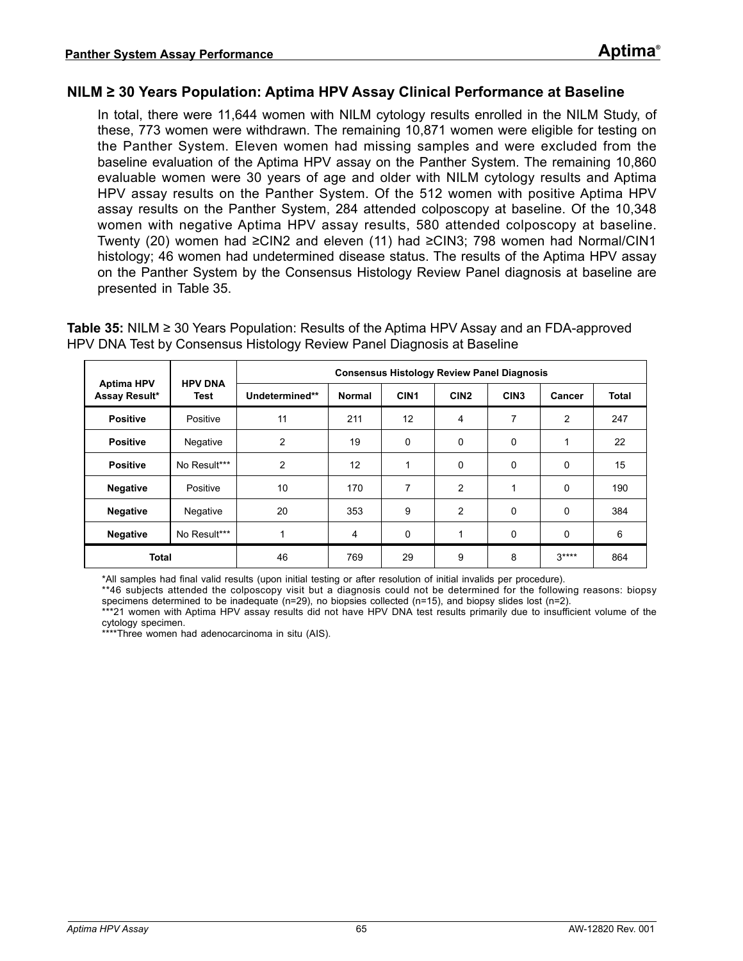#### **NILM ≥ 30 Years Population: Aptima HPV Assay Clinical Performance at Baseline**

In total, there were 11,644 women with NILM cytology results enrolled in the NILM Study, of these, 773 women were withdrawn. The remaining 10,871 women were eligible for testing on the Panther System. Eleven women had missing samples and were excluded from the baseline evaluation of the Aptima HPV assay on the Panther System. The remaining 10,860 evaluable women were 30 years of age and older with NILM cytology results and Aptima HPV assay results on the Panther System. Of the 512 women with positive Aptima HPV assay results on the Panther System, 284 attended colposcopy at baseline. Of the 10,348 women with negative Aptima HPV assay results, 580 attended colposcopy at baseline. Twenty (20) women had ≥CIN2 and eleven (11) had ≥CIN3; 798 women had Normal/CIN1 histology; 46 women had undetermined disease status. The results of the Aptima HPV assay on the Panther System by the Consensus Histology Review Panel diagnosis at baseline are presented in [Table 35.](#page-64-0)

<span id="page-64-0"></span>**Table 35:** NILM ≥ 30 Years Population: Results of the Aptima HPV Assay and an FDA-approved HPV DNA Test by Consensus Histology Review Panel Diagnosis at Baseline

|                                    | <b>HPV DNA</b> | <b>Consensus Histology Review Panel Diagnosis</b> |               |                  |                  |                  |                |              |  |  |
|------------------------------------|----------------|---------------------------------------------------|---------------|------------------|------------------|------------------|----------------|--------------|--|--|
| <b>Aptima HPV</b><br>Assay Result* | Test           | Undetermined**                                    | <b>Normal</b> | CIN <sub>1</sub> | CIN <sub>2</sub> | CIN <sub>3</sub> | Cancer         | <b>Total</b> |  |  |
| <b>Positive</b>                    | Positive       | 11                                                | 211           | 12               | 4                | 7                | $\overline{2}$ | 247          |  |  |
| <b>Positive</b>                    | Negative       | 2                                                 | 19            | 0                | 0                | 0                | 1              | 22           |  |  |
| <b>Positive</b>                    | No Result***   | $\overline{2}$                                    | 12            | 1                | 0                | 0                | 0              | 15           |  |  |
| <b>Negative</b>                    | Positive       | 10                                                | 170           | 7                | $\overline{c}$   | 1                | 0              | 190          |  |  |
| <b>Negative</b>                    | Negative       | 20                                                | 353           | 9                | 2                | 0                | 0              | 384          |  |  |
| <b>Negative</b>                    | No Result***   | 1                                                 | 4             | 0                |                  | 0                | 0              | 6            |  |  |
| <b>Total</b>                       |                | 46                                                | 769           | 29               | 9                | 8                | $3***$         | 864          |  |  |

\*All samples had final valid results (upon initial testing or after resolution of initial invalids per procedure).

\*\*46 subjects attended the colposcopy visit but a diagnosis could not be determined for the following reasons: biopsy specimens determined to be inadequate (n=29), no biopsies collected (n=15), and biopsy slides lost (n=2).

\*\*\*21 women with Aptima HPV assay results did not have HPV DNA test results primarily due to insufficient volume of the cytology specimen.

\*\*\*\*Three women had adenocarcinoma in situ (AIS).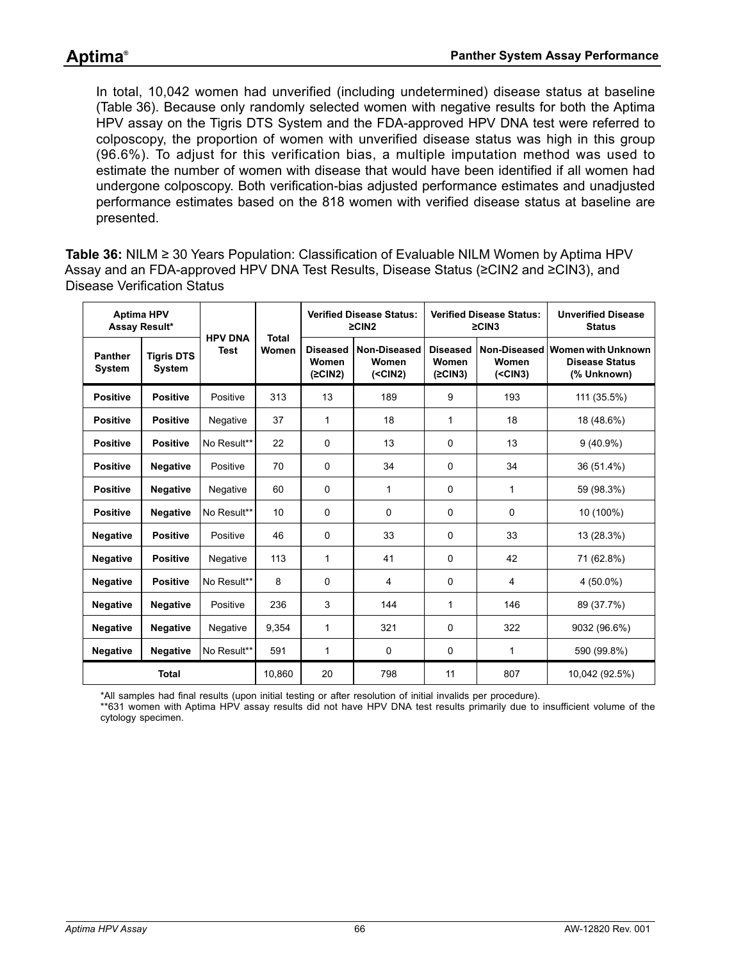In total, 10,042 women had unverified (including undetermined) disease status at baseline ([Table 36](#page-65-0)). Because only randomly selected women with negative results for both the Aptima HPV assay on the Tigris DTS System and the FDA-approved HPV DNA test were referred to colposcopy, the proportion of women with unverified disease status was high in this group (96.6%). To adjust for this verification bias, a multiple imputation method was used to estimate the number of women with disease that would have been identified if all women had undergone colposcopy. Both verification-bias adjusted performance estimates and unadjusted performance estimates based on the 818 women with verified disease status at baseline are presented.

<span id="page-65-0"></span>**Table 36:** NILM ≥ 30 Years Population: Classification of Evaluable NILM Women by Aptima HPV Assay and an FDA-approved HPV DNA Test Results, Disease Status (≥CIN2 and ≥CIN3), and Disease Verification Status

| <b>Aptima HPV</b><br>Assay Result* |                                    | <b>HPV DNA</b> | <b>Total</b> | <b>Verified Disease Status:</b><br>$\geq$ CIN2 |                                     | <b>Verified Disease Status:</b><br>$\geq$ CIN3 |                                     | <b>Unverified Disease</b><br><b>Status</b>                        |  |
|------------------------------------|------------------------------------|----------------|--------------|------------------------------------------------|-------------------------------------|------------------------------------------------|-------------------------------------|-------------------------------------------------------------------|--|
| <b>Panther</b><br><b>System</b>    | <b>Tigris DTS</b><br><b>System</b> | <b>Test</b>    | Women        | <b>Diseased</b><br>Women<br>(2CIN2)            | Non-Diseased<br>Women<br>$(<$ CIN2) | <b>Diseased</b><br>Women<br>(2CIN3)            | Non-Diseased<br>Women<br>$(<$ CIN3) | <b>Women with Unknown</b><br><b>Disease Status</b><br>(% Unknown) |  |
| <b>Positive</b>                    | <b>Positive</b>                    | Positive       | 313          | 13                                             | 189                                 | 9                                              | 193                                 | 111 (35.5%)                                                       |  |
| <b>Positive</b>                    | <b>Positive</b>                    | Negative       | 37           | 1                                              | 18                                  | 1                                              | 18                                  | 18 (48.6%)                                                        |  |
| <b>Positive</b>                    | <b>Positive</b>                    | No Result**    | 22           | 0                                              | 13                                  | 0                                              | 13                                  | $9(40.9\%)$                                                       |  |
| <b>Positive</b>                    | <b>Negative</b>                    | Positive       | 70           | 0                                              | 34                                  | 0                                              | 34                                  | 36 (51.4%)                                                        |  |
| <b>Positive</b>                    | <b>Negative</b>                    | Negative       | 60           | $\Omega$                                       | 1                                   | 0                                              | 1                                   | 59 (98.3%)                                                        |  |
| <b>Positive</b>                    | <b>Negative</b>                    | No Result**    | 10           | 0                                              | 0                                   | 0                                              | 0                                   | 10 (100%)                                                         |  |
| <b>Negative</b>                    | <b>Positive</b>                    | Positive       | 46           | 0                                              | 33                                  | 0                                              | 33                                  | 13 (28.3%)                                                        |  |
| <b>Negative</b>                    | <b>Positive</b>                    | Negative       | 113          | 1                                              | 41                                  | 0                                              | 42                                  | 71 (62.8%)                                                        |  |
| <b>Negative</b>                    | <b>Positive</b>                    | No Result**    | 8            | 0                                              | 4                                   | 0                                              | 4                                   | 4 (50.0%)                                                         |  |
| <b>Negative</b>                    | <b>Negative</b>                    | Positive       | 236          | 3                                              | 144                                 | 1                                              | 146                                 | 89 (37.7%)                                                        |  |
| <b>Negative</b>                    | <b>Negative</b>                    | Negative       | 9,354        | 1                                              | 321                                 | 0                                              | 322                                 | 9032 (96.6%)                                                      |  |
| <b>Negative</b>                    | <b>Negative</b>                    | No Result**    | 591          | 1                                              | 0                                   | 0                                              | 1                                   | 590 (99.8%)                                                       |  |
|                                    | <b>Total</b>                       |                | 10.860       | 20                                             | 798                                 | 11                                             | 807                                 | 10,042 (92.5%)                                                    |  |

\*All samples had final results (upon initial testing or after resolution of initial invalids per procedure).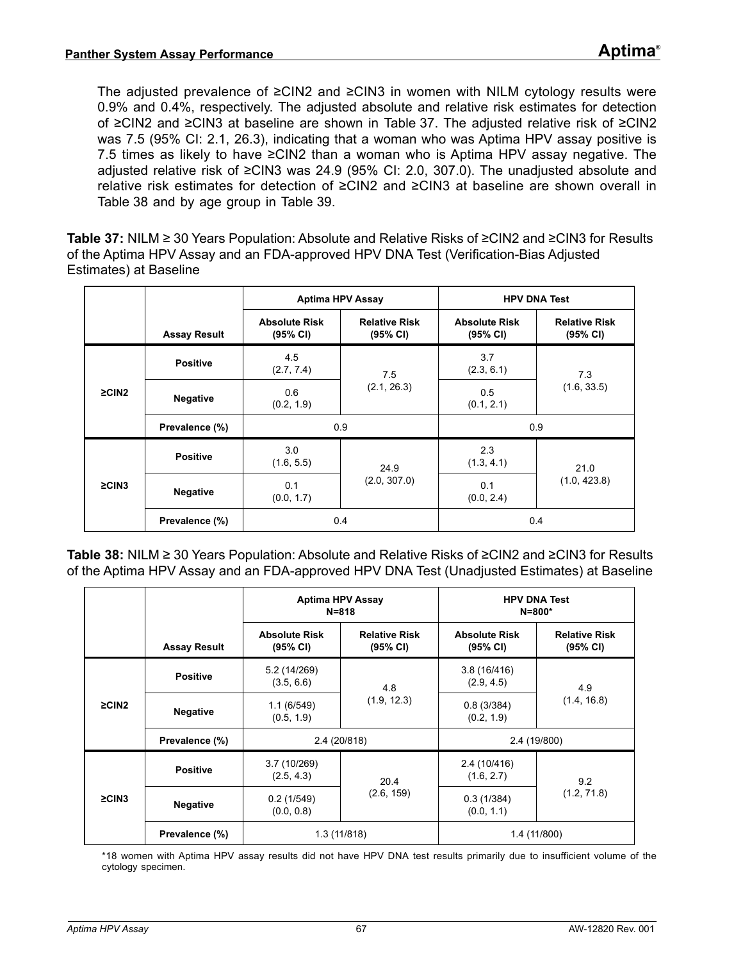The adjusted prevalence of ≥CIN2 and ≥CIN3 in women with NILM cytology results were 0.9% and 0.4%, respectively. The adjusted absolute and relative risk estimates for detection of ≥CIN2 and ≥CIN3 at baseline are shown in [Table 37](#page-66-0). The adjusted relative risk of ≥CIN2 was 7.5 (95% CI: 2.1, 26.3), indicating that a woman who was Aptima HPV assay positive is 7.5 times as likely to have ≥CIN2 than a woman who is Aptima HPV assay negative. The adjusted relative risk of ≥CIN3 was 24.9 (95% CI: 2.0, 307.0). The unadjusted absolute and relative risk estimates for detection of ≥CIN2 and ≥CIN3 at baseline are shown overall in [Table 38](#page-66-1) and by age group in [Table 39](#page-67-0).

<span id="page-66-0"></span>**Table 37:** NILM ≥ 30 Years Population: Absolute and Relative Risks of ≥CIN2 and ≥CIN3 for Results of the Aptima HPV Assay and an FDA-approved HPV DNA Test (Verification-Bias Adjusted Estimates) at Baseline

|             |                     | <b>Aptima HPV Assay</b>          |                                  | <b>HPV DNA Test</b>              |                                  |  |
|-------------|---------------------|----------------------------------|----------------------------------|----------------------------------|----------------------------------|--|
|             | <b>Assay Result</b> | <b>Absolute Risk</b><br>(95% CI) | <b>Relative Risk</b><br>(95% CI) | <b>Absolute Risk</b><br>(95% CI) | <b>Relative Risk</b><br>(95% CI) |  |
|             | <b>Positive</b>     | 4.5<br>(2.7, 7.4)                | 7.5                              | 3.7<br>(2.3, 6.1)                | 7.3                              |  |
| $\geq$ CIN2 | <b>Negative</b>     | 0.6<br>(0.2, 1.9)                | (2.1, 26.3)                      | 0.5<br>(0.1, 2.1)                | (1.6, 33.5)                      |  |
|             | Prevalence (%)      | 0.9                              |                                  | 0.9                              |                                  |  |
|             | <b>Positive</b>     | 3.0<br>(1.6, 5.5)                | 24.9                             | 2.3<br>(1.3, 4.1)                | 21.0                             |  |
| $\geq$ CIN3 | <b>Negative</b>     | 0.1<br>(0.0, 1.7)                | (2.0, 307.0)                     | 0.1<br>(0.0, 2.4)                | (1.0, 423.8)                     |  |
|             | Prevalence (%)      | 0.4                              |                                  | 0.4                              |                                  |  |

<span id="page-66-1"></span>**Table 38:** NILM ≥ 30 Years Population: Absolute and Relative Risks of ≥CIN2 and ≥CIN3 for Results of the Aptima HPV Assay and an FDA-approved HPV DNA Test (Unadjusted Estimates) at Baseline

|             |                     | <b>Aptima HPV Assay</b><br>$N = 818$ |                                  | <b>HPV DNA Test</b><br>$N = 800*$ |                                  |  |
|-------------|---------------------|--------------------------------------|----------------------------------|-----------------------------------|----------------------------------|--|
|             | <b>Assay Result</b> | <b>Absolute Risk</b><br>(95% CI)     | <b>Relative Risk</b><br>(95% CI) | <b>Absolute Risk</b><br>(95% CI)  | <b>Relative Risk</b><br>(95% CI) |  |
| $\geq$ CIN2 | <b>Positive</b>     | 5.2 (14/269)<br>(3.5, 6.6)           | 4.8                              | 3.8(16/416)<br>(2.9, 4.5)         | 4.9                              |  |
|             | <b>Negative</b>     | 1.1(6/549)<br>(0.5, 1.9)             | (1.9, 12.3)                      | 0.8(3/384)<br>(0.2, 1.9)          | (1.4, 16.8)                      |  |
|             | Prevalence (%)      | 2.4 (20/818)                         |                                  | 2.4 (19/800)                      |                                  |  |
|             | <b>Positive</b>     | 3.7(10/269)<br>(2.5, 4.3)            | 20.4                             | 2.4 (10/416)<br>(1.6, 2.7)        | 9.2                              |  |
| $\geq$ CIN3 | <b>Negative</b>     | 0.2(1/549)<br>(0.0, 0.8)             | (2.6, 159)                       | 0.3(1/384)<br>(0.0, 1.1)          | (1.2, 71.8)                      |  |
|             | Prevalence (%)      | 1.3 (11/818)                         |                                  | 1.4 (11/800)                      |                                  |  |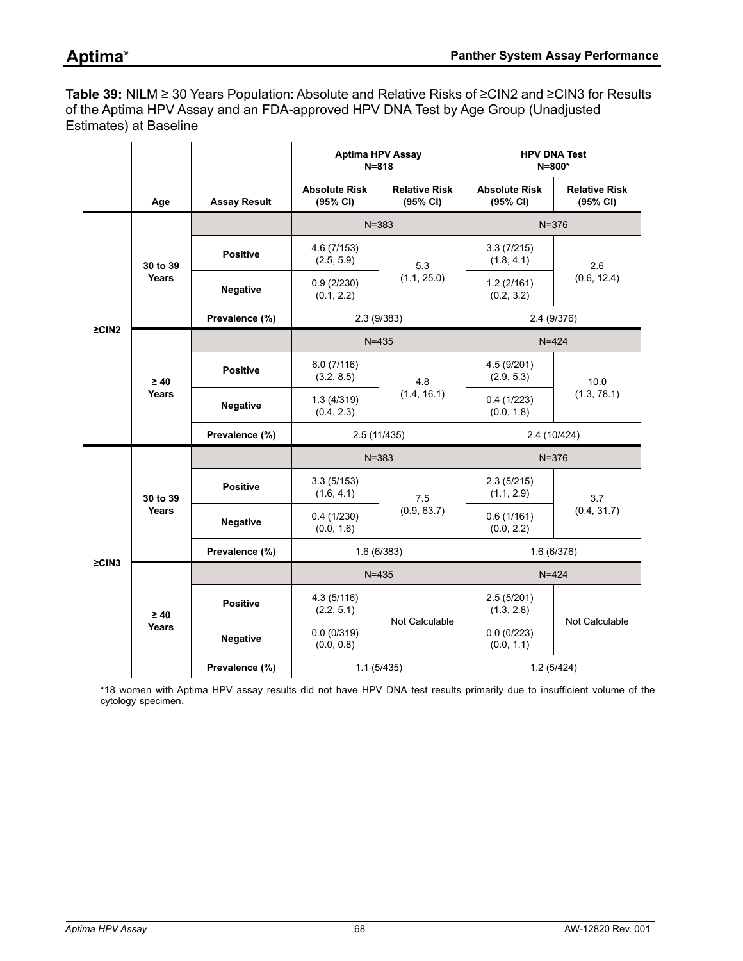<span id="page-67-0"></span>**Table 39:** NILM ≥ 30 Years Population: Absolute and Relative Risks of ≥CIN2 and ≥CIN3 for Results of the Aptima HPV Assay and an FDA-approved HPV DNA Test by Age Group (Unadjusted Estimates) at Baseline

|             |                    |                     | <b>Aptima HPV Assay</b><br>$N = 818$ |                                  |                                  | <b>HPV DNA Test</b><br>$N = 800*$ |  |
|-------------|--------------------|---------------------|--------------------------------------|----------------------------------|----------------------------------|-----------------------------------|--|
|             | Age                | <b>Assay Result</b> | <b>Absolute Risk</b><br>(95% CI)     | <b>Relative Risk</b><br>(95% CI) | <b>Absolute Risk</b><br>(95% CI) | <b>Relative Risk</b><br>(95% CI)  |  |
|             |                    |                     | $N = 383$                            |                                  | $N = 376$                        |                                   |  |
|             | 30 to 39<br>Years  | <b>Positive</b>     | 4.6 (7/153)<br>(2.5, 5.9)            | 5.3                              | 3.3(7/215)<br>(1.8, 4.1)         | 2.6<br>(0.6, 12.4)                |  |
|             |                    | Negative            | 0.9(2/230)<br>(0.1, 2.2)             | (1.1, 25.0)                      | 1.2(2/161)<br>(0.2, 3.2)         |                                   |  |
| $\geq$ CIN2 |                    | Prevalence (%)      |                                      | 2.3(9/383)                       |                                  | 2.4 (9/376)                       |  |
|             |                    |                     |                                      | $N = 435$                        | $N = 424$                        |                                   |  |
|             | $\geq 40$<br>Years | <b>Positive</b>     | 6.0(7/116)<br>(3.2, 8.5)             | 4.8<br>(1.4, 16.1)               | 4.5 (9/201)<br>(2.9, 5.3)        | 10.0<br>(1.3, 78.1)               |  |
|             |                    | <b>Negative</b>     | 1.3(4/319)<br>(0.4, 2.3)             |                                  | 0.4(1/223)<br>(0.0, 1.8)         |                                   |  |
|             |                    | Prevalence (%)      | 2.5(11/435)                          |                                  |                                  | 2.4 (10/424)                      |  |
|             |                    |                     | $N = 383$                            |                                  | $N = 376$                        |                                   |  |
|             | 30 to 39           | <b>Positive</b>     | 3.3(5/153)<br>(1.6, 4.1)             | 7.5                              | 2.3(5/215)<br>(1.1, 2.9)         | 3.7                               |  |
|             | Years              | Negative            | 0.4(1/230)<br>(0.0, 1.6)             | (0.9, 63.7)                      | 0.6(1/161)<br>(0.0, 2.2)         | (0.4, 31.7)                       |  |
|             |                    | Prevalence (%)      |                                      | 1.6(6/383)                       |                                  | 1.6(6/376)                        |  |
| $\geq$ CIN3 |                    |                     |                                      | $N = 435$                        |                                  | $N = 424$                         |  |
|             | $\geq 40$          | <b>Positive</b>     | 4.3(5/116)<br>(2.2, 5.1)             |                                  | 2.5(5/201)<br>(1.3, 2.8)         |                                   |  |
|             | Years              | <b>Negative</b>     | 0.0(0/319)<br>(0.0, 0.8)             | Not Calculable                   | 0.0(0/223)<br>(0.0, 1.1)         | Not Calculable                    |  |
|             |                    | Prevalence (%)      |                                      | 1.1(5/435)                       |                                  | 1.2(5/424)                        |  |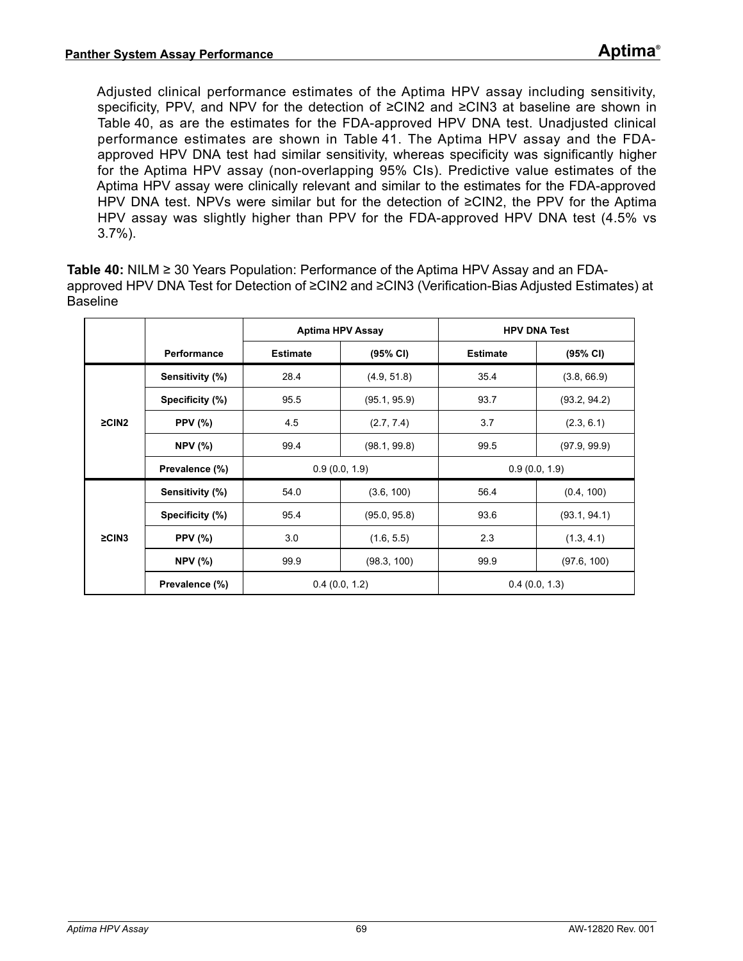Adjusted clinical performance estimates of the Aptima HPV assay including sensitivity, specificity, PPV, and NPV for the detection of ≥CIN2 and ≥CIN3 at baseline are shown in [Table 40,](#page-68-0) as are the estimates for the FDA-approved HPV DNA test. Unadjusted clinical performance estimates are shown in [Table 41](#page-69-0). The Aptima HPV assay and the FDAapproved HPV DNA test had similar sensitivity, whereas specificity was significantly higher for the Aptima HPV assay (non-overlapping 95% CIs). Predictive value estimates of the Aptima HPV assay were clinically relevant and similar to the estimates for the FDA-approved HPV DNA test. NPVs were similar but for the detection of ≥CIN2, the PPV for the Aptima HPV assay was slightly higher than PPV for the FDA-approved HPV DNA test (4.5% vs 3.7%).

<span id="page-68-0"></span>**Table 40:** NILM ≥ 30 Years Population: Performance of the Aptima HPV Assay and an FDAapproved HPV DNA Test for Detection of ≥CIN2 and ≥CIN3 (Verification-Bias Adjusted Estimates) at **Baseline** 

|             |                    | <b>Aptima HPV Assay</b> |               | <b>HPV DNA Test</b> |              |  |
|-------------|--------------------|-------------------------|---------------|---------------------|--------------|--|
|             | <b>Performance</b> | <b>Estimate</b>         | (95% CI)      | <b>Estimate</b>     | (95% CI)     |  |
|             | Sensitivity (%)    | 28.4                    | (4.9, 51.8)   | 35.4                | (3.8, 66.9)  |  |
| $\geq$ CIN2 | Specificity (%)    | 95.5                    | (95.1, 95.9)  | 93.7                | (93.2, 94.2) |  |
|             | <b>PPV</b> (%)     | 4.5                     | (2.7, 7.4)    | 3.7                 | (2.3, 6.1)   |  |
|             | <b>NPV</b> (%)     | 99.4                    | (98.1, 99.8)  | 99.5                | (97.9, 99.9) |  |
|             | Prevalence (%)     |                         | 0.9(0.0, 1.9) | 0.9(0.0, 1.9)       |              |  |
|             | Sensitivity (%)    | 54.0                    | (3.6, 100)    | 56.4                | (0.4, 100)   |  |
|             | Specificity (%)    | 95.4                    | (95.0, 95.8)  | 93.6                | (93.1, 94.1) |  |
| $\geq$ CIN3 | <b>PPV</b> (%)     | 3.0                     | (1.6, 5.5)    | 2.3                 | (1.3, 4.1)   |  |
|             | <b>NPV</b> (%)     | 99.9                    | (98.3, 100)   | 99.9                | (97.6, 100)  |  |
|             | Prevalence (%)     |                         | 0.4(0.0, 1.2) | 0.4(0.0, 1.3)       |              |  |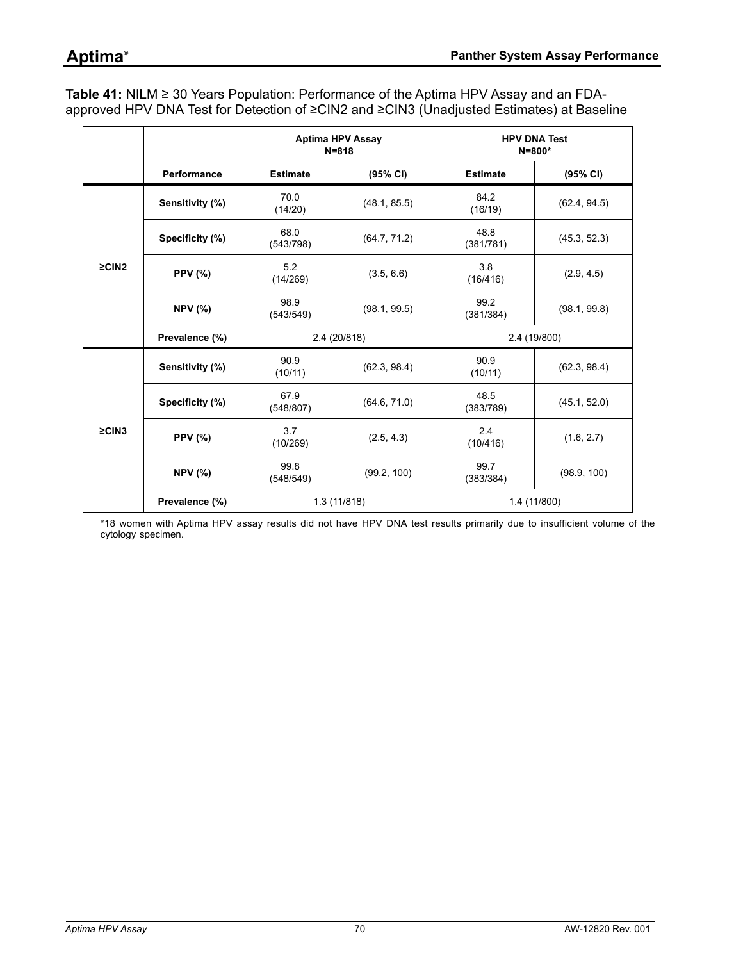<span id="page-69-0"></span>**Table 41:** NILM ≥ 30 Years Population: Performance of the Aptima HPV Assay and an FDAapproved HPV DNA Test for Detection of ≥CIN2 and ≥CIN3 (Unadjusted Estimates) at Baseline

|             |                 | <b>Aptima HPV Assay</b><br>$N = 818$ |              | <b>HPV DNA Test</b><br>$N = 800*$ |              |  |
|-------------|-----------------|--------------------------------------|--------------|-----------------------------------|--------------|--|
|             | Performance     | <b>Estimate</b>                      | (95% CI)     | <b>Estimate</b>                   | (95% CI)     |  |
|             | Sensitivity (%) | 70.0<br>(14/20)                      | (48.1, 85.5) | 84.2<br>(16/19)                   | (62.4, 94.5) |  |
| $\geq$ CIN2 | Specificity (%) | 68.0<br>(543/798)                    | (64.7, 71.2) | 48.8<br>(381/781)                 | (45.3, 52.3) |  |
|             | <b>PPV (%)</b>  | 5.2<br>(14/269)                      | (3.5, 6.6)   | 3.8<br>(16/416)                   | (2.9, 4.5)   |  |
|             | <b>NPV (%)</b>  | 98.9<br>(543/549)                    | (98.1, 99.5) | 99.2<br>(381/384)                 | (98.1, 99.8) |  |
|             | Prevalence (%)  |                                      | 2.4 (20/818) | 2.4 (19/800)                      |              |  |
| $\geq$ CIN3 | Sensitivity (%) | 90.9<br>(10/11)                      | (62.3, 98.4) | 90.9<br>(10/11)                   | (62.3, 98.4) |  |
|             | Specificity (%) | 67.9<br>(548/807)                    | (64.6, 71.0) | 48.5<br>(383/789)                 | (45.1, 52.0) |  |
|             | <b>PPV (%)</b>  | 3.7<br>(10/269)                      | (2.5, 4.3)   | 2.4<br>(10/416)                   | (1.6, 2.7)   |  |
|             | <b>NPV (%)</b>  | 99.8<br>(548/549)                    | (99.2, 100)  | 99.7<br>(383/384)                 | (98.9, 100)  |  |
|             | Prevalence (%)  |                                      | 1.3(11/818)  | 1.4 (11/800)                      |              |  |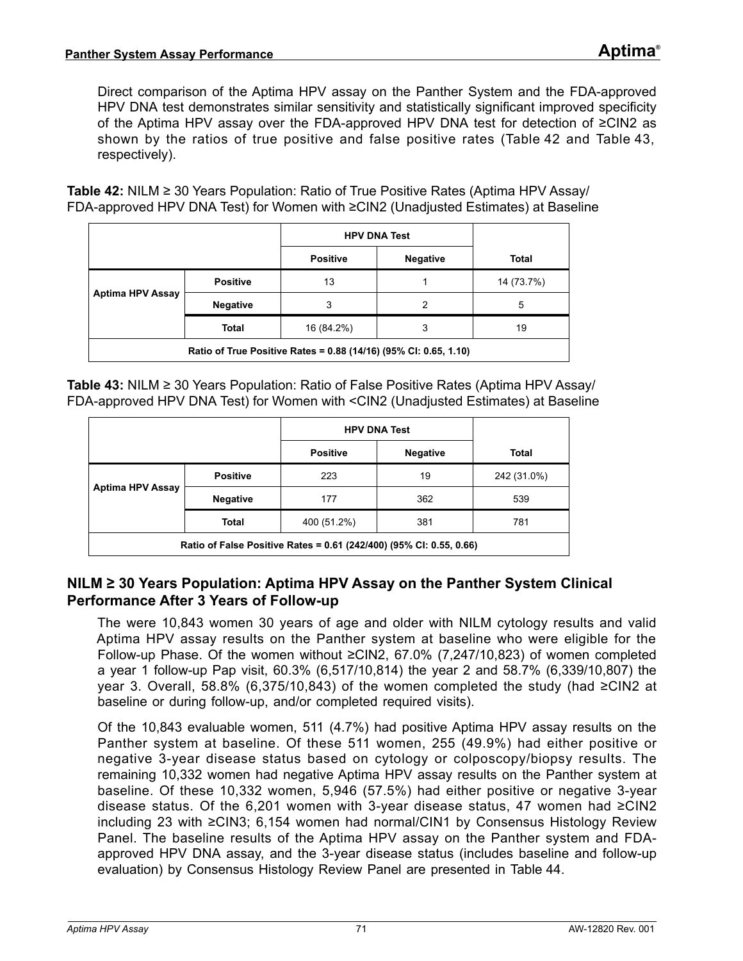Direct comparison of the Aptima HPV assay on the Panther System and the FDA-approved HPV DNA test demonstrates similar sensitivity and statistically significant improved specificity of the Aptima HPV assay over the FDA-approved HPV DNA test for detection of ≥CIN2 as shown by the ratios of true positive and false positive rates ([Table 42](#page-70-0) and [Table 43](#page-70-1), respectively).

<span id="page-70-0"></span>**Table 42:** NILM ≥ 30 Years Population: Ratio of True Positive Rates (Aptima HPV Assay/ FDA-approved HPV DNA Test) for Women with ≥CIN2 (Unadjusted Estimates) at Baseline

|                                                                  |                 | <b>HPV DNA Test</b> |                 |              |  |
|------------------------------------------------------------------|-----------------|---------------------|-----------------|--------------|--|
|                                                                  |                 | <b>Positive</b>     | <b>Negative</b> | <b>Total</b> |  |
|                                                                  | <b>Positive</b> | 13                  |                 | 14 (73.7%)   |  |
| <b>Aptima HPV Assay</b>                                          | <b>Negative</b> | 3                   | 2               | 5            |  |
|                                                                  | <b>Total</b>    | 16 (84.2%)          | 3               | 19           |  |
| Ratio of True Positive Rates = 0.88 (14/16) (95% CI: 0.65, 1.10) |                 |                     |                 |              |  |

<span id="page-70-1"></span>**Table 43:** NILM ≥ 30 Years Population: Ratio of False Positive Rates (Aptima HPV Assay/ FDA-approved HPV DNA Test) for Women with <CIN2 (Unadjusted Estimates) at Baseline

|                                                                     |                 | <b>HPV DNA Test</b> |                 |              |  |
|---------------------------------------------------------------------|-----------------|---------------------|-----------------|--------------|--|
|                                                                     |                 | <b>Positive</b>     | <b>Negative</b> | <b>Total</b> |  |
|                                                                     | <b>Positive</b> | 223                 | 19              | 242 (31.0%)  |  |
| <b>Aptima HPV Assay</b>                                             | <b>Negative</b> | 177                 | 362             | 539          |  |
|                                                                     | <b>Total</b>    | 400 (51.2%)         | 381             | 781          |  |
| Ratio of False Positive Rates = 0.61 (242/400) (95% CI: 0.55, 0.66) |                 |                     |                 |              |  |

### **NILM ≥ 30 Years Population: Aptima HPV Assay on the Panther System Clinical Performance After 3 Years of Follow-up**

The were 10,843 women 30 years of age and older with NILM cytology results and valid Aptima HPV assay results on the Panther system at baseline who were eligible for the Follow-up Phase. Of the women without ≥CIN2, 67.0% (7,247/10,823) of women completed a year 1 follow-up Pap visit, 60.3% (6,517/10,814) the year 2 and 58.7% (6,339/10,807) the year 3. Overall, 58.8% (6,375/10,843) of the women completed the study (had ≥CIN2 at baseline or during follow-up, and/or completed required visits).

Of the 10,843 evaluable women, 511 (4.7%) had positive Aptima HPV assay results on the Panther system at baseline. Of these 511 women, 255 (49.9%) had either positive or negative 3-year disease status based on cytology or colposcopy/biopsy results. The remaining 10,332 women had negative Aptima HPV assay results on the Panther system at baseline. Of these 10,332 women, 5,946 (57.5%) had either positive or negative 3-year disease status. Of the 6,201 women with 3-year disease status, 47 women had ≥CIN2 including 23 with ≥CIN3; 6,154 women had normal/CIN1 by Consensus Histology Review Panel. The baseline results of the Aptima HPV assay on the Panther system and FDAapproved HPV DNA assay, and the 3-year disease status (includes baseline and follow-up evaluation) by Consensus Histology Review Panel are presented in [Table 44](#page-71-0).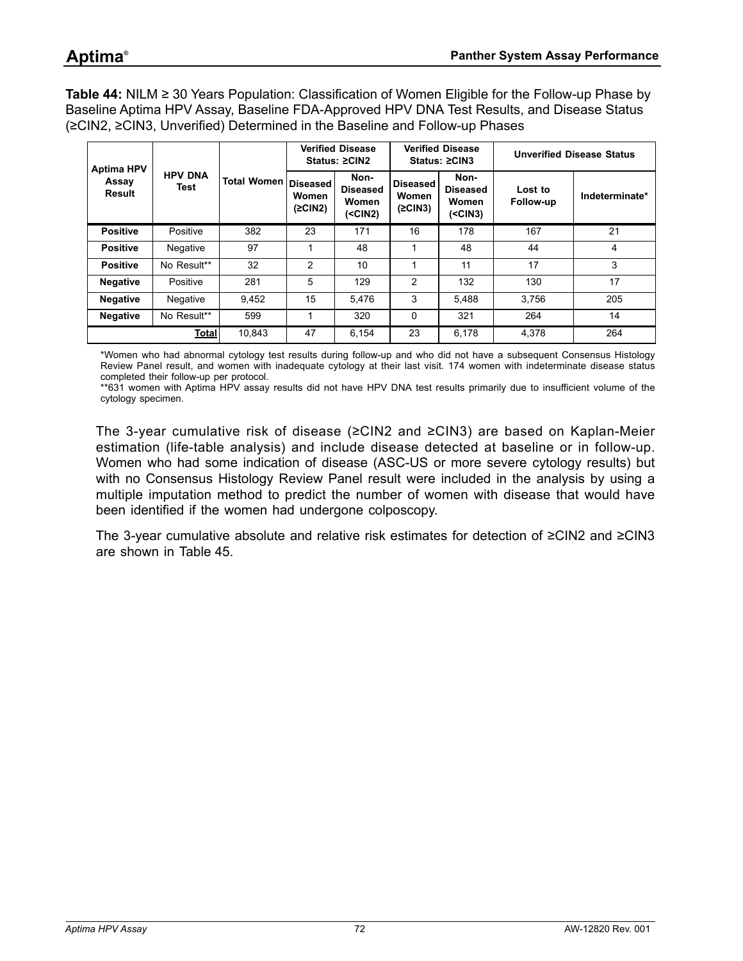<span id="page-71-0"></span>**Table 44:** NILM ≥ 30 Years Population: Classification of Women Eligible for the Follow-up Phase by Baseline Aptima HPV Assay, Baseline FDA-Approved HPV DNA Test Results, and Disease Status (≥CIN2, ≥CIN3, Unverified) Determined in the Baseline and Follow-up Phases

| <b>Aptima HPV</b><br>Assay<br>Result | <b>HPV DNA</b><br>Test | Total Women | <b>Verified Disease</b><br>Status: ≥CIN2 |                                                | <b>Verified Disease</b><br>Status: ≥CIN3   |                                                | <b>Unverified Disease Status</b> |                |
|--------------------------------------|------------------------|-------------|------------------------------------------|------------------------------------------------|--------------------------------------------|------------------------------------------------|----------------------------------|----------------|
|                                      |                        |             | Diseased<br>Women<br>(2CIN2)             | Non-<br><b>Diseased</b><br>Women<br>$(<$ CIN2) | <b>Diseased</b><br><b>Women</b><br>(2CIN3) | Non-<br><b>Diseased</b><br>Women<br>$(<$ CIN3) | Lost to<br>Follow-up             | Indeterminate* |
| <b>Positive</b>                      | Positive               | 382         | 23                                       | 171                                            | 16                                         | 178                                            | 167                              | 21             |
| <b>Positive</b>                      | Negative               | 97          |                                          | 48                                             |                                            | 48                                             | 44                               | 4              |
| <b>Positive</b>                      | No Result**            | 32          | $\overline{2}$                           | 10                                             |                                            | 11                                             | 17                               | 3              |
| <b>Negative</b>                      | Positive               | 281         | 5                                        | 129                                            | 2                                          | 132                                            | 130                              | 17             |
| <b>Negative</b>                      | Negative               | 9.452       | 15                                       | 5.476                                          | 3                                          | 5.488                                          | 3.756                            | 205            |
| <b>Negative</b>                      | No Result**            | 599         | 1                                        | 320                                            | 0                                          | 321                                            | 264                              | 14             |
|                                      | <b>Total</b>           | 10,843      | 47                                       | 6,154                                          | 23                                         | 6.178                                          | 4,378                            | 264            |

\*Women who had abnormal cytology test results during follow-up and who did not have a subsequent Consensus Histology Review Panel result, and women with inadequate cytology at their last visit. 174 women with indeterminate disease status completed their follow-up per protocol.

\*\*631 women with Aptima HPV assay results did not have HPV DNA test results primarily due to insufficient volume of the cytology specimen.

The 3-year cumulative risk of disease (≥CIN2 and ≥CIN3) are based on Kaplan-Meier estimation (life-table analysis) and include disease detected at baseline or in follow-up. Women who had some indication of disease (ASC-US or more severe cytology results) but with no Consensus Histology Review Panel result were included in the analysis by using a multiple imputation method to predict the number of women with disease that would have been identified if the women had undergone colposcopy.

The 3-year cumulative absolute and relative risk estimates for detection of ≥CIN2 and ≥CIN3 are shown in [Table 45](#page-72-0).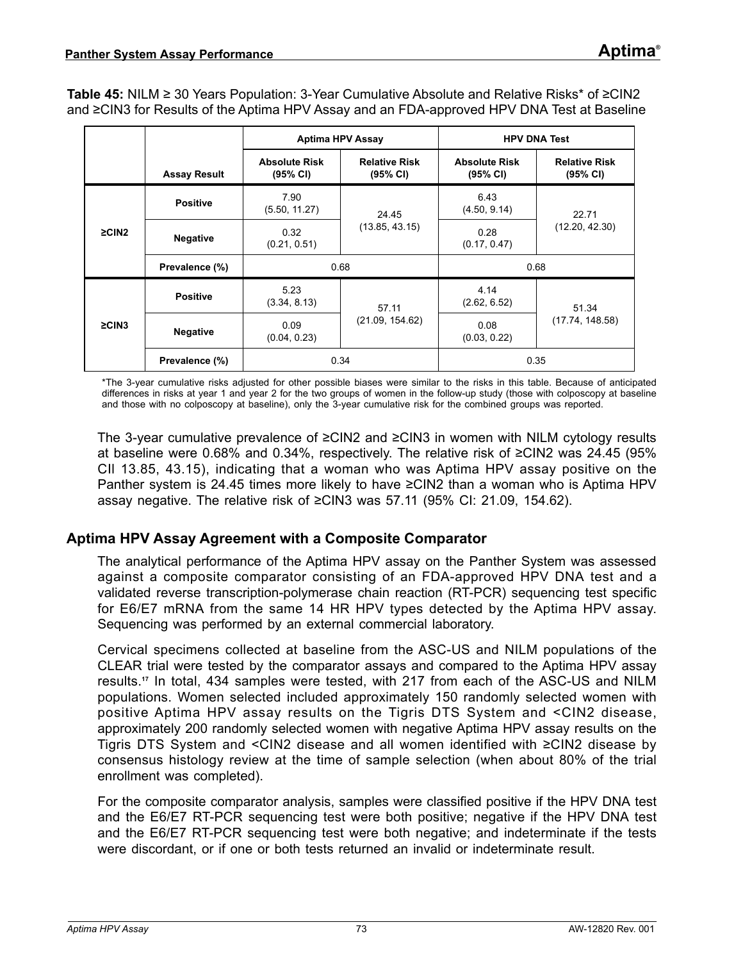**Table 45:** NILM ≥ 30 Years Population: 3-Year Cumulative Absolute and Relative Risks\* of ≥CIN2 and ≥CIN3 for Results of the Aptima HPV Assay and an FDA-approved HPV DNA Test at Baseline

|                                |                     | <b>Aptima HPV Assay</b>          |                                  | <b>HPV DNA Test</b>              |                                  |  |  |  |
|--------------------------------|---------------------|----------------------------------|----------------------------------|----------------------------------|----------------------------------|--|--|--|
|                                | <b>Assay Result</b> | <b>Absolute Risk</b><br>(95% CI) | <b>Relative Risk</b><br>(95% CI) | <b>Absolute Risk</b><br>(95% CI) | <b>Relative Risk</b><br>(95% CI) |  |  |  |
|                                | <b>Positive</b>     | 7.90<br>(5.50, 11.27)            | 24.45                            | 6.43<br>(4.50, 9.14)             | 22.71                            |  |  |  |
| $\geq$ CIN2<br><b>Negative</b> |                     | 0.32<br>(0.21, 0.51)             | (13.85, 43.15)                   | 0.28<br>(0.17, 0.47)             | (12.20, 42.30)                   |  |  |  |
|                                | Prevalence (%)      | 0.68                             |                                  | 0.68                             |                                  |  |  |  |
|                                | <b>Positive</b>     | 5.23<br>(3.34, 8.13)             | 57.11                            | 4.14<br>(2.62, 6.52)             | 51.34                            |  |  |  |
| $\geq$ CIN3                    | <b>Negative</b>     | 0.09<br>(0.04, 0.23)             | (21.09, 154.62)                  | 0.08<br>(0.03, 0.22)             | (17.74, 148.58)                  |  |  |  |
|                                | Prevalence (%)      | 0.34                             |                                  | 0.35                             |                                  |  |  |  |

\*The 3-year cumulative risks adjusted for other possible biases were similar to the risks in this table. Because of anticipated differences in risks at year 1 and year 2 for the two groups of women in the follow-up study (those with colposcopy at baseline and those with no colposcopy at baseline), only the 3-year cumulative risk for the combined groups was reported.

The 3-year cumulative prevalence of ≥CIN2 and ≥CIN3 in women with NILM cytology results at baseline were 0.68% and 0.34%, respectively. The relative risk of ≥CIN2 was 24.45 (95% CIl 13.85, 43.15), indicating that a woman who was Aptima HPV assay positive on the Panther system is 24.45 times more likely to have ≥CIN2 than a woman who is Aptima HPV assay negative. The relative risk of ≥CIN3 was 57.11 (95% CI: 21.09, 154.62).

#### **Aptima HPV Assay Agreement with a Composite Comparator**

The analytical performance of the Aptima HPV assay on the Panther System was assessed against a composite comparator consisting of an FDA-approved HPV DNA test and a validated reverse transcription-polymerase chain reaction (RT-PCR) sequencing test specific for E6/E7 mRNA from the same 14 HR HPV types detected by the Aptima HPV assay. Sequencing was performed by an external commercial laboratory.

Cervical specimens collected at baseline from the ASC-US and NILM populations of the CLEAR trial were tested by the comparator assays and compared to the Aptima HPV assay results.**[17](#page-80-0)** In total, 434 samples were tested, with 217 from each of the ASC-US and NILM populations. Women selected included approximately 150 randomly selected women with positive Aptima HPV assay results on the Tigris DTS System and <CIN2 disease, approximately 200 randomly selected women with negative Aptima HPV assay results on the Tigris DTS System and <CIN2 disease and all women identified with ≥CIN2 disease by consensus histology review at the time of sample selection (when about 80% of the trial enrollment was completed).

For the composite comparator analysis, samples were classified positive if the HPV DNA test and the E6/E7 RT-PCR sequencing test were both positive; negative if the HPV DNA test and the E6/E7 RT-PCR sequencing test were both negative; and indeterminate if the tests were discordant, or if one or both tests returned an invalid or indeterminate result.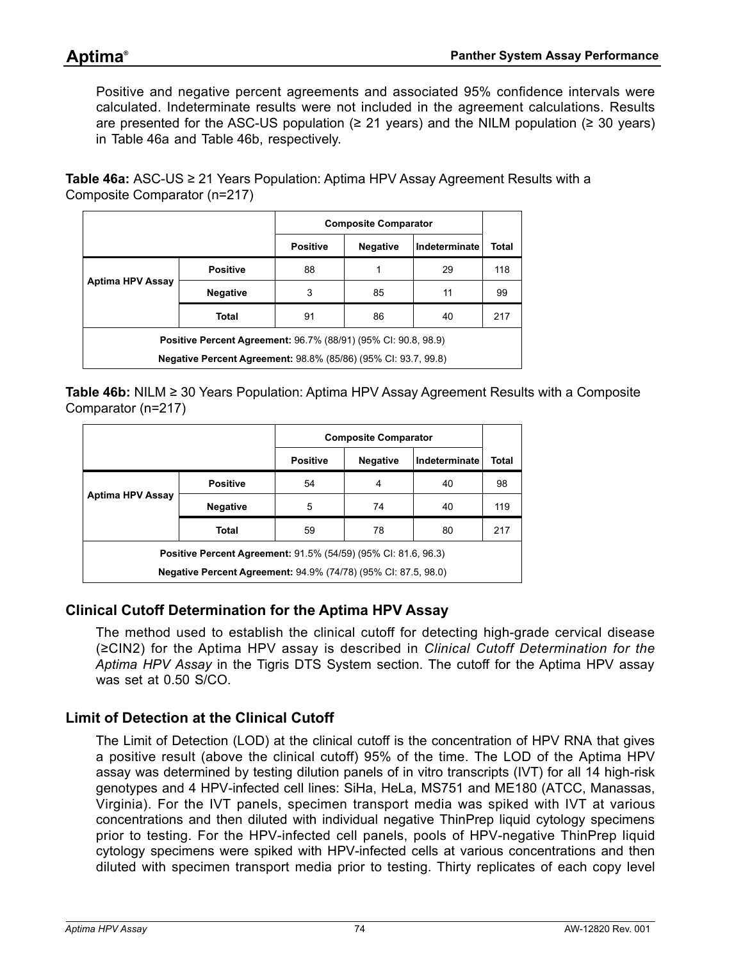Positive and negative percent agreements and associated 95% confidence intervals were calculated. Indeterminate results were not included in the agreement calculations. Results are presented for the ASC-US population ( $\geq$  21 years) and the NILM population ( $\geq$  30 years) in [Table 46](#page-73-0)a and [Table 46b](#page-73-1), respectively.

<span id="page-73-0"></span>**Table 46a:** ASC-US ≥ 21 Years Population: Aptima HPV Assay Agreement Results with a Composite Comparator (n=217)

|                                                                       |                 | <b>Composite Comparator</b> |                 |               |       |  |  |  |  |
|-----------------------------------------------------------------------|-----------------|-----------------------------|-----------------|---------------|-------|--|--|--|--|
|                                                                       |                 | <b>Positive</b>             | <b>Negative</b> | Indeterminate | Total |  |  |  |  |
|                                                                       | <b>Positive</b> | 88                          | 1               | 29            | 118   |  |  |  |  |
| Aptima HPV Assay                                                      | <b>Negative</b> | 3                           | 85              | 11            | 99    |  |  |  |  |
|                                                                       | <b>Total</b>    | 91                          | 86              | 40            | 217   |  |  |  |  |
| Positive Percent Agreement: 96.7% (88/91) (95% CI: 90.8, 98.9)        |                 |                             |                 |               |       |  |  |  |  |
| <b>Negative Percent Agreement: 98.8% (85/86) (95% CI: 93.7, 99.8)</b> |                 |                             |                 |               |       |  |  |  |  |

<span id="page-73-1"></span>**Table 46b:** NILM ≥ 30 Years Population: Aptima HPV Assay Agreement Results with a Composite Comparator (n=217)

|                                                                       |                 | <b>Composite Comparator</b> |                 |               |       |  |  |  |
|-----------------------------------------------------------------------|-----------------|-----------------------------|-----------------|---------------|-------|--|--|--|
|                                                                       |                 | <b>Positive</b>             | <b>Negative</b> | Indeterminate | Total |  |  |  |
|                                                                       | <b>Positive</b> | 54                          | 4               | 40            | 98    |  |  |  |
| Aptima HPV Assay                                                      | <b>Negative</b> | 5                           | 74              | 40            | 119   |  |  |  |
|                                                                       | Total           | 59                          | 78              | 80            | 217   |  |  |  |
| <b>Positive Percent Agreement: 91.5% (54/59) (95% CI: 81.6, 96.3)</b> |                 |                             |                 |               |       |  |  |  |
| <b>Negative Percent Agreement: 94.9% (74/78) (95% CI: 87.5, 98.0)</b> |                 |                             |                 |               |       |  |  |  |

## **Clinical Cutoff Determination for the Aptima HPV Assay**

The method used to establish the clinical cutoff for detecting high-grade cervical disease (≥CIN2) for the Aptima HPV assay is described in *[Clinical Cutoff Determination for the](#page-43-0)  [Aptima HPV Assay](#page-43-0)* in the Tigris DTS System section. The cutoff for the Aptima HPV assay was set at 0.50 S/CO.

## **Limit of Detection at the Clinical Cutoff**

The Limit of Detection (LOD) at the clinical cutoff is the concentration of HPV RNA that gives a positive result (above the clinical cutoff) 95% of the time. The LOD of the Aptima HPV assay was determined by testing dilution panels of in vitro transcripts (IVT) for all 14 high-risk genotypes and 4 HPV-infected cell lines: SiHa, HeLa, MS751 and ME180 (ATCC, Manassas, Virginia). For the IVT panels, specimen transport media was spiked with IVT at various concentrations and then diluted with individual negative ThinPrep liquid cytology specimens prior to testing. For the HPV-infected cell panels, pools of HPV-negative ThinPrep liquid cytology specimens were spiked with HPV-infected cells at various concentrations and then diluted with specimen transport media prior to testing. Thirty replicates of each copy level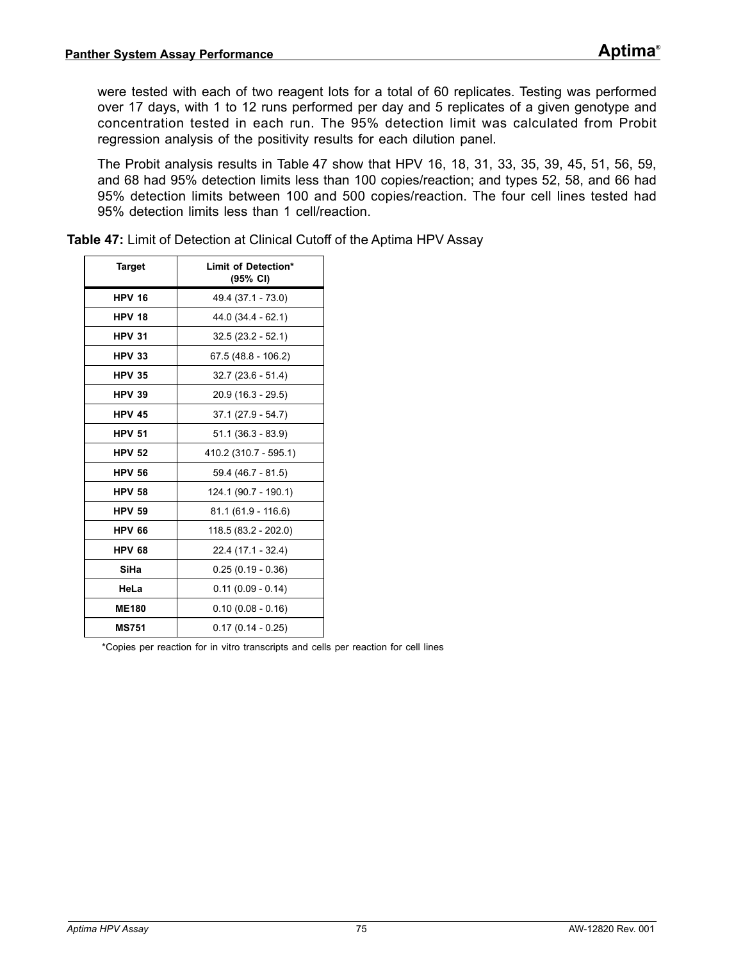were tested with each of two reagent lots for a total of 60 replicates. Testing was performed over 17 days, with 1 to 12 runs performed per day and 5 replicates of a given genotype and concentration tested in each run. The 95% detection limit was calculated from Probit regression analysis of the positivity results for each dilution panel.

The Probit analysis results in [Table 47](#page-74-0) show that HPV 16, 18, 31, 33, 35, 39, 45, 51, 56, 59, and 68 had 95% detection limits less than 100 copies/reaction; and types 52, 58, and 66 had 95% detection limits between 100 and 500 copies/reaction. The four cell lines tested had 95% detection limits less than 1 cell/reaction.

| <b>Target</b> | Limit of Detection*<br>$(95% \text{ Cl})$ |
|---------------|-------------------------------------------|
| <b>HPV 16</b> | 49.4 (37.1 - 73.0)                        |
| <b>HPV 18</b> | 44.0 (34.4 - 62.1)                        |
| <b>HPV 31</b> | $32.5(23.2 - 52.1)$                       |
| <b>HPV 33</b> | $67.5(48.8 - 106.2)$                      |
| <b>HPV 35</b> | $32.7(23.6 - 51.4)$                       |
| <b>HPV 39</b> | $20.9(16.3 - 29.5)$                       |
| <b>HPV 45</b> | $37.1(27.9 - 54.7)$                       |
| <b>HPV 51</b> | $51.1(36.3 - 83.9)$                       |
| <b>HPV 52</b> | 410.2 (310.7 - 595.1)                     |
| <b>HPV 56</b> | 59.4 (46.7 - 81.5)                        |
| <b>HPV 58</b> | 124.1 (90.7 - 190.1)                      |
| <b>HPV 59</b> | $81.1(61.9 - 116.6)$                      |
| <b>HPV 66</b> | $118.5(83.2 - 202.0)$                     |
| <b>HPV 68</b> | 22.4 (17.1 - 32.4)                        |
| SiHa          | $0.25(0.19 - 0.36)$                       |
| HeLa          | $0.11(0.09 - 0.14)$                       |
| <b>ME180</b>  | $0.10(0.08 - 0.16)$                       |
| <b>MS751</b>  | $0.17(0.14 - 0.25)$                       |

<span id="page-74-0"></span>**Table 47:** Limit of Detection at Clinical Cutoff of the Aptima HPV Assay

\*Copies per reaction for in vitro transcripts and cells per reaction for cell lines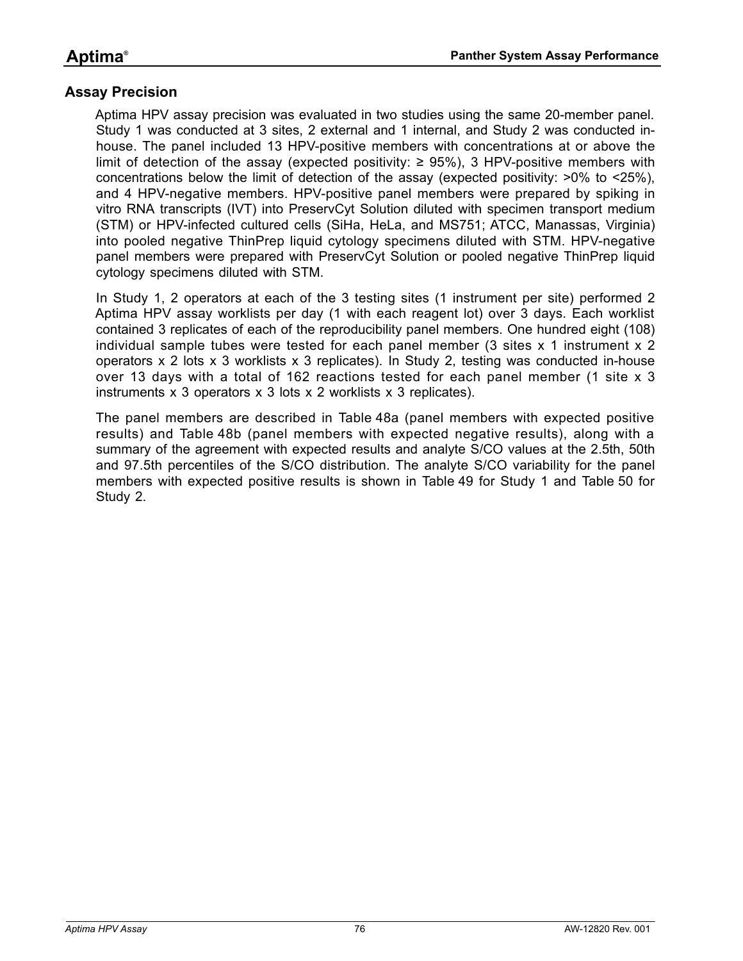#### **Assay Precision**

Aptima HPV assay precision was evaluated in two studies using the same 20-member panel. Study 1 was conducted at 3 sites, 2 external and 1 internal, and Study 2 was conducted inhouse. The panel included 13 HPV-positive members with concentrations at or above the limit of detection of the assay (expected positivity: ≥ 95%), 3 HPV-positive members with concentrations below the limit of detection of the assay (expected positivity:  $>0\%$  to  $<25\%$ ), and 4 HPV-negative members. HPV-positive panel members were prepared by spiking in vitro RNA transcripts (IVT) into PreservCyt Solution diluted with specimen transport medium (STM) or HPV-infected cultured cells (SiHa, HeLa, and MS751; ATCC, Manassas, Virginia) into pooled negative ThinPrep liquid cytology specimens diluted with STM. HPV-negative panel members were prepared with PreservCyt Solution or pooled negative ThinPrep liquid cytology specimens diluted with STM.

In Study 1, 2 operators at each of the 3 testing sites (1 instrument per site) performed 2 Aptima HPV assay worklists per day (1 with each reagent lot) over 3 days. Each worklist contained 3 replicates of each of the reproducibility panel members. One hundred eight (108) individual sample tubes were tested for each panel member (3 sites x 1 instrument x 2 operators x 2 lots x 3 worklists x 3 replicates). In Study 2, testing was conducted in-house over 13 days with a total of 162 reactions tested for each panel member (1 site x 3 instruments x 3 operators x 3 lots x 2 worklists x 3 replicates).

The panel members are described in [Table 48a](#page-76-0) (panel members with expected positive results) and [Table 48b](#page-77-0) (panel members with expected negative results), along with a summary of the agreement with expected results and analyte S/CO values at the 2.5th, 50th and 97.5th percentiles of the S/CO distribution. The analyte S/CO variability for the panel members with expected positive results is shown in [Table 49](#page-78-0) for Study 1 and [Table 50](#page-79-0) for Study 2.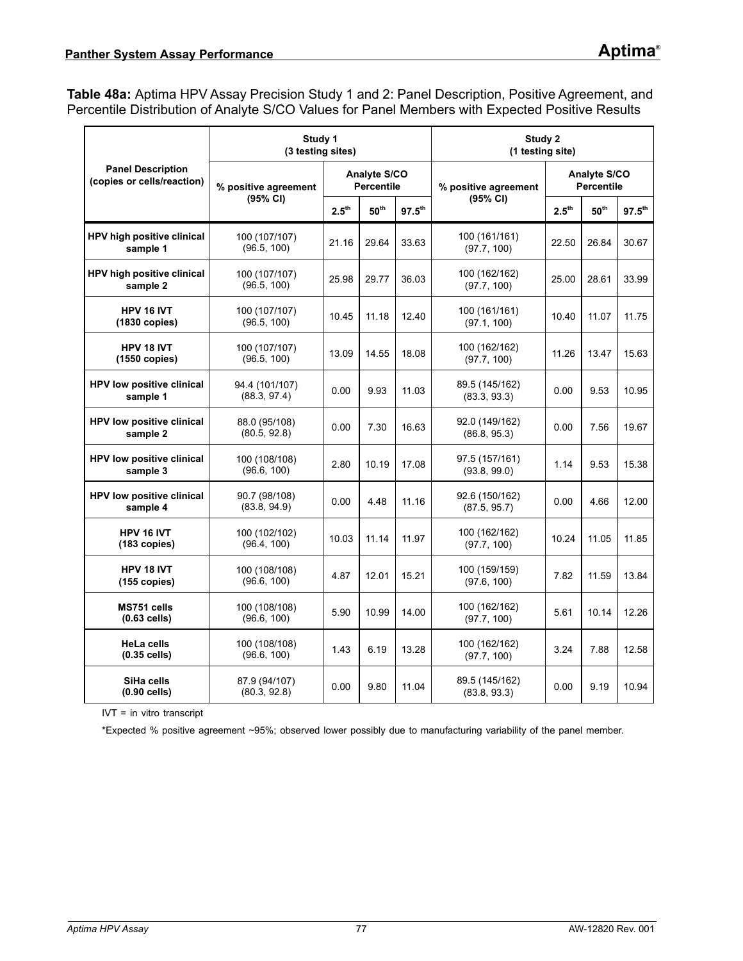<span id="page-76-0"></span>**Table 48a:** Aptima HPV Assay Precision Study 1 and 2: Panel Description, Positive Agreement, and Percentile Distribution of Analyte S/CO Values for Panel Members with Expected Positive Results

|                                                        | Study 1<br>(3 testing sites)   |                   |                                          | Study 2<br>(1 testing site) |                                |                                          |                  |                    |  |
|--------------------------------------------------------|--------------------------------|-------------------|------------------------------------------|-----------------------------|--------------------------------|------------------------------------------|------------------|--------------------|--|
| <b>Panel Description</b><br>(copies or cells/reaction) | % positive agreement           |                   | <b>Analyte S/CO</b><br><b>Percentile</b> |                             | % positive agreement           | <b>Analyte S/CO</b><br><b>Percentile</b> |                  |                    |  |
|                                                        | (95% CI)                       | $2.5^{\text{th}}$ | 50 <sup>th</sup><br>$97.5^{\text{th}}$   |                             | (95% CI)                       | 2.5 <sup>th</sup>                        | 50 <sup>th</sup> | $97.5^{\text{th}}$ |  |
| HPV high positive clinical<br>sample 1                 | 100 (107/107)<br>(96.5, 100)   | 21.16             | 29.64                                    | 33.63                       | 100 (161/161)<br>(97.7, 100)   | 22.50                                    | 26.84            | 30.67              |  |
| HPV high positive clinical<br>sample 2                 | 100 (107/107)<br>(96.5, 100)   | 25.98             | 29.77                                    | 36.03                       | 100 (162/162)<br>(97.7, 100)   | 25.00                                    | 28.61            | 33.99              |  |
| HPV 16 IVT<br>$(1830$ copies)                          | 100 (107/107)<br>(96.5, 100)   | 10.45             | 11.18                                    | 12.40                       | 100 (161/161)<br>(97.1, 100)   | 10.40                                    | 11.07            | 11.75              |  |
| HPV 18 IVT<br>$(1550 \text{ copies})$                  | 100 (107/107)<br>(96.5, 100)   | 13.09             | 14.55                                    | 18.08                       | 100 (162/162)<br>(97.7, 100)   | 11.26                                    | 13.47            | 15.63              |  |
| <b>HPV low positive clinical</b><br>sample 1           | 94.4 (101/107)<br>(88.3, 97.4) |                   | 9.93                                     | 11.03                       | 89.5 (145/162)<br>(83.3, 93.3) | 0.00                                     | 9.53             | 10.95              |  |
| HPV low positive clinical<br>sample 2                  | 88.0 (95/108)<br>(80.5, 92.8)  | 0.00              | 7.30                                     | 16.63                       | 92.0 (149/162)<br>(86.8, 95.3) | 0.00                                     | 7.56             | 19.67              |  |
| <b>HPV low positive clinical</b><br>sample 3           | 100 (108/108)<br>(96.6, 100)   | 2.80              | 10.19                                    | 17.08                       | 97.5 (157/161)<br>(93.8, 99.0) | 1.14                                     | 9.53             | 15.38              |  |
| <b>HPV low positive clinical</b><br>sample 4           | 90.7 (98/108)<br>(83.8, 94.9)  | 0.00              | 4.48                                     | 11.16                       | 92.6 (150/162)<br>(87.5, 95.7) | 0.00                                     | 4.66             | 12.00              |  |
| HPV 16 IVT<br>$(183$ copies)                           | 100 (102/102)<br>(96.4, 100)   | 10.03             | 11.14                                    | 11.97                       | 100 (162/162)<br>(97.7, 100)   | 10.24                                    | 11.05            | 11.85              |  |
| HPV 18 IVT<br>$(155$ copies)                           | 100 (108/108)<br>(96.6, 100)   | 4.87              | 12.01                                    | 15.21                       | 100 (159/159)<br>(97.6, 100)   | 7.82                                     | 11.59            | 13.84              |  |
| MS751 cells<br>$(0.63$ cells)                          | 100 (108/108)<br>(96.6, 100)   | 5.90              | 10.99                                    | 14.00                       | 100 (162/162)<br>(97.7, 100)   | 5.61                                     | 10.14            | 12.26              |  |
| <b>HeLa cells</b><br>$(0.35$ cells)                    | 100 (108/108)<br>(96.6, 100)   | 1.43              | 6.19                                     | 13.28                       | 100 (162/162)<br>(97.7, 100)   | 3.24                                     | 7.88             | 12.58              |  |
| SiHa cells<br>$(0.90$ cells)                           | 87.9 (94/107)<br>(80.3, 92.8)  | 0.00              | 9.80                                     | 11.04                       | 89.5 (145/162)<br>(83.8, 93.3) | 0.00                                     | 9.19             | 10.94              |  |

IVT = in vitro transcript

\*Expected % positive agreement ~95%; observed lower possibly due to manufacturing variability of the panel member.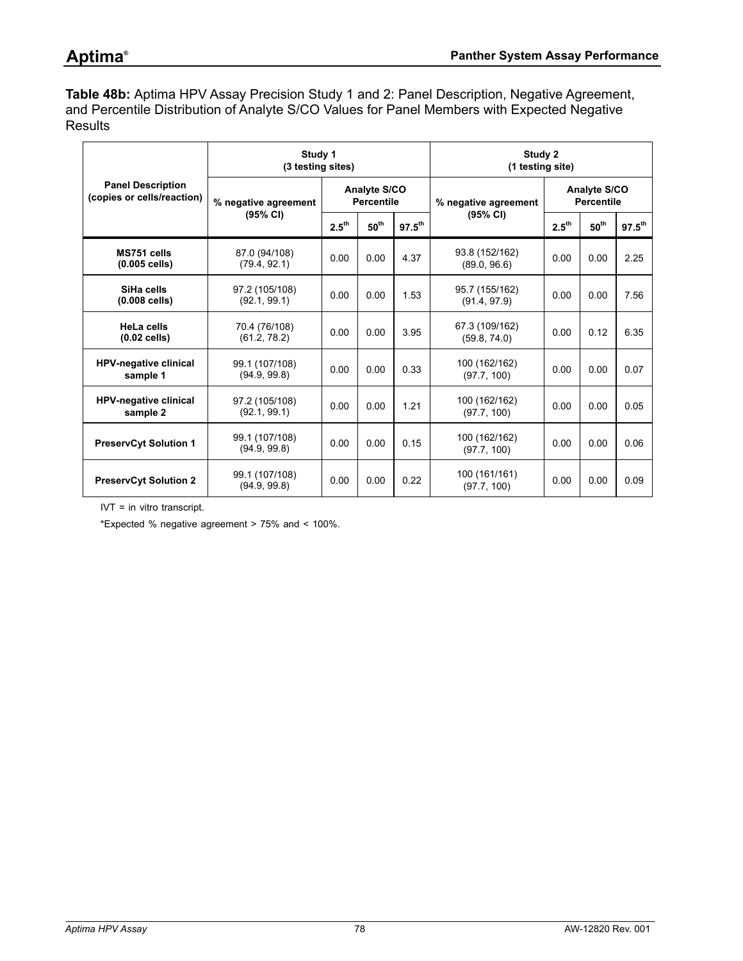<span id="page-77-0"></span>**Table 48b:** Aptima HPV Assay Precision Study 1 and 2: Panel Description, Negative Agreement, and Percentile Distribution of Analyte S/CO Values for Panel Members with Expected Negative **Results** 

|                                                        | Study 1<br>(3 testing sites)   |                   |                                          | Study 2<br>(1 testing site) |                                |                                          |                  |             |  |
|--------------------------------------------------------|--------------------------------|-------------------|------------------------------------------|-----------------------------|--------------------------------|------------------------------------------|------------------|-------------|--|
| <b>Panel Description</b><br>(copies or cells/reaction) | % negative agreement           |                   | <b>Analyte S/CO</b><br><b>Percentile</b> |                             | % negative agreement           | <b>Analyte S/CO</b><br><b>Percentile</b> |                  |             |  |
|                                                        | (95% CI)                       | $2.5^{\text{th}}$ | 50 <sup>th</sup>                         | $97.5^{th}$                 | $(95% \text{ Cl})$             | $2.5^{\text{th}}$                        | $50^{\text{th}}$ | $97.5^{th}$ |  |
| MS751 cells<br>$(0.005$ cells)                         | 87.0 (94/108)<br>(79.4, 92.1)  | 0.00              | 0.00                                     | 4.37                        | 93.8 (152/162)<br>(89.0.96.6)  | 0.00                                     | 0.00             | 2.25        |  |
| SiHa cells<br>$(0.008$ cells)                          | 97.2 (105/108)<br>(92.1, 99.1) | 0.00              | 0.00                                     | 1.53                        | 95.7 (155/162)<br>(91.4, 97.9) | 0.00                                     | 0.00             | 7.56        |  |
| HeLa cells<br>$(0.02$ cells)                           | 70.4 (76/108)<br>(61.2, 78.2)  | 0.00              | 0.00                                     | 3.95                        | 67.3 (109/162)<br>(59.8, 74.0) | 0.00                                     | 0.12             | 6.35        |  |
| <b>HPV-negative clinical</b><br>sample 1               | 99.1 (107/108)<br>(94.9, 99.8) | 0.00              | 0.00                                     | 0.33                        | 100 (162/162)<br>(97.7, 100)   | 0.00                                     | 0.00             | 0.07        |  |
| <b>HPV-negative clinical</b><br>sample 2               | 97.2 (105/108)<br>(92.1, 99.1) | 0.00              | 0.00                                     | 1.21                        | 100 (162/162)<br>(97.7, 100)   | 0.00                                     | 0.00             | 0.05        |  |
| <b>PreservCyt Solution 1</b>                           | 99.1 (107/108)<br>(94.9, 99.8) | 0.00              | 0.15<br>0.00                             |                             | 100 (162/162)<br>(97.7, 100)   | 0.00                                     | 0.00             | 0.06        |  |
| <b>PreservCyt Solution 2</b>                           | 99.1 (107/108)<br>(94.9, 99.8) | 0.00              | 0.00                                     | 0.22                        | 100 (161/161)<br>(97.7, 100)   | 0.00                                     | 0.00             | 0.09        |  |

IVT = in vitro transcript.

\*Expected % negative agreement > 75% and < 100%.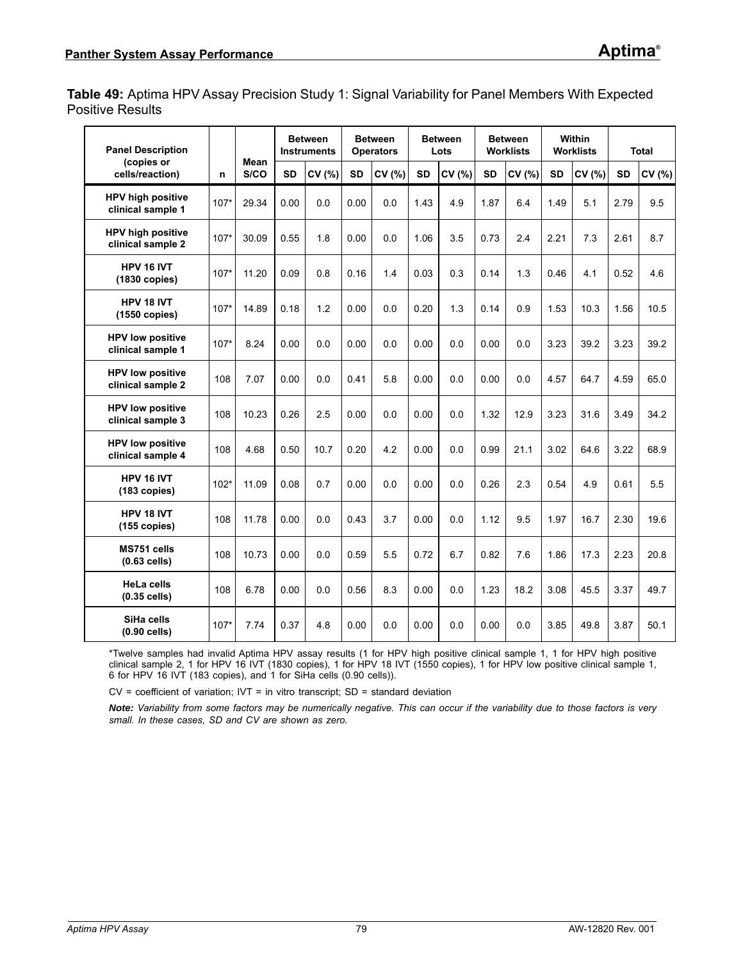<span id="page-78-0"></span>**Table 49:** Aptima HPV Assay Precision Study 1: Signal Variability for Panel Members With Expected Positive Results

| <b>Panel Description</b>                      |        |              | <b>Between</b><br><b>Instruments</b> |        | <b>Between</b><br><b>Operators</b> |        | <b>Between</b><br>Lots |        | <b>Between</b><br><b>Worklists</b> |        | <b>Within</b><br><b>Worklists</b> |        | Total     |        |
|-----------------------------------------------|--------|--------------|--------------------------------------|--------|------------------------------------|--------|------------------------|--------|------------------------------------|--------|-----------------------------------|--------|-----------|--------|
| (copies or<br>cells/reaction)                 | n      | Mean<br>S/CO | <b>SD</b>                            | CV (%) | <b>SD</b>                          | CV (%) | <b>SD</b>              | CV (%) | <b>SD</b>                          | CV (%) | <b>SD</b>                         | CV (%) | <b>SD</b> | CV (%) |
| <b>HPV high positive</b><br>clinical sample 1 | $107*$ | 29.34        | 0.00                                 | 0.0    | 0.00                               | 0.0    | 1.43                   | 4.9    | 1.87                               | 6.4    | 1.49                              | 5.1    | 2.79      | 9.5    |
| <b>HPV high positive</b><br>clinical sample 2 | $107*$ | 30.09        | 0.55                                 | 1.8    | 0.00                               | 0.0    | 1.06                   | 3.5    | 0.73                               | 2.4    | 2.21                              | 7.3    | 2.61      | 8.7    |
| HPV 16 IVT<br>(1830 copies)                   | $107*$ | 11.20        | 0.09                                 | 0.8    | 0.16                               | 1.4    | 0.03                   | 0.3    | 0.14                               | 1.3    | 0.46                              | 4.1    | 0.52      | 4.6    |
| HPV 18 IVT<br>$(1550$ copies)                 | $107*$ | 14.89        | 0.18                                 | 1.2    | 0.00                               | 0.0    | 0.20                   | 1.3    | 0.14                               | 0.9    | 1.53                              | 10.3   | 1.56      | 10.5   |
| <b>HPV low positive</b><br>clinical sample 1  | $107*$ | 8.24         | 0.00                                 | 0.0    | 0.00                               | 0.0    | 0.00                   | 0.0    | 0.00                               | 0.0    | 3.23                              | 39.2   | 3.23      | 39.2   |
| <b>HPV low positive</b><br>clinical sample 2  | 108    | 7.07         | 0.00                                 | 0.0    | 0.41                               | 5.8    | 0.00                   | 0.0    | 0.00                               | 0.0    | 4.57                              | 64.7   | 4.59      | 65.0   |
| <b>HPV low positive</b><br>clinical sample 3  | 108    | 10.23        | 0.26                                 | 2.5    | 0.00                               | 0.0    | 0.00                   | 0.0    | 1.32                               | 12.9   | 3.23                              | 31.6   | 3.49      | 34.2   |
| <b>HPV low positive</b><br>clinical sample 4  | 108    | 4.68         | 0.50                                 | 10.7   | 0.20                               | 4.2    | 0.00                   | 0.0    | 0.99                               | 21.1   | 3.02                              | 64.6   | 3.22      | 68.9   |
| HPV 16 IVT<br>$(183$ copies)                  | $102*$ | 11.09        | 0.08                                 | 0.7    | 0.00                               | 0.0    | 0.00                   | 0.0    | 0.26                               | 2.3    | 0.54                              | 4.9    | 0.61      | 5.5    |
| HPV 18 IVT<br>(155 copies)                    | 108    | 11.78        | 0.00                                 | 0.0    | 0.43                               | 3.7    | 0.00                   | 0.0    | 1.12                               | 9.5    | 1.97                              | 16.7   | 2.30      | 19.6   |
| MS751 cells<br>$(0.63$ cells)                 | 108    | 10.73        | 0.00                                 | 0.0    | 0.59                               | 5.5    | 0.72                   | 6.7    | 0.82                               | 7.6    | 1.86                              | 17.3   | 2.23      | 20.8   |
| <b>HeLa cells</b><br>$(0.35$ cells)           | 108    | 6.78         | 0.00                                 | 0.0    | 0.56                               | 8.3    | 0.00                   | 0.0    | 1.23                               | 18.2   | 3.08                              | 45.5   | 3.37      | 49.7   |
| SiHa cells<br>$(0.90$ cells)                  | $107*$ | 7.74         | 0.37                                 | 4.8    | 0.00                               | 0.0    | 0.00                   | 0.0    | 0.00                               | 0.0    | 3.85                              | 49.8   | 3.87      | 50.1   |

\*Twelve samples had invalid Aptima HPV assay results (1 for HPV high positive clinical sample 1, 1 for HPV high positive clinical sample 2, 1 for HPV 16 IVT (1830 copies), 1 for HPV 18 IVT (1550 copies), 1 for HPV low positive clinical sample 1, 6 for HPV 16 IVT (183 copies), and 1 for SiHa cells (0.90 cells)).

 $CV = coefficient of variation$ ;  $IV = in vitro transcript$ ;  $SD = standard deviation$ 

*Note: Variability from some factors may be numerically negative. This can occur if the variability due to those factors is very small. In these cases, SD and CV are shown as zero.*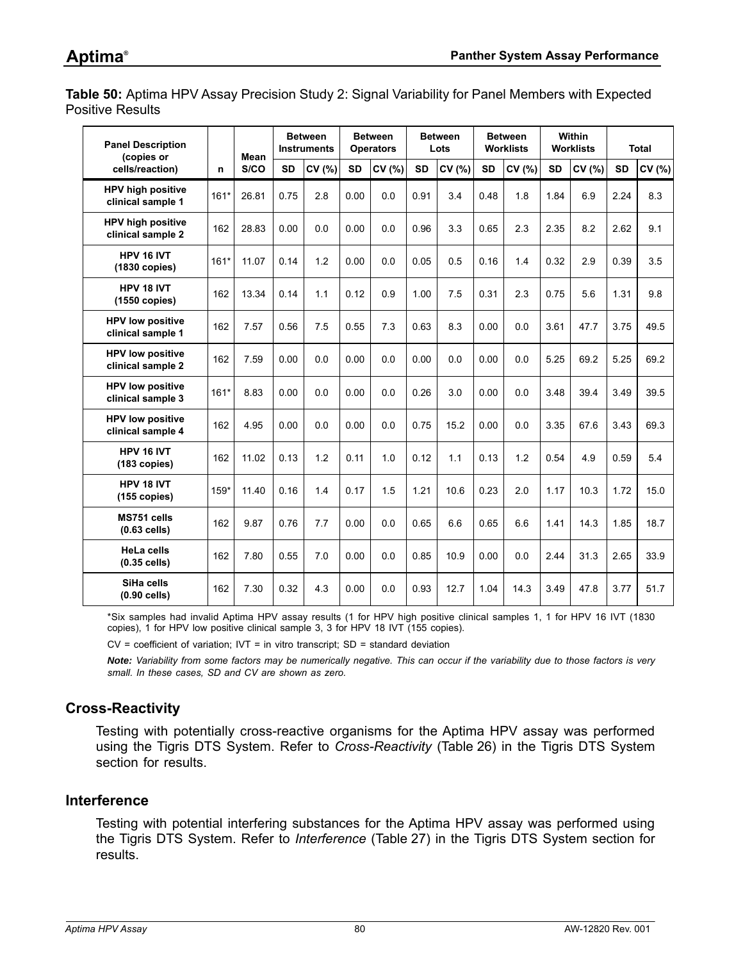<span id="page-79-0"></span>**Table 50:** Aptima HPV Assay Precision Study 2: Signal Variability for Panel Members with Expected Positive Results

| <b>Panel Description</b><br>(copies or        |        | Mean  | <b>Between</b><br><b>Instruments</b> |        | <b>Between</b><br><b>Operators</b> |        | <b>Between</b><br>Lots |        | <b>Between</b><br><b>Worklists</b> |       | Within<br><b>Worklists</b> |        | <b>Total</b> |        |
|-----------------------------------------------|--------|-------|--------------------------------------|--------|------------------------------------|--------|------------------------|--------|------------------------------------|-------|----------------------------|--------|--------------|--------|
| cells/reaction)                               | n      | S/CO  | <b>SD</b>                            | CV (%) | <b>SD</b>                          | CV (%) | <b>SD</b>              | CV (%) | <b>SD</b>                          | CV(%) | <b>SD</b>                  | CV (%) | <b>SD</b>    | CV (%) |
| <b>HPV high positive</b><br>clinical sample 1 | $161*$ | 26.81 | 0.75                                 | 2.8    | 0.00                               | 0.0    | 0.91                   | 3.4    | 0.48                               | 1.8   | 1.84                       | 6.9    | 2.24         | 8.3    |
| <b>HPV high positive</b><br>clinical sample 2 | 162    | 28.83 | 0.00                                 | 0.0    | 0.00                               | 0.0    | 0.96                   | 3.3    | 0.65                               | 2.3   | 2.35                       | 8.2    | 2.62         | 9.1    |
| HPV 16 IVT<br>(1830 copies)                   | $161*$ | 11.07 | 0.14                                 | 1.2    | 0.00                               | 0.0    | 0.05                   | 0.5    | 0.16                               | 1.4   | 0.32                       | 2.9    | 0.39         | 3.5    |
| HPV 18 IVT<br>$(1550$ copies)                 | 162    | 13.34 | 0.14                                 | 1.1    | 0.12                               | 0.9    | 1.00                   | 7.5    | 0.31                               | 2.3   | 0.75                       | 5.6    | 1.31         | 9.8    |
| <b>HPV low positive</b><br>clinical sample 1  | 162    | 7.57  | 0.56                                 | 7.5    | 0.55                               | 7.3    | 0.63                   | 8.3    | 0.00                               | 0.0   | 3.61                       | 47.7   | 3.75         | 49.5   |
| <b>HPV low positive</b><br>clinical sample 2  | 162    | 7.59  | 0.00                                 | 0.0    | 0.00                               | 0.0    | 0.00                   | 0.0    | 0.00                               | 0.0   | 5.25                       | 69.2   | 5.25         | 69.2   |
| <b>HPV low positive</b><br>clinical sample 3  | $161*$ | 8.83  | 0.00                                 | 0.0    | 0.00                               | 0.0    | 0.26                   | 3.0    | 0.00                               | 0.0   | 3.48                       | 39.4   | 3.49         | 39.5   |
| <b>HPV low positive</b><br>clinical sample 4  | 162    | 4.95  | 0.00                                 | 0.0    | 0.00                               | 0.0    | 0.75                   | 15.2   | 0.00                               | 0.0   | 3.35                       | 67.6   | 3.43         | 69.3   |
| HPV 16 IVT<br>(183 copies)                    | 162    | 11.02 | 0.13                                 | 1.2    | 0.11                               | 1.0    | 0.12                   | 1.1    | 0.13                               | 1.2   | 0.54                       | 4.9    | 0.59         | 5.4    |
| HPV 18 IVT<br>$(155$ copies)                  | $159*$ | 11.40 | 0.16                                 | 1.4    | 0.17                               | 1.5    | 1.21                   | 10.6   | 0.23                               | 2.0   | 1.17                       | 10.3   | 1.72         | 15.0   |
| MS751 cells<br>$(0.63$ cells)                 | 162    | 9.87  | 0.76                                 | 7.7    | 0.00                               | 0.0    | 0.65                   | 6.6    | 0.65                               | 6.6   | 1.41                       | 14.3   | 1.85         | 18.7   |
| <b>HeLa cells</b><br>$(0.35$ cells)           | 162    | 7.80  | 0.55                                 | 7.0    | 0.00                               | 0.0    | 0.85                   | 10.9   | 0.00                               | 0.0   | 2.44                       | 31.3   | 2.65         | 33.9   |
| SiHa cells<br>$(0.90$ cells)                  | 162    | 7.30  | 0.32                                 | 4.3    | 0.00                               | 0.0    | 0.93                   | 12.7   | 1.04                               | 14.3  | 3.49                       | 47.8   | 3.77         | 51.7   |

\*Six samples had invalid Aptima HPV assay results (1 for HPV high positive clinical samples 1, 1 for HPV 16 IVT (1830 copies), 1 for HPV low positive clinical sample 3, 3 for HPV 18 IVT (155 copies).

 $CV = coefficient of variation$ ;  $IV = in vitro transcript$ ;  $SD = standard deviation$ 

*Note: Variability from some factors may be numerically negative. This can occur if the variability due to those factors is very small. In these cases, SD and CV are shown as zero.*

## **Cross-Reactivity**

Testing with potentially cross-reactive organisms for the Aptima HPV assay was performed using the Tigris DTS System. Refer to *[Cross-Reactivity](#page-51-0)* ([Table 26](#page-51-1)) in the Tigris DTS System section for results.

#### **Interference**

Testing with potential interfering substances for the Aptima HPV assay was performed using the Tigris DTS System. Refer to *[Interference](#page-53-0)* ([Table 27](#page-53-1)) in the Tigris DTS System section for results.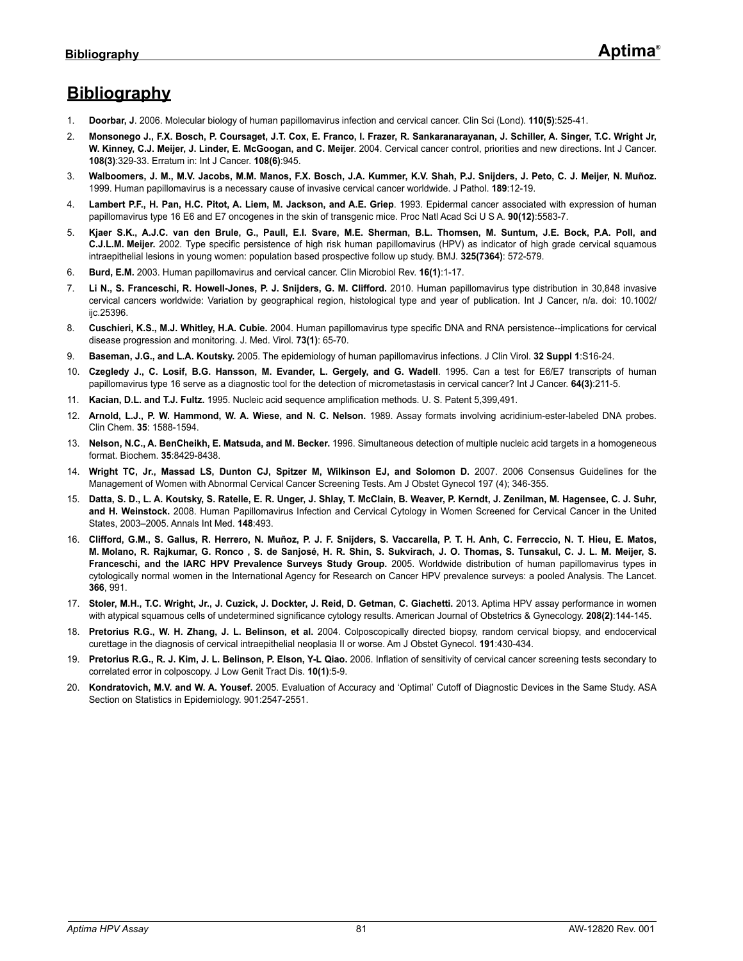# **Bibliography**

- 1. **Doorbar, J**. 2006. Molecular biology of human papillomavirus infection and cervical cancer. Clin Sci (Lond). **110(5)**:525-41.
- 2. **Monsonego J., F.X. Bosch, P. Coursaget, J.T. Cox, E. Franco, I. Frazer, R. Sankaranarayanan, J. Schiller, A. Singer, T.C. Wright Jr, W. Kinney, C.J. Meijer, J. Linder, E. McGoogan, and C. Meijer**. 2004. Cervical cancer control, priorities and new directions. Int J Cancer. **108(3)**:329-33. Erratum in: Int J Cancer. **108(6)**:945.
- 3. **Walboomers, J. M., M.V. Jacobs, M.M. Manos, F.X. Bosch, J.A. Kummer, K.V. Shah, P.J. Snijders, J. Peto, C. J. Meijer, N. Muñoz.** 1999. Human papillomavirus is a necessary cause of invasive cervical cancer worldwide. J Pathol. **189**:12-19.
- 4. **Lambert P.F., H. Pan, H.C. Pitot, A. Liem, M. Jackson, and A.E. Griep**. 1993. Epidermal cancer associated with expression of human papillomavirus type 16 E6 and E7 oncogenes in the skin of transgenic mice. Proc Natl Acad Sci U S A. **90(12)**:5583-7.
- 5. **Kjaer S.K., A.J.C. van den Brule, G., Paull, E.I. Svare, M.E. Sherman, B.L. Thomsen, M. Suntum, J.E. Bock, P.A. Poll, and C.J.L.M. Meijer.** 2002. Type specific persistence of high risk human papillomavirus (HPV) as indicator of high grade cervical squamous intraepithelial lesions in young women: population based prospective follow up study. BMJ. **325(7364)**: 572-579.
- 6. **Burd, E.M.** 2003. Human papillomavirus and cervical cancer. Clin Microbiol Rev. **16(1)**:1-17.
- 7. **Li N., S. Franceschi, R. Howell-Jones, P. J. Snijders, G. M. Clifford.** 2010. Human papillomavirus type distribution in 30,848 invasive cervical cancers worldwide: Variation by geographical region, histological type and year of publication. Int J Cancer, n/a. doi: 10.1002/ ijc.25396.
- 8. **Cuschieri, K.S., M.J. Whitley, H.A. Cubie.** 2004. Human papillomavirus type specific DNA and RNA persistence--implications for cervical disease progression and monitoring. J. Med. Virol. **73(1)**: 65-70.
- 9. **Baseman, J.G., and L.A. Koutsky.** 2005. The epidemiology of human papillomavirus infections. J Clin Virol. **32 Suppl 1**:S16-24.
- 10. **Czegledy J., C. Losif, B.G. Hansson, M. Evander, L. Gergely, and G. Wadell**. 1995. Can a test for E6/E7 transcripts of human papillomavirus type 16 serve as a diagnostic tool for the detection of micrometastasis in cervical cancer? Int J Cancer. **64(3)**:211-5.
- 11. **Kacian, D.L. and T.J. Fultz.** 1995. Nucleic acid sequence amplification methods. U. S. Patent 5,399,491.
- 12. **Arnold, L.J., P. W. Hammond, W. A. Wiese, and N. C. Nelson.** 1989. Assay formats involving acridinium-ester-labeled DNA probes. Clin Chem. **35**: 1588-1594.
- 13. **Nelson, N.C., A. BenCheikh, E. Matsuda, and M. Becker.** 1996. Simultaneous detection of multiple nucleic acid targets in a homogeneous format. Biochem. **35**:8429-8438.
- 14. **Wright TC, Jr., Massad LS, Dunton CJ, Spitzer M, Wilkinson EJ, and Solomon D.** 2007. 2006 Consensus Guidelines for the Management of Women with Abnormal Cervical Cancer Screening Tests. Am J Obstet Gynecol 197 (4); 346-355.
- 15. **Datta, S. D., L. A. Koutsky, S. Ratelle, E. R. Unger, J. Shlay, T. McClain, B. Weaver, P. Kerndt, J. Zenilman, M. Hagensee, C. J. Suhr, and H. Weinstock.** 2008. Human Papillomavirus Infection and Cervical Cytology in Women Screened for Cervical Cancer in the United States, 2003–2005. Annals Int Med. **148**:493.
- 16. **Clifford, G.M., S. Gallus, R. Herrero, N. Muñoz, P. J. F. Snijders, S. Vaccarella, P. T. H. Anh, C. Ferreccio, N. T. Hieu, E. Matos, M. Molano, R. Rajkumar, G. Ronco , S. de Sanjosé, H. R. Shin, S. Sukvirach, J. O. Thomas, S. Tunsakul, C. J. L. M. Meijer, S. Franceschi, and the IARC HPV Prevalence Surveys Study Group.** 2005. Worldwide distribution of human papillomavirus types in cytologically normal women in the International Agency for Research on Cancer HPV prevalence surveys: a pooled Analysis. The Lancet. **366**, 991.
- <span id="page-80-0"></span>17. **Stoler, M.H., T.C. Wright, Jr., J. Cuzick, J. Dockter, J. Reid, D. Getman, C. Giachetti.** 2013. Aptima HPV assay performance in women with atypical squamous cells of undetermined significance cytology results. American Journal of Obstetrics & Gynecology. **208(2)**:144-145.
- 18. **Pretorius R.G., W. H. Zhang, J. L. Belinson, et al.** 2004. Colposcopically directed biopsy, random cervical biopsy, and endocervical curettage in the diagnosis of cervical intraepithelial neoplasia II or worse. Am J Obstet Gynecol. **191**:430-434.
- 19. **Pretorius R.G., R. J. Kim, J. L. Belinson, P. Elson, Y-L Qiao.** 2006. Inflation of sensitivity of cervical cancer screening tests secondary to correlated error in colposcopy. J Low Genit Tract Dis. **10(1)**:5-9.
- 20. **Kondratovich, M.V. and W. A. Yousef.** 2005. Evaluation of Accuracy and 'Optimal' Cutoff of Diagnostic Devices in the Same Study. ASA Section on Statistics in Epidemiology. 901:2547-2551.